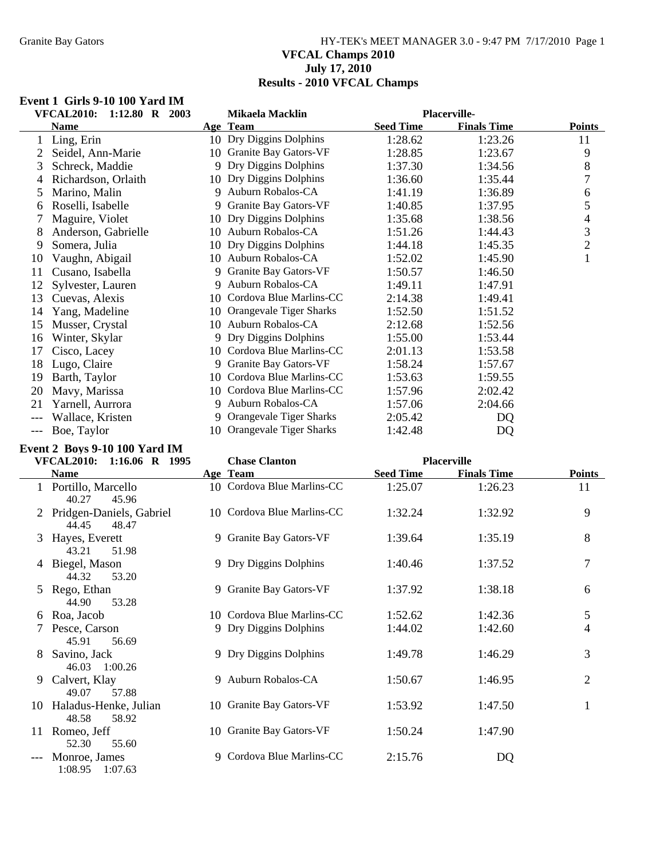## Granite Bay Gators **HY-TEK's MEET MANAGER 3.0 - 9:47 PM 7/17/2010** Page 1 **VFCAL Champs 2010 July 17, 2010 Results - 2010 VFCAL Champs**

#### **Event 1 Girls 9-10 100 Yard IM**

|     | <b>VFCAL2010:</b><br>1:12.80 R 2003 |    | Mikaela Macklin            |                  | <b>Placerville-</b> |                |
|-----|-------------------------------------|----|----------------------------|------------------|---------------------|----------------|
|     | <b>Name</b>                         |    | Age Team                   | <b>Seed Time</b> | <b>Finals Time</b>  | <b>Points</b>  |
|     | Ling, Erin                          |    | 10 Dry Diggins Dolphins    | 1:28.62          | 1:23.26             | 11             |
|     | Seidel, Ann-Marie                   |    | 10 Granite Bay Gators-VF   | 1:28.85          | 1:23.67             | 9              |
| 3   | Schreck, Maddie                     |    | 9 Dry Diggins Dolphins     | 1:37.30          | 1:34.56             | 8              |
| 4   | Richardson, Orlaith                 |    | 10 Dry Diggins Dolphins    | 1:36.60          | 1:35.44             | 7              |
| 5   | Marino, Malin                       |    | 9 Auburn Robalos-CA        | 1:41.19          | 1:36.89             | 6              |
| 6   | Roselli, Isabelle                   |    | 9 Granite Bay Gators-VF    | 1:40.85          | 1:37.95             | 5              |
| 7   | Maguire, Violet                     | 10 | Dry Diggins Dolphins       | 1:35.68          | 1:38.56             | 4              |
| 8   | Anderson, Gabrielle                 | 10 | Auburn Robalos-CA          | 1:51.26          | 1:44.43             | 3              |
| 9   | Somera, Julia                       | 10 | Dry Diggins Dolphins       | 1:44.18          | 1:45.35             | $\overline{2}$ |
| 10  | Vaughn, Abigail                     | 10 | Auburn Robalos-CA          | 1:52.02          | 1:45.90             | $\mathbf{1}$   |
| 11  | Cusano, Isabella                    | 9  | Granite Bay Gators-VF      | 1:50.57          | 1:46.50             |                |
| 12  | Sylvester, Lauren                   | 9. | Auburn Robalos-CA          | 1:49.11          | 1:47.91             |                |
| 13  | Cuevas, Alexis                      | 10 | Cordova Blue Marlins-CC    | 2:14.38          | 1:49.41             |                |
| 14  | Yang, Madeline                      |    | 10 Orangevale Tiger Sharks | 1:52.50          | 1:51.52             |                |
| 15  | Musser, Crystal                     | 10 | Auburn Robalos-CA          | 2:12.68          | 1:52.56             |                |
| 16  | Winter, Skylar                      |    | 9 Dry Diggins Dolphins     | 1:55.00          | 1:53.44             |                |
| 17  | Cisco, Lacey                        |    | 10 Cordova Blue Marlins-CC | 2:01.13          | 1:53.58             |                |
| 18  | Lugo, Claire                        |    | 9 Granite Bay Gators-VF    | 1:58.24          | 1:57.67             |                |
| 19  | Barth, Taylor                       | 10 | Cordova Blue Marlins-CC    | 1:53.63          | 1:59.55             |                |
| 20  | Mavy, Marissa                       |    | 10 Cordova Blue Marlins-CC | 1:57.96          | 2:02.42             |                |
| 21  | Yarnell, Aurrora                    | 9  | Auburn Robalos-CA          | 1:57.06          | 2:04.66             |                |
|     | Wallace, Kristen                    |    | 9 Orangevale Tiger Sharks  | 2:05.42          | DQ                  |                |
| --- | Boe, Taylor                         |    | 10 Orangevale Tiger Sharks | 1:42.48          | DQ                  |                |

# **Event 2 Boys 9-10 100 Yard IM**

|    | <b>VFCAL2010:</b><br>1:16.06 R 1995          |    | <b>Chase Clanton</b>       |                  | <b>Placerville</b> |                |
|----|----------------------------------------------|----|----------------------------|------------------|--------------------|----------------|
|    | <b>Name</b>                                  |    | Age Team                   | <b>Seed Time</b> | <b>Finals Time</b> | <b>Points</b>  |
|    | 1 Portillo, Marcello<br>40.27<br>45.96       |    | 10 Cordova Blue Marlins-CC | 1:25.07          | 1:26.23            | 11             |
|    | 2 Pridgen-Daniels, Gabriel<br>44.45<br>48.47 |    | 10 Cordova Blue Marlins-CC | 1:32.24          | 1:32.92            | 9              |
|    | 3 Hayes, Everett<br>43.21<br>51.98           |    | 9 Granite Bay Gators-VF    | 1:39.64          | 1:35.19            | 8              |
|    | 4 Biegel, Mason<br>44.32<br>53.20            |    | 9 Dry Diggins Dolphins     | 1:40.46          | 1:37.52            | $\overline{7}$ |
|    | 5 Rego, Ethan<br>44.90<br>53.28              |    | 9 Granite Bay Gators-VF    | 1:37.92          | 1:38.18            | 6              |
|    | 6 Roa, Jacob                                 |    | 10 Cordova Blue Marlins-CC | 1:52.62          | 1:42.36            | 5              |
|    | Pesce, Carson<br>45.91<br>56.69              |    | 9 Dry Diggins Dolphins     | 1:44.02          | 1:42.60            | $\overline{4}$ |
| 8  | Savino, Jack<br>46.03 1:00.26                |    | 9 Dry Diggins Dolphins     | 1:49.78          | 1:46.29            | 3              |
| 9  | Calvert, Klay<br>49.07<br>57.88              |    | 9 Auburn Robalos-CA        | 1:50.67          | 1:46.95            | $\overline{2}$ |
| 10 | Haladus-Henke, Julian<br>48.58<br>58.92      | 10 | Granite Bay Gators-VF      | 1:53.92          | 1:47.50            | $\mathbf{1}$   |
| 11 | Romeo, Jeff<br>52.30<br>55.60                |    | 10 Granite Bay Gators-VF   | 1:50.24          | 1:47.90            |                |
|    | Monroe, James<br>1:08.95<br>1:07.63          |    | 9 Cordova Blue Marlins-CC  | 2:15.76          | DQ                 |                |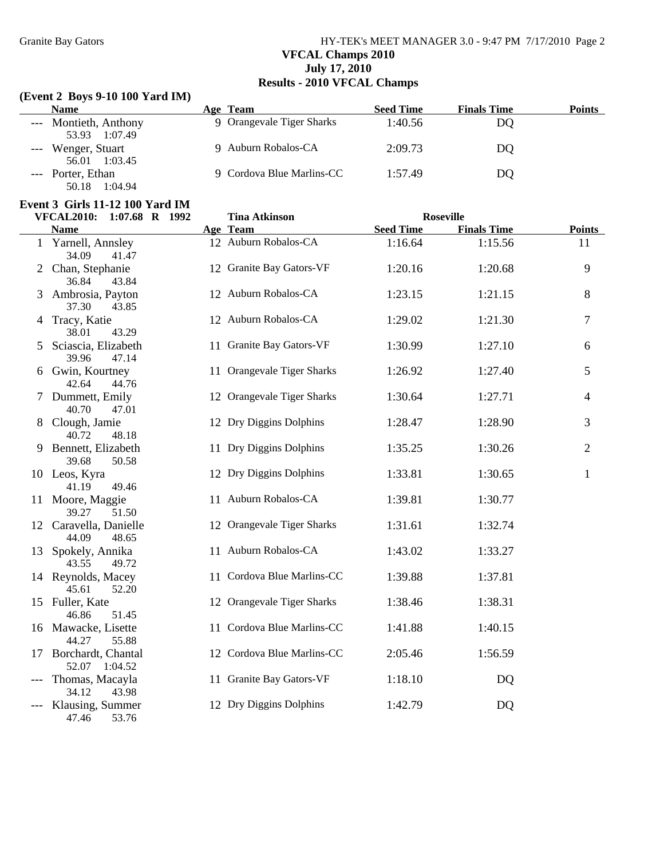# Granite Bay Gators **HY-TEK's MEET MANAGER 3.0 - 9:47 PM 7/17/2010** Page 2 **VFCAL Champs 2010 July 17, 2010 Results - 2010 VFCAL Champs**

### **(Event 2 Boys 9-10 100 Yard IM)**

| <b>Name</b>           | Age Team                  | <b>Seed Time</b> | <b>Finals Time</b> | Points |
|-----------------------|---------------------------|------------------|--------------------|--------|
| --- Montieth, Anthony | 9 Orangevale Tiger Sharks | 1:40.56          | DO                 |        |
| 1:07.49<br>53.93      |                           |                  |                    |        |
| Wenger, Stuart        | 9 Auburn Robalos-CA       | 2:09.73          | DO                 |        |
| 56.01<br>1:03.45      |                           |                  |                    |        |
| --- Porter, Ethan     | 9 Cordova Blue Marlins-CC | 1:57.49          | DO                 |        |
| 1:04.94<br>50.18      |                           |                  |                    |        |

### **Event 3 Girls 11-12 100 Yard IM**

|    | 1:07.68 R 1992<br><b>VFCAL2010:</b>      | <b>Tina Atkinson</b>       |                  | <b>Roseville</b>   |                |
|----|------------------------------------------|----------------------------|------------------|--------------------|----------------|
|    | <b>Name</b>                              | Age Team                   | <b>Seed Time</b> | <b>Finals Time</b> | <b>Points</b>  |
|    | 1 Yarnell, Annsley<br>34.09<br>41.47     | 12 Auburn Robalos-CA       | 1:16.64          | 1:15.56            | 11             |
|    | 2 Chan, Stephanie<br>36.84<br>43.84      | 12 Granite Bay Gators-VF   | 1:20.16          | 1:20.68            | 9              |
|    | 3 Ambrosia, Payton<br>37.30<br>43.85     | 12 Auburn Robalos-CA       | 1:23.15          | 1:21.15            | 8              |
|    | 4 Tracy, Katie<br>38.01<br>43.29         | 12 Auburn Robalos-CA       | 1:29.02          | 1:21.30            | $\overline{7}$ |
| 5  | Sciascia, Elizabeth<br>39.96<br>47.14    | 11 Granite Bay Gators-VF   | 1:30.99          | 1:27.10            | 6              |
| 6  | Gwin, Kourtney<br>42.64<br>44.76         | 11 Orangevale Tiger Sharks | 1:26.92          | 1:27.40            | 5              |
|    | 7 Dummett, Emily<br>40.70<br>47.01       | 12 Orangevale Tiger Sharks | 1:30.64          | 1:27.71            | $\overline{4}$ |
| 8  | Clough, Jamie<br>40.72<br>48.18          | 12 Dry Diggins Dolphins    | 1:28.47          | 1:28.90            | 3              |
|    | 9 Bennett, Elizabeth<br>50.58<br>39.68   | 11 Dry Diggins Dolphins    | 1:35.25          | 1:30.26            | $\overline{2}$ |
|    | 10 Leos, Kyra<br>41.19<br>49.46          | 12 Dry Diggins Dolphins    | 1:33.81          | 1:30.65            | $\mathbf{1}$   |
|    | 11 Moore, Maggie<br>39.27<br>51.50       | 11 Auburn Robalos-CA       | 1:39.81          | 1:30.77            |                |
|    | 12 Caravella, Danielle<br>44.09<br>48.65 | 12 Orangevale Tiger Sharks | 1:31.61          | 1:32.74            |                |
| 13 | Spokely, Annika<br>43.55<br>49.72        | 11 Auburn Robalos-CA       | 1:43.02          | 1:33.27            |                |
|    | 14 Reynolds, Macey<br>45.61<br>52.20     | 11 Cordova Blue Marlins-CC | 1:39.88          | 1:37.81            |                |
|    | 15 Fuller, Kate<br>46.86<br>51.45        | 12 Orangevale Tiger Sharks | 1:38.46          | 1:38.31            |                |
|    | 16 Mawacke, Lisette<br>55.88<br>44.27    | 11 Cordova Blue Marlins-CC | 1:41.88          | 1:40.15            |                |
|    | 17 Borchardt, Chantal<br>52.07 1:04.52   | 12 Cordova Blue Marlins-CC | 2:05.46          | 1:56.59            |                |
|    | --- Thomas, Macayla<br>43.98<br>34.12    | 11 Granite Bay Gators-VF   | 1:18.10          | DQ                 |                |
|    | Klausing, Summer<br>47.46<br>53.76       | 12 Dry Diggins Dolphins    | 1:42.79          | DQ                 |                |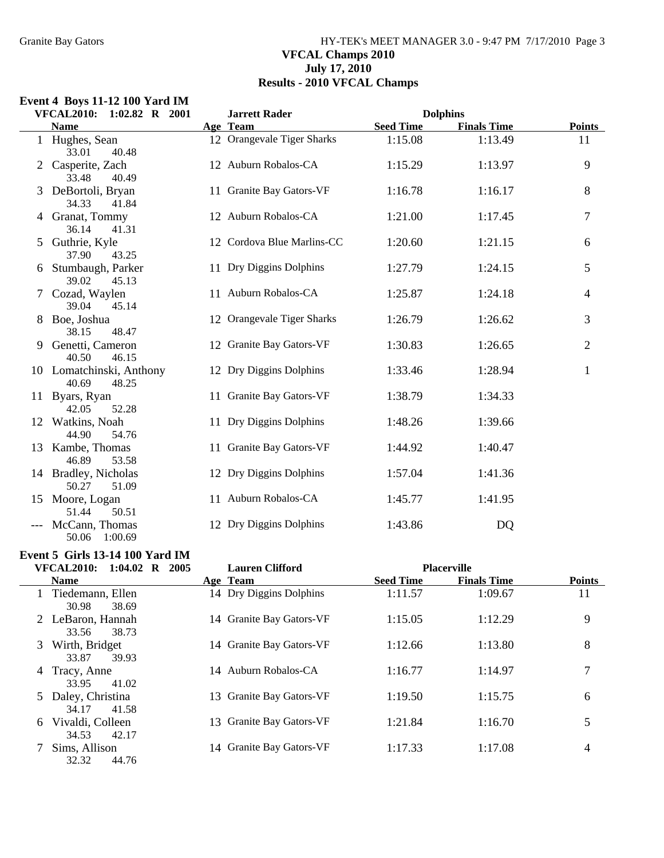### Granite Bay Gators **HY-TEK's MEET MANAGER 3.0 - 9:47 PM 7/17/2010** Page 3 **VFCAL Champs 2010 July 17, 2010 Results - 2010 VFCAL Champs**

### **Event 4 Boys 11-12 100 Yard IM**

|   | <b>VFCAL2010:</b><br>$1:02.82$ R $2001$    | <b>Jarrett Rader</b>       | <b>Dolphins</b>                        |                |
|---|--------------------------------------------|----------------------------|----------------------------------------|----------------|
|   | <b>Name</b>                                | Age Team                   | <b>Seed Time</b><br><b>Finals Time</b> | <b>Points</b>  |
|   | 1 Hughes, Sean<br>33.01<br>40.48           | 12 Orangevale Tiger Sharks | 1:15.08<br>1:13.49                     | 11             |
|   | 2 Casperite, Zach<br>33.48<br>40.49        | 12 Auburn Robalos-CA       | 1:15.29<br>1:13.97                     | 9              |
|   | 3 DeBortoli, Bryan<br>34.33<br>41.84       | 11 Granite Bay Gators-VF   | 1:16.78<br>1:16.17                     | 8              |
|   | 4 Granat, Tommy<br>36.14<br>41.31          | 12 Auburn Robalos-CA       | 1:21.00<br>1:17.45                     | 7              |
| 5 | Guthrie, Kyle<br>37.90<br>43.25            | 12 Cordova Blue Marlins-CC | 1:20.60<br>1:21.15                     | 6              |
|   | 6 Stumbaugh, Parker<br>39.02<br>45.13      | 11 Dry Diggins Dolphins    | 1:27.79<br>1:24.15                     | 5              |
|   | 7 Cozad, Waylen<br>39.04<br>45.14          | 11 Auburn Robalos-CA       | 1:25.87<br>1:24.18                     | 4              |
|   | 8 Boe, Joshua<br>38.15<br>48.47            | 12 Orangevale Tiger Sharks | 1:26.79<br>1:26.62                     | 3              |
|   | 9 Genetti, Cameron<br>40.50<br>46.15       | 12 Granite Bay Gators-VF   | 1:30.83<br>1:26.65                     | $\overline{2}$ |
|   | 10 Lomatchinski, Anthony<br>40.69<br>48.25 | 12 Dry Diggins Dolphins    | 1:33.46<br>1:28.94                     | $\mathbf{1}$   |
|   | 11 Byars, Ryan<br>42.05<br>52.28           | 11 Granite Bay Gators-VF   | 1:38.79<br>1:34.33                     |                |
|   | 12 Watkins, Noah<br>44.90<br>54.76         | 11 Dry Diggins Dolphins    | 1:48.26<br>1:39.66                     |                |
|   | 13 Kambe, Thomas<br>46.89<br>53.58         | 11 Granite Bay Gators-VF   | 1:40.47<br>1:44.92                     |                |
|   | 14 Bradley, Nicholas<br>50.27<br>51.09     | 12 Dry Diggins Dolphins    | 1:57.04<br>1:41.36                     |                |
|   | 15 Moore, Logan<br>51.44<br>50.51          | 11 Auburn Robalos-CA       | 1:45.77<br>1:41.95                     |                |
|   | McCann, Thomas<br>50.06 1:00.69            | 12 Dry Diggins Dolphins    | 1:43.86<br>DQ                          |                |

# **Event 5 Girls 13-14 100 Yard IM**

| $1:04.02$ R $2005$<br>VFCAL2010:        | <b>Lauren Clifford</b>   |                  | <b>Placerville</b> |               |
|-----------------------------------------|--------------------------|------------------|--------------------|---------------|
| <b>Name</b>                             | Age Team                 | <b>Seed Time</b> | <b>Finals Time</b> | <b>Points</b> |
| 1 Tiedemann, Ellen<br>30.98<br>38.69    | 14 Dry Diggins Dolphins  | 1:11.57          | 1:09.67            | 11            |
| 2 LeBaron, Hannah<br>38.73<br>33.56     | 14 Granite Bay Gators-VF | 1:15.05          | 1:12.29            | 9             |
| Wirth, Bridget<br>3<br>39.93<br>33.87   | 14 Granite Bay Gators-VF | 1:12.66          | 1:13.80            | 8             |
| Tracy, Anne<br>4<br>33.95<br>41.02      | 14 Auburn Robalos-CA     | 1:16.77          | 1:14.97            | 7             |
| 5 Daley, Christina<br>41.58<br>34.17    | 13 Granite Bay Gators-VF | 1:19.50          | 1:15.75            | 6             |
| Vivaldi, Colleen<br>6<br>34.53<br>42.17 | 13 Granite Bay Gators-VF | 1:21.84          | 1:16.70            | 5             |
| Sims, Allison<br>32.32<br>44.76         | 14 Granite Bay Gators-VF | 1:17.33          | 1:17.08            | 4             |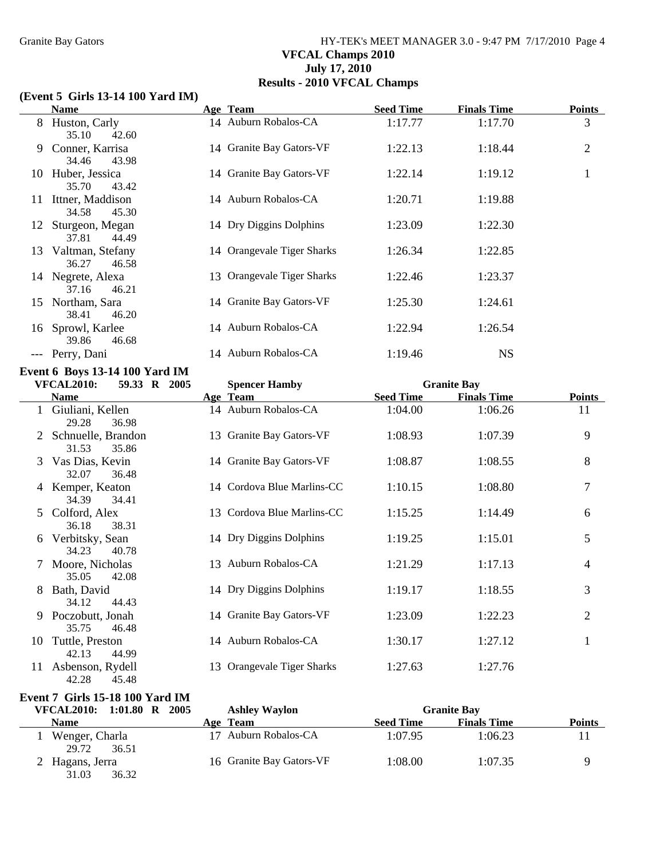# Granite Bay Gators **HY-TEK's MEET MANAGER 3.0 - 9:47 PM 7/17/2010** Page 4 **VFCAL Champs 2010 July 17, 2010 Results - 2010 VFCAL Champs**

### **(Event 5 Girls 13-14 100 Yard IM)**

|    | <b>Name</b>                                                                  | Age Team                         | <b>Seed Time</b>            | <b>Finals Time</b>            | <b>Points</b>       |
|----|------------------------------------------------------------------------------|----------------------------------|-----------------------------|-------------------------------|---------------------|
|    | 8 Huston, Carly<br>35.10<br>42.60                                            | 14 Auburn Robalos-CA             | 1:17.77                     | 1:17.70                       | 3                   |
| 9  | Conner, Karrisa<br>34.46<br>43.98                                            | 14 Granite Bay Gators-VF         | 1:22.13                     | 1:18.44                       | $\overline{2}$      |
|    | 10 Huber, Jessica<br>35.70<br>43.42                                          | 14 Granite Bay Gators-VF         | 1:22.14                     | 1:19.12                       | $\mathbf{1}$        |
| 11 | Ittner, Maddison<br>34.58<br>45.30                                           | 14 Auburn Robalos-CA             | 1:20.71                     | 1:19.88                       |                     |
| 12 | Sturgeon, Megan<br>37.81<br>44.49                                            | 14 Dry Diggins Dolphins          | 1:23.09                     | 1:22.30                       |                     |
| 13 | Valtman, Stefany<br>36.27<br>46.58                                           | 14 Orangevale Tiger Sharks       | 1:26.34                     | 1:22.85                       |                     |
|    | 14 Negrete, Alexa<br>37.16<br>46.21                                          | 13 Orangevale Tiger Sharks       | 1:22.46                     | 1:23.37                       |                     |
| 15 | Northam, Sara<br>38.41<br>46.20                                              | 14 Granite Bay Gators-VF         | 1:25.30                     | 1:24.61                       |                     |
| 16 | Sprowl, Karlee<br>39.86<br>46.68                                             | 14 Auburn Robalos-CA             | 1:22.94                     | 1:26.54                       |                     |
|    | --- Perry, Dani                                                              | 14 Auburn Robalos-CA             | 1:19.46                     | <b>NS</b>                     |                     |
|    | Event 6 Boys 13-14 100 Yard IM                                               |                                  |                             |                               |                     |
|    | <b>VFCAL2010:</b><br>59.33 R 2005                                            | <b>Spencer Hamby</b>             |                             | <b>Granite Bay</b>            |                     |
|    | <b>Name</b><br>1 Giuliani, Kellen                                            | Age Team<br>14 Auburn Robalos-CA | <b>Seed Time</b><br>1:04.00 | <b>Finals Time</b><br>1:06.26 | <b>Points</b><br>11 |
|    | 29.28<br>36.98                                                               |                                  |                             |                               |                     |
|    | Schnuelle, Brandon<br>31.53<br>35.86                                         | 13 Granite Bay Gators-VF         | 1:08.93                     | 1:07.39                       | 9                   |
|    | Vas Dias, Kevin<br>32.07<br>36.48                                            | 14 Granite Bay Gators-VF         | 1:08.87                     | 1:08.55                       | 8                   |
|    | 4 Kemper, Keaton<br>34.39<br>34.41                                           | 14 Cordova Blue Marlins-CC       | 1:10.15                     | 1:08.80                       | 7                   |
|    | Colford, Alex<br>36.18<br>38.31                                              | 13 Cordova Blue Marlins-CC       | 1:15.25                     | 1:14.49                       | 6                   |
| 6  | Verbitsky, Sean<br>34.23<br>40.78                                            | 14 Dry Diggins Dolphins          | 1:19.25                     | 1:15.01                       | 5                   |
|    | Moore, Nicholas<br>35.05<br>42.08                                            | 13 Auburn Robalos-CA             | 1:21.29                     | 1:17.13                       | 4                   |
|    | 8 Bath, David<br>34.12<br>44.43                                              | 14 Dry Diggins Dolphins          | 1:19.17                     | 1:18.55                       | 3                   |
|    | 9 Poczobutt, Jonah<br>35.75<br>46.48                                         | 14 Granite Bay Gators-VF         | 1:23.09                     | 1:22.23                       | $\mathbf{2}$        |
|    | 10 Tuttle, Preston<br>44.99<br>42.13                                         | 14 Auburn Robalos-CA             | 1:30.17                     | 1:27.12                       | $\mathbf{1}$        |
|    | 11 Asbenson, Rydell<br>42.28<br>45.48                                        | 13 Orangevale Tiger Sharks       | 1:27.63                     | 1:27.76                       |                     |
|    | <b>Event 7 Girls 15-18 100 Yard IM</b><br><b>VECAT 2010.</b> 1.01.00 D. 2005 | $A$ allam $\overline{M}$ amla    |                             | $\mathbf{H}$ . Then           |                     |

| VFCAL2010: 1:01.80 R             | 2005<br><b>Ashley Waylon</b> |                  | <b>Granite Bay</b> |               |
|----------------------------------|------------------------------|------------------|--------------------|---------------|
| <b>Name</b>                      | Age Team                     | <b>Seed Time</b> | <b>Finals Time</b> | <b>Points</b> |
| Wenger, Charla<br>29.72<br>36.51 | 17 Auburn Robalos-CA         | 1:07.95          | 1:06.23            |               |
| Hagans, Jerra<br>31.03<br>36.32  | 16 Granite Bay Gators-VF     | 1:08.00          | 1:07.35            |               |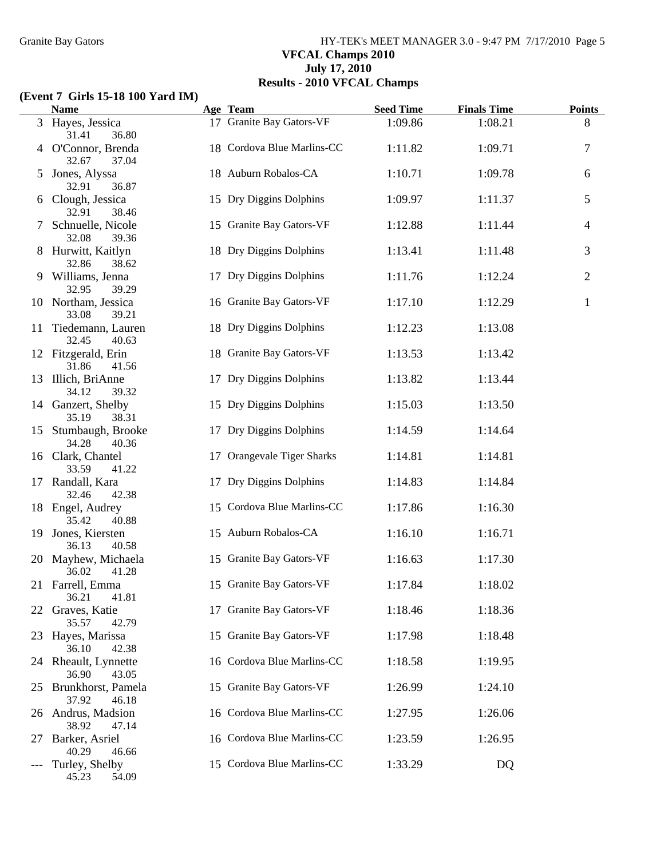## Granite Bay Gators **HY-TEK's MEET MANAGER 3.0 - 9:47 PM 7/17/2010** Page 5 **VFCAL Champs 2010 July 17, 2010 Results - 2010 VFCAL Champs**

### **(Event 7 Girls 15-18 100 Yard IM)**

|    | <b>Name</b>                            | Age Team                   | <b>Seed Time</b> | <b>Finals Time</b> | <b>Points</b>  |
|----|----------------------------------------|----------------------------|------------------|--------------------|----------------|
|    | 3 Hayes, Jessica<br>31.41<br>36.80     | 17 Granite Bay Gators-VF   | 1:09.86          | 1:08.21            | 8              |
|    | 4 O'Connor, Brenda<br>32.67<br>37.04   | 18 Cordova Blue Marlins-CC | 1:11.82          | 1:09.71            | $\tau$         |
| 5  | Jones, Alyssa<br>32.91<br>36.87        | 18 Auburn Robalos-CA       | 1:10.71          | 1:09.78            | 6              |
|    | Clough, Jessica<br>38.46<br>32.91      | 15 Dry Diggins Dolphins    | 1:09.97          | 1:11.37            | 5              |
|    | Schnuelle, Nicole<br>32.08<br>39.36    | 15 Granite Bay Gators-VF   | 1:12.88          | 1:11.44            | $\overline{4}$ |
|    | Hurwitt, Kaitlyn<br>32.86<br>38.62     | 18 Dry Diggins Dolphins    | 1:13.41          | 1:11.48            | 3              |
| 9. | Williams, Jenna<br>32.95<br>39.29      | 17 Dry Diggins Dolphins    | 1:11.76          | 1:12.24            | $\overline{2}$ |
|    | 10 Northam, Jessica<br>33.08<br>39.21  | 16 Granite Bay Gators-VF   | 1:17.10          | 1:12.29            | $\mathbf{1}$   |
| 11 | Tiedemann, Lauren<br>32.45<br>40.63    | 18 Dry Diggins Dolphins    | 1:12.23          | 1:13.08            |                |
|    | 12 Fitzgerald, Erin<br>31.86<br>41.56  | 18 Granite Bay Gators-VF   | 1:13.53          | 1:13.42            |                |
|    | 13 Illich, BriAnne<br>34.12<br>39.32   | 17 Dry Diggins Dolphins    | 1:13.82          | 1:13.44            |                |
|    | 14 Ganzert, Shelby<br>38.31<br>35.19   | 15 Dry Diggins Dolphins    | 1:15.03          | 1:13.50            |                |
|    | 15 Stumbaugh, Brooke<br>34.28<br>40.36 | 17 Dry Diggins Dolphins    | 1:14.59          | 1:14.64            |                |
|    | 16 Clark, Chantel<br>33.59<br>41.22    | 17 Orangevale Tiger Sharks | 1:14.81          | 1:14.81            |                |
|    | 17 Randall, Kara<br>32.46<br>42.38     | 17 Dry Diggins Dolphins    | 1:14.83          | 1:14.84            |                |
|    | 18 Engel, Audrey<br>40.88<br>35.42     | 15 Cordova Blue Marlins-CC | 1:17.86          | 1:16.30            |                |
|    | 19 Jones, Kiersten<br>36.13<br>40.58   | 15 Auburn Robalos-CA       | 1:16.10          | 1:16.71            |                |
|    | 20 Mayhew, Michaela<br>36.02<br>41.28  | 15 Granite Bay Gators-VF   | 1:16.63          | 1:17.30            |                |
|    | 21 Farrell, Emma<br>36.21<br>41.81     | 15 Granite Bay Gators-VF   | 1:17.84          | 1:18.02            |                |
| 22 | Graves, Katie<br>35.57<br>42.79        | 17 Granite Bay Gators-VF   | 1:18.46          | 1:18.36            |                |
| 23 | Hayes, Marissa<br>36.10<br>42.38       | 15 Granite Bay Gators-VF   | 1:17.98          | 1:18.48            |                |
| 24 | Rheault, Lynnette<br>36.90<br>43.05    | 16 Cordova Blue Marlins-CC | 1:18.58          | 1:19.95            |                |
| 25 | Brunkhorst, Pamela<br>37.92<br>46.18   | 15 Granite Bay Gators-VF   | 1:26.99          | 1:24.10            |                |
| 26 | Andrus, Madsion<br>38.92<br>47.14      | 16 Cordova Blue Marlins-CC | 1:27.95          | 1:26.06            |                |
| 27 | Barker, Asriel<br>40.29<br>46.66       | 16 Cordova Blue Marlins-CC | 1:23.59          | 1:26.95            |                |
|    | Turley, Shelby<br>45.23<br>54.09       | 15 Cordova Blue Marlins-CC | 1:33.29          | DQ                 |                |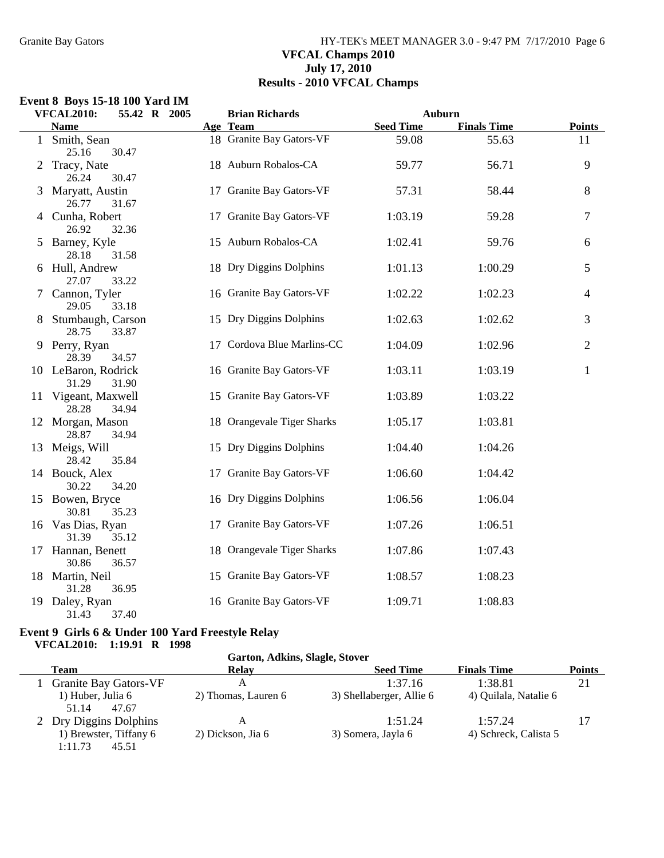### Granite Bay Gators **HY-TEK's MEET MANAGER 3.0 - 9:47 PM 7/17/2010** Page 6 **VFCAL Champs 2010 July 17, 2010 Results - 2010 VFCAL Champs**

### **Event 8 Boys 15-18 100 Yard IM**

|   | <b>VFCAL2010:</b><br>55.42 R 2005     | <b>Brian Richards</b>      |                  | Auburn             |                |
|---|---------------------------------------|----------------------------|------------------|--------------------|----------------|
|   | <b>Name</b>                           | Age Team                   | <b>Seed Time</b> | <b>Finals Time</b> | <b>Points</b>  |
|   | 1 Smith, Sean<br>25.16<br>30.47       | 18 Granite Bay Gators-VF   | 59.08            | 55.63              | 11             |
| 2 | Tracy, Nate<br>26.24<br>30.47         | 18 Auburn Robalos-CA       | 59.77            | 56.71              | 9              |
|   | 3 Maryatt, Austin<br>26.77<br>31.67   | 17 Granite Bay Gators-VF   | 57.31            | 58.44              | 8              |
|   | 4 Cunha, Robert<br>26.92<br>32.36     | 17 Granite Bay Gators-VF   | 1:03.19          | 59.28              | 7              |
|   | 5 Barney, Kyle<br>28.18<br>31.58      | 15 Auburn Robalos-CA       | 1:02.41          | 59.76              | 6              |
|   | 6 Hull, Andrew<br>27.07<br>33.22      | 18 Dry Diggins Dolphins    | 1:01.13          | 1:00.29            | 5              |
|   | 7 Cannon, Tyler<br>29.05<br>33.18     | 16 Granite Bay Gators-VF   | 1:02.22          | 1:02.23            | 4              |
| 8 | Stumbaugh, Carson<br>28.75<br>33.87   | 15 Dry Diggins Dolphins    | 1:02.63          | 1:02.62            | 3              |
|   | 9 Perry, Ryan<br>28.39<br>34.57       | 17 Cordova Blue Marlins-CC | 1:04.09          | 1:02.96            | $\overline{2}$ |
|   | 10 LeBaron, Rodrick<br>31.29<br>31.90 | 16 Granite Bay Gators-VF   | 1:03.11          | 1:03.19            | $\mathbf{1}$   |
|   | 11 Vigeant, Maxwell<br>28.28<br>34.94 | 15 Granite Bay Gators-VF   | 1:03.89          | 1:03.22            |                |
|   | 12 Morgan, Mason<br>28.87<br>34.94    | 18 Orangevale Tiger Sharks | 1:05.17          | 1:03.81            |                |
|   | 13 Meigs, Will<br>28.42<br>35.84      | 15 Dry Diggins Dolphins    | 1:04.40          | 1:04.26            |                |
|   | 14 Bouck, Alex<br>30.22<br>34.20      | 17 Granite Bay Gators-VF   | 1:06.60          | 1:04.42            |                |
|   | 15 Bowen, Bryce<br>30.81<br>35.23     | 16 Dry Diggins Dolphins    | 1:06.56          | 1:06.04            |                |
|   | 16 Vas Dias, Ryan<br>31.39<br>35.12   | 17 Granite Bay Gators-VF   | 1:07.26          | 1:06.51            |                |
|   | 17 Hannan, Benett<br>30.86<br>36.57   | 18 Orangevale Tiger Sharks | 1:07.86          | 1:07.43            |                |
|   | 18 Martin, Neil<br>36.95<br>31.28     | 15 Granite Bay Gators-VF   | 1:08.57          | 1:08.23            |                |
|   | 19 Daley, Ryan<br>31.43<br>37.40      | 16 Granite Bay Gators-VF   | 1:09.71          | 1:08.83            |                |

#### **Event 9 Girls 6 & Under 100 Yard Freestyle Relay VFCAL2010: 1:19.91 R 1998**

#### **Garton, Adkins, Slagle, Stover**

| Team                                                                 | Relav                  | <b>Seed Time</b>              | <b>Finals Time</b>               | <b>Points</b> |
|----------------------------------------------------------------------|------------------------|-------------------------------|----------------------------------|---------------|
| <b>Granite Bay Gators-VF</b>                                         | А                      | 1:37.16                       | 1:38.81                          | 21            |
| 1) Huber, Julia 6<br>51.14<br>47.67                                  | 2) Thomas, Lauren 6    | 3) Shellaberger, Allie 6      | 4) Quilala, Natalie 6            |               |
| 2 Dry Diggins Dolphins<br>1) Brewster, Tiffany 6<br>1:11.73<br>45.51 | А<br>2) Dickson, Jia 6 | 1:51.24<br>3) Somera, Jayla 6 | 1:57.24<br>4) Schreck, Calista 5 |               |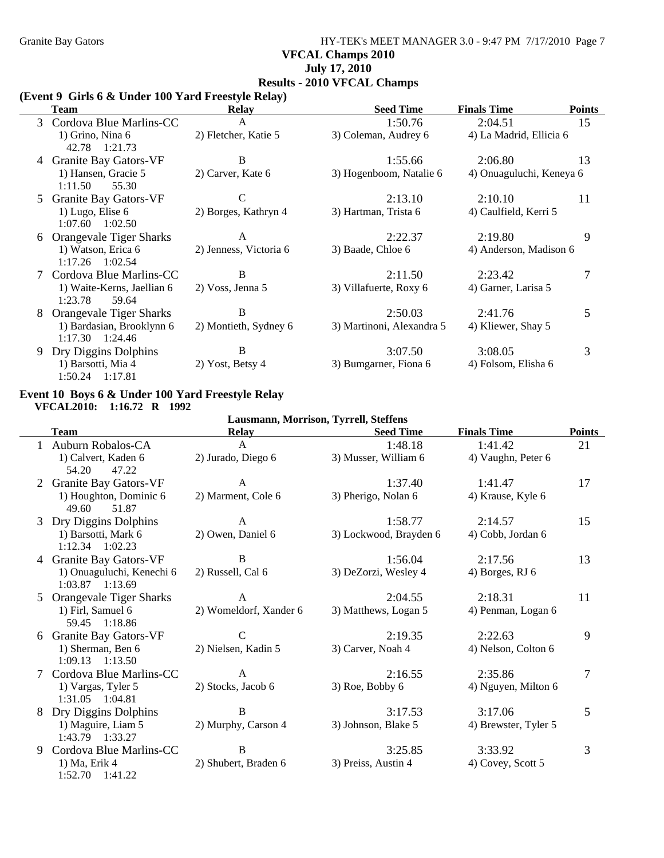### Granite Bay Gators **HY-TEK's MEET MANAGER 3.0 - 9:47 PM 7/17/2010** Page 7 **VFCAL Champs 2010 July 17, 2010 Results - 2010 VFCAL Champs**

### **(Event 9 Girls 6 & Under 100 Yard Freestyle Relay)**

| <b>Team</b>                                    | Relay                  | <b>Seed Time</b>          | <b>Finals Time</b>       | <b>Points</b> |
|------------------------------------------------|------------------------|---------------------------|--------------------------|---------------|
| Cordova Blue Marlins-CC<br>3                   | A                      | 1:50.76                   | 2:04.51                  | 15            |
| 1) Grino, Nina 6<br>42.78 1:21.73              | 2) Fletcher, Katie 5   | 3) Coleman, Audrey 6      | 4) La Madrid, Ellicia 6  |               |
| <b>Granite Bay Gators-VF</b>                   | B                      | 1:55.66                   | 2:06.80                  | 13            |
| 1) Hansen, Gracie 5<br>1:11.50<br>55.30        | 2) Carver, Kate 6      | 3) Hogenboom, Natalie 6   | 4) Onuaguluchi, Keneya 6 |               |
| Granite Bay Gators-VF<br>5                     | C                      | 2:13.10                   | 2:10.10                  | 11            |
| 1) Lugo, Elise $6$<br>1:07.60<br>1:02.50       | 2) Borges, Kathryn 4   | 3) Hartman, Trista 6      | 4) Caulfield, Kerri 5    |               |
| Orangevale Tiger Sharks<br>6                   | A                      | 2:22.37                   | 2:19.80                  | 9             |
| 1) Watson, Erica 6<br>$1:17.26$ $1:02.54$      | 2) Jenness, Victoria 6 | 3) Baade, Chloe 6         | 4) Anderson, Madison 6   |               |
| Cordova Blue Marlins-CC                        | B                      | 2:11.50                   | 2:23.42                  |               |
| 1) Waite-Kerns, Jaellian 6<br>1:23.78<br>59.64 | 2) Voss, Jenna 5       | 3) Villafuerte, Roxy 6    | 4) Garner, Larisa 5      |               |
| <b>Orangevale Tiger Sharks</b><br>8            | B                      | 2:50.03                   | 2:41.76                  | 5             |
| 1) Bardasian, Brooklynn 6<br>1:17.30 1:24.46   | 2) Montieth, Sydney 6  | 3) Martinoni, Alexandra 5 | 4) Kliewer, Shay 5       |               |
| Dry Diggins Dolphins<br>9.                     | B                      | 3:07.50                   | 3:08.05                  | 3             |
| 1) Barsotti, Mia 4<br>1:50.24 1:17.81          | 2) Yost, Betsy 4       | 3) Bumgarner, Fiona 6     | 4) Folsom, Elisha 6      |               |

#### **Event 10 Boys 6 & Under 100 Yard Freestyle Relay VFCAL2010: 1:16.72 R 1992**

| Lausmann, Morrison, Tyrrell, Steffens |                                          |                        |                        |                      |                |  |
|---------------------------------------|------------------------------------------|------------------------|------------------------|----------------------|----------------|--|
|                                       | <b>Team</b>                              | <b>Relay</b>           | <b>Seed Time</b>       | <b>Finals Time</b>   | <b>Points</b>  |  |
|                                       | Auburn Robalos-CA                        | A                      | 1:48.18                | 1:41.42              | 21             |  |
|                                       | 1) Calvert, Kaden 6                      | 2) Jurado, Diego 6     | 3) Musser, William 6   | 4) Vaughn, Peter 6   |                |  |
|                                       | 54.20<br>47.22                           |                        |                        |                      |                |  |
|                                       | <b>Granite Bay Gators-VF</b>             | A                      | 1:37.40                | 1:41.47              | 17             |  |
|                                       | 1) Houghton, Dominic 6<br>49.60<br>51.87 | 2) Marment, Cole 6     | 3) Pherigo, Nolan 6    | 4) Krause, Kyle 6    |                |  |
| 3                                     | Dry Diggins Dolphins                     | A                      | 1:58.77                | 2:14.57              | 15             |  |
|                                       | 1) Barsotti, Mark 6                      | 2) Owen, Daniel 6      | 3) Lockwood, Brayden 6 | 4) Cobb, Jordan 6    |                |  |
|                                       | $1:12.34$ $1:02.23$                      |                        |                        |                      |                |  |
|                                       | 4 Granite Bay Gators-VF                  | B                      | 1:56.04                | 2:17.56              | 13             |  |
|                                       | 1) Onuaguluchi, Kenechi 6                | 2) Russell, Cal 6      | 3) DeZorzi, Wesley 4   | 4) Borges, RJ 6      |                |  |
|                                       | $1:03.87$ $1:13.69$                      |                        |                        |                      |                |  |
| 5                                     | Orangevale Tiger Sharks                  | A                      | 2:04.55                | 2:18.31              | 11             |  |
|                                       | 1) Firl, Samuel 6                        | 2) Womeldorf, Xander 6 | 3) Matthews, Logan 5   | 4) Penman, Logan 6   |                |  |
|                                       | 59.45 1:18.86                            |                        |                        |                      |                |  |
| 6                                     | <b>Granite Bay Gators-VF</b>             | $\mathcal{C}$          | 2:19.35                | 2:22.63              | 9              |  |
|                                       | 1) Sherman, Ben 6                        | 2) Nielsen, Kadin 5    | 3) Carver, Noah 4      | 4) Nelson, Colton 6  |                |  |
|                                       | $1:09.13$ $1:13.50$                      |                        |                        |                      |                |  |
|                                       | Cordova Blue Marlins-CC                  | A                      | 2:16.55                | 2:35.86              | $\overline{7}$ |  |
|                                       | 1) Vargas, Tyler 5                       | 2) Stocks, Jacob 6     | 3) Roe, Bobby 6        | 4) Nguyen, Milton 6  |                |  |
|                                       | 1:31.05  1:04.81                         |                        |                        |                      |                |  |
| 8                                     | Dry Diggins Dolphins                     | B                      | 3:17.53                | 3:17.06              | 5              |  |
|                                       | 1) Maguire, Liam 5                       | 2) Murphy, Carson 4    | 3) Johnson, Blake 5    | 4) Brewster, Tyler 5 |                |  |
|                                       | 1:43.79 1:33.27                          |                        |                        |                      |                |  |
| 9                                     | Cordova Blue Marlins-CC                  | B                      | 3:25.85                | 3:33.92              | 3              |  |
|                                       | 1) Ma, Erik 4                            | 2) Shubert, Braden 6   | 3) Preiss, Austin 4    | 4) Covey, Scott 5    |                |  |
|                                       | $1:52.70$ $1:41.22$                      |                        |                        |                      |                |  |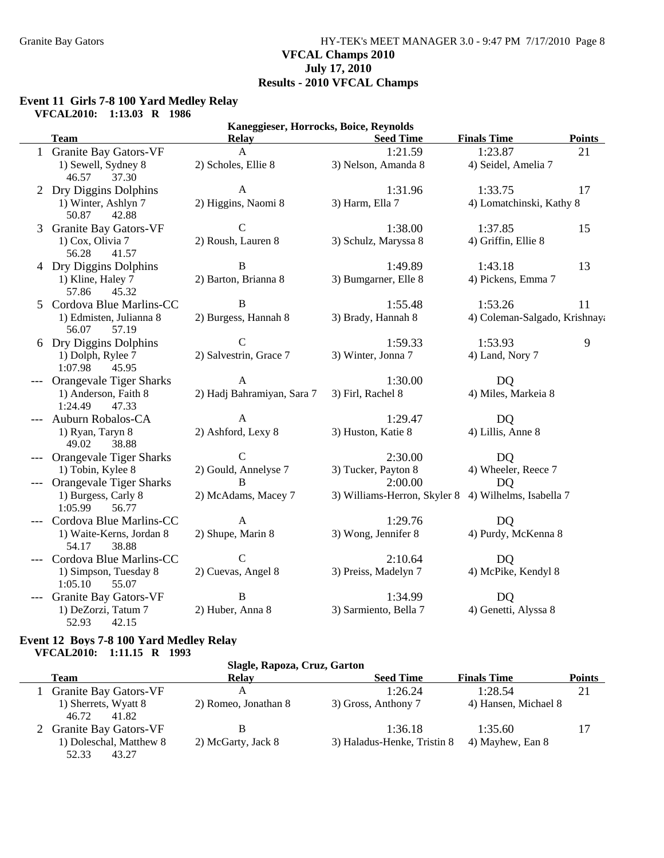### Granite Bay Gators **HY-TEK's MEET MANAGER 3.0 - 9:47 PM 7/17/2010** Page 8 **VFCAL Champs 2010 July 17, 2010 Results - 2010 VFCAL Champs**

#### **Event 11 Girls 7-8 100 Yard Medley Relay VFCAL2010: 1:13.03 R 1986**

|   | Kaneggieser, Horrocks, Boice, Reynolds     |                            |                              |                               |               |  |  |
|---|--------------------------------------------|----------------------------|------------------------------|-------------------------------|---------------|--|--|
|   | <b>Team</b>                                | <b>Relay</b>               | <b>Seed Time</b>             | <b>Finals Time</b>            | <b>Points</b> |  |  |
|   | 1 Granite Bay Gators-VF                    | $\mathbf{A}$               | 1:21.59                      | 1:23.87                       | 21            |  |  |
|   | 1) Sewell, Sydney 8<br>46.57<br>37.30      | 2) Scholes, Ellie 8        | 3) Nelson, Amanda 8          | 4) Seidel, Amelia 7           |               |  |  |
|   | 2 Dry Diggins Dolphins                     | $\mathbf{A}$               | 1:31.96                      | 1:33.75                       | 17            |  |  |
|   | 1) Winter, Ashlyn 7<br>42.88<br>50.87      | 2) Higgins, Naomi 8        | 3) Harm, Ella 7              | 4) Lomatchinski, Kathy 8      |               |  |  |
| 3 | <b>Granite Bay Gators-VF</b>               | $\mathcal{C}$              | 1:38.00                      | 1:37.85                       | 15            |  |  |
|   | 1) Cox, Olivia 7<br>56.28<br>41.57         | 2) Roush, Lauren 8         | 3) Schulz, Maryssa 8         | 4) Griffin, Ellie 8           |               |  |  |
|   | 4 Dry Diggins Dolphins                     | B                          | 1:49.89                      | 1:43.18                       | 13            |  |  |
|   | 1) Kline, Haley 7<br>57.86<br>45.32        | 2) Barton, Brianna 8       | 3) Bumgarner, Elle 8         | 4) Pickens, Emma 7            |               |  |  |
|   | 5 Cordova Blue Marlins-CC                  | B                          | 1:55.48                      | 1:53.26                       | 11            |  |  |
|   | 1) Edmisten, Julianna 8<br>56.07<br>57.19  | 2) Burgess, Hannah 8       | 3) Brady, Hannah 8           | 4) Coleman-Salgado, Krishnaya |               |  |  |
|   | 6 Dry Diggins Dolphins                     | $\overline{C}$             | 1:59.33                      | 1:53.93                       | 9             |  |  |
|   | 1) Dolph, Rylee 7<br>1:07.98<br>45.95      | 2) Salvestrin, Grace 7     | 3) Winter, Jonna 7           | 4) Land, Nory 7               |               |  |  |
|   | Orangevale Tiger Sharks                    | $\mathbf{A}$               | 1:30.00                      | DQ                            |               |  |  |
|   | 1) Anderson, Faith 8<br>1:24.49<br>47.33   | 2) Hadj Bahramiyan, Sara 7 | 3) Firl, Rachel 8            | 4) Miles, Markeia 8           |               |  |  |
|   | Auburn Robalos-CA                          | $\mathbf{A}$               | 1:29.47                      | DQ                            |               |  |  |
|   | 1) Ryan, Taryn 8<br>49.02<br>38.88         | 2) Ashford, Lexy 8         | 3) Huston, Katie 8           | 4) Lillis, Anne 8             |               |  |  |
|   | <b>Orangevale Tiger Sharks</b>             | $\mathcal{C}$              | 2:30.00                      | DQ                            |               |  |  |
|   | 1) Tobin, Kylee 8                          | 2) Gould, Annelyse 7       | 3) Tucker, Payton 8          | 4) Wheeler, Reece 7           |               |  |  |
|   | Orangevale Tiger Sharks                    | B                          | 2:00.00                      | <b>DQ</b>                     |               |  |  |
|   | 1) Burgess, Carly 8<br>1:05.99<br>56.77    | 2) McAdams, Macey 7        | 3) Williams-Herron, Skyler 8 | 4) Wilhelms, Isabella 7       |               |  |  |
|   | Cordova Blue Marlins-CC                    | $\mathbf{A}$               | 1:29.76                      | <b>DQ</b>                     |               |  |  |
|   | 1) Waite-Kerns, Jordan 8<br>54.17<br>38.88 | 2) Shupe, Marin 8          | 3) Wong, Jennifer 8          | 4) Purdy, McKenna 8           |               |  |  |
|   | Cordova Blue Marlins-CC                    | $\mathcal{C}$              | 2:10.64                      | D <sub>Q</sub>                |               |  |  |
|   | 1) Simpson, Tuesday 8<br>55.07<br>1:05.10  | 2) Cuevas, Angel 8         | 3) Preiss, Madelyn 7         | 4) McPike, Kendyl 8           |               |  |  |
|   | <b>Granite Bay Gators-VF</b>               | $\bf{B}$                   | 1:34.99                      | <b>DQ</b>                     |               |  |  |
|   | 1) DeZorzi, Tatum 7<br>52.93<br>42.15      | 2) Huber, Anna 8           | 3) Sarmiento, Bella 7        | 4) Genetti, Alyssa 8          |               |  |  |

#### **Event 12 Boys 7-8 100 Yard Medley Relay VFCAL2010: 1:11.15 R 1993**

#### **Slagle, Rapoza, Cruz, Garton**

| <b>Team</b>                                                          | Relav                | <b>Seed Time</b>                       | <b>Finals Time</b>          | <b>Points</b> |
|----------------------------------------------------------------------|----------------------|----------------------------------------|-----------------------------|---------------|
| <b>Granite Bay Gators-VF</b>                                         | А                    | 1:26.24                                | 1:28.54                     | 21            |
| 1) Sherrets, Wyatt 8<br>46.72<br>41.82                               | 2) Romeo, Jonathan 8 | 3) Gross, Anthony 7                    | 4) Hansen, Michael 8        |               |
| 2 Granite Bay Gators-VF<br>1) Doleschal, Matthew 8<br>52.33<br>43.27 | 2) McGarty, Jack 8   | 1:36.18<br>3) Haladus-Henke, Tristin 8 | 1:35.60<br>4) Mayhew, Ean 8 | 17            |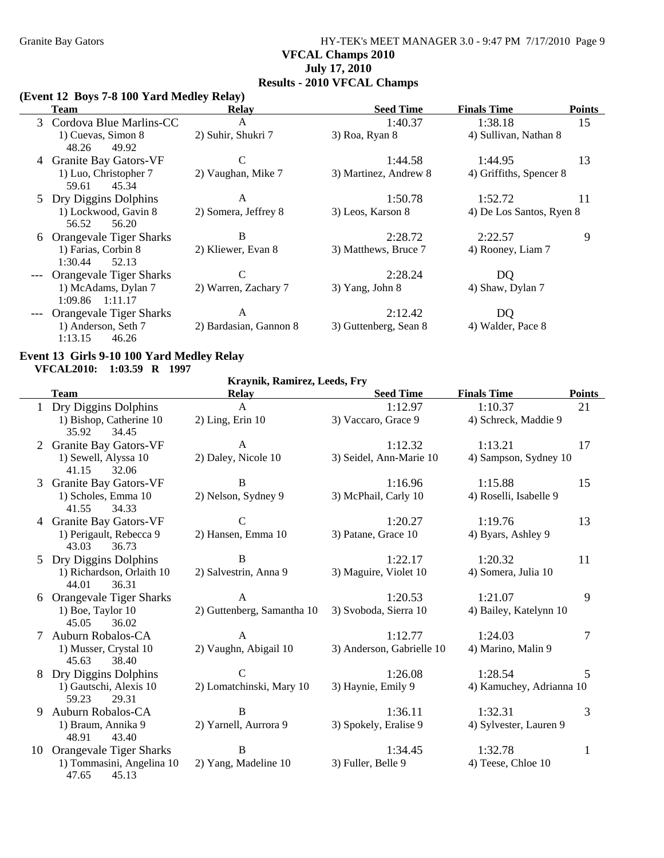## Granite Bay Gators **HY-TEK's MEET MANAGER 3.0 - 9:47 PM 7/17/2010** Page 9 **VFCAL Champs 2010 July 17, 2010 Results - 2010 VFCAL Champs**

#### **(Event 12 Boys 7-8 100 Yard Medley Relay)**

|   | <b>Team</b>                                | <b>Relay</b>           | <b>Seed Time</b>      | <b>Finals Time</b>       | <b>Points</b> |
|---|--------------------------------------------|------------------------|-----------------------|--------------------------|---------------|
| 3 | Cordova Blue Marlins-CC                    | A                      | 1:40.37               | 1:38.18                  | 15            |
|   | 1) Cuevas, Simon 8<br>49.92<br>48.26       | 2) Suhir, Shukri 7     | 3) Roa, Ryan 8        | 4) Sullivan, Nathan 8    |               |
|   | <b>Granite Bay Gators-VF</b>               | $\mathsf{C}$           | 1:44.58               | 1:44.95                  | 13            |
|   | 1) Luo, Christopher 7<br>45.34<br>59.61    | 2) Vaughan, Mike 7     | 3) Martinez, Andrew 8 | 4) Griffiths, Spencer 8  |               |
| 5 | Dry Diggins Dolphins                       | A                      | 1:50.78               | 1:52.72                  | 11            |
|   | 1) Lockwood, Gavin 8<br>56.52<br>56.20     | 2) Somera, Jeffrey 8   | 3) Leos, Karson 8     | 4) De Los Santos, Ryen 8 |               |
| 6 | <b>Orangevale Tiger Sharks</b>             | B                      | 2:28.72               | 2:22.57                  | 9             |
|   | 1) Farias, Corbin 8<br>1:30.44<br>52.13    | 2) Kliewer, Evan 8     | 3) Matthews, Bruce 7  | 4) Rooney, Liam 7        |               |
|   | <b>Orangevale Tiger Sharks</b>             | C                      | 2:28.24               | DQ                       |               |
|   | 1) McAdams, Dylan 7<br>$1:09.86$ $1:11.17$ | 2) Warren, Zachary 7   | 3) Yang, John 8       | 4) Shaw, Dylan 7         |               |
|   | Orangevale Tiger Sharks                    | A                      | 2:12.42               | DQ                       |               |
|   | 1) Anderson, Seth 7<br>46.26<br>1:13.15    | 2) Bardasian, Gannon 8 | 3) Guttenberg, Sean 8 | 4) Walder, Pace 8        |               |

#### **Event 13 Girls 9-10 100 Yard Medley Relay VFCAL2010: 1:03.59 R 1997**

**Kraynik, Ramirez, Leeds, Fry**

|    | <b>Team</b>                                 | <b>Relay</b>               | <b>Seed Time</b>          | <b>Finals Time</b>       | <b>Points</b> |
|----|---------------------------------------------|----------------------------|---------------------------|--------------------------|---------------|
|    | 1 Dry Diggins Dolphins                      | A                          | 1:12.97                   | 1:10.37                  | 21            |
|    | 1) Bishop, Catherine 10<br>35.92<br>34.45   | $2)$ Ling, Erin $10$       | 3) Vaccaro, Grace 9       | 4) Schreck, Maddie 9     |               |
| 2  | <b>Granite Bay Gators-VF</b>                | $\mathbf{A}$               | 1:12.32                   | 1:13.21                  | 17            |
|    | 1) Sewell, Alyssa 10<br>41.15<br>32.06      | 2) Daley, Nicole 10        | 3) Seidel, Ann-Marie 10   | 4) Sampson, Sydney 10    |               |
| 3  | <b>Granite Bay Gators-VF</b>                | $\bf{B}$                   | 1:16.96                   | 1:15.88                  | 15            |
|    | 1) Scholes, Emma 10<br>41.55<br>34.33       | 2) Nelson, Sydney 9        | 3) McPhail, Carly 10      | 4) Roselli, Isabelle 9   |               |
|    | 4 Granite Bay Gators-VF                     | $\mathsf{C}$               | 1:20.27                   | 1:19.76                  | 13            |
|    | 1) Perigault, Rebecca 9<br>43.03<br>36.73   | 2) Hansen, Emma 10         | 3) Patane, Grace 10       | 4) Byars, Ashley 9       |               |
|    | 5 Dry Diggins Dolphins                      | B                          | 1:22.17                   | 1:20.32                  | 11            |
|    | 1) Richardson, Orlaith 10<br>44.01<br>36.31 | 2) Salvestrin, Anna 9      | 3) Maguire, Violet 10     | 4) Somera, Julia 10      |               |
|    | 6 Orangevale Tiger Sharks                   | $\mathbf{A}$               | 1:20.53                   | 1:21.07                  | 9             |
|    | 1) Boe, Taylor 10<br>45.05<br>36.02         | 2) Guttenberg, Samantha 10 | 3) Svoboda, Sierra 10     | 4) Bailey, Katelynn 10   |               |
|    | Auburn Robalos-CA                           | $\mathsf{A}$               | 1:12.77                   | 1:24.03                  | 7             |
|    | 1) Musser, Crystal 10<br>45.63<br>38.40     | 2) Vaughn, Abigail 10      | 3) Anderson, Gabrielle 10 | 4) Marino, Malin 9       |               |
|    | Dry Diggins Dolphins                        | $\mathcal{C}$              | 1:26.08                   | 1:28.54                  | 5             |
|    | 1) Gautschi, Alexis 10<br>59.23<br>29.31    | 2) Lomatchinski, Mary 10   | 3) Haynie, Emily 9        | 4) Kamuchey, Adrianna 10 |               |
| 9  | Auburn Robalos-CA                           | B                          | 1:36.11                   | 1:32.31                  | 3             |
|    | 1) Braum, Annika 9<br>43.40<br>48.91        | 2) Yarnell, Aurrora 9      | 3) Spokely, Eralise 9     | 4) Sylvester, Lauren 9   |               |
| 10 | <b>Orangevale Tiger Sharks</b>              | B                          | 1:34.45                   | 1:32.78                  | 1             |
|    | 1) Tommasini, Angelina 10<br>47.65<br>45.13 | 2) Yang, Madeline 10       | 3) Fuller, Belle 9        | 4) Teese, Chloe 10       |               |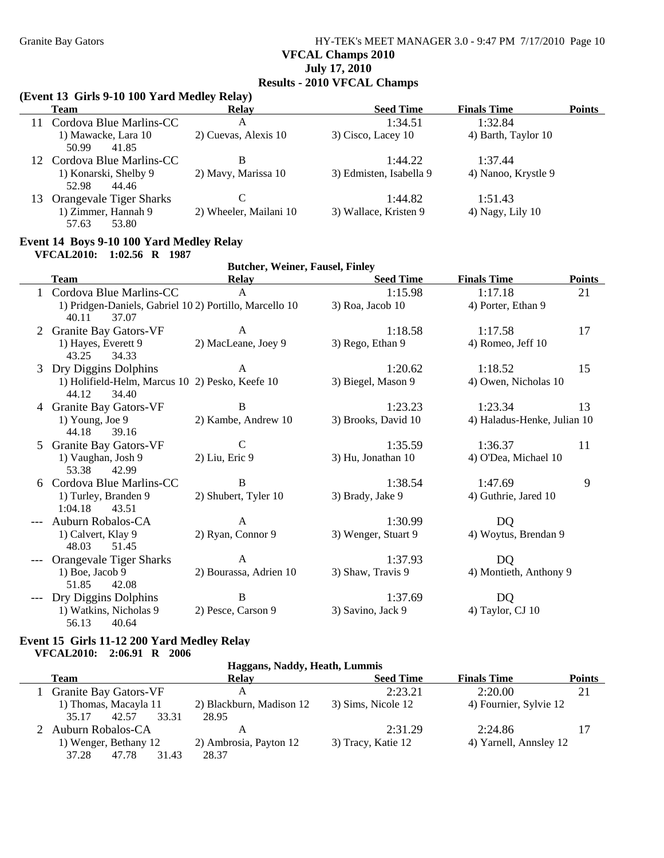Granite Bay Gators **HY-TEK's MEET MANAGER 3.0 - 9:47 PM 7/17/2010** Page 10 **VFCAL Champs 2010 July 17, 2010 Results - 2010 VFCAL Champs**

#### **(Event 13 Girls 9-10 100 Yard Medley Relay)**

|    | $(11)$ cht is $2$ -iv ive faru meaner Kelar)<br><b>Team</b>                       | <b>Relay</b>           | <b>Seed Time</b>        | <b>Finals Time</b>  | <b>Points</b> |  |  |  |
|----|-----------------------------------------------------------------------------------|------------------------|-------------------------|---------------------|---------------|--|--|--|
| 11 | Cordova Blue Marlins-CC                                                           | A                      | 1:34.51                 | 1:32.84             |               |  |  |  |
|    | 1) Mawacke, Lara 10<br>41.85<br>50.99                                             | 2) Cuevas, Alexis 10   | 3) Cisco, Lacey 10      | 4) Barth, Taylor 10 |               |  |  |  |
|    | 12 Cordova Blue Marlins-CC                                                        | B                      | 1:44.22                 | 1:37.44             |               |  |  |  |
|    | 1) Konarski, Shelby 9<br>52.98<br>44.46                                           | 2) Mavy, Marissa 10    | 3) Edmisten, Isabella 9 | 4) Nanoo, Krystle 9 |               |  |  |  |
| 13 | <b>Orangevale Tiger Sharks</b>                                                    | C                      | 1:44.82                 | 1:51.43             |               |  |  |  |
|    | 1) Zimmer, Hannah 9<br>57.63<br>53.80                                             | 2) Wheeler, Mailani 10 | 3) Wallace, Kristen 9   | $(4)$ Nagy, Lily 10 |               |  |  |  |
|    | Event 14 Boys 9-10 100 Yard Medley Relay<br><b>VFCAL2010:</b><br>$1:02.56$ R 1987 |                        |                         |                     |               |  |  |  |
|    | <b>Butcher, Weiner, Fausel, Finley</b>                                            |                        |                         |                     |               |  |  |  |

|    | DURTICI, WEINCI, PAUSCI, PHILEY                        |                        |                     |                             |               |  |
|----|--------------------------------------------------------|------------------------|---------------------|-----------------------------|---------------|--|
|    | <b>Team</b>                                            | <b>Relay</b>           | <b>Seed Time</b>    | <b>Finals Time</b>          | <b>Points</b> |  |
|    | Cordova Blue Marlins-CC                                | A                      | 1:15.98             | 1:17.18                     | 21            |  |
|    | 1) Pridgen-Daniels, Gabriel 102) Portillo, Marcello 10 |                        | $3)$ Roa, Jacob 10  | 4) Porter, Ethan 9          |               |  |
|    | 40.11<br>37.07                                         |                        |                     |                             |               |  |
| 2  | <b>Granite Bay Gators-VF</b>                           | A                      | 1:18.58             | 1:17.58                     | 17            |  |
|    | 1) Hayes, Everett 9                                    | 2) MacLeane, Joey 9    | 3) Rego, Ethan 9    | 4) Romeo, Jeff 10           |               |  |
|    | 34.33<br>43.25                                         |                        |                     |                             |               |  |
| 3  | Dry Diggins Dolphins                                   | A                      | 1:20.62             | 1:18.52                     | 15            |  |
|    | 1) Holifield-Helm, Marcus 10 2) Pesko, Keefe 10        |                        | 3) Biegel, Mason 9  | 4) Owen, Nicholas 10        |               |  |
|    | 44.12<br>34.40                                         |                        |                     |                             |               |  |
|    | 4 Granite Bay Gators-VF                                | B                      | 1:23.23             | 1:23.34                     | 13            |  |
|    | 1) Young, Joe $9$                                      | 2) Kambe, Andrew 10    | 3) Brooks, David 10 | 4) Haladus-Henke, Julian 10 |               |  |
|    | 44.18<br>39.16                                         |                        |                     |                             |               |  |
| .5 | <b>Granite Bay Gators-VF</b>                           | $\mathcal{C}$          | 1:35.59             | 1:36.37                     | 11            |  |
|    | 1) Vaughan, Josh 9                                     | 2) Liu, Eric 9         | 3) Hu, Jonathan 10  | 4) O'Dea, Michael 10        |               |  |
|    | 53.38<br>42.99                                         |                        |                     |                             |               |  |
| 6  | Cordova Blue Marlins-CC                                | B                      | 1:38.54             | 1:47.69                     | 9             |  |
|    | 1) Turley, Branden 9                                   | 2) Shubert, Tyler 10   | 3) Brady, Jake 9    | 4) Guthrie, Jared 10        |               |  |
|    | 1:04.18<br>43.51                                       |                        |                     |                             |               |  |
|    | Auburn Robalos-CA                                      | A                      | 1:30.99             | DQ                          |               |  |
|    | 1) Calvert, Klay 9                                     | 2) Ryan, Connor 9      | 3) Wenger, Stuart 9 | 4) Woytus, Brendan 9        |               |  |
|    | 48.03<br>51.45                                         |                        |                     |                             |               |  |
|    | Orangevale Tiger Sharks                                | $\mathbf{A}$           | 1:37.93             | <b>DQ</b>                   |               |  |
|    | $1)$ Boe, Jacob 9                                      | 2) Bourassa, Adrien 10 | 3) Shaw, Travis 9   | 4) Montieth, Anthony 9      |               |  |
|    | 51.85<br>42.08                                         |                        |                     |                             |               |  |
|    | Dry Diggins Dolphins                                   | B                      | 1:37.69             | DQ                          |               |  |
|    | 1) Watkins, Nicholas 9                                 | 2) Pesce, Carson 9     | 3) Savino, Jack 9   | 4) Taylor, CJ 10            |               |  |
|    | 56.13<br>40.64                                         |                        |                     |                             |               |  |

#### **Event 15 Girls 11-12 200 Yard Medley Relay VFCAL2010: 2:06.91 R 2006**

#### **Haggans, Naddy, Heath, Lummis**

| Team                                | Relav                    | <b>Seed Time</b>   | <b>Finals Time</b>     | <b>Points</b> |
|-------------------------------------|--------------------------|--------------------|------------------------|---------------|
| <b>Granite Bay Gators-VF</b>        | А                        | 2:23.21            | 2:20.00                | 21            |
| 1) Thomas, Macayla 11<br>35.17      | 2) Blackburn, Madison 12 | 3) Sims, Nicole 12 | 4) Fournier, Sylvie 12 |               |
| 33.31<br>42.57<br>Auburn Robalos-CA | 28.95                    | 2:31.29            | 2:24.86                |               |
| 1) Wenger, Bethany 12               | 2) Ambrosia, Payton 12   | 3) Tracy, Katie 12 | 4) Yarnell, Annsley 12 |               |
| 37.28<br>47.78<br>31.43             | 28.37                    |                    |                        |               |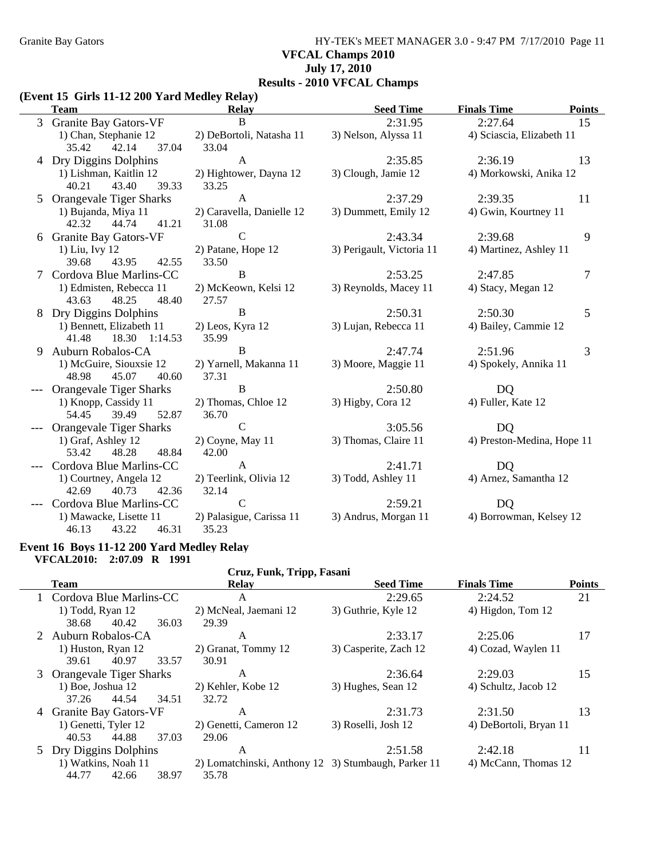Granite Bay Gators **HY-TEK's MEET MANAGER 3.0 - 9:47 PM 7/17/2010** Page 11 **VFCAL Champs 2010 July 17, 2010 Results - 2010 VFCAL Champs**

#### **(Event 15 Girls 11-12 200 Yard Medley Relay)**

| <b>Team</b>                                   | <b>Relay</b>                | <b>Seed Time</b>          | <b>Points</b><br><b>Finals Time</b> |
|-----------------------------------------------|-----------------------------|---------------------------|-------------------------------------|
| 3 Granite Bay Gators-VF                       | <sub>B</sub>                | 2:31.95                   | 2:27.64<br>15                       |
| 1) Chan, Stephanie 12                         | 2) DeBortoli, Natasha 11    | 3) Nelson, Alyssa 11      | 4) Sciascia, Elizabeth 11           |
| 42.14<br>37.04<br>35.42                       | 33.04                       |                           |                                     |
| 4 Dry Diggins Dolphins                        | $\mathbf{A}$                | 2:35.85                   | 2:36.19<br>13                       |
| 1) Lishman, Kaitlin 12                        | 2) Hightower, Dayna 12      | 3) Clough, Jamie 12       | 4) Morkowski, Anika 12              |
| 40.21<br>43.40<br>39.33                       | 33.25                       |                           |                                     |
| 5 Orangevale Tiger Sharks                     | $\mathbf{A}$                | 2:37.29                   | 2:39.35<br>11                       |
| 1) Bujanda, Miya 11                           | 2) Caravella, Danielle 12   | 3) Dummett, Emily 12      | 4) Gwin, Kourtney 11                |
| 42.32<br>44.74<br>41.21                       | 31.08                       |                           |                                     |
| 6 Granite Bay Gators-VF                       | $\mathsf{C}$                | 2:43.34                   | 9<br>2:39.68                        |
| 1) Liu, Ivy 12                                | 2) Patane, Hope 12          | 3) Perigault, Victoria 11 | 4) Martinez, Ashley 11              |
| 39.68<br>43.95<br>42.55                       | 33.50                       |                           |                                     |
| 7 Cordova Blue Marlins-CC                     | $\, {\bf B}$                | 2:53.25                   | 2:47.85<br>7                        |
| 1) Edmisten, Rebecca 11                       | 2) McKeown, Kelsi 12        | 3) Reynolds, Macey 11     | 4) Stacy, Megan 12                  |
| 43.63<br>48.25<br>48.40                       | 27.57                       |                           |                                     |
| 8 Dry Diggins Dolphins                        | $\bf{B}$                    | 2:50.31                   | 2:50.30<br>5                        |
| 1) Bennett, Elizabeth 11                      | 2) Leos, Kyra 12            | 3) Lujan, Rebecca 11      | 4) Bailey, Cammie 12                |
| 41.48 18.30 1:14.53                           | 35.99                       |                           |                                     |
| 9 Auburn Robalos-CA                           | B                           | 2:47.74                   | 3<br>2:51.96                        |
| 1) McGuire, Siouxsie 12                       | 2) Yarnell, Makanna 11      | 3) Moore, Maggie 11       | 4) Spokely, Annika 11               |
| 48.98<br>45.07<br>40.60                       | 37.31                       |                           |                                     |
| <b>Orangevale Tiger Sharks</b>                | B                           | 2:50.80                   | DQ                                  |
| 1) Knopp, Cassidy 11                          | 2) Thomas, Chloe 12         | 3) Higby, Cora 12         | 4) Fuller, Kate 12                  |
| 52.87<br>54.45<br>39.49                       | 36.70                       |                           |                                     |
| Orangevale Tiger Sharks                       | $\mathsf{C}$                | 3:05.56                   | <b>DQ</b>                           |
| 1) Graf, Ashley 12<br>48.28<br>48.84<br>53.42 | $2)$ Coyne, May 11<br>42.00 | 3) Thomas, Claire 11      | 4) Preston-Medina, Hope 11          |
| Cordova Blue Marlins-CC                       | $\mathbf{A}$                | 2:41.71                   | <b>DQ</b>                           |
| 1) Courtney, Angela 12                        | 2) Teerlink, Olivia 12      | 3) Todd, Ashley 11        | 4) Arnez, Samantha 12               |
| 42.69<br>40.73<br>42.36                       | 32.14                       |                           |                                     |
| Cordova Blue Marlins-CC                       | $\mathsf{C}$                | 2:59.21                   | DQ                                  |
| 1) Mawacke, Lisette 11                        | 2) Palasigue, Carissa 11    | 3) Andrus, Morgan 11      | 4) Borrowman, Kelsey 12             |
| 46.31<br>46.13<br>43.22                       | 35.23                       |                           |                                     |
|                                               |                             |                           |                                     |

#### **Event 16 Boys 11-12 200 Yard Medley Relay VFCAL2010: 2:07.09 R 1991**

| Cruz, Funk, Tripp, Fasani |                           |       |                                                     |                       |                        |               |
|---------------------------|---------------------------|-------|-----------------------------------------------------|-----------------------|------------------------|---------------|
|                           | <b>Team</b>               |       | <b>Relay</b>                                        | <b>Seed Time</b>      | <b>Finals Time</b>     | <b>Points</b> |
|                           | 1 Cordova Blue Marlins-CC |       | A                                                   | 2:29.65               | 2:24.52                | 21            |
|                           | $1)$ Todd, Ryan $12$      |       | 2) McNeal, Jaemani 12                               | 3) Guthrie, Kyle 12   | 4) Higdon, Tom 12      |               |
|                           | 40.42<br>38.68            | 36.03 | 29.39                                               |                       |                        |               |
|                           | 2 Auburn Robalos-CA       |       | A                                                   | 2:33.17               | 2:25.06                | 17            |
|                           | 1) Huston, Ryan 12        |       | 2) Granat, Tommy 12                                 | 3) Casperite, Zach 12 | 4) Cozad, Waylen 11    |               |
|                           | 40.97<br>39.61            | 33.57 | 30.91                                               |                       |                        |               |
|                           | 3 Orangevale Tiger Sharks |       | A                                                   | 2:36.64               | 2:29.03                | 15            |
|                           | $1)$ Boe, Joshua $12$     |       | 2) Kehler, Kobe 12                                  | 3) Hughes, Sean 12    | 4) Schultz, Jacob 12   |               |
|                           | 37.26 44.54 34.51         |       | 32.72                                               |                       |                        |               |
|                           | 4 Granite Bay Gators-VF   |       | A                                                   | 2:31.73               | 2:31.50                | 13            |
|                           | 1) Genetti, Tyler 12      |       | 2) Genetti, Cameron 12                              | 3) Roselli, Josh 12   | 4) DeBortoli, Bryan 11 |               |
|                           | 40.53<br>44.88            | 37.03 | 29.06                                               |                       |                        |               |
|                           | 5 Dry Diggins Dolphins    |       | A                                                   | 2:51.58               | 2:42.18                | 11            |
|                           | 1) Watkins, Noah 11       |       | 2) Lomatchinski, Anthony 12 3) Stumbaugh, Parker 11 |                       | 4) McCann, Thomas 12   |               |
|                           | 44.77<br>42.66            | 38.97 | 35.78                                               |                       |                        |               |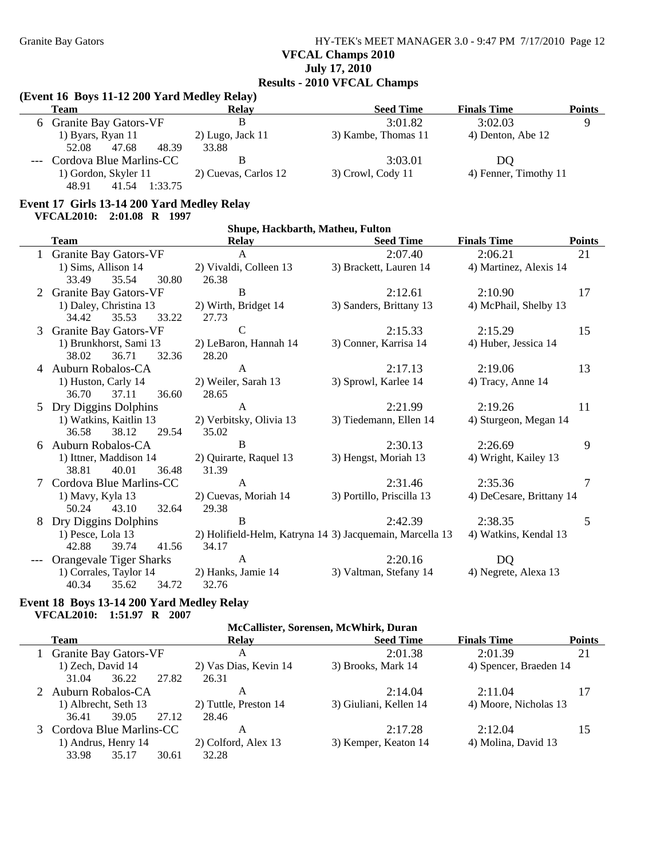Granite Bay Gators **HY-TEK's MEET MANAGER 3.0 - 9:47 PM 7/17/2010** Page 12 **VFCAL Champs 2010 July 17, 2010 Results - 2010 VFCAL Champs**

### **(Event 16 Boys 11-12 200 Yard Medley Relay)**

| <b>Team</b>                 | <b>Relay</b>         | <b>Seed Time</b>    | <b>Finals Time</b>    | Points |
|-----------------------------|----------------------|---------------------|-----------------------|--------|
| 6 Granite Bay Gators-VF     |                      | 3:01.82             | 3:02.03               |        |
| 1) Byars, Ryan 11           | $2)$ Lugo, Jack 11   | 3) Kambe, Thomas 11 | 4) Denton, Abe 12     |        |
| 48.39<br>52.08<br>47.68     | 33.88                |                     |                       |        |
| --- Cordova Blue Marlins-CC |                      | 3:03.01             | DO                    |        |
| 1) Gordon, Skyler 11        | 2) Cuevas, Carlos 12 | $3)$ Crowl, Cody 11 | 4) Fenner, Timothy 11 |        |
| 48.91<br>41.54<br>1:33.75   |                      |                     |                       |        |

# **Event 17 Girls 13-14 200 Yard Medley Relay**

|                | Shupe, Hackbarth, Matheu, Fulton                  |                                                          |                           |                          |                |  |  |  |
|----------------|---------------------------------------------------|----------------------------------------------------------|---------------------------|--------------------------|----------------|--|--|--|
|                | <b>Team</b>                                       | <b>Relay</b>                                             | <b>Seed Time</b>          | <b>Finals Time</b>       | <b>Points</b>  |  |  |  |
|                | 1 Granite Bay Gators-VF                           | $\mathbf{A}$                                             | 2:07.40                   | 2:06.21                  | 21             |  |  |  |
|                | 1) Sims, Allison 14                               | 2) Vivaldi, Colleen 13                                   | 3) Brackett, Lauren 14    | 4) Martinez, Alexis 14   |                |  |  |  |
|                | 35.54<br>30.80<br>33.49                           | 26.38                                                    |                           |                          |                |  |  |  |
| 2              | <b>Granite Bay Gators-VF</b>                      | B                                                        | 2:12.61                   | 2:10.90                  | 17             |  |  |  |
|                | 1) Daley, Christina 13<br>35.53<br>34.42<br>33.22 | 2) Wirth, Bridget 14<br>27.73                            | 3) Sanders, Brittany 13   | 4) McPhail, Shelby 13    |                |  |  |  |
| 3              | <b>Granite Bay Gators-VF</b>                      | $\mathcal{C}$                                            | 2:15.33                   | 2:15.29                  | 15             |  |  |  |
|                | 1) Brunkhorst, Sami 13                            | 2) LeBaron, Hannah 14                                    | 3) Conner, Karrisa 14     | 4) Huber, Jessica 14     |                |  |  |  |
|                | 38.02<br>36.71<br>32.36                           | 28.20                                                    |                           |                          |                |  |  |  |
| $\overline{4}$ | Auburn Robalos-CA                                 | $\mathbf{A}$                                             | 2:17.13                   | 2:19.06                  | 13             |  |  |  |
|                | 1) Huston, Carly 14                               | 2) Weiler, Sarah 13                                      | 3) Sprowl, Karlee 14      | 4) Tracy, Anne 14        |                |  |  |  |
|                | 36.70<br>37.11<br>36.60                           | 28.65                                                    |                           |                          |                |  |  |  |
|                | Dry Diggins Dolphins                              | $\mathbf{A}$                                             | 2:21.99                   | 2:19.26                  | 11             |  |  |  |
|                | 1) Watkins, Kaitlin 13                            | 2) Verbitsky, Olivia 13                                  | 3) Tiedemann, Ellen 14    | 4) Sturgeon, Megan 14    |                |  |  |  |
|                | 36.58<br>38.12<br>29.54                           | 35.02                                                    |                           |                          |                |  |  |  |
|                | 6 Auburn Robalos-CA                               | B                                                        | 2:30.13                   | 2:26.69                  | 9              |  |  |  |
|                | 1) Ittner, Maddison 14                            | 2) Quirarte, Raquel 13                                   | 3) Hengst, Moriah 13      | 4) Wright, Kailey 13     |                |  |  |  |
|                | 38.81<br>40.01<br>36.48                           | 31.39                                                    |                           |                          |                |  |  |  |
|                | Cordova Blue Marlins-CC                           | $\mathsf{A}$                                             | 2:31.46                   | 2:35.36                  | $\overline{7}$ |  |  |  |
|                | 1) Mavy, Kyla 13                                  | 2) Cuevas, Moriah 14                                     | 3) Portillo, Priscilla 13 | 4) DeCesare, Brittany 14 |                |  |  |  |
|                | 32.64<br>50.24<br>43.10                           | 29.38                                                    |                           |                          |                |  |  |  |
| 8              | Dry Diggins Dolphins                              | B                                                        | 2:42.39                   | 2:38.35                  | 5              |  |  |  |
|                | 1) Pesce, Lola 13                                 | 2) Holifield-Helm, Katryna 14 3) Jacquemain, Marcella 13 |                           | 4) Watkins, Kendal 13    |                |  |  |  |
|                | 42.88<br>39.74<br>41.56                           | 34.17                                                    |                           |                          |                |  |  |  |
|                | <b>Orangevale Tiger Sharks</b>                    | A                                                        | 2:20.16                   | DQ                       |                |  |  |  |
|                | 1) Corrales, Taylor 14                            | 2) Hanks, Jamie 14                                       | 3) Valtman, Stefany 14    | 4) Negrete, Alexa 13     |                |  |  |  |
|                | 40.34<br>35.62<br>34.72                           | 32.76                                                    |                           |                          |                |  |  |  |

#### **Event 18 Boys 13-14 200 Yard Medley Relay VFCAL2010: 1:51.97 R 2007**

| McCallister, Sorensen, McWhirk, Duran |       |                       |                        |                        |               |  |  |
|---------------------------------------|-------|-----------------------|------------------------|------------------------|---------------|--|--|
| <b>Team</b>                           |       | <b>Relay</b>          | <b>Seed Time</b>       | <b>Finals Time</b>     | <b>Points</b> |  |  |
| 1 Granite Bay Gators-VF               |       | A                     | 2:01.38                | 2:01.39                | 21            |  |  |
| 1) Zech, David 14                     |       | 2) Vas Dias, Kevin 14 | 3) Brooks, Mark 14     | 4) Spencer, Braeden 14 |               |  |  |
| 36.22<br>31.04                        | 27.82 | 26.31                 |                        |                        |               |  |  |
| 2 Auburn Robalos-CA                   |       | А                     | 2:14.04                | 2:11.04                | 17            |  |  |
| 1) Albrecht, Seth 13                  |       | 2) Tuttle, Preston 14 | 3) Giuliani, Kellen 14 | 4) Moore, Nicholas 13  |               |  |  |
| 39.05<br>36.41                        | 27.12 | 28.46                 |                        |                        |               |  |  |
| 3 Cordova Blue Marlins-CC             |       | A                     | 2:17.28                | 2:12.04                | 15            |  |  |
| 1) Andrus, Henry 14                   |       | 2) Colford, Alex 13   | 3) Kemper, Keaton 14   | 4) Molina, David 13    |               |  |  |
| 33.98<br>35.17                        | 30.61 | 32.28                 |                        |                        |               |  |  |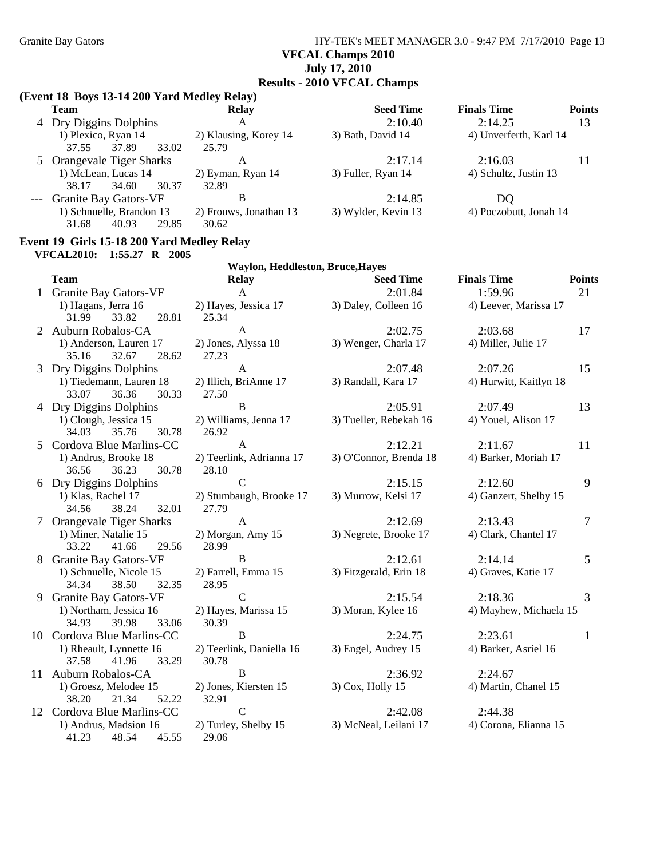Granite Bay Gators **HY-TEK's MEET MANAGER 3.0 - 9:47 PM 7/17/2010** Page 13 **VFCAL Champs 2010 July 17, 2010**

# **Results - 2010 VFCAL Champs**

### **(Event 18 Boys 13-14 200 Yard Medley Relay)**

| <b>Team</b>               | Relay                  | <b>Seed Time</b>    | <b>Finals Time</b>     | <b>Points</b> |
|---------------------------|------------------------|---------------------|------------------------|---------------|
| 4 Dry Diggins Dolphins    | А                      | 2:10.40             | 2:14.25                | 13            |
| 1) Plexico, Ryan 14       | 2) Klausing, Korey 14  | 3) Bath, David 14   | 4) Unverferth, Karl 14 |               |
| 37.89<br>33.02<br>37.55   | 25.79                  |                     |                        |               |
| 5 Orangevale Tiger Sharks | А                      | 2:17.14             | 2:16.03                | 11            |
| 1) McLean, Lucas 14       | 2) Eyman, Ryan 14      | 3) Fuller, Ryan 14  | 4) Schultz, Justin 13  |               |
| 34.60<br>30.37<br>38.17   | 32.89                  |                     |                        |               |
| --- Granite Bay Gators-VF | В                      | 2:14.85             | DO                     |               |
| 1) Schnuelle, Brandon 13  | 2) Frouws, Jonathan 13 | 3) Wylder, Kevin 13 | 4) Poczobutt, Jonah 14 |               |
| 31.68<br>40.93<br>29.85   | 30.62                  |                     |                        |               |

#### **Event 19 Girls 15-18 200 Yard Medley Relay**

**VFCAL2010: 1:55.27 R 2005**

|    |                                | Waylon, Heddleston, Bruce, Hayes |                        |                        |               |
|----|--------------------------------|----------------------------------|------------------------|------------------------|---------------|
|    | <b>Team</b>                    | <b>Relay</b>                     | <b>Seed Time</b>       | <b>Finals Time</b>     | <b>Points</b> |
|    | 1 Granite Bay Gators-VF        | $\mathsf{A}$                     | 2:01.84                | 1:59.96                | 21            |
|    | 1) Hagans, Jerra 16            | 2) Hayes, Jessica 17             | 3) Daley, Colleen 16   | 4) Leever, Marissa 17  |               |
|    | 31.99<br>33.82<br>28.81        | 25.34                            |                        |                        |               |
| 2  | Auburn Robalos-CA              | $\overline{A}$                   | 2:02.75                | 2:03.68                | 17            |
|    | 1) Anderson, Lauren 17         | 2) Jones, Alyssa 18              | 3) Wenger, Charla 17   | 4) Miller, Julie 17    |               |
|    | 35.16<br>32.67<br>28.62        | 27.23                            |                        |                        |               |
| 3  | Dry Diggins Dolphins           | A                                | 2:07.48                | 2:07.26                | 15            |
|    | 1) Tiedemann, Lauren 18        | 2) Illich, BriAnne 17            | 3) Randall, Kara 17    | 4) Hurwitt, Kaitlyn 18 |               |
|    | 33.07<br>36.36<br>30.33        | 27.50                            |                        |                        |               |
|    | 4 Dry Diggins Dolphins         | $\mathbf B$                      | 2:05.91                | 2:07.49                | 13            |
|    | 1) Clough, Jessica 15          | 2) Williams, Jenna 17            | 3) Tueller, Rebekah 16 | 4) Youel, Alison 17    |               |
|    | 34.03<br>35.76<br>30.78        | 26.92                            |                        |                        |               |
|    | Cordova Blue Marlins-CC        | $\mathbf{A}$                     | 2:12.21                | 2:11.67                | 11            |
|    | 1) Andrus, Brooke 18           | 2) Teerlink, Adrianna 17         | 3) O'Connor, Brenda 18 | 4) Barker, Moriah 17   |               |
|    | 36.56<br>36.23<br>30.78        | 28.10                            |                        |                        |               |
| 6  | Dry Diggins Dolphins           | $\mathcal{C}$                    | 2:15.15                | 2:12.60                | 9             |
|    | 1) Klas, Rachel 17             | 2) Stumbaugh, Brooke 17          | 3) Murrow, Kelsi 17    | 4) Ganzert, Shelby 15  |               |
|    | 32.01<br>34.56<br>38.24        | 27.79                            |                        |                        |               |
|    | <b>Orangevale Tiger Sharks</b> | $\mathbf{A}$                     | 2:12.69                | 2:13.43                | 7             |
|    | 1) Miner, Natalie 15           | 2) Morgan, Amy 15                | 3) Negrete, Brooke 17  | 4) Clark, Chantel 17   |               |
|    | 33.22<br>41.66<br>29.56        | 28.99                            |                        |                        |               |
| 8  | <b>Granite Bay Gators-VF</b>   | B                                | 2:12.61                | 2:14.14                | 5             |
|    | 1) Schnuelle, Nicole 15        | 2) Farrell, Emma 15              | 3) Fitzgerald, Erin 18 | 4) Graves, Katie 17    |               |
|    | 32.35<br>34.34<br>38.50        | 28.95                            |                        |                        |               |
| 9  | <b>Granite Bay Gators-VF</b>   | $\mathcal{C}$                    | 2:15.54                | 2:18.36                | 3             |
|    | 1) Northam, Jessica 16         | 2) Hayes, Marissa 15             | 3) Moran, Kylee 16     | 4) Mayhew, Michaela 15 |               |
|    | 34.93<br>39.98<br>33.06        | 30.39                            |                        |                        |               |
|    | 10 Cordova Blue Marlins-CC     | B                                | 2:24.75                | 2:23.61                | 1             |
|    | 1) Rheault, Lynnette 16        | 2) Teerlink, Daniella 16         | 3) Engel, Audrey 15    | 4) Barker, Asriel 16   |               |
|    | 33.29<br>37.58<br>41.96        | 30.78                            |                        |                        |               |
| 11 | <b>Auburn Robalos-CA</b>       | $\bf{B}$                         | 2:36.92                | 2:24.67                |               |
|    | 1) Groesz, Melodee 15          | 2) Jones, Kiersten 15            | 3) Cox, Holly 15       | 4) Martin, Chanel 15   |               |
|    | 38.20<br>21.34<br>52.22        | 32.91                            |                        |                        |               |
|    | 12 Cordova Blue Marlins-CC     | $\mathbf C$                      | 2:42.08                | 2:44.38                |               |
|    | 1) Andrus, Madsion 16          | 2) Turley, Shelby 15             | 3) McNeal, Leilani 17  | 4) Corona, Elianna 15  |               |
|    | 45.55<br>41.23<br>48.54        | 29.06                            |                        |                        |               |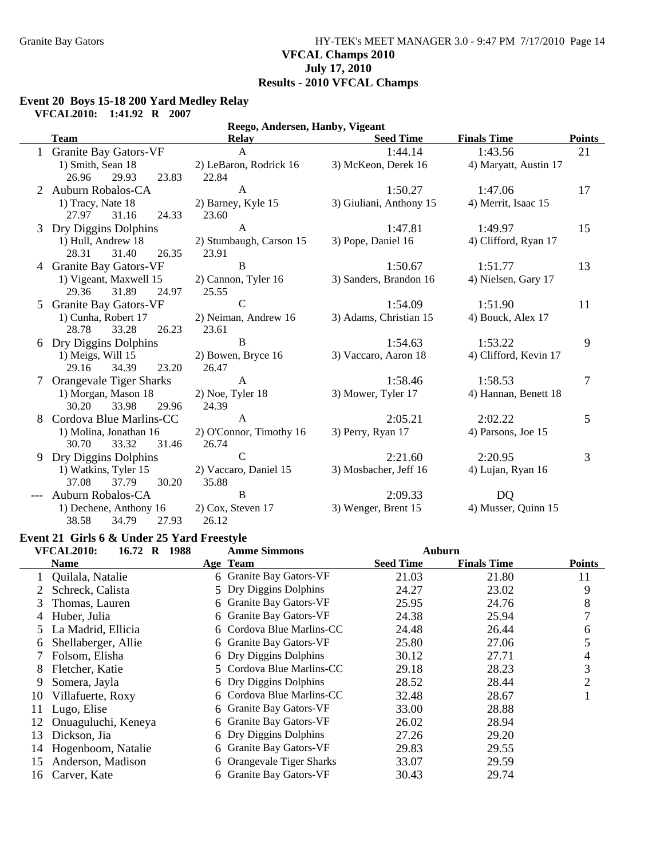### Granite Bay Gators **HY-TEK's MEET MANAGER 3.0 - 9:47 PM 7/17/2010** Page 14 **VFCAL Champs 2010 July 17, 2010 Results - 2010 VFCAL Champs**

### **Event 20 Boys 15-18 200 Yard Medley Relay**

**VFCAL2010: 1:41.92 R 2007**

|   | Reego, Andersen, Hanby, Vigeant |                         |                         |                       |               |  |  |  |  |
|---|---------------------------------|-------------------------|-------------------------|-----------------------|---------------|--|--|--|--|
|   | <b>Team</b>                     | Relay                   | <b>Seed Time</b>        | <b>Finals Time</b>    | <b>Points</b> |  |  |  |  |
|   | 1 Granite Bay Gators-VF         | $\mathsf{A}$            | 1:44.14                 | 1:43.56               | 21            |  |  |  |  |
|   | 1) Smith, Sean 18               | 2) LeBaron, Rodrick 16  | 3) McKeon, Derek 16     | 4) Maryatt, Austin 17 |               |  |  |  |  |
|   | 29.93<br>23.83<br>26.96         | 22.84                   |                         |                       |               |  |  |  |  |
|   | Auburn Robalos-CA               | $\mathbf{A}$            | 1:50.27                 | 1:47.06               | 17            |  |  |  |  |
|   | 1) Tracy, Nate 18               | 2) Barney, Kyle 15      | 3) Giuliani, Anthony 15 | 4) Merrit, Isaac 15   |               |  |  |  |  |
|   | 31.16<br>27.97<br>24.33         | 23.60                   |                         |                       |               |  |  |  |  |
| 3 | Dry Diggins Dolphins            | $\mathbf{A}$            | 1:47.81                 | 1:49.97               | 15            |  |  |  |  |
|   | 1) Hull, Andrew 18              | 2) Stumbaugh, Carson 15 | 3) Pope, Daniel 16      | 4) Clifford, Ryan 17  |               |  |  |  |  |
|   | 31.40<br>26.35<br>28.31         | 23.91                   |                         |                       |               |  |  |  |  |
|   | 4 Granite Bay Gators-VF         | B                       | 1:50.67                 | 1:51.77               | 13            |  |  |  |  |
|   | 1) Vigeant, Maxwell 15          | 2) Cannon, Tyler 16     | 3) Sanders, Brandon 16  | 4) Nielsen, Gary 17   |               |  |  |  |  |
|   | 29.36<br>31.89<br>24.97         | 25.55                   |                         |                       |               |  |  |  |  |
| 5 | <b>Granite Bay Gators-VF</b>    | $\mathbf C$             | 1:54.09                 | 1:51.90               | 11            |  |  |  |  |
|   | 1) Cunha, Robert 17             | 2) Neiman, Andrew 16    | 3) Adams, Christian 15  | 4) Bouck, Alex 17     |               |  |  |  |  |
|   | 26.23<br>28.78<br>33.28         | 23.61                   |                         |                       |               |  |  |  |  |
| 6 | Dry Diggins Dolphins            | B                       | 1:54.63                 | 1:53.22               | 9             |  |  |  |  |
|   | 1) Meigs, Will 15               | 2) Bowen, Bryce 16      | 3) Vaccaro, Aaron 18    | 4) Clifford, Kevin 17 |               |  |  |  |  |
|   | 29.16<br>34.39<br>23.20         | 26.47                   |                         |                       |               |  |  |  |  |
|   | Orangevale Tiger Sharks         | A                       | 1:58.46                 | 1:58.53               | 7             |  |  |  |  |
|   | 1) Morgan, Mason 18             | $2)$ Noe, Tyler 18      | 3) Mower, Tyler 17      | 4) Hannan, Benett 18  |               |  |  |  |  |
|   | 30.20<br>33.98<br>29.96         | 24.39                   |                         |                       |               |  |  |  |  |
|   | Cordova Blue Marlins-CC         | $\mathsf{A}$            | 2:05.21                 | 2:02.22               | 5             |  |  |  |  |
|   | 1) Molina, Jonathan 16          | 2) O'Connor, Timothy 16 | 3) Perry, Ryan 17       | 4) Parsons, Joe 15    |               |  |  |  |  |
|   | 30.70<br>33.32<br>31.46         | 26.74                   |                         |                       |               |  |  |  |  |
| 9 | Dry Diggins Dolphins            | $\mathbf C$             | 2:21.60                 | 2:20.95               | 3             |  |  |  |  |
|   | 1) Watkins, Tyler 15            | 2) Vaccaro, Daniel 15   | 3) Mosbacher, Jeff 16   | 4) Lujan, Ryan 16     |               |  |  |  |  |
|   | 37.08<br>37.79<br>30.20         | 35.88                   |                         |                       |               |  |  |  |  |
|   | Auburn Robalos-CA               | B                       | 2:09.33                 | DQ                    |               |  |  |  |  |
|   | 1) Dechene, Anthony 16          | $2)$ Cox, Steven 17     | 3) Wenger, Brent 15     | 4) Musser, Quinn 15   |               |  |  |  |  |
|   | 38.58<br>34.79<br>27.93         | 26.12                   |                         |                       |               |  |  |  |  |

## **Event 21 Girls 6 & Under 25 Yard Freestyle**

|    | <b>VFCAL2010:</b><br>16.72 R 1988 |    | <b>Amme Simmons</b>          | Auburn           |                    |               |
|----|-----------------------------------|----|------------------------------|------------------|--------------------|---------------|
|    | <b>Name</b>                       |    | Age Team                     | <b>Seed Time</b> | <b>Finals Time</b> | <b>Points</b> |
|    | Quilala, Natalie                  |    | 6 Granite Bay Gators-VF      | 21.03            | 21.80              | 11            |
|    | Schreck, Calista                  |    | 5 Dry Diggins Dolphins       | 24.27            | 23.02              | 9             |
| 3  | Thomas, Lauren                    |    | 6 Granite Bay Gators-VF      | 25.95            | 24.76              | 8             |
| 4  | Huber, Julia                      |    | 6 Granite Bay Gators-VF      | 24.38            | 25.94              | 7             |
|    | 5 La Madrid, Ellicia              |    | 6 Cordova Blue Marlins-CC    | 24.48            | 26.44              | 6             |
| 6  | Shellaberger, Allie               |    | 6 Granite Bay Gators-VF      | 25.80            | 27.06              | 5             |
|    | Folsom, Elisha                    |    | 6 Dry Diggins Dolphins       | 30.12            | 27.71              | 4             |
| 8  | Fletcher, Katie                   |    | 5 Cordova Blue Marlins-CC    | 29.18            | 28.23              | 3             |
| 9  | Somera, Jayla                     |    | 6 Dry Diggins Dolphins       | 28.52            | 28.44              | 2             |
| 10 | Villafuerte, Roxy                 |    | 6 Cordova Blue Marlins-CC    | 32.48            | 28.67              |               |
| 11 | Lugo, Elise                       |    | 6 Granite Bay Gators-VF      | 33.00            | 28.88              |               |
| 12 | Onuaguluchi, Keneya               |    | 6 Granite Bay Gators-VF      | 26.02            | 28.94              |               |
| 13 | Dickson, Jia                      |    | 6 Dry Diggins Dolphins       | 27.26            | 29.20              |               |
| 14 | Hogenboom, Natalie                | 6. | <b>Granite Bay Gators-VF</b> | 29.83            | 29.55              |               |
| 15 | Anderson, Madison                 | 6  | Orangevale Tiger Sharks      | 33.07            | 29.59              |               |
| 16 | Carver, Kate                      |    | 6 Granite Bay Gators-VF      | 30.43            | 29.74              |               |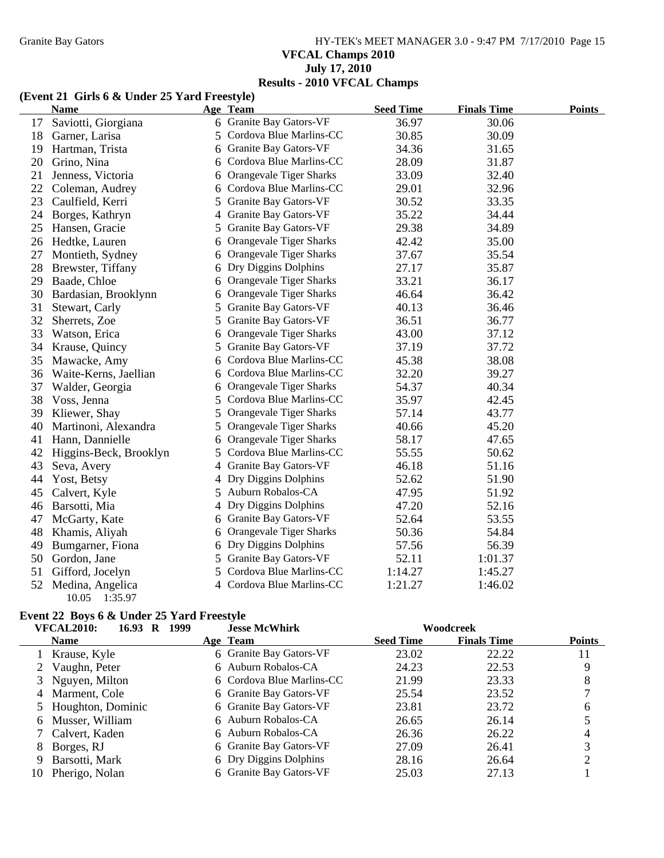# Granite Bay Gators **HY-TEK's MEET MANAGER 3.0 - 9:47 PM 7/17/2010** Page 15 **VFCAL Champs 2010 July 17, 2010 Results - 2010 VFCAL Champs**

### **(Event 21 Girls 6 & Under 25 Yard Freestyle)**

|    | <b>Name</b>                          |    | Age Team                       | <b>Seed Time</b> | <b>Finals Time</b> | <b>Points</b> |
|----|--------------------------------------|----|--------------------------------|------------------|--------------------|---------------|
| 17 | Saviotti, Giorgiana                  |    | 6 Granite Bay Gators-VF        | 36.97            | 30.06              |               |
| 18 | Garner, Larisa                       |    | 5 Cordova Blue Marlins-CC      | 30.85            | 30.09              |               |
| 19 | Hartman, Trista                      | 6  | Granite Bay Gators-VF          | 34.36            | 31.65              |               |
| 20 | Grino, Nina                          | 6  | Cordova Blue Marlins-CC        | 28.09            | 31.87              |               |
| 21 | Jenness, Victoria                    | 6  | Orangevale Tiger Sharks        | 33.09            | 32.40              |               |
| 22 | Coleman, Audrey                      | 6  | Cordova Blue Marlins-CC        | 29.01            | 32.96              |               |
| 23 | Caulfield, Kerri                     | 5. | Granite Bay Gators-VF          | 30.52            | 33.35              |               |
| 24 | Borges, Kathryn                      | 4  | Granite Bay Gators-VF          | 35.22            | 34.44              |               |
| 25 | Hansen, Gracie                       | 5  | Granite Bay Gators-VF          | 29.38            | 34.89              |               |
| 26 | Hedtke, Lauren                       | 6  | <b>Orangevale Tiger Sharks</b> | 42.42            | 35.00              |               |
| 27 | Montieth, Sydney                     | 6  | Orangevale Tiger Sharks        | 37.67            | 35.54              |               |
| 28 | Brewster, Tiffany                    | 6  | Dry Diggins Dolphins           | 27.17            | 35.87              |               |
| 29 | Baade, Chloe                         | 6  | Orangevale Tiger Sharks        | 33.21            | 36.17              |               |
| 30 | Bardasian, Brooklynn                 | 6  | Orangevale Tiger Sharks        | 46.64            | 36.42              |               |
| 31 | Stewart, Carly                       | 5. | Granite Bay Gators-VF          | 40.13            | 36.46              |               |
| 32 | Sherrets, Zoe                        | 5. | Granite Bay Gators-VF          | 36.51            | 36.77              |               |
| 33 | Watson, Erica                        | 6  | <b>Orangevale Tiger Sharks</b> | 43.00            | 37.12              |               |
| 34 | Krause, Quincy                       | 5  | Granite Bay Gators-VF          | 37.19            | 37.72              |               |
| 35 | Mawacke, Amy                         | 6  | Cordova Blue Marlins-CC        | 45.38            | 38.08              |               |
| 36 | Waite-Kerns, Jaellian                | 6  | Cordova Blue Marlins-CC        | 32.20            | 39.27              |               |
| 37 | Walder, Georgia                      | 6  | <b>Orangevale Tiger Sharks</b> | 54.37            | 40.34              |               |
| 38 | Voss, Jenna                          | 5  | Cordova Blue Marlins-CC        | 35.97            | 42.45              |               |
| 39 | Kliewer, Shay                        | 5  | Orangevale Tiger Sharks        | 57.14            | 43.77              |               |
| 40 | Martinoni, Alexandra                 | 5  | Orangevale Tiger Sharks        | 40.66            | 45.20              |               |
| 41 | Hann, Dannielle                      | 6  | <b>Orangevale Tiger Sharks</b> | 58.17            | 47.65              |               |
| 42 | Higgins-Beck, Brooklyn               | 5  | Cordova Blue Marlins-CC        | 55.55            | 50.62              |               |
| 43 | Seva, Avery                          |    | 4 Granite Bay Gators-VF        | 46.18            | 51.16              |               |
| 44 | Yost, Betsy                          |    | 4 Dry Diggins Dolphins         | 52.62            | 51.90              |               |
| 45 | Calvert, Kyle                        |    | 5 Auburn Robalos-CA            | 47.95            | 51.92              |               |
| 46 | Barsotti, Mia                        |    | 4 Dry Diggins Dolphins         | 47.20            | 52.16              |               |
| 47 | McGarty, Kate                        |    | 6 Granite Bay Gators-VF        | 52.64            | 53.55              |               |
| 48 | Khamis, Aliyah                       | 6  | Orangevale Tiger Sharks        | 50.36            | 54.84              |               |
| 49 | Bumgarner, Fiona                     | 6  | Dry Diggins Dolphins           | 57.56            | 56.39              |               |
| 50 | Gordon, Jane                         | 5  | Granite Bay Gators-VF          | 52.11            | 1:01.37            |               |
| 51 | Gifford, Jocelyn                     | 5. | Cordova Blue Marlins-CC        | 1:14.27          | 1:45.27            |               |
| 52 | Medina, Angelica<br>10.05<br>1:35.97 |    | 4 Cordova Blue Marlins-CC      | 1:21.27          | 1:46.02            |               |

## **Event 22 Boys 6 & Under 25 Yard Freestyle**

|    | <b>VFCAL2010:</b><br>1999<br>16.93<br>R | <b>Jesse McWhirk</b>      |                  | Woodcreek          |               |
|----|-----------------------------------------|---------------------------|------------------|--------------------|---------------|
|    | <b>Name</b>                             | Age Team                  | <b>Seed Time</b> | <b>Finals Time</b> | <b>Points</b> |
|    | 1 Krause, Kyle                          | 6 Granite Bay Gators-VF   | 23.02            | 22.22              | 11            |
|    | 2 Vaughn, Peter                         | 6 Auburn Robalos-CA       | 24.23            | 22.53              |               |
|    | 3 Nguyen, Milton                        | 6 Cordova Blue Marlins-CC | 21.99            | 23.33              | 8             |
|    | 4 Marment, Cole                         | 6 Granite Bay Gators-VF   | 25.54            | 23.52              |               |
|    | 5 Houghton, Dominic                     | 6 Granite Bay Gators-VF   | 23.81            | 23.72              | 6             |
|    | 6 Musser, William                       | 6 Auburn Robalos-CA       | 26.65            | 26.14              |               |
|    | 7 Calvert, Kaden                        | 6 Auburn Robalos-CA       | 26.36            | 26.22              |               |
| 8  | Borges, RJ                              | 6 Granite Bay Gators-VF   | 27.09            | 26.41              |               |
| 9  | Barsotti, Mark                          | 6 Dry Diggins Dolphins    | 28.16            | 26.64              |               |
| 10 | Pherigo, Nolan                          | 6 Granite Bay Gators-VF   | 25.03            | 27.13              |               |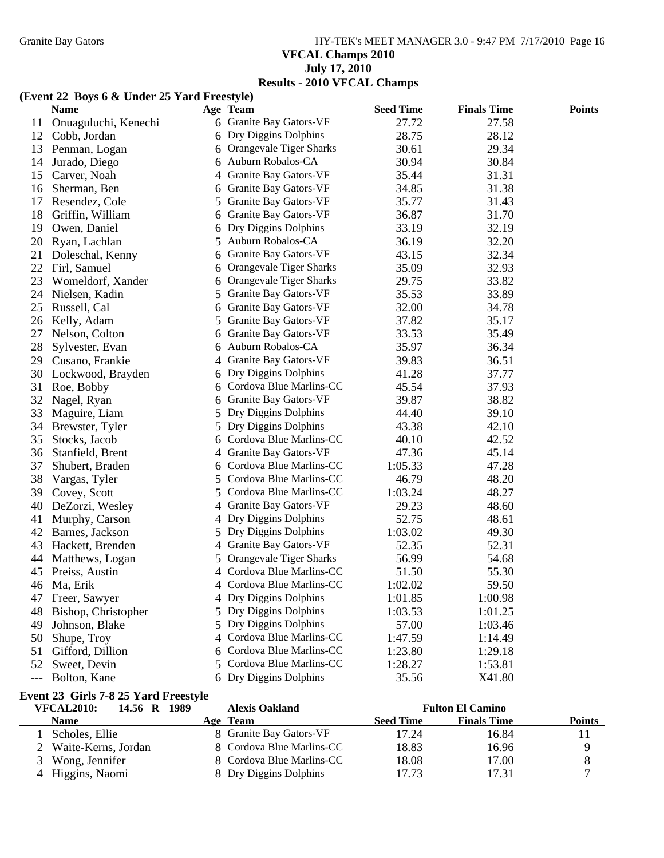Granite Bay Gators **HY-TEK's MEET MANAGER 3.0 - 9:47 PM 7/17/2010** Page 16 **VFCAL Champs 2010 July 17, 2010 Results - 2010 VFCAL Champs**

### **(Event 22 Boys 6 & Under 25 Yard Freestyle)**

|       | $(1.7)$ and $2.7$ boys $\sigma$ at onder $2.7$ and intersty $\sigma$<br><b>Name</b> |    | Age Team                  | <b>Seed Time</b> | <b>Finals Time</b>      | <b>Points</b> |
|-------|-------------------------------------------------------------------------------------|----|---------------------------|------------------|-------------------------|---------------|
| 11    | Onuaguluchi, Kenechi                                                                |    | 6 Granite Bay Gators-VF   | 27.72            | 27.58                   |               |
| 12    | Cobb, Jordan                                                                        |    | 6 Dry Diggins Dolphins    | 28.75            | 28.12                   |               |
| 13    | Penman, Logan                                                                       |    | 6 Orangevale Tiger Sharks | 30.61            | 29.34                   |               |
| 14    | Jurado, Diego                                                                       |    | 6 Auburn Robalos-CA       | 30.94            | 30.84                   |               |
| 15    | Carver, Noah                                                                        | 4  | Granite Bay Gators-VF     | 35.44            | 31.31                   |               |
| 16    | Sherman, Ben                                                                        |    | 6 Granite Bay Gators-VF   | 34.85            | 31.38                   |               |
| 17    | Resendez, Cole                                                                      |    | 5 Granite Bay Gators-VF   | 35.77            | 31.43                   |               |
| 18    | Griffin, William                                                                    |    | 6 Granite Bay Gators-VF   | 36.87            | 31.70                   |               |
| 19    | Owen, Daniel                                                                        |    | 6 Dry Diggins Dolphins    | 33.19            | 32.19                   |               |
| 20    | Ryan, Lachlan                                                                       |    | 5 Auburn Robalos-CA       | 36.19            | 32.20                   |               |
| 21    | Doleschal, Kenny                                                                    |    | 6 Granite Bay Gators-VF   | 43.15            | 32.34                   |               |
| 22    | Firl, Samuel                                                                        |    | 6 Orangevale Tiger Sharks | 35.09            | 32.93                   |               |
| 23    | Womeldorf, Xander                                                                   |    | 6 Orangevale Tiger Sharks | 29.75            | 33.82                   |               |
| 24    | Nielsen, Kadin                                                                      |    | 5 Granite Bay Gators-VF   | 35.53            | 33.89                   |               |
| 25    | Russell, Cal                                                                        |    | 6 Granite Bay Gators-VF   | 32.00            | 34.78                   |               |
| 26    | Kelly, Adam                                                                         |    | 5 Granite Bay Gators-VF   | 37.82            | 35.17                   |               |
| 27    | Nelson, Colton                                                                      |    | 6 Granite Bay Gators-VF   | 33.53            | 35.49                   |               |
| 28    | Sylvester, Evan                                                                     | 6. | Auburn Robalos-CA         | 35.97            | 36.34                   |               |
| 29    | Cusano, Frankie                                                                     |    | 4 Granite Bay Gators-VF   | 39.83            | 36.51                   |               |
| 30    | Lockwood, Brayden                                                                   |    | 6 Dry Diggins Dolphins    | 41.28            | 37.77                   |               |
| 31    | Roe, Bobby                                                                          |    | 6 Cordova Blue Marlins-CC | 45.54            | 37.93                   |               |
| 32    | Nagel, Ryan                                                                         |    | 6 Granite Bay Gators-VF   | 39.87            | 38.82                   |               |
| 33    | Maguire, Liam                                                                       |    | 5 Dry Diggins Dolphins    | 44.40            | 39.10                   |               |
| 34    | Brewster, Tyler                                                                     |    | 5 Dry Diggins Dolphins    | 43.38            | 42.10                   |               |
| 35    | Stocks, Jacob                                                                       |    | 6 Cordova Blue Marlins-CC | 40.10            | 42.52                   |               |
| 36    | Stanfield, Brent                                                                    |    | 4 Granite Bay Gators-VF   | 47.36            | 45.14                   |               |
| 37    | Shubert, Braden                                                                     |    | 6 Cordova Blue Marlins-CC | 1:05.33          | 47.28                   |               |
| 38    | Vargas, Tyler                                                                       |    | 5 Cordova Blue Marlins-CC | 46.79            | 48.20                   |               |
| 39    | Covey, Scott                                                                        |    | 5 Cordova Blue Marlins-CC | 1:03.24          | 48.27                   |               |
| 40    | DeZorzi, Wesley                                                                     |    | 4 Granite Bay Gators-VF   | 29.23            | 48.60                   |               |
| 41    | Murphy, Carson                                                                      |    | 4 Dry Diggins Dolphins    | 52.75            | 48.61                   |               |
| 42    | Barnes, Jackson                                                                     |    | 5 Dry Diggins Dolphins    | 1:03.02          | 49.30                   |               |
| 43    | Hackett, Brenden                                                                    | 4  | Granite Bay Gators-VF     | 52.35            | 52.31                   |               |
| 44    | Matthews, Logan                                                                     |    | 5 Orangevale Tiger Sharks | 56.99            | 54.68                   |               |
|       | 45 Preiss, Austin                                                                   |    | 4 Cordova Blue Marlins-CC | 51.50            | 55.30                   |               |
|       | 46 Ma, Erik                                                                         |    | 4 Cordova Blue Marlins-CC | 1:02.02          | 59.50                   |               |
| 47    | Freer, Sawyer                                                                       |    | 4 Dry Diggins Dolphins    | 1:01.85          | 1:00.98                 |               |
| 48    | Bishop, Christopher                                                                 |    | 5 Dry Diggins Dolphins    | 1:03.53          | 1:01.25                 |               |
| 49    | Johnson, Blake                                                                      |    | 5 Dry Diggins Dolphins    | 57.00            | 1:03.46                 |               |
| 50    | Shupe, Troy                                                                         |    | 4 Cordova Blue Marlins-CC | 1:47.59          | 1:14.49                 |               |
| 51    | Gifford, Dillion                                                                    |    | 6 Cordova Blue Marlins-CC | 1:23.80          | 1:29.18                 |               |
| 52    | Sweet, Devin                                                                        |    | 5 Cordova Blue Marlins-CC | 1:28.27          | 1:53.81                 |               |
| $---$ | Bolton, Kane                                                                        |    | 6 Dry Diggins Dolphins    | 35.56            | X41.80                  |               |
|       | Event 23 Girls 7-8 25 Yard Freestyle                                                |    |                           |                  |                         |               |
|       | <b>VFCAL2010:</b><br>14.56 R 1989                                                   |    | <b>Alexis Oakland</b>     |                  | <b>Fulton El Camino</b> |               |

| VFCALZVIV;<br>14.30 K 1909 | Alexis Oakiahu            |                  | г инон ел Саннио   |        |
|----------------------------|---------------------------|------------------|--------------------|--------|
| <b>Name</b>                | Age Team                  | <b>Seed Time</b> | <b>Finals Time</b> | Points |
| Scholes, Ellie             | 8 Granite Bay Gators-VF   | 17.24            | 16.84              |        |
| 2 Waite-Kerns, Jordan      | 8 Cordova Blue Marlins-CC | 18.83            | 16.96              |        |
| 3 Wong, Jennifer           | 8 Cordova Blue Marlins-CC | 18.08            | 17.00              |        |
| 4 Higgins, Naomi           | 8 Dry Diggins Dolphins    | 17.73            | 17.31              |        |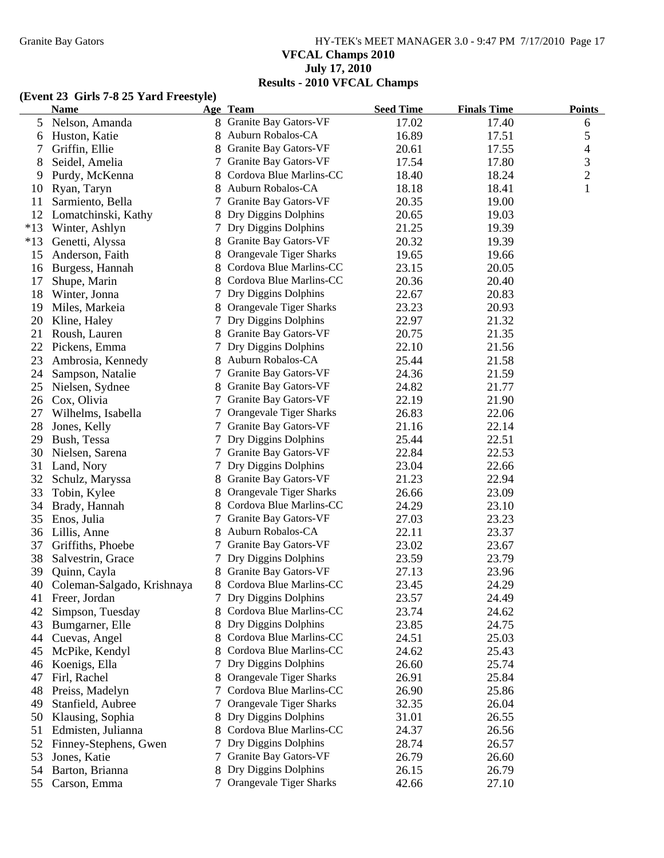# Granite Bay Gators **HY-TEK's MEET MANAGER 3.0 - 9:47 PM 7/17/2010** Page 17 **VFCAL Champs 2010 July 17, 2010 Results - 2010 VFCAL Champs**

### **(Event 23 Girls 7-8 25 Yard Freestyle)**

|       | <b>Name</b>                |    | Age Team                       | <b>Seed Time</b> | <b>Finals Time</b> | <b>Points</b>  |
|-------|----------------------------|----|--------------------------------|------------------|--------------------|----------------|
| 5     | Nelson, Amanda             |    | 8 Granite Bay Gators-VF        | 17.02            | 17.40              | 6              |
| 6     | Huston, Katie              |    | Auburn Robalos-CA              | 16.89            | 17.51              | 5              |
| 7     | Griffin, Ellie             |    | Granite Bay Gators-VF          | 20.61            | 17.55              | $\overline{4}$ |
| 8     | Seidel, Amelia             | 7  | Granite Bay Gators-VF          | 17.54            | 17.80              | 3              |
| 9     | Purdy, McKenna             |    | Cordova Blue Marlins-CC        | 18.40            | 18.24              | $\mathbf{2}$   |
| 10    | Ryan, Taryn                |    | Auburn Robalos-CA              | 18.18            | 18.41              | $\mathbf{1}$   |
| 11    | Sarmiento, Bella           |    | Granite Bay Gators-VF          | 20.35            | 19.00              |                |
| 12    | Lomatchinski, Kathy        |    | Dry Diggins Dolphins           | 20.65            | 19.03              |                |
| $*13$ | Winter, Ashlyn             |    | Dry Diggins Dolphins           | 21.25            | 19.39              |                |
| $*13$ | Genetti, Alyssa            |    | Granite Bay Gators-VF          | 20.32            | 19.39              |                |
| 15    | Anderson, Faith            |    | Orangevale Tiger Sharks        | 19.65            | 19.66              |                |
| 16    | Burgess, Hannah            |    | Cordova Blue Marlins-CC        | 23.15            | 20.05              |                |
| 17    | Shupe, Marin               |    | 8 Cordova Blue Marlins-CC      | 20.36            | 20.40              |                |
| 18    | Winter, Jonna              |    | Dry Diggins Dolphins           | 22.67            | 20.83              |                |
| 19    | Miles, Markeia             |    | 8 Orangevale Tiger Sharks      | 23.23            | 20.93              |                |
| 20    | Kline, Haley               |    | Dry Diggins Dolphins           | 22.97            | 21.32              |                |
| 21    | Roush, Lauren              |    | Granite Bay Gators-VF          | 20.75            | 21.35              |                |
| 22    | Pickens, Emma              | 7  | Dry Diggins Dolphins           | 22.10            | 21.56              |                |
| 23    | Ambrosia, Kennedy          | 8  | Auburn Robalos-CA              | 25.44            | 21.58              |                |
| 24    | Sampson, Natalie           | 7  | Granite Bay Gators-VF          | 24.36            | 21.59              |                |
| 25    | Nielsen, Sydnee            | 8  | Granite Bay Gators-VF          | 24.82            | 21.77              |                |
| 26    | Cox, Olivia                | 7  | Granite Bay Gators-VF          | 22.19            | 21.90              |                |
| 27    | Wilhelms, Isabella         |    | <b>Orangevale Tiger Sharks</b> | 26.83            | 22.06              |                |
| 28    | Jones, Kelly               | 7  | Granite Bay Gators-VF          | 21.16            | 22.14              |                |
| 29    | Bush, Tessa                |    | Dry Diggins Dolphins           | 25.44            | 22.51              |                |
| 30    | Nielsen, Sarena            |    | Granite Bay Gators-VF          | 22.84            | 22.53              |                |
| 31    | Land, Nory                 |    | Dry Diggins Dolphins           | 23.04            | 22.66              |                |
| 32    | Schulz, Maryssa            | 8  | Granite Bay Gators-VF          | 21.23            | 22.94              |                |
| 33    | Tobin, Kylee               | 8  | Orangevale Tiger Sharks        | 26.66            | 23.09              |                |
| 34    | Brady, Hannah              |    | Cordova Blue Marlins-CC        | 24.29            | 23.10              |                |
| 35    | Enos, Julia                |    | Granite Bay Gators-VF          | 27.03            | 23.23              |                |
| 36    | Lillis, Anne               | 8  | Auburn Robalos-CA              | 22.11            | 23.37              |                |
| 37    | Griffiths, Phoebe          | 7  | Granite Bay Gators-VF          | 23.02            | 23.67              |                |
| 38    | Salvestrin, Grace          | 7  | Dry Diggins Dolphins           | 23.59            | 23.79              |                |
| 39    | Quinn, Cayla               |    | Granite Bay Gators-VF          | 27.13            | 23.96              |                |
| 40    | Coleman-Salgado, Krishnaya | 8  | Cordova Blue Marlins-CC        | 23.45            | 24.29              |                |
| 41    | Freer, Jordan              |    | Dry Diggins Dolphins           | 23.57            | 24.49              |                |
| 42    | Simpson, Tuesday           |    | Cordova Blue Marlins-CC        | 23.74            | 24.62              |                |
| 43    | Bumgarner, Elle            |    | Dry Diggins Dolphins           | 23.85            | 24.75              |                |
| 44    | Cuevas, Angel              | 8  | Cordova Blue Marlins-CC        | 24.51            | 25.03              |                |
| 45    | McPike, Kendyl             |    | Cordova Blue Marlins-CC        | 24.62            | 25.43              |                |
| 46    | Koenigs, Ella              |    | Dry Diggins Dolphins           | 26.60            | 25.74              |                |
| 47    | Firl, Rachel               |    | Orangevale Tiger Sharks        | 26.91            | 25.84              |                |
| 48    | Preiss, Madelyn            |    | Cordova Blue Marlins-CC        | 26.90            | 25.86              |                |
| 49    | Stanfield, Aubree          | Τ  | Orangevale Tiger Sharks        | 32.35            | 26.04              |                |
| 50    | Klausing, Sophia           |    | 8 Dry Diggins Dolphins         | 31.01            | 26.55              |                |
| 51    | Edmisten, Julianna         | 8. | Cordova Blue Marlins-CC        | 24.37            | 26.56              |                |
| 52    | Finney-Stephens, Gwen      | 7  | Dry Diggins Dolphins           | 28.74            | 26.57              |                |
| 53    | Jones, Katie               | 7  | Granite Bay Gators-VF          | 26.79            | 26.60              |                |
| 54    | Barton, Brianna            | 8  | Dry Diggins Dolphins           | 26.15            | 26.79              |                |
| 55    | Carson, Emma               | 7  | Orangevale Tiger Sharks        | 42.66            | 27.10              |                |
|       |                            |    |                                |                  |                    |                |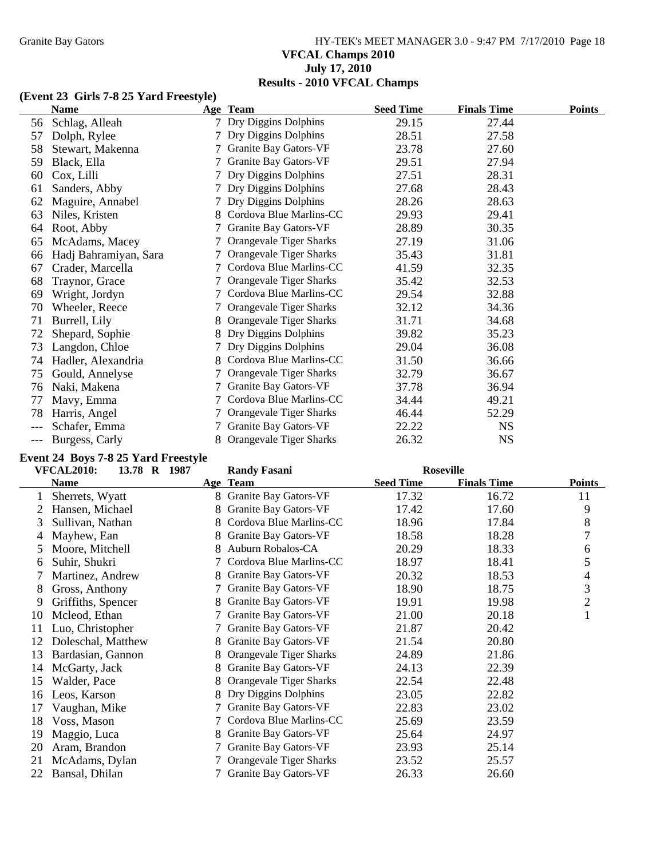# Granite Bay Gators **HY-TEK's MEET MANAGER 3.0 - 9:47 PM 7/17/2010** Page 18 **VFCAL Champs 2010 July 17, 2010 Results - 2010 VFCAL Champs**

# **(Event 23 Girls 7-8 25 Yard Freestyle)**

|     | <b>Name</b>           |                 | Age Team                       | <b>Seed Time</b> | <b>Finals Time</b> | <b>Points</b> |
|-----|-----------------------|-----------------|--------------------------------|------------------|--------------------|---------------|
| 56  | Schlag, Alleah        |                 | Dry Diggins Dolphins           | 29.15            | 27.44              |               |
| 57  | Dolph, Rylee          |                 | Dry Diggins Dolphins           | 28.51            | 27.58              |               |
| 58  | Stewart, Makenna      | 7               | Granite Bay Gators-VF          | 23.78            | 27.60              |               |
| 59  | Black, Ella           |                 | Granite Bay Gators-VF          | 29.51            | 27.94              |               |
| 60  | Cox, Lilli            |                 | Dry Diggins Dolphins           | 27.51            | 28.31              |               |
| 61  | Sanders, Abby         |                 | Dry Diggins Dolphins           | 27.68            | 28.43              |               |
| 62  | Maguire, Annabel      |                 | Dry Diggins Dolphins           | 28.26            | 28.63              |               |
| 63  | Niles, Kristen        | 8               | Cordova Blue Marlins-CC        | 29.93            | 29.41              |               |
| 64  | Root, Abby            |                 | Granite Bay Gators-VF          | 28.89            | 30.35              |               |
| 65  | McAdams, Macey        |                 | Orangevale Tiger Sharks        | 27.19            | 31.06              |               |
| 66  | Hadj Bahramiyan, Sara |                 | Orangevale Tiger Sharks        | 35.43            | 31.81              |               |
| 67  | Crader, Marcella      |                 | Cordova Blue Marlins-CC        | 41.59            | 32.35              |               |
| 68  | Traynor, Grace        |                 | Orangevale Tiger Sharks        | 35.42            | 32.53              |               |
| 69  | Wright, Jordyn        | 7               | Cordova Blue Marlins-CC        | 29.54            | 32.88              |               |
| 70  | Wheeler, Reece        |                 | <b>Orangevale Tiger Sharks</b> | 32.12            | 34.36              |               |
| 71  | Burrell, Lily         |                 | Orangevale Tiger Sharks        | 31.71            | 34.68              |               |
| 72  | Shepard, Sophie       |                 | Dry Diggins Dolphins           | 39.82            | 35.23              |               |
| 73  | Langdon, Chloe        |                 | Dry Diggins Dolphins           | 29.04            | 36.08              |               |
| 74  | Hadler, Alexandria    | 8               | Cordova Blue Marlins-CC        | 31.50            | 36.66              |               |
| 75  | Gould, Annelyse       |                 | Orangevale Tiger Sharks        | 32.79            | 36.67              |               |
| 76  | Naki, Makena          | 7               | Granite Bay Gators-VF          | 37.78            | 36.94              |               |
| 77  | Mavy, Emma            |                 | Cordova Blue Marlins-CC        | 34.44            | 49.21              |               |
| 78  | Harris, Angel         | $7\phantom{.0}$ | Orangevale Tiger Sharks        | 46.44            | 52.29              |               |
|     | Schafer, Emma         |                 | <b>Granite Bay Gators-VF</b>   | 22.22            | <b>NS</b>          |               |
| --- | Burgess, Carly        | 8.              | Orangevale Tiger Sharks        | 26.32            | <b>NS</b>          |               |

## **Event 24 Boys 7-8 25 Yard Freestyle**

|    | <b>VFCAL2010:</b><br>13.78 R 1987 |    | <b>Randy Fasani</b>          | <b>Roseville</b> |                    |                |
|----|-----------------------------------|----|------------------------------|------------------|--------------------|----------------|
|    | <b>Name</b>                       |    | Age Team                     | <b>Seed Time</b> | <b>Finals Time</b> | <b>Points</b>  |
|    | Sherrets, Wyatt                   |    | 8 Granite Bay Gators-VF      | 17.32            | 16.72              | 11             |
|    | Hansen, Michael                   |    | Granite Bay Gators-VF        | 17.42            | 17.60              | 9              |
| 3  | Sullivan, Nathan                  | 8  | Cordova Blue Marlins-CC      | 18.96            | 17.84              | 8              |
| 4  | Mayhew, Ean                       |    | Granite Bay Gators-VF        | 18.58            | 18.28              | 7              |
| 5  | Moore, Mitchell                   |    | Auburn Robalos-CA            | 20.29            | 18.33              | 6              |
| 6  | Suhir, Shukri                     |    | Cordova Blue Marlins-CC      | 18.97            | 18.41              | 5              |
|    | Martinez, Andrew                  |    | Granite Bay Gators-VF        | 20.32            | 18.53              | 4              |
| 8  | Gross, Anthony                    |    | Granite Bay Gators-VF        | 18.90            | 18.75              | 3              |
| 9  | Griffiths, Spencer                |    | Granite Bay Gators-VF        | 19.91            | 19.98              | $\overline{2}$ |
| 10 | Mcleod, Ethan                     |    | <b>Granite Bay Gators-VF</b> | 21.00            | 20.18              | $\mathbf{1}$   |
| 11 | Luo, Christopher                  |    | <b>Granite Bay Gators-VF</b> | 21.87            | 20.42              |                |
| 12 | Doleschal, Matthew                |    | <b>Granite Bay Gators-VF</b> | 21.54            | 20.80              |                |
| 13 | Bardasian, Gannon                 | 8  | Orangevale Tiger Sharks      | 24.89            | 21.86              |                |
| 14 | McGarty, Jack                     | 8  | Granite Bay Gators-VF        | 24.13            | 22.39              |                |
| 15 | Walder, Pace                      | 8. | Orangevale Tiger Sharks      | 22.54            | 22.48              |                |
| 16 | Leos, Karson                      |    | Dry Diggins Dolphins         | 23.05            | 22.82              |                |
| 17 | Vaughan, Mike                     | 7  | <b>Granite Bay Gators-VF</b> | 22.83            | 23.02              |                |
| 18 | Voss, Mason                       |    | Cordova Blue Marlins-CC      | 25.69            | 23.59              |                |
| 19 | Maggio, Luca                      | 8. | Granite Bay Gators-VF        | 25.64            | 24.97              |                |
| 20 | Aram, Brandon                     |    | Granite Bay Gators-VF        | 23.93            | 25.14              |                |
| 21 | McAdams, Dylan                    |    | Orangevale Tiger Sharks      | 23.52            | 25.57              |                |
| 22 | Bansal, Dhilan                    |    | Granite Bay Gators-VF        | 26.33            | 26.60              |                |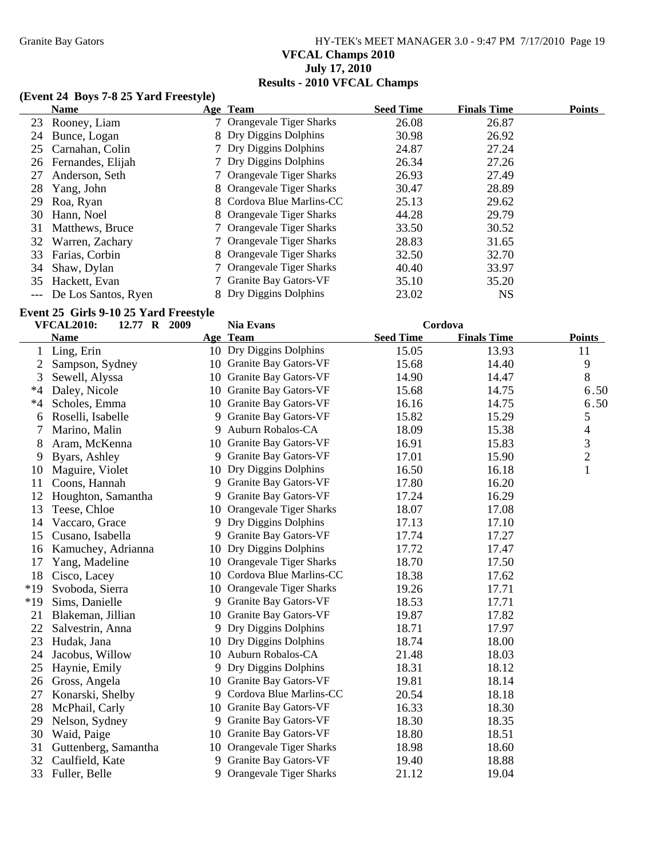# Granite Bay Gators **HY-TEK's MEET MANAGER 3.0 - 9:47 PM 7/17/2010** Page 19 **VFCAL Champs 2010 July 17, 2010 Results - 2010 VFCAL Champs**

### **(Event 24 Boys 7-8 25 Yard Freestyle)**

|    | <b>Name</b>             | Age Team                  | <b>Seed Time</b> | <b>Finals Time</b> | <b>Points</b> |
|----|-------------------------|---------------------------|------------------|--------------------|---------------|
|    | 23 Rooney, Liam         | 7 Orangevale Tiger Sharks | 26.08            | 26.87              |               |
|    | 24 Bunce, Logan         | 8 Dry Diggins Dolphins    | 30.98            | 26.92              |               |
|    | 25 Carnahan, Colin      | 7 Dry Diggins Dolphins    | 24.87            | 27.24              |               |
|    | 26 Fernandes, Elijah    | 7 Dry Diggins Dolphins    | 26.34            | 27.26              |               |
| 27 | Anderson, Seth          | 7 Orangevale Tiger Sharks | 26.93            | 27.49              |               |
| 28 | Yang, John              | 8 Orangevale Tiger Sharks | 30.47            | 28.89              |               |
| 29 | Roa, Ryan               | 8 Cordova Blue Marlins-CC | 25.13            | 29.62              |               |
| 30 | Hann, Noel              | 8 Orangevale Tiger Sharks | 44.28            | 29.79              |               |
| 31 | Matthews, Bruce         | 7 Orangevale Tiger Sharks | 33.50            | 30.52              |               |
| 32 | Warren, Zachary         | 7 Orangevale Tiger Sharks | 28.83            | 31.65              |               |
| 33 | Farias, Corbin          | 8 Orangevale Tiger Sharks | 32.50            | 32.70              |               |
| 34 | Shaw, Dylan             | 7 Orangevale Tiger Sharks | 40.40            | 33.97              |               |
| 35 | Hackett, Evan           | 7 Granite Bay Gators-VF   | 35.10            | 35.20              |               |
|    | --- De Los Santos, Ryen | 8 Dry Diggins Dolphins    | 23.02            | <b>NS</b>          |               |

# **Event 25 Girls 9-10 25 Yard Freestyle**

| <b>VFCAL2010:</b><br>12.77 R 2009 |                      |    | <b>Nia Evans</b>           | Cordova          |                    |                |
|-----------------------------------|----------------------|----|----------------------------|------------------|--------------------|----------------|
|                                   | <b>Name</b>          |    | Age Team                   | <b>Seed Time</b> | <b>Finals Time</b> | <b>Points</b>  |
| 1                                 | Ling, Erin           |    | 10 Dry Diggins Dolphins    | 15.05            | 13.93              | 11             |
| 2                                 | Sampson, Sydney      |    | 10 Granite Bay Gators-VF   | 15.68            | 14.40              | 9              |
| 3                                 | Sewell, Alyssa       |    | 10 Granite Bay Gators-VF   | 14.90            | 14.47              | 8              |
| $*4$                              | Daley, Nicole        |    | 10 Granite Bay Gators-VF   | 15.68            | 14.75              | 6.50           |
| $*4$                              | Scholes, Emma        |    | 10 Granite Bay Gators-VF   | 16.16            | 14.75              | 6.50           |
| 6                                 | Roselli, Isabelle    |    | 9 Granite Bay Gators-VF    | 15.82            | 15.29              | 5              |
| 7                                 | Marino, Malin        |    | 9 Auburn Robalos-CA        | 18.09            | 15.38              | 4              |
| 8                                 | Aram, McKenna        |    | 10 Granite Bay Gators-VF   | 16.91            | 15.83              | 3              |
| 9                                 | Byars, Ashley        |    | 9 Granite Bay Gators-VF    | 17.01            | 15.90              | $\overline{c}$ |
| 10                                | Maguire, Violet      | 10 | Dry Diggins Dolphins       | 16.50            | 16.18              | $\mathbf{1}$   |
| 11                                | Coons, Hannah        |    | 9 Granite Bay Gators-VF    | 17.80            | 16.20              |                |
| 12                                | Houghton, Samantha   | 9. | Granite Bay Gators-VF      | 17.24            | 16.29              |                |
| 13                                | Teese, Chloe         |    | 10 Orangevale Tiger Sharks | 18.07            | 17.08              |                |
| 14                                | Vaccaro, Grace       |    | 9 Dry Diggins Dolphins     | 17.13            | 17.10              |                |
| 15                                | Cusano, Isabella     |    | 9 Granite Bay Gators-VF    | 17.74            | 17.27              |                |
| 16                                | Kamuchey, Adrianna   |    | 10 Dry Diggins Dolphins    | 17.72            | 17.47              |                |
| 17                                | Yang, Madeline       |    | 10 Orangevale Tiger Sharks | 18.70            | 17.50              |                |
| 18                                | Cisco, Lacey         |    | 10 Cordova Blue Marlins-CC | 18.38            | 17.62              |                |
| $*19$                             | Svoboda, Sierra      |    | 10 Orangevale Tiger Sharks | 19.26            | 17.71              |                |
| $*19$                             | Sims, Danielle       |    | 9 Granite Bay Gators-VF    | 18.53            | 17.71              |                |
| 21                                | Blakeman, Jillian    |    | 10 Granite Bay Gators-VF   | 19.87            | 17.82              |                |
| 22                                | Salvestrin, Anna     |    | 9 Dry Diggins Dolphins     | 18.71            | 17.97              |                |
| 23                                | Hudak, Jana          | 10 | Dry Diggins Dolphins       | 18.74            | 18.00              |                |
| 24                                | Jacobus, Willow      |    | 10 Auburn Robalos-CA       | 21.48            | 18.03              |                |
| 25                                | Haynie, Emily        | 9. | Dry Diggins Dolphins       | 18.31            | 18.12              |                |
| 26                                | Gross, Angela        |    | 10 Granite Bay Gators-VF   | 19.81            | 18.14              |                |
| 27                                | Konarski, Shelby     |    | 9 Cordova Blue Marlins-CC  | 20.54            | 18.18              |                |
| 28                                | McPhail, Carly       |    | 10 Granite Bay Gators-VF   | 16.33            | 18.30              |                |
| 29                                | Nelson, Sydney       |    | 9 Granite Bay Gators-VF    | 18.30            | 18.35              |                |
| 30                                | Waid, Paige          |    | 10 Granite Bay Gators-VF   | 18.80            | 18.51              |                |
| 31                                | Guttenberg, Samantha |    | 10 Orangevale Tiger Sharks | 18.98            | 18.60              |                |
| 32                                | Caulfield, Kate      |    | 9 Granite Bay Gators-VF    | 19.40            | 18.88              |                |
| 33                                | Fuller, Belle        | 9  | Orangevale Tiger Sharks    | 21.12            | 19.04              |                |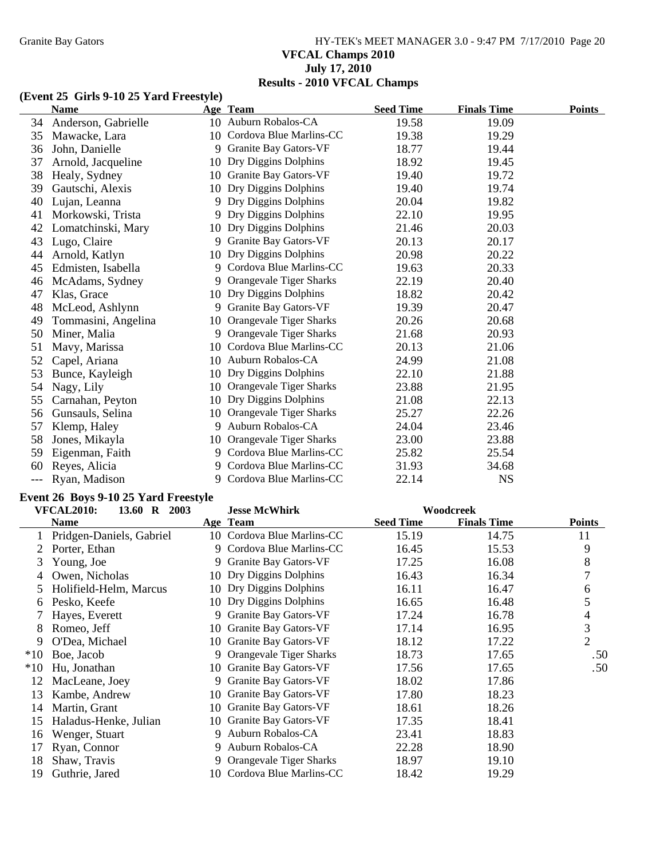# Granite Bay Gators **HY-TEK's MEET MANAGER 3.0 - 9:47 PM 7/17/2010** Page 20 **VFCAL Champs 2010 July 17, 2010 Results - 2010 VFCAL Champs**

# **(Event 25 Girls 9-10 25 Yard Freestyle)**

|    | <b>Name</b>         |    | Age Team                     | <b>Seed Time</b> | <b>Finals Time</b> | <b>Points</b> |
|----|---------------------|----|------------------------------|------------------|--------------------|---------------|
| 34 | Anderson, Gabrielle |    | 10 Auburn Robalos-CA         | 19.58            | 19.09              |               |
| 35 | Mawacke, Lara       |    | 10 Cordova Blue Marlins-CC   | 19.38            | 19.29              |               |
| 36 | John, Danielle      | 9  | Granite Bay Gators-VF        | 18.77            | 19.44              |               |
| 37 | Arnold, Jacqueline  | 10 | Dry Diggins Dolphins         | 18.92            | 19.45              |               |
| 38 | Healy, Sydney       |    | 10 Granite Bay Gators-VF     | 19.40            | 19.72              |               |
| 39 | Gautschi, Alexis    | 10 | Dry Diggins Dolphins         | 19.40            | 19.74              |               |
| 40 | Lujan, Leanna       | 9  | Dry Diggins Dolphins         | 20.04            | 19.82              |               |
| 41 | Morkowski, Trista   | 9  | Dry Diggins Dolphins         | 22.10            | 19.95              |               |
| 42 | Lomatchinski, Mary  | 10 | Dry Diggins Dolphins         | 21.46            | 20.03              |               |
| 43 | Lugo, Claire        | 9  | Granite Bay Gators-VF        | 20.13            | 20.17              |               |
| 44 | Arnold, Katlyn      | 10 | Dry Diggins Dolphins         | 20.98            | 20.22              |               |
| 45 | Edmisten, Isabella  | 9  | Cordova Blue Marlins-CC      | 19.63            | 20.33              |               |
| 46 | McAdams, Sydney     | 9  | Orangevale Tiger Sharks      | 22.19            | 20.40              |               |
| 47 | Klas, Grace         | 10 | Dry Diggins Dolphins         | 18.82            | 20.42              |               |
| 48 | McLeod, Ashlynn     | 9  | <b>Granite Bay Gators-VF</b> | 19.39            | 20.47              |               |
| 49 | Tommasini, Angelina | 10 | Orangevale Tiger Sharks      | 20.26            | 20.68              |               |
| 50 | Miner, Malia        | 9  | Orangevale Tiger Sharks      | 21.68            | 20.93              |               |
| 51 | Mavy, Marissa       | 10 | Cordova Blue Marlins-CC      | 20.13            | 21.06              |               |
| 52 | Capel, Ariana       | 10 | Auburn Robalos-CA            | 24.99            | 21.08              |               |
| 53 | Bunce, Kayleigh     | 10 | Dry Diggins Dolphins         | 22.10            | 21.88              |               |
| 54 | Nagy, Lily          | 10 | Orangevale Tiger Sharks      | 23.88            | 21.95              |               |
| 55 | Carnahan, Peyton    | 10 | Dry Diggins Dolphins         | 21.08            | 22.13              |               |
| 56 | Gunsauls, Selina    | 10 | Orangevale Tiger Sharks      | 25.27            | 22.26              |               |
| 57 | Klemp, Haley        | 9  | Auburn Robalos-CA            | 24.04            | 23.46              |               |
| 58 | Jones, Mikayla      |    | 10 Orangevale Tiger Sharks   | 23.00            | 23.88              |               |
| 59 | Eigenman, Faith     | 9  | Cordova Blue Marlins-CC      | 25.82            | 25.54              |               |
| 60 | Reyes, Alicia       | 9  | Cordova Blue Marlins-CC      | 31.93            | 34.68              |               |
|    | Ryan, Madison       | 9  | Cordova Blue Marlins-CC      | 22.14            | <b>NS</b>          |               |

# **Event 26 Boys 9-10 25 Yard Freestyle**

|       | <b>VFCAL2010:</b><br>13.60 R 2003 |    | <b>Jesse McWhirk</b><br>Woodcreek |                  |                    |                |
|-------|-----------------------------------|----|-----------------------------------|------------------|--------------------|----------------|
|       | <b>Name</b>                       |    | Age Team                          | <b>Seed Time</b> | <b>Finals Time</b> | <b>Points</b>  |
|       | Pridgen-Daniels, Gabriel          |    | 10 Cordova Blue Marlins-CC        | 15.19            | 14.75              | 11             |
|       | Porter, Ethan                     |    | 9 Cordova Blue Marlins-CC         | 16.45            | 15.53              | 9              |
| 3     | Young, Joe                        | 9. | Granite Bay Gators-VF             | 17.25            | 16.08              | 8              |
| 4     | Owen, Nicholas                    |    | 10 Dry Diggins Dolphins           | 16.43            | 16.34              | 7              |
| 5.    | Holifield-Helm, Marcus            |    | 10 Dry Diggins Dolphins           | 16.11            | 16.47              | 6              |
| 6     | Pesko, Keefe                      |    | 10 Dry Diggins Dolphins           | 16.65            | 16.48              | 5              |
|       | Hayes, Everett                    | 9. | Granite Bay Gators-VF             | 17.24            | 16.78              | 4              |
| 8     | Romeo, Jeff                       |    | 10 Granite Bay Gators-VF          | 17.14            | 16.95              | 3              |
| 9     | O'Dea, Michael                    |    | 10 Granite Bay Gators-VF          | 18.12            | 17.22              | $\overline{2}$ |
| $*10$ | Boe, Jacob                        | 9  | Orangevale Tiger Sharks           | 18.73            | 17.65              | .50            |
| $*10$ | Hu, Jonathan                      |    | 10 Granite Bay Gators-VF          | 17.56            | 17.65              | .50            |
| 12    | MacLeane, Joey                    | 9. | Granite Bay Gators-VF             | 18.02            | 17.86              |                |
| 13    | Kambe, Andrew                     |    | 10 Granite Bay Gators-VF          | 17.80            | 18.23              |                |
| 14    | Martin, Grant                     |    | 10 Granite Bay Gators-VF          | 18.61            | 18.26              |                |
| 15    | Haladus-Henke, Julian             |    | 10 Granite Bay Gators-VF          | 17.35            | 18.41              |                |
| 16    | Wenger, Stuart                    | 9  | Auburn Robalos-CA                 | 23.41            | 18.83              |                |
| 17    | Ryan, Connor                      | 9. | Auburn Robalos-CA                 | 22.28            | 18.90              |                |
| 18    | Shaw, Travis                      | 9. | Orangevale Tiger Sharks           | 18.97            | 19.10              |                |
| 19    | Guthrie, Jared                    |    | 10 Cordova Blue Marlins-CC        | 18.42            | 19.29              |                |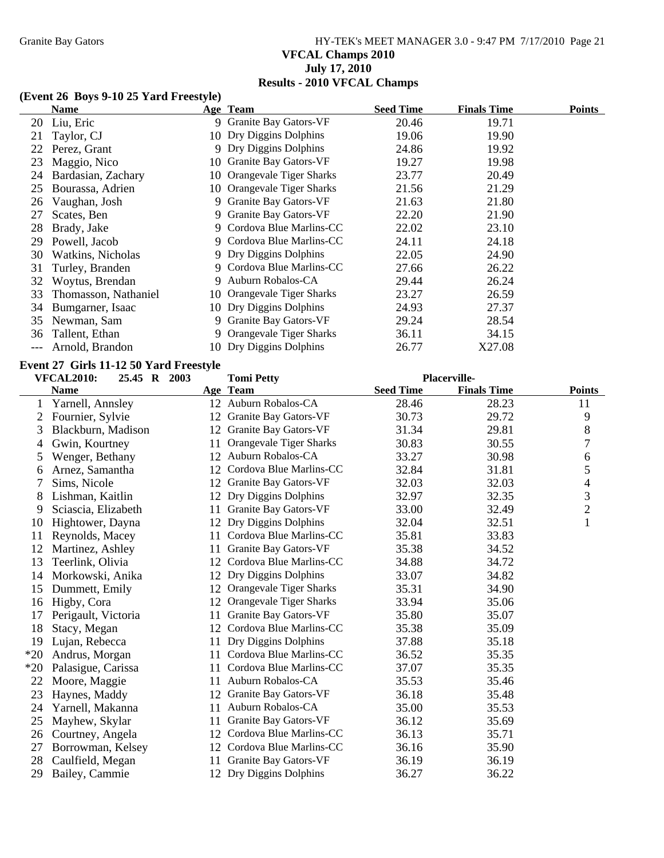# Granite Bay Gators **HY-TEK's MEET MANAGER 3.0 - 9:47 PM 7/17/2010** Page 21 **VFCAL Champs 2010 July 17, 2010 Results - 2010 VFCAL Champs**

### **(Event 26 Boys 9-10 25 Yard Freestyle)**

|     | <b>Name</b>          |    | Age Team                     | <b>Seed Time</b> | <b>Finals Time</b> | <b>Points</b> |
|-----|----------------------|----|------------------------------|------------------|--------------------|---------------|
|     | 20 Liu, Eric         |    | 9 Granite Bay Gators-VF      | 20.46            | 19.71              |               |
| 21  | Taylor, CJ           |    | 10 Dry Diggins Dolphins      | 19.06            | 19.90              |               |
| 22  | Perez, Grant         |    | 9 Dry Diggins Dolphins       | 24.86            | 19.92              |               |
| 23. | Maggio, Nico         |    | 10 Granite Bay Gators-VF     | 19.27            | 19.98              |               |
| 24  | Bardasian, Zachary   |    | 10 Orangevale Tiger Sharks   | 23.77            | 20.49              |               |
| 25  | Bourassa, Adrien     |    | 10 Orangevale Tiger Sharks   | 21.56            | 21.29              |               |
| 26  | Vaughan, Josh        |    | 9 Granite Bay Gators-VF      | 21.63            | 21.80              |               |
| 27  | Scates, Ben          | 9. | Granite Bay Gators-VF        | 22.20            | 21.90              |               |
| 28. | Brady, Jake          |    | 9 Cordova Blue Marlins-CC    | 22.02            | 23.10              |               |
| 29  | Powell, Jacob        |    | 9 Cordova Blue Marlins-CC    | 24.11            | 24.18              |               |
| 30  | Watkins, Nicholas    |    | 9 Dry Diggins Dolphins       | 22.05            | 24.90              |               |
| 31  | Turley, Branden      |    | 9 Cordova Blue Marlins-CC    | 27.66            | 26.22              |               |
| 32  | Woytus, Brendan      | 9  | Auburn Robalos-CA            | 29.44            | 26.24              |               |
| 33. | Thomasson, Nathaniel |    | 10 Orangevale Tiger Sharks   | 23.27            | 26.59              |               |
| 34  | Bumgarner, Isaac     |    | 10 Dry Diggins Dolphins      | 24.93            | 27.37              |               |
|     | 35 Newman, Sam       | 9. | <b>Granite Bay Gators-VF</b> | 29.24            | 28.54              |               |
| 36  | Tallent, Ethan       |    | 9 Orangevale Tiger Sharks    | 36.11            | 34.15              |               |
|     | Arnold, Brandon      |    | 10 Dry Diggins Dolphins      | 26.77            | X27.08             |               |

### **Event 27 Girls 11-12 50 Yard Freestyle**

|       | <b>VFCAL2010:</b><br>25.45 R 2003 |    | <b>Tomi Petty</b>              |                  | Placerville-       |                |
|-------|-----------------------------------|----|--------------------------------|------------------|--------------------|----------------|
|       | <b>Name</b>                       |    | Age Team                       | <b>Seed Time</b> | <b>Finals Time</b> | <b>Points</b>  |
| 1     | Yarnell, Annsley                  |    | 12 Auburn Robalos-CA           | 28.46            | 28.23              | 11             |
| 2     | Fournier, Sylvie                  |    | 12 Granite Bay Gators-VF       | 30.73            | 29.72              | 9              |
| 3     | Blackburn, Madison                | 12 | Granite Bay Gators-VF          | 31.34            | 29.81              | 8              |
| 4     | Gwin, Kourtney                    | 11 | Orangevale Tiger Sharks        | 30.83            | 30.55              | 7              |
| 5     | Wenger, Bethany                   | 12 | Auburn Robalos-CA              | 33.27            | 30.98              | 6              |
| 6     | Arnez, Samantha                   | 12 | Cordova Blue Marlins-CC        | 32.84            | 31.81              | 5              |
|       | Sims, Nicole                      | 12 | Granite Bay Gators-VF          | 32.03            | 32.03              | 4              |
| 8     | Lishman, Kaitlin                  | 12 | Dry Diggins Dolphins           | 32.97            | 32.35              | 3              |
| 9     | Sciascia, Elizabeth               | 11 | Granite Bay Gators-VF          | 33.00            | 32.49              | $\overline{c}$ |
| 10    | Hightower, Dayna                  | 12 | Dry Diggins Dolphins           | 32.04            | 32.51              | $\mathbf{1}$   |
| 11    | Reynolds, Macey                   | 11 | Cordova Blue Marlins-CC        | 35.81            | 33.83              |                |
| 12    | Martinez, Ashley                  | 11 | Granite Bay Gators-VF          | 35.38            | 34.52              |                |
| 13    | Teerlink, Olivia                  | 12 | Cordova Blue Marlins-CC        | 34.88            | 34.72              |                |
| 14    | Morkowski, Anika                  |    | 12 Dry Diggins Dolphins        | 33.07            | 34.82              |                |
| 15    | Dummett, Emily                    | 12 | Orangevale Tiger Sharks        | 35.31            | 34.90              |                |
| 16    | Higby, Cora                       | 12 | <b>Orangevale Tiger Sharks</b> | 33.94            | 35.06              |                |
| 17    | Perigault, Victoria               | 11 | <b>Granite Bay Gators-VF</b>   | 35.80            | 35.07              |                |
| 18    | Stacy, Megan                      | 12 | Cordova Blue Marlins-CC        | 35.38            | 35.09              |                |
| 19    | Lujan, Rebecca                    | 11 | Dry Diggins Dolphins           | 37.88            | 35.18              |                |
| $*20$ | Andrus, Morgan                    | 11 | Cordova Blue Marlins-CC        | 36.52            | 35.35              |                |
| $*20$ | Palasigue, Carissa                | 11 | Cordova Blue Marlins-CC        | 37.07            | 35.35              |                |
| 22    | Moore, Maggie                     | 11 | Auburn Robalos-CA              | 35.53            | 35.46              |                |
| 23    | Haynes, Maddy                     | 12 | Granite Bay Gators-VF          | 36.18            | 35.48              |                |
| 24    | Yarnell, Makanna                  | 11 | Auburn Robalos-CA              | 35.00            | 35.53              |                |
| 25    | Mayhew, Skylar                    | 11 | Granite Bay Gators-VF          | 36.12            | 35.69              |                |
| 26    | Courtney, Angela                  | 12 | Cordova Blue Marlins-CC        | 36.13            | 35.71              |                |
| 27    | Borrowman, Kelsey                 | 12 | Cordova Blue Marlins-CC        | 36.16            | 35.90              |                |
| 28    | Caulfield, Megan                  |    | Granite Bay Gators-VF          | 36.19            | 36.19              |                |
| 29    | Bailey, Cammie                    |    | 12 Dry Diggins Dolphins        | 36.27            | 36.22              |                |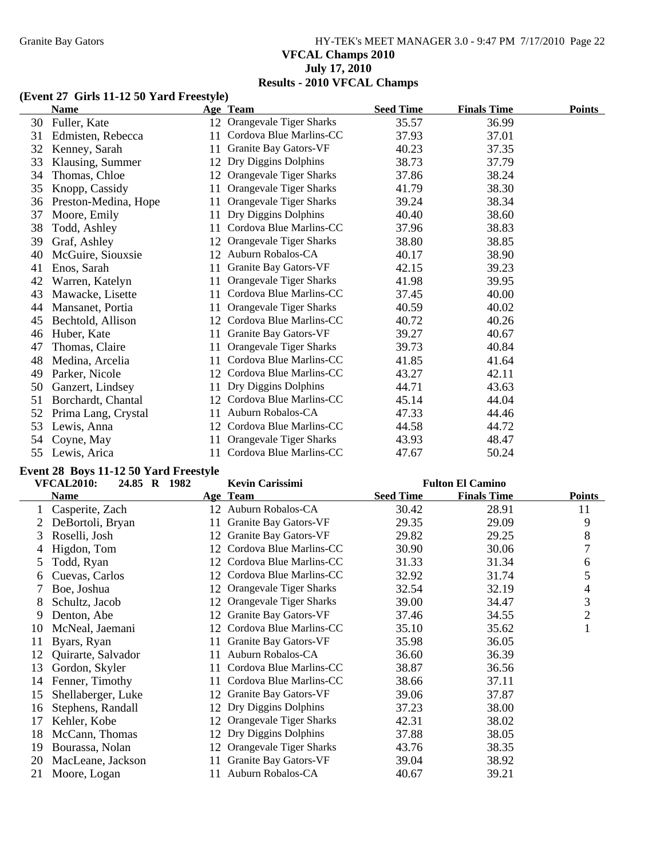# Granite Bay Gators **HY-TEK's MEET MANAGER 3.0 - 9:47 PM 7/17/2010** Page 22 **VFCAL Champs 2010 July 17, 2010 Results - 2010 VFCAL Champs**

#### **(Event 27 Girls 11-12 50 Yard Freestyle)**

|    | <b>Name</b>          |    | Age Team                       | <b>Seed Time</b> | <b>Finals Time</b> | <b>Points</b> |
|----|----------------------|----|--------------------------------|------------------|--------------------|---------------|
| 30 | Fuller, Kate         |    | 12 Orangevale Tiger Sharks     | 35.57            | 36.99              |               |
| 31 | Edmisten, Rebecca    | 11 | Cordova Blue Marlins-CC        | 37.93            | 37.01              |               |
| 32 | Kenney, Sarah        | 11 | Granite Bay Gators-VF          | 40.23            | 37.35              |               |
| 33 | Klausing, Summer     | 12 | Dry Diggins Dolphins           | 38.73            | 37.79              |               |
| 34 | Thomas, Chloe        | 12 | Orangevale Tiger Sharks        | 37.86            | 38.24              |               |
| 35 | Knopp, Cassidy       | 11 | <b>Orangevale Tiger Sharks</b> | 41.79            | 38.30              |               |
| 36 | Preston-Medina, Hope | 11 | Orangevale Tiger Sharks        | 39.24            | 38.34              |               |
| 37 | Moore, Emily         | 11 | Dry Diggins Dolphins           | 40.40            | 38.60              |               |
| 38 | Todd, Ashley         | 11 | Cordova Blue Marlins-CC        | 37.96            | 38.83              |               |
| 39 | Graf, Ashley         | 12 | Orangevale Tiger Sharks        | 38.80            | 38.85              |               |
| 40 | McGuire, Siouxsie    | 12 | Auburn Robalos-CA              | 40.17            | 38.90              |               |
| 41 | Enos, Sarah          | 11 | Granite Bay Gators-VF          | 42.15            | 39.23              |               |
| 42 | Warren, Katelyn      | 11 | Orangevale Tiger Sharks        | 41.98            | 39.95              |               |
| 43 | Mawacke, Lisette     | 11 | Cordova Blue Marlins-CC        | 37.45            | 40.00              |               |
| 44 | Mansanet, Portia     | 11 | Orangevale Tiger Sharks        | 40.59            | 40.02              |               |
| 45 | Bechtold, Allison    | 12 | Cordova Blue Marlins-CC        | 40.72            | 40.26              |               |
| 46 | Huber, Kate          | 11 | Granite Bay Gators-VF          | 39.27            | 40.67              |               |
| 47 | Thomas, Claire       | 11 | Orangevale Tiger Sharks        | 39.73            | 40.84              |               |
| 48 | Medina, Arcelia      | 11 | Cordova Blue Marlins-CC        | 41.85            | 41.64              |               |
| 49 | Parker, Nicole       | 12 | Cordova Blue Marlins-CC        | 43.27            | 42.11              |               |
| 50 | Ganzert, Lindsey     | 11 | Dry Diggins Dolphins           | 44.71            | 43.63              |               |
| 51 | Borchardt, Chantal   | 12 | Cordova Blue Marlins-CC        | 45.14            | 44.04              |               |
| 52 | Prima Lang, Crystal  | 11 | Auburn Robalos-CA              | 47.33            | 44.46              |               |
| 53 | Lewis, Anna          | 12 | Cordova Blue Marlins-CC        | 44.58            | 44.72              |               |
| 54 | Coyne, May           | 11 | Orangevale Tiger Sharks        | 43.93            | 48.47              |               |
| 55 | Lewis, Arica         | 11 | Cordova Blue Marlins-CC        | 47.67            | 50.24              |               |

# **Event 28 Boys 11-12 50 Yard Freestyle**

|    | <b>VFCAL2010:</b><br>24.85 R 1982 |     | <b>Kevin Carissimi</b>     |                  | <b>Fulton El Camino</b> |                |
|----|-----------------------------------|-----|----------------------------|------------------|-------------------------|----------------|
|    | <b>Name</b>                       |     | Age Team                   | <b>Seed Time</b> | <b>Finals Time</b>      | <b>Points</b>  |
|    | Casperite, Zach                   |     | 12 Auburn Robalos-CA       | 30.42            | 28.91                   | 11             |
| 2  | DeBortoli, Bryan                  | 11- | Granite Bay Gators-VF      | 29.35            | 29.09                   | 9              |
| 3  | Roselli, Josh                     | 12  | Granite Bay Gators-VF      | 29.82            | 29.25                   | 8              |
| 4  | Higdon, Tom                       | 12  | Cordova Blue Marlins-CC    | 30.90            | 30.06                   | 7              |
| 5  | Todd, Ryan                        | 12  | Cordova Blue Marlins-CC    | 31.33            | 31.34                   | 6              |
| 6  | Cuevas, Carlos                    |     | 12 Cordova Blue Marlins-CC | 32.92            | 31.74                   | 5              |
|    | Boe, Joshua                       | 12  | Orangevale Tiger Sharks    | 32.54            | 32.19                   | 4              |
| 8  | Schultz, Jacob                    | 12  | Orangevale Tiger Sharks    | 39.00            | 34.47                   | 3              |
| 9  | Denton, Abe                       | 12  | Granite Bay Gators-VF      | 37.46            | 34.55                   | $\overline{2}$ |
| 10 | McNeal, Jaemani                   | 12  | Cordova Blue Marlins-CC    | 35.10            | 35.62                   | 1              |
| 11 | Byars, Ryan                       | 11. | Granite Bay Gators-VF      | 35.98            | 36.05                   |                |
| 12 | Quirarte, Salvador                | 11  | Auburn Robalos-CA          | 36.60            | 36.39                   |                |
| 13 | Gordon, Skyler                    | 11. | Cordova Blue Marlins-CC    | 38.87            | 36.56                   |                |
| 14 | Fenner, Timothy                   | 11  | Cordova Blue Marlins-CC    | 38.66            | 37.11                   |                |
| 15 | Shellaberger, Luke                | 12  | Granite Bay Gators-VF      | 39.06            | 37.87                   |                |
| 16 | Stephens, Randall                 |     | 12 Dry Diggins Dolphins    | 37.23            | 38.00                   |                |
| 17 | Kehler, Kobe                      |     | 12 Orangevale Tiger Sharks | 42.31            | 38.02                   |                |
| 18 | McCann, Thomas                    |     | 12 Dry Diggins Dolphins    | 37.88            | 38.05                   |                |
| 19 | Bourassa, Nolan                   | 12  | Orangevale Tiger Sharks    | 43.76            | 38.35                   |                |
| 20 | MacLeane, Jackson                 | 11  | Granite Bay Gators-VF      | 39.04            | 38.92                   |                |
| 21 | Moore, Logan                      | 11  | Auburn Robalos-CA          | 40.67            | 39.21                   |                |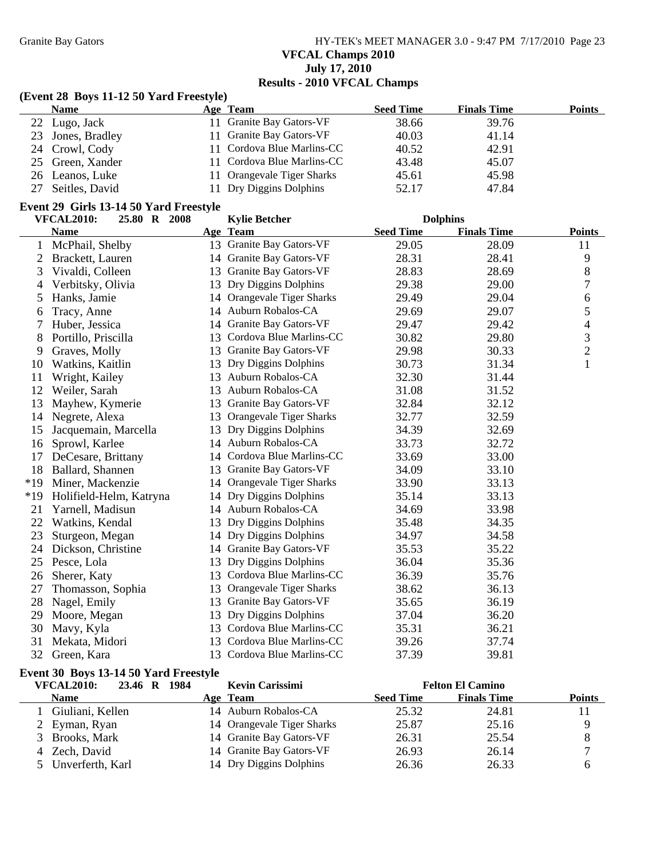Granite Bay Gators **HY-TEK's MEET MANAGER 3.0 - 9:47 PM 7/17/2010** Page 23 **VFCAL Champs 2010 July 17, 2010 Results - 2010 VFCAL Champs**

### **(Event 28 Boys 11-12 50 Yard Freestyle)**

| <b>Name</b>       | Age Team                   | <b>Seed Time</b> | <b>Finals Time</b> | Points |
|-------------------|----------------------------|------------------|--------------------|--------|
| 22 Lugo, Jack     | 11 Granite Bay Gators-VF   | 38.66            | 39.76              |        |
| 23 Jones, Bradley | 11 Granite Bay Gators-VF   | 40.03            | 41.14              |        |
| 24 Crowl, Cody    | 11 Cordova Blue Marlins-CC | 40.52            | 42.91              |        |
| 25 Green, Xander  | 11 Cordova Blue Marlins-CC | 43.48            | 45.07              |        |
| 26 Leanos, Luke   | 11 Orangevale Tiger Sharks | 45.61            | 45.98              |        |
| 27 Seitles, David | 11 Dry Diggins Dolphins    | 52.17            | 47.84              |        |

#### **Event 29 Girls 13-14 50 Yard Freestyle**

|       | <b>VFCAL2010:</b><br>25.80 R 2008 |    | <b>Kylie Betcher</b>       | <b>Dolphins</b>  |                    |               |
|-------|-----------------------------------|----|----------------------------|------------------|--------------------|---------------|
|       | <b>Name</b>                       |    | Age Team                   | <b>Seed Time</b> | <b>Finals Time</b> | <b>Points</b> |
| 1     | McPhail, Shelby                   |    | 13 Granite Bay Gators-VF   | 29.05            | 28.09              | 11            |
| 2     | Brackett, Lauren                  |    | 14 Granite Bay Gators-VF   | 28.31            | 28.41              | 9             |
| 3     | Vivaldi, Colleen                  | 13 | Granite Bay Gators-VF      | 28.83            | 28.69              | 8             |
| 4     | Verbitsky, Olivia                 |    | 13 Dry Diggins Dolphins    | 29.38            | 29.00              | 7             |
| 5     | Hanks, Jamie                      |    | 14 Orangevale Tiger Sharks | 29.49            | 29.04              | 6             |
| 6     | Tracy, Anne                       | 14 | Auburn Robalos-CA          | 29.69            | 29.07              | 5             |
| 7     | Huber, Jessica                    |    | 14 Granite Bay Gators-VF   | 29.47            | 29.42              | 4             |
| 8     | Portillo, Priscilla               | 13 | Cordova Blue Marlins-CC    | 30.82            | 29.80              | 3             |
| 9     | Graves, Molly                     | 13 | Granite Bay Gators-VF      | 29.98            | 30.33              | 2             |
| 10    | Watkins, Kaitlin                  | 13 | Dry Diggins Dolphins       | 30.73            | 31.34              | $\mathbf{1}$  |
| 11    | Wright, Kailey                    | 13 | Auburn Robalos-CA          | 32.30            | 31.44              |               |
| 12    | Weiler, Sarah                     | 13 | Auburn Robalos-CA          | 31.08            | 31.52              |               |
| 13    | Mayhew, Kymerie                   |    | 13 Granite Bay Gators-VF   | 32.84            | 32.12              |               |
| 14    | Negrete, Alexa                    | 13 | Orangevale Tiger Sharks    | 32.77            | 32.59              |               |
| 15    | Jacquemain, Marcella              | 13 | Dry Diggins Dolphins       | 34.39            | 32.69              |               |
| 16    | Sprowl, Karlee                    |    | 14 Auburn Robalos-CA       | 33.73            | 32.72              |               |
| 17    | DeCesare, Brittany                | 14 | Cordova Blue Marlins-CC    | 33.69            | 33.00              |               |
| 18    | Ballard, Shannen                  | 13 | Granite Bay Gators-VF      | 34.09            | 33.10              |               |
| $*19$ | Miner, Mackenzie                  | 14 | Orangevale Tiger Sharks    | 33.90            | 33.13              |               |
| $*19$ | Holifield-Helm, Katryna           | 14 | Dry Diggins Dolphins       | 35.14            | 33.13              |               |
| 21    | Yarnell, Madisun                  |    | 14 Auburn Robalos-CA       | 34.69            | 33.98              |               |
| 22    | Watkins, Kendal                   | 13 | Dry Diggins Dolphins       | 35.48            | 34.35              |               |
| 23    | Sturgeon, Megan                   |    | 14 Dry Diggins Dolphins    | 34.97            | 34.58              |               |
| 24    | Dickson, Christine                |    | 14 Granite Bay Gators-VF   | 35.53            | 35.22              |               |
| 25    | Pesce, Lola                       | 13 | Dry Diggins Dolphins       | 36.04            | 35.36              |               |
| 26    | Sherer, Katy                      | 13 | Cordova Blue Marlins-CC    | 36.39            | 35.76              |               |
| 27    | Thomasson, Sophia                 | 13 | Orangevale Tiger Sharks    | 38.62            | 36.13              |               |
| 28    | Nagel, Emily                      | 13 | Granite Bay Gators-VF      | 35.65            | 36.19              |               |
| 29    | Moore, Megan                      | 13 | Dry Diggins Dolphins       | 37.04            | 36.20              |               |
| 30    | Mavy, Kyla                        | 13 | Cordova Blue Marlins-CC    | 35.31            | 36.21              |               |
| 31    | Mekata, Midori                    | 13 | Cordova Blue Marlins-CC    | 39.26            | 37.74              |               |
| 32    | Green, Kara                       |    | 13 Cordova Blue Marlins-CC | 37.39            | 39.81              |               |

### **Event 30 Boys 13-14 50 Yard Freestyle**

| <b>VFCAL2010:</b><br>23.46 R | <b>Kevin Carissimi</b><br>1984 |                  | <b>Felton El Camino</b> |               |
|------------------------------|--------------------------------|------------------|-------------------------|---------------|
| <b>Name</b>                  | Age Team                       | <b>Seed Time</b> | <b>Finals Time</b>      | <b>Points</b> |
| Giuliani, Kellen             | 14 Auburn Robalos-CA           | 25.32            | 24.81                   |               |
| 2 Eyman, Ryan                | 14 Orangevale Tiger Sharks     | 25.87            | 25.16                   |               |
| 3 Brooks, Mark               | 14 Granite Bay Gators-VF       | 26.31            | 25.54                   |               |
| 4 Zech, David                | 14 Granite Bay Gators-VF       | 26.93            | 26.14                   | $\mathbf{r}$  |
| 5 Unverferth, Karl           | 14 Dry Diggins Dolphins        | 26.36            | 26.33                   |               |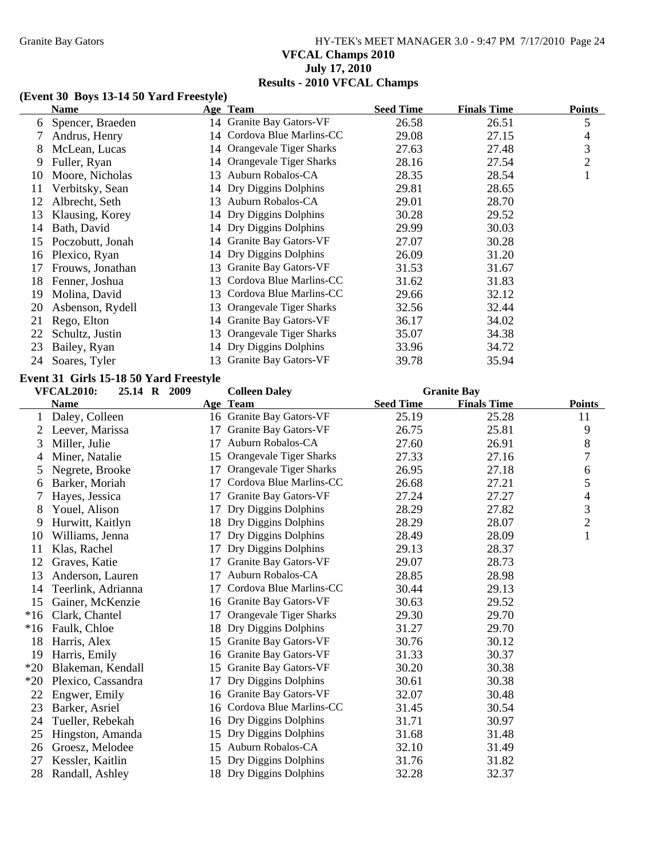# Granite Bay Gators **HY-TEK's MEET MANAGER 3.0 - 9:47 PM 7/17/2010** Page 24 **VFCAL Champs 2010 July 17, 2010 Results - 2010 VFCAL Champs**

## **(Event 30 Boys 13-14 50 Yard Freestyle)**

|     | Name             |     | Age Team                   | <b>Seed Time</b> | <b>Finals Time</b> | <b>Points</b>  |
|-----|------------------|-----|----------------------------|------------------|--------------------|----------------|
| 6   | Spencer, Braeden |     | 14 Granite Bay Gators-VF   | 26.58            | 26.51              | 5              |
|     | Andrus, Henry    |     | 14 Cordova Blue Marlins-CC | 29.08            | 27.15              | 4              |
| 8   | McLean, Lucas    |     | 14 Orangevale Tiger Sharks | 27.63            | 27.48              | 3              |
| 9   | Fuller, Ryan     |     | 14 Orangevale Tiger Sharks | 28.16            | 27.54              | $\overline{2}$ |
| 10  | Moore, Nicholas  | 13  | Auburn Robalos-CA          | 28.35            | 28.54              |                |
| 11  | Verbitsky, Sean  |     | 14 Dry Diggins Dolphins    | 29.81            | 28.65              |                |
| 12  | Albrecht, Seth   | 13. | Auburn Robalos-CA          | 29.01            | 28.70              |                |
| 13  | Klausing, Korey  |     | 14 Dry Diggins Dolphins    | 30.28            | 29.52              |                |
| 14  | Bath, David      |     | 14 Dry Diggins Dolphins    | 29.99            | 30.03              |                |
| 15  | Poczobutt, Jonah |     | 14 Granite Bay Gators-VF   | 27.07            | 30.28              |                |
| 16  | Plexico, Ryan    |     | 14 Dry Diggins Dolphins    | 26.09            | 31.20              |                |
| 17  | Frouws, Jonathan | 13  | Granite Bay Gators-VF      | 31.53            | 31.67              |                |
| 18  | Fenner, Joshua   | 13  | Cordova Blue Marlins-CC    | 31.62            | 31.83              |                |
| 19  | Molina, David    | 13  | Cordova Blue Marlins-CC    | 29.66            | 32.12              |                |
| 20  | Asbenson, Rydell | 13. | Orangevale Tiger Sharks    | 32.56            | 32.44              |                |
| 21  | Rego, Elton      |     | 14 Granite Bay Gators-VF   | 36.17            | 34.02              |                |
| 22  | Schultz, Justin  |     | 13 Orangevale Tiger Sharks | 35.07            | 34.38              |                |
| 23  | Bailey, Ryan     |     | 14 Dry Diggins Dolphins    | 33.96            | 34.72              |                |
| 24. | Soares, Tyler    |     | 13 Granite Bay Gators-VF   | 39.78            | 35.94              |                |

## **Event 31 Girls 15-18 50 Yard Freestyle**

|       | <b>VFCAL2010:</b><br>25.14 R 2009 |    | <b>Colleen Daley</b>     | <b>Granite Bay</b> |                    |               |
|-------|-----------------------------------|----|--------------------------|--------------------|--------------------|---------------|
|       | <b>Name</b>                       |    | Age Team                 | <b>Seed Time</b>   | <b>Finals Time</b> | <b>Points</b> |
|       | Daley, Colleen                    |    | 16 Granite Bay Gators-VF | 25.19              | 25.28              | 11            |
| 2     | Leever, Marissa                   | 17 | Granite Bay Gators-VF    | 26.75              | 25.81              | 9             |
| 3     | Miller, Julie                     | 17 | Auburn Robalos-CA        | 27.60              | 26.91              | 8             |
| 4     | Miner, Natalie                    | 15 | Orangevale Tiger Sharks  | 27.33              | 27.16              | 7             |
| 5     | Negrete, Brooke                   | 17 | Orangevale Tiger Sharks  | 26.95              | 27.18              | 6             |
| 6     | Barker, Moriah                    | 17 | Cordova Blue Marlins-CC  | 26.68              | 27.21              | 5             |
| 7     | Hayes, Jessica                    | 17 | Granite Bay Gators-VF    | 27.24              | 27.27              | 4             |
| 8     | Youel, Alison                     | 17 | Dry Diggins Dolphins     | 28.29              | 27.82              | 3             |
| 9     | Hurwitt, Kaitlyn                  | 18 | Dry Diggins Dolphins     | 28.29              | 28.07              | $\mathbf{2}$  |
| 10    | Williams, Jenna                   | 17 | Dry Diggins Dolphins     | 28.49              | 28.09              | $\mathbf{1}$  |
| 11    | Klas, Rachel                      | 17 | Dry Diggins Dolphins     | 29.13              | 28.37              |               |
| 12    | Graves, Katie                     | 17 | Granite Bay Gators-VF    | 29.07              | 28.73              |               |
| 13    | Anderson, Lauren                  | 17 | Auburn Robalos-CA        | 28.85              | 28.98              |               |
| 14    | Teerlink, Adrianna                | 17 | Cordova Blue Marlins-CC  | 30.44              | 29.13              |               |
| 15    | Gainer, McKenzie                  | 16 | Granite Bay Gators-VF    | 30.63              | 29.52              |               |
| $*16$ | Clark, Chantel                    | 17 | Orangevale Tiger Sharks  | 29.30              | 29.70              |               |
| $*16$ | Faulk, Chloe                      | 18 | Dry Diggins Dolphins     | 31.27              | 29.70              |               |
| 18    | Harris, Alex                      | 15 | Granite Bay Gators-VF    | 30.76              | 30.12              |               |
| 19    | Harris, Emily                     | 16 | Granite Bay Gators-VF    | 31.33              | 30.37              |               |
| $*20$ | Blakeman, Kendall                 | 15 | Granite Bay Gators-VF    | 30.20              | 30.38              |               |
| $*20$ | Plexico, Cassandra                | 17 | Dry Diggins Dolphins     | 30.61              | 30.38              |               |
| 22    | Engwer, Emily                     | 16 | Granite Bay Gators-VF    | 32.07              | 30.48              |               |
| 23    | Barker, Asriel                    | 16 | Cordova Blue Marlins-CC  | 31.45              | 30.54              |               |
| 24    | Tueller, Rebekah                  | 16 | Dry Diggins Dolphins     | 31.71              | 30.97              |               |
| 25    | Hingston, Amanda                  | 15 | Dry Diggins Dolphins     | 31.68              | 31.48              |               |
| 26    | Groesz, Melodee                   | 15 | Auburn Robalos-CA        | 32.10              | 31.49              |               |
| 27    | Kessler, Kaitlin                  | 15 | Dry Diggins Dolphins     | 31.76              | 31.82              |               |
| 28    | Randall, Ashley                   |    | 18 Dry Diggins Dolphins  | 32.28              | 32.37              |               |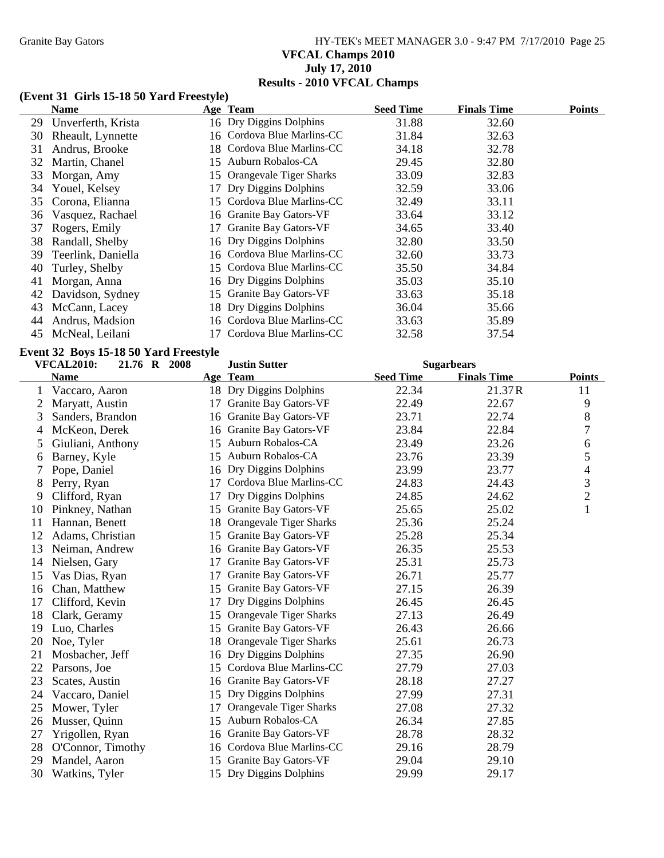# Granite Bay Gators **HY-TEK's MEET MANAGER 3.0 - 9:47 PM 7/17/2010** Page 25 **VFCAL Champs 2010 July 17, 2010 Results - 2010 VFCAL Champs**

#### **(Event 31 Girls 15-18 50 Yard Freestyle)**

|    | Name                  |     | Age Team                   | <b>Seed Time</b> | <b>Finals Time</b> | <b>Points</b> |
|----|-----------------------|-----|----------------------------|------------------|--------------------|---------------|
|    | 29 Unverferth, Krista |     | 16 Dry Diggins Dolphins    | 31.88            | 32.60              |               |
| 30 | Rheault, Lynnette     |     | 16 Cordova Blue Marlins-CC | 31.84            | 32.63              |               |
| 31 | Andrus, Brooke        | 18. | Cordova Blue Marlins-CC    | 34.18            | 32.78              |               |
| 32 | Martin, Chanel        |     | 15 Auburn Robalos-CA       | 29.45            | 32.80              |               |
| 33 | Morgan, Amy           | 15  | Orangevale Tiger Sharks    | 33.09            | 32.83              |               |
| 34 | Youel, Kelsey         | 17  | Dry Diggins Dolphins       | 32.59            | 33.06              |               |
|    | 35 Corona, Elianna    | 15. | Cordova Blue Marlins-CC    | 32.49            | 33.11              |               |
|    | 36 Vasquez, Rachael   |     | 16 Granite Bay Gators-VF   | 33.64            | 33.12              |               |
| 37 | Rogers, Emily         | 17  | Granite Bay Gators-VF      | 34.65            | 33.40              |               |
| 38 | Randall, Shelby       |     | 16 Dry Diggins Dolphins    | 32.80            | 33.50              |               |
| 39 | Teerlink, Daniella    |     | 16 Cordova Blue Marlins-CC | 32.60            | 33.73              |               |
| 40 | Turley, Shelby        | 15  | Cordova Blue Marlins-CC    | 35.50            | 34.84              |               |
| 41 | Morgan, Anna          |     | 16 Dry Diggins Dolphins    | 35.03            | 35.10              |               |
| 42 | Davidson, Sydney      | 15  | Granite Bay Gators-VF      | 33.63            | 35.18              |               |
| 43 | McCann, Lacey         |     | 18 Dry Diggins Dolphins    | 36.04            | 35.66              |               |
| 44 | Andrus, Madsion       | 16. | Cordova Blue Marlins-CC    | 33.63            | 35.89              |               |
| 45 | McNeal, Leilani       |     | Cordova Blue Marlins-CC    | 32.58            | 37.54              |               |

### **Event 32 Boys 15-18 50 Yard Freestyle**

|    | <b>VFCAL2010:</b><br>21.76 R 2008 |    | <b>Justin Sutter</b>     | <b>Sugarbears</b> |                    |                          |
|----|-----------------------------------|----|--------------------------|-------------------|--------------------|--------------------------|
|    | <b>Name</b>                       |    | Age Team                 | <b>Seed Time</b>  | <b>Finals Time</b> | <b>Points</b>            |
|    | Vaccaro, Aaron                    |    | 18 Dry Diggins Dolphins  | 22.34             | 21.37R             | 11                       |
| 2  | Maryatt, Austin                   | 17 | Granite Bay Gators-VF    | 22.49             | 22.67              | 9                        |
| 3  | Sanders, Brandon                  | 16 | Granite Bay Gators-VF    | 23.71             | 22.74              | $8\,$                    |
| 4  | McKeon, Derek                     | 16 | Granite Bay Gators-VF    | 23.84             | 22.84              | $\boldsymbol{7}$         |
| 5  | Giuliani, Anthony                 | 15 | Auburn Robalos-CA        | 23.49             | 23.26              | 6                        |
| 6  | Barney, Kyle                      |    | 15 Auburn Robalos-CA     | 23.76             | 23.39              | 5                        |
| 7  | Pope, Daniel                      |    | 16 Dry Diggins Dolphins  | 23.99             | 23.77              | $\overline{\mathcal{A}}$ |
| 8  | Perry, Ryan                       | 17 | Cordova Blue Marlins-CC  | 24.83             | 24.43              | $\mathfrak{Z}$           |
| 9  | Clifford, Ryan                    | 17 | Dry Diggins Dolphins     | 24.85             | 24.62              | $\overline{2}$           |
| 10 | Pinkney, Nathan                   | 15 | Granite Bay Gators-VF    | 25.65             | 25.02              | $\mathbf{1}$             |
| 11 | Hannan, Benett                    | 18 | Orangevale Tiger Sharks  | 25.36             | 25.24              |                          |
| 12 | Adams, Christian                  | 15 | Granite Bay Gators-VF    | 25.28             | 25.34              |                          |
| 13 | Neiman, Andrew                    |    | 16 Granite Bay Gators-VF | 26.35             | 25.53              |                          |
| 14 | Nielsen, Gary                     | 17 | Granite Bay Gators-VF    | 25.31             | 25.73              |                          |
| 15 | Vas Dias, Ryan                    | 17 | Granite Bay Gators-VF    | 26.71             | 25.77              |                          |
| 16 | Chan, Matthew                     | 15 | Granite Bay Gators-VF    | 27.15             | 26.39              |                          |
| 17 | Clifford, Kevin                   | 17 | Dry Diggins Dolphins     | 26.45             | 26.45              |                          |
| 18 | Clark, Geramy                     | 15 | Orangevale Tiger Sharks  | 27.13             | 26.49              |                          |
| 19 | Luo, Charles                      | 15 | Granite Bay Gators-VF    | 26.43             | 26.66              |                          |
| 20 | Noe, Tyler                        | 18 | Orangevale Tiger Sharks  | 25.61             | 26.73              |                          |
| 21 | Mosbacher, Jeff                   | 16 | Dry Diggins Dolphins     | 27.35             | 26.90              |                          |
| 22 | Parsons, Joe                      | 15 | Cordova Blue Marlins-CC  | 27.79             | 27.03              |                          |
| 23 | Scates, Austin                    |    | 16 Granite Bay Gators-VF | 28.18             | 27.27              |                          |
| 24 | Vaccaro, Daniel                   |    | 15 Dry Diggins Dolphins  | 27.99             | 27.31              |                          |
| 25 | Mower, Tyler                      | 17 | Orangevale Tiger Sharks  | 27.08             | 27.32              |                          |
| 26 | Musser, Quinn                     | 15 | Auburn Robalos-CA        | 26.34             | 27.85              |                          |
| 27 | Yrigollen, Ryan                   | 16 | Granite Bay Gators-VF    | 28.78             | 28.32              |                          |
| 28 | O'Connor, Timothy                 | 16 | Cordova Blue Marlins-CC  | 29.16             | 28.79              |                          |
| 29 | Mandel, Aaron                     | 15 | Granite Bay Gators-VF    | 29.04             | 29.10              |                          |
| 30 | Watkins, Tyler                    |    | 15 Dry Diggins Dolphins  | 29.99             | 29.17              |                          |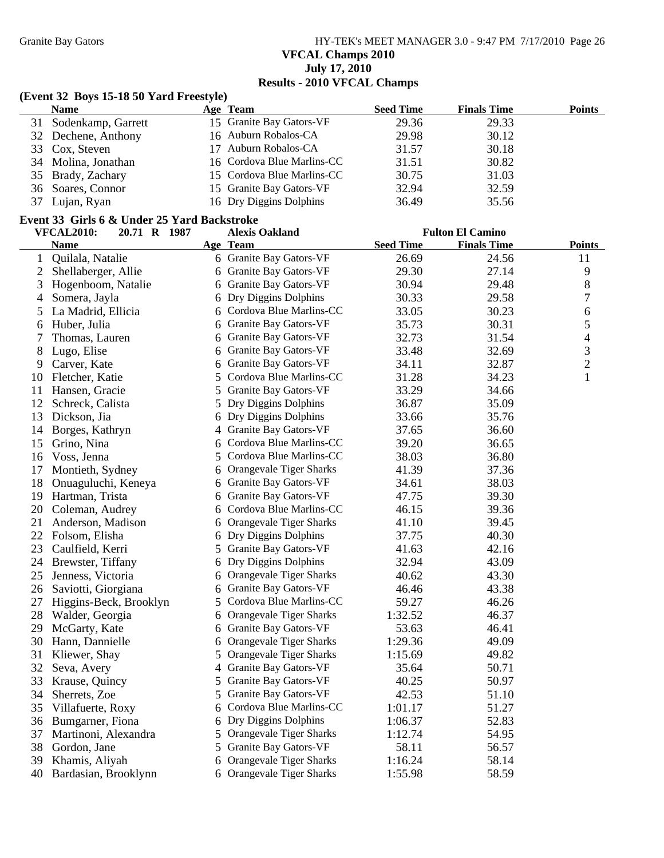Granite Bay Gators **HY-TEK's MEET MANAGER 3.0 - 9:47 PM 7/17/2010** Page 26 **VFCAL Champs 2010 July 17, 2010 Results - 2010 VFCAL Champs**

#### **(Event 32 Boys 15-18 50 Yard Freestyle)**

|    | <b>Name</b>         | Age Team                   | <b>Seed Time</b> | <b>Finals Time</b> | <b>Points</b> |
|----|---------------------|----------------------------|------------------|--------------------|---------------|
| 31 | Sodenkamp, Garrett  | 15 Granite Bay Gators-VF   | 29.36            | 29.33              |               |
|    | 32 Dechene, Anthony | 16 Auburn Robalos-CA       | 29.98            | 30.12              |               |
|    | 33 Cox, Steven      | 17 Auburn Robalos-CA       | 31.57            | 30.18              |               |
|    | 34 Molina, Jonathan | 16 Cordova Blue Marlins-CC | 31.51            | 30.82              |               |
|    | 35 Brady, Zachary   | 15 Cordova Blue Marlins-CC | 30.75            | 31.03              |               |
|    | 36 Soares, Connor   | 15 Granite Bay Gators-VF   | 32.94            | 32.59              |               |
| 37 | Lujan, Ryan         | 16 Dry Diggins Dolphins    | 36.49            | 35.56              |               |

#### **Event 33 Girls 6 & Under 25 Yard Backstroke**

|              | <b>VFCAL2010:</b><br>20.71 R 1987 |    | <b>Alexis Oakland</b>          |                  | <b>Fulton El Camino</b> |                |
|--------------|-----------------------------------|----|--------------------------------|------------------|-------------------------|----------------|
|              | <b>Name</b>                       |    | Age Team                       | <b>Seed Time</b> | <b>Finals Time</b>      | <b>Points</b>  |
| $\mathbf{1}$ | Quilala, Natalie                  |    | 6 Granite Bay Gators-VF        | 26.69            | 24.56                   | 11             |
| 2            | Shellaberger, Allie               |    | 6 Granite Bay Gators-VF        | 29.30            | 27.14                   | 9              |
| 3            | Hogenboom, Natalie                |    | 6 Granite Bay Gators-VF        | 30.94            | 29.48                   | $8\,$          |
| 4            | Somera, Jayla                     |    | 6 Dry Diggins Dolphins         | 30.33            | 29.58                   | $\tau$         |
| 5            | La Madrid, Ellicia                |    | 6 Cordova Blue Marlins-CC      | 33.05            | 30.23                   | 6              |
| 6            | Huber, Julia                      |    | 6 Granite Bay Gators-VF        | 35.73            | 30.31                   | 5              |
| 7            | Thomas, Lauren                    | 6  | <b>Granite Bay Gators-VF</b>   | 32.73            | 31.54                   | $\overline{4}$ |
| 8            | Lugo, Elise                       | 6  | Granite Bay Gators-VF          | 33.48            | 32.69                   | $\mathfrak{Z}$ |
| 9            | Carver, Kate                      | 6  | <b>Granite Bay Gators-VF</b>   | 34.11            | 32.87                   | $\sqrt{2}$     |
| 10           | Fletcher, Katie                   |    | 5 Cordova Blue Marlins-CC      | 31.28            | 34.23                   | $\mathbf{1}$   |
| 11           | Hansen, Gracie                    |    | 5 Granite Bay Gators-VF        | 33.29            | 34.66                   |                |
| 12           | Schreck, Calista                  |    | 5 Dry Diggins Dolphins         | 36.87            | 35.09                   |                |
| 13           | Dickson, Jia                      | 6  | Dry Diggins Dolphins           | 33.66            | 35.76                   |                |
| 14           | Borges, Kathryn                   |    | 4 Granite Bay Gators-VF        | 37.65            | 36.60                   |                |
| 15           | Grino, Nina                       |    | 6 Cordova Blue Marlins-CC      | 39.20            | 36.65                   |                |
| 16           | Voss, Jenna                       | 5  | Cordova Blue Marlins-CC        | 38.03            | 36.80                   |                |
| 17           | Montieth, Sydney                  | 6  | Orangevale Tiger Sharks        | 41.39            | 37.36                   |                |
| 18           | Onuaguluchi, Keneya               |    | 6 Granite Bay Gators-VF        | 34.61            | 38.03                   |                |
| 19           | Hartman, Trista                   |    | 6 Granite Bay Gators-VF        | 47.75            | 39.30                   |                |
| 20           | Coleman, Audrey                   | 6  | Cordova Blue Marlins-CC        | 46.15            | 39.36                   |                |
| 21           | Anderson, Madison                 |    | 6 Orangevale Tiger Sharks      | 41.10            | 39.45                   |                |
|              | 22 Folsom, Elisha                 |    | 6 Dry Diggins Dolphins         | 37.75            | 40.30                   |                |
| 23           | Caulfield, Kerri                  |    | 5 Granite Bay Gators-VF        | 41.63            | 42.16                   |                |
| 24           | Brewster, Tiffany                 |    | 6 Dry Diggins Dolphins         | 32.94            | 43.09                   |                |
| 25           | Jenness, Victoria                 | 6  | Orangevale Tiger Sharks        | 40.62            | 43.30                   |                |
| 26           | Saviotti, Giorgiana               | 6  | <b>Granite Bay Gators-VF</b>   | 46.46            | 43.38                   |                |
| 27           | Higgins-Beck, Brooklyn            | 5  | Cordova Blue Marlins-CC        | 59.27            | 46.26                   |                |
| 28           | Walder, Georgia                   |    | 6 Orangevale Tiger Sharks      | 1:32.52          | 46.37                   |                |
| 29           | McGarty, Kate                     |    | 6 Granite Bay Gators-VF        | 53.63            | 46.41                   |                |
| 30           | Hann, Dannielle                   | 6  | <b>Orangevale Tiger Sharks</b> | 1:29.36          | 49.09                   |                |
| 31           | Kliewer, Shay                     | 5  | <b>Orangevale Tiger Sharks</b> | 1:15.69          | 49.82                   |                |
| 32           | Seva, Avery                       | 4  | Granite Bay Gators-VF          | 35.64            | 50.71                   |                |
| 33           | Krause, Quincy                    |    | 5 Granite Bay Gators-VF        | 40.25            | 50.97                   |                |
| 34           | Sherrets, Zoe                     | 5. | Granite Bay Gators-VF          | 42.53            | 51.10                   |                |
| 35           | Villafuerte, Roxy                 | 6  | Cordova Blue Marlins-CC        | 1:01.17          | 51.27                   |                |
| 36           | Bumgarner, Fiona                  |    | 6 Dry Diggins Dolphins         | 1:06.37          | 52.83                   |                |
| 37           | Martinoni, Alexandra              |    | 5 Orangevale Tiger Sharks      | 1:12.74          | 54.95                   |                |
| 38           | Gordon, Jane                      |    | 5 Granite Bay Gators-VF        | 58.11            | 56.57                   |                |
| 39           | Khamis, Aliyah                    | 6  | <b>Orangevale Tiger Sharks</b> | 1:16.24          | 58.14                   |                |
| 40           | Bardasian, Brooklynn              |    | 6 Orangevale Tiger Sharks      | 1:55.98          | 58.59                   |                |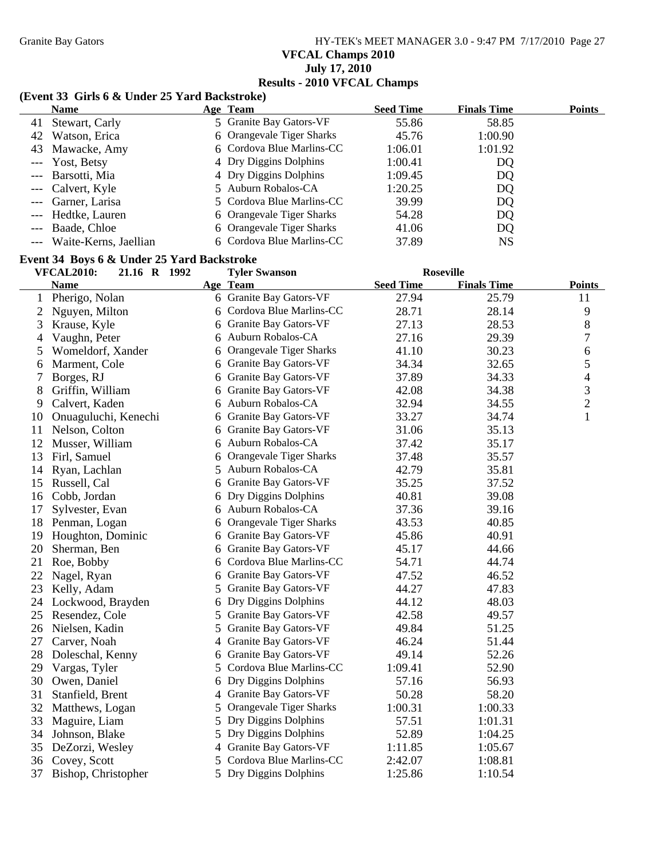Granite Bay Gators **HY-TEK's MEET MANAGER 3.0 - 9:47 PM 7/17/2010** Page 27 **VFCAL Champs 2010 July 17, 2010 Results - 2010 VFCAL Champs**

#### **(Event 33 Girls 6 & Under 25 Yard Backstroke)**

| <b>Name</b>               | Age Team                  | <b>Seed Time</b> | <b>Finals Time</b> | <b>Points</b> |
|---------------------------|---------------------------|------------------|--------------------|---------------|
| 41 Stewart, Carly         | 5 Granite Bay Gators-VF   | 55.86            | 58.85              |               |
| 42 Watson, Erica          | 6 Orangevale Tiger Sharks | 45.76            | 1:00.90            |               |
| 43 Mawacke, Amy           | 6 Cordova Blue Marlins-CC | 1:06.01          | 1:01.92            |               |
| --- Yost, Betsy           | 4 Dry Diggins Dolphins    | 1:00.41          | DQ                 |               |
| --- Barsotti, Mia         | 4 Dry Diggins Dolphins    | 1:09.45          | DQ                 |               |
| --- Calvert, Kyle         | 5 Auburn Robalos-CA       | 1:20.25          | DQ                 |               |
| --- Garner, Larisa        | 5 Cordova Blue Marlins-CC | 39.99            | DQ                 |               |
| --- Hedtke, Lauren        | 6 Orangevale Tiger Sharks | 54.28            | DQ                 |               |
| --- Baade, Chloe          | 6 Orangevale Tiger Sharks | 41.06            | DQ                 |               |
| --- Waite-Kerns, Jaellian | 6 Cordova Blue Marlins-CC | 37.89            | NS                 |               |

#### **Event 34 Boys 6 & Under 25 Yard Backstroke**

|    | <b>VFCAL2010:</b><br>21.16 R 1992 |   | <b>Tyler Swanson</b>      |                  | <b>Roseville</b>   |                |
|----|-----------------------------------|---|---------------------------|------------------|--------------------|----------------|
|    | <b>Name</b>                       |   | Age Team                  | <b>Seed Time</b> | <b>Finals Time</b> | <b>Points</b>  |
| 1  | Pherigo, Nolan                    |   | 6 Granite Bay Gators-VF   | 27.94            | 25.79              | 11             |
| 2  | Nguyen, Milton                    |   | 6 Cordova Blue Marlins-CC | 28.71            | 28.14              | 9              |
| 3  | Krause, Kyle                      |   | 6 Granite Bay Gators-VF   | 27.13            | 28.53              | 8              |
| 4  | Vaughn, Peter                     |   | 6 Auburn Robalos-CA       | 27.16            | 29.39              | 7              |
| 5  | Womeldorf, Xander                 |   | 6 Orangevale Tiger Sharks | 41.10            | 30.23              | 6              |
| 6  | Marment, Cole                     |   | 6 Granite Bay Gators-VF   | 34.34            | 32.65              | 5              |
| 7  | Borges, RJ                        |   | 6 Granite Bay Gators-VF   | 37.89            | 34.33              | 4              |
| 8  | Griffin, William                  |   | 6 Granite Bay Gators-VF   | 42.08            | 34.38              | 3              |
| 9  | Calvert, Kaden                    |   | 6 Auburn Robalos-CA       | 32.94            | 34.55              | $\overline{c}$ |
| 10 | Onuaguluchi, Kenechi              |   | 6 Granite Bay Gators-VF   | 33.27            | 34.74              | $\mathbf{1}$   |
| 11 | Nelson, Colton                    |   | 6 Granite Bay Gators-VF   | 31.06            | 35.13              |                |
| 12 | Musser, William                   |   | 6 Auburn Robalos-CA       | 37.42            | 35.17              |                |
| 13 | Firl, Samuel                      |   | 6 Orangevale Tiger Sharks | 37.48            | 35.57              |                |
| 14 | Ryan, Lachlan                     |   | 5 Auburn Robalos-CA       | 42.79            | 35.81              |                |
| 15 | Russell, Cal                      |   | 6 Granite Bay Gators-VF   | 35.25            | 37.52              |                |
| 16 | Cobb, Jordan                      |   | 6 Dry Diggins Dolphins    | 40.81            | 39.08              |                |
| 17 | Sylvester, Evan                   |   | 6 Auburn Robalos-CA       | 37.36            | 39.16              |                |
| 18 | Penman, Logan                     |   | 6 Orangevale Tiger Sharks | 43.53            | 40.85              |                |
| 19 | Houghton, Dominic                 |   | 6 Granite Bay Gators-VF   | 45.86            | 40.91              |                |
| 20 | Sherman, Ben                      |   | 6 Granite Bay Gators-VF   | 45.17            | 44.66              |                |
| 21 | Roe, Bobby                        |   | Cordova Blue Marlins-CC   | 54.71            | 44.74              |                |
| 22 | Nagel, Ryan                       |   | 6 Granite Bay Gators-VF   | 47.52            | 46.52              |                |
| 23 | Kelly, Adam                       |   | 5 Granite Bay Gators-VF   | 44.27            | 47.83              |                |
| 24 | Lockwood, Brayden                 |   | 6 Dry Diggins Dolphins    | 44.12            | 48.03              |                |
| 25 | Resendez, Cole                    |   | 5 Granite Bay Gators-VF   | 42.58            | 49.57              |                |
|    | 26 Nielsen, Kadin                 | 5 | Granite Bay Gators-VF     | 49.84            | 51.25              |                |
| 27 | Carver, Noah                      |   | 4 Granite Bay Gators-VF   | 46.24            | 51.44              |                |
| 28 | Doleschal, Kenny                  |   | 6 Granite Bay Gators-VF   | 49.14            | 52.26              |                |
| 29 | Vargas, Tyler                     |   | 5 Cordova Blue Marlins-CC | 1:09.41          | 52.90              |                |
| 30 | Owen, Daniel                      |   | 6 Dry Diggins Dolphins    | 57.16            | 56.93              |                |
| 31 | Stanfield, Brent                  |   | 4 Granite Bay Gators-VF   | 50.28            | 58.20              |                |
| 32 | Matthews, Logan                   |   | 5 Orangevale Tiger Sharks | 1:00.31          | 1:00.33            |                |
| 33 | Maguire, Liam                     |   | 5 Dry Diggins Dolphins    | 57.51            | 1:01.31            |                |
| 34 | Johnson, Blake                    |   | 5 Dry Diggins Dolphins    | 52.89            | 1:04.25            |                |
| 35 | DeZorzi, Wesley                   |   | 4 Granite Bay Gators-VF   | 1:11.85          | 1:05.67            |                |
| 36 | Covey, Scott                      |   | 5 Cordova Blue Marlins-CC | 2:42.07          | 1:08.81            |                |
| 37 | Bishop, Christopher               |   | 5 Dry Diggins Dolphins    | 1:25.86          | 1:10.54            |                |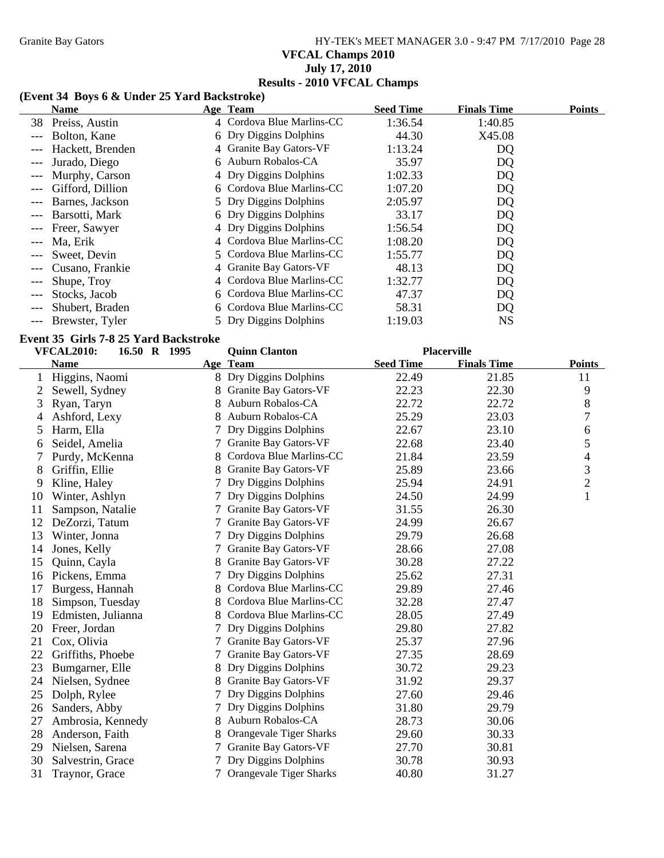# Granite Bay Gators **HY-TEK's MEET MANAGER 3.0 - 9:47 PM 7/17/2010** Page 28 **VFCAL Champs 2010 July 17, 2010 Results - 2010 VFCAL Champs**

### **(Event 34 Boys 6 & Under 25 Yard Backstroke)**

|       | <b>Name</b>       | Age Team                  | <b>Seed Time</b> | <b>Finals Time</b> | <b>Points</b> |
|-------|-------------------|---------------------------|------------------|--------------------|---------------|
|       | 38 Preiss, Austin | 4 Cordova Blue Marlins-CC | 1:36.54          | 1:40.85            |               |
|       | Bolton, Kane      | 6 Dry Diggins Dolphins    | 44.30            | X45.08             |               |
|       | Hackett, Brenden  | 4 Granite Bay Gators-VF   | 1:13.24          | DQ                 |               |
|       | Jurado, Diego     | 6 Auburn Robalos-CA       | 35.97            | DQ                 |               |
|       | Murphy, Carson    | 4 Dry Diggins Dolphins    | 1:02.33          | DQ                 |               |
|       | Gifford, Dillion  | 6 Cordova Blue Marlins-CC | 1:07.20          | DQ                 |               |
|       | Barnes, Jackson   | 5 Dry Diggins Dolphins    | 2:05.97          | DQ                 |               |
|       | Barsotti, Mark    | 6 Dry Diggins Dolphins    | 33.17            | DQ                 |               |
|       | Freer, Sawyer     | 4 Dry Diggins Dolphins    | 1:56.54          | DQ                 |               |
|       | Ma, Erik          | 4 Cordova Blue Marlins-CC | 1:08.20          | DQ                 |               |
|       | Sweet, Devin      | 5 Cordova Blue Marlins-CC | 1:55.77          | DQ                 |               |
|       | Cusano, Frankie   | 4 Granite Bay Gators-VF   | 48.13            | DQ                 |               |
| $---$ | Shupe, Troy       | 4 Cordova Blue Marlins-CC | 1:32.77          | DQ                 |               |
|       | Stocks, Jacob     | 6 Cordova Blue Marlins-CC | 47.37            | DQ                 |               |
|       | Shubert, Braden   | 6 Cordova Blue Marlins-CC | 58.31            | DQ                 |               |
|       | Brewster, Tyler   | 5 Dry Diggins Dolphins    | 1:19.03          | <b>NS</b>          |               |

#### **Event 35 Girls 7-8 25 Yard Backstroke**

|    | <b>VFCAL2010:</b><br>16.50 R 1995 |    | <b>Quinn Clanton</b>         |                  | <b>Placerville</b> |                |
|----|-----------------------------------|----|------------------------------|------------------|--------------------|----------------|
|    | <b>Name</b>                       |    | Age Team                     | <b>Seed Time</b> | <b>Finals Time</b> | <b>Points</b>  |
|    | Higgins, Naomi                    |    | 8 Dry Diggins Dolphins       | 22.49            | 21.85              | 11             |
| 2  | Sewell, Sydney                    |    | Granite Bay Gators-VF        | 22.23            | 22.30              | 9              |
| 3  | Ryan, Taryn                       |    | Auburn Robalos-CA            | 22.72            | 22.72              | $\,8\,$        |
| 4  | Ashford, Lexy                     | 8  | Auburn Robalos-CA            | 25.29            | 23.03              | 7              |
| 5  | Harm, Ella                        |    | Dry Diggins Dolphins         | 22.67            | 23.10              | 6              |
| 6  | Seidel, Amelia                    |    | Granite Bay Gators-VF        | 22.68            | 23.40              | 5              |
|    | Purdy, McKenna                    |    | Cordova Blue Marlins-CC      | 21.84            | 23.59              | 4              |
| 8  | Griffin, Ellie                    |    | Granite Bay Gators-VF        | 25.89            | 23.66              | 3              |
| 9  | Kline, Haley                      |    | Dry Diggins Dolphins         | 25.94            | 24.91              | $\overline{c}$ |
| 10 | Winter, Ashlyn                    |    | Dry Diggins Dolphins         | 24.50            | 24.99              | $\mathbf{1}$   |
| 11 | Sampson, Natalie                  |    | Granite Bay Gators-VF        | 31.55            | 26.30              |                |
| 12 | DeZorzi, Tatum                    |    | Granite Bay Gators-VF        | 24.99            | 26.67              |                |
| 13 | Winter, Jonna                     |    | Dry Diggins Dolphins         | 29.79            | 26.68              |                |
| 14 | Jones, Kelly                      |    | <b>Granite Bay Gators-VF</b> | 28.66            | 27.08              |                |
| 15 | Quinn, Cayla                      |    | <b>Granite Bay Gators-VF</b> | 30.28            | 27.22              |                |
| 16 | Pickens, Emma                     |    | Dry Diggins Dolphins         | 25.62            | 27.31              |                |
| 17 | Burgess, Hannah                   |    | Cordova Blue Marlins-CC      | 29.89            | 27.46              |                |
| 18 | Simpson, Tuesday                  |    | Cordova Blue Marlins-CC      | 32.28            | 27.47              |                |
| 19 | Edmisten, Julianna                |    | Cordova Blue Marlins-CC      | 28.05            | 27.49              |                |
| 20 | Freer, Jordan                     |    | Dry Diggins Dolphins         | 29.80            | 27.82              |                |
| 21 | Cox, Olivia                       |    | <b>Granite Bay Gators-VF</b> | 25.37            | 27.96              |                |
| 22 | Griffiths, Phoebe                 |    | <b>Granite Bay Gators-VF</b> | 27.35            | 28.69              |                |
| 23 | Bumgarner, Elle                   |    | Dry Diggins Dolphins         | 30.72            | 29.23              |                |
| 24 | Nielsen, Sydnee                   |    | Granite Bay Gators-VF        | 31.92            | 29.37              |                |
| 25 | Dolph, Rylee                      |    | Dry Diggins Dolphins         | 27.60            | 29.46              |                |
| 26 | Sanders, Abby                     |    | Dry Diggins Dolphins         | 31.80            | 29.79              |                |
| 27 | Ambrosia, Kennedy                 | 8. | Auburn Robalos-CA            | 28.73            | 30.06              |                |
| 28 | Anderson, Faith                   |    | Orangevale Tiger Sharks      | 29.60            | 30.33              |                |
| 29 | Nielsen, Sarena                   |    | Granite Bay Gators-VF        | 27.70            | 30.81              |                |
| 30 | Salvestrin, Grace                 |    | Dry Diggins Dolphins         | 30.78            | 30.93              |                |
| 31 | Traynor, Grace                    |    | Orangevale Tiger Sharks      | 40.80            | 31.27              |                |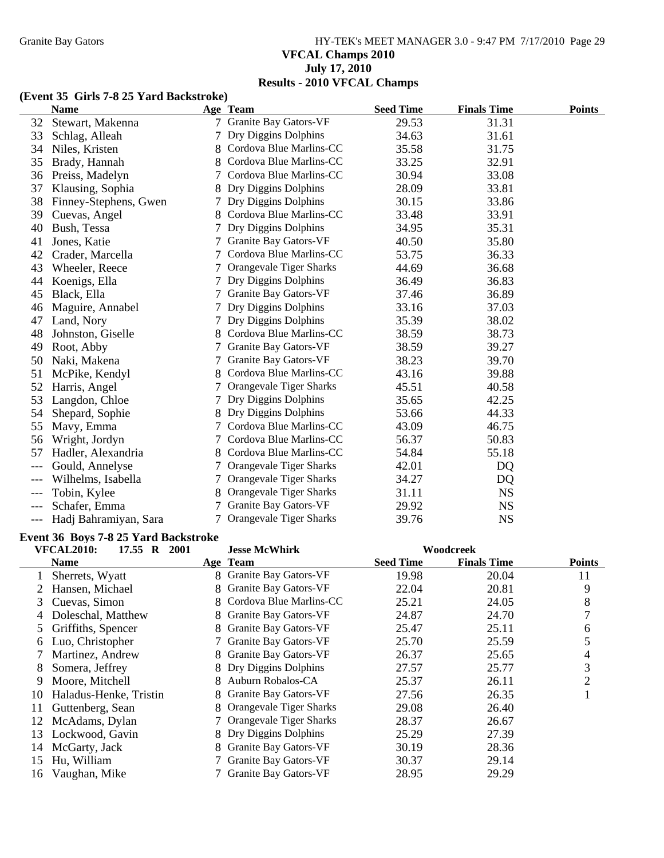# Granite Bay Gators **HY-TEK's MEET MANAGER 3.0 - 9:47 PM 7/17/2010** Page 29 **VFCAL Champs 2010 July 17, 2010 Results - 2010 VFCAL Champs**

#### **(Event 35 Girls 7-8 25 Yard Backstroke)**

|       | <b>Name</b>           |        | Age Team                | <b>Seed Time</b> | <b>Finals Time</b> | <b>Points</b> |
|-------|-----------------------|--------|-------------------------|------------------|--------------------|---------------|
| 32    | Stewart, Makenna      | $\tau$ | Granite Bay Gators-VF   | 29.53            | 31.31              |               |
| 33    | Schlag, Alleah        |        | Dry Diggins Dolphins    | 34.63            | 31.61              |               |
| 34    | Niles, Kristen        | 8      | Cordova Blue Marlins-CC | 35.58            | 31.75              |               |
| 35    | Brady, Hannah         | 8.     | Cordova Blue Marlins-CC | 33.25            | 32.91              |               |
| 36    | Preiss, Madelyn       |        | Cordova Blue Marlins-CC | 30.94            | 33.08              |               |
| 37    | Klausing, Sophia      |        | Dry Diggins Dolphins    | 28.09            | 33.81              |               |
| 38    | Finney-Stephens, Gwen |        | Dry Diggins Dolphins    | 30.15            | 33.86              |               |
| 39    | Cuevas, Angel         |        | Cordova Blue Marlins-CC | 33.48            | 33.91              |               |
| 40    | Bush, Tessa           |        | Dry Diggins Dolphins    | 34.95            | 35.31              |               |
| 41    | Jones, Katie          |        | Granite Bay Gators-VF   | 40.50            | 35.80              |               |
| 42    | Crader, Marcella      |        | Cordova Blue Marlins-CC | 53.75            | 36.33              |               |
| 43    | Wheeler, Reece        |        | Orangevale Tiger Sharks | 44.69            | 36.68              |               |
| 44    | Koenigs, Ella         |        | Dry Diggins Dolphins    | 36.49            | 36.83              |               |
| 45    | Black, Ella           |        | Granite Bay Gators-VF   | 37.46            | 36.89              |               |
| 46    | Maguire, Annabel      |        | Dry Diggins Dolphins    | 33.16            | 37.03              |               |
| 47    | Land, Nory            |        | Dry Diggins Dolphins    | 35.39            | 38.02              |               |
| 48    | Johnston, Giselle     |        | Cordova Blue Marlins-CC | 38.59            | 38.73              |               |
| 49    | Root, Abby            |        | Granite Bay Gators-VF   | 38.59            | 39.27              |               |
| 50    | Naki, Makena          | 7      | Granite Bay Gators-VF   | 38.23            | 39.70              |               |
| 51    | McPike, Kendyl        |        | Cordova Blue Marlins-CC | 43.16            | 39.88              |               |
| 52    | Harris, Angel         |        | Orangevale Tiger Sharks | 45.51            | 40.58              |               |
| 53    | Langdon, Chloe        |        | Dry Diggins Dolphins    | 35.65            | 42.25              |               |
| 54    | Shepard, Sophie       |        | Dry Diggins Dolphins    | 53.66            | 44.33              |               |
| 55    | Mavy, Emma            |        | Cordova Blue Marlins-CC | 43.09            | 46.75              |               |
| 56    | Wright, Jordyn        |        | Cordova Blue Marlins-CC | 56.37            | 50.83              |               |
| 57    | Hadler, Alexandria    | 8.     | Cordova Blue Marlins-CC | 54.84            | 55.18              |               |
|       | Gould, Annelyse       |        | Orangevale Tiger Sharks | 42.01            | DQ                 |               |
|       | Wilhelms, Isabella    |        | Orangevale Tiger Sharks | 34.27            | DQ                 |               |
|       | Tobin, Kylee          |        | Orangevale Tiger Sharks | 31.11            | <b>NS</b>          |               |
|       | Schafer, Emma         |        | Granite Bay Gators-VF   | 29.92            | <b>NS</b>          |               |
| $---$ | Hadj Bahramiyan, Sara | $\tau$ | Orangevale Tiger Sharks | 39.76            | <b>NS</b>          |               |

### **Event 36 Boys 7-8 25 Yard Backstroke**

|    | <b>VFCAL2010:</b><br>17.55 R<br>2001 |   | <b>Jesse McWhirk</b>         |                  | Woodcreek          |                |
|----|--------------------------------------|---|------------------------------|------------------|--------------------|----------------|
|    | <b>Name</b>                          |   | Age Team                     | <b>Seed Time</b> | <b>Finals Time</b> | Points         |
|    | Sherrets, Wyatt                      |   | 8 Granite Bay Gators-VF      | 19.98            | 20.04              | 11             |
|    | Hansen, Michael                      |   | 8 Granite Bay Gators-VF      | 22.04            | 20.81              | 9              |
| 3  | Cuevas, Simon                        | 8 | Cordova Blue Marlins-CC      | 25.21            | 24.05              | 8              |
| 4  | Doleschal, Matthew                   |   | 8 Granite Bay Gators-VF      | 24.87            | 24.70              | 7              |
|    | 5 Griffiths, Spencer                 | 8 | <b>Granite Bay Gators-VF</b> | 25.47            | 25.11              | 6              |
| 6  | Luo, Christopher                     |   | 7 Granite Bay Gators-VF      | 25.70            | 25.59              | 5              |
|    | Martinez, Andrew                     |   | 8 Granite Bay Gators-VF      | 26.37            | 25.65              | 4              |
| 8  | Somera, Jeffrey                      |   | 8 Dry Diggins Dolphins       | 27.57            | 25.77              | 3              |
| 9  | Moore, Mitchell                      |   | 8 Auburn Robalos-CA          | 25.37            | 26.11              | $\overline{2}$ |
| 10 | Haladus-Henke, Tristin               |   | 8 Granite Bay Gators-VF      | 27.56            | 26.35              |                |
| 11 | Guttenberg, Sean                     | 8 | Orangevale Tiger Sharks      | 29.08            | 26.40              |                |
| 12 | McAdams, Dylan                       |   | 7 Orangevale Tiger Sharks    | 28.37            | 26.67              |                |
| 13 | Lockwood, Gavin                      |   | 8 Dry Diggins Dolphins       | 25.29            | 27.39              |                |
| 14 | McGarty, Jack                        | 8 | Granite Bay Gators-VF        | 30.19            | 28.36              |                |
| 15 | Hu, William                          |   | Granite Bay Gators-VF        | 30.37            | 29.14              |                |
| 16 | Vaughan, Mike                        |   | 7 Granite Bay Gators-VF      | 28.95            | 29.29              |                |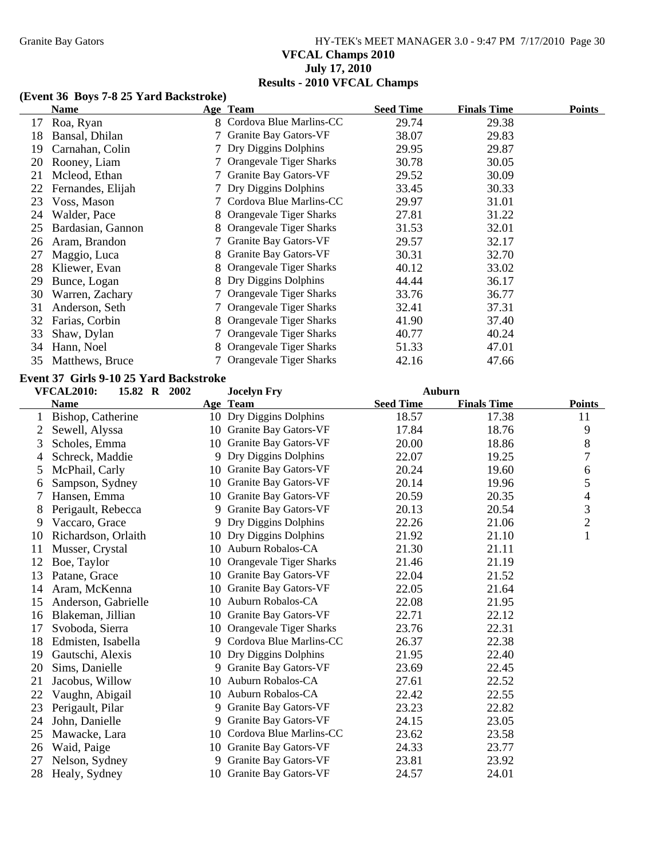# Granite Bay Gators **HY-TEK's MEET MANAGER 3.0 - 9:47 PM 7/17/2010** Page 30 **VFCAL Champs 2010 July 17, 2010 Results - 2010 VFCAL Champs**

#### **(Event 36 Boys 7-8 25 Yard Backstroke)**

|    | Name              |    | Age Team                       | <b>Seed Time</b> | <b>Finals Time</b> | <b>Points</b> |
|----|-------------------|----|--------------------------------|------------------|--------------------|---------------|
| 17 | Roa, Ryan         |    | 8 Cordova Blue Marlins-CC      | 29.74            | 29.38              |               |
| 18 | Bansal, Dhilan    |    | 7 Granite Bay Gators-VF        | 38.07            | 29.83              |               |
| 19 | Carnahan, Colin   |    | 7 Dry Diggins Dolphins         | 29.95            | 29.87              |               |
| 20 | Rooney, Liam      |    | <b>Orangevale Tiger Sharks</b> | 30.78            | 30.05              |               |
| 21 | Mcleod, Ethan     |    | Granite Bay Gators-VF          | 29.52            | 30.09              |               |
| 22 | Fernandes, Elijah |    | 7 Dry Diggins Dolphins         | 33.45            | 30.33              |               |
| 23 | Voss, Mason       |    | 7 Cordova Blue Marlins-CC      | 29.97            | 31.01              |               |
| 24 | Walder, Pace      |    | 8 Orangevale Tiger Sharks      | 27.81            | 31.22              |               |
| 25 | Bardasian, Gannon |    | Orangevale Tiger Sharks        | 31.53            | 32.01              |               |
| 26 | Aram, Brandon     |    | Granite Bay Gators-VF          | 29.57            | 32.17              |               |
| 27 | Maggio, Luca      | 8. | <b>Granite Bay Gators-VF</b>   | 30.31            | 32.70              |               |
| 28 | Kliewer, Evan     |    | 8 Orangevale Tiger Sharks      | 40.12            | 33.02              |               |
| 29 | Bunce, Logan      |    | 8 Dry Diggins Dolphins         | 44.44            | 36.17              |               |
| 30 | Warren, Zachary   |    | Orangevale Tiger Sharks        | 33.76            | 36.77              |               |
| 31 | Anderson, Seth    |    | <b>Orangevale Tiger Sharks</b> | 32.41            | 37.31              |               |
| 32 | Farias, Corbin    |    | Orangevale Tiger Sharks        | 41.90            | 37.40              |               |
| 33 | Shaw, Dylan       |    | 7 Orangevale Tiger Sharks      | 40.77            | 40.24              |               |
| 34 | Hann, Noel        |    | 8 Orangevale Tiger Sharks      | 51.33            | 47.01              |               |
| 35 | Matthews, Bruce   |    | 7 Orangevale Tiger Sharks      | 42.16            | 47.66              |               |

#### **Event 37 Girls 9-10 25 Yard Backstroke**

|    | <b>VFCAL2010:</b>   | 15.82 R 2002 |    | <b>Jocelyn Fry</b>             | <b>Auburn</b>    |                    |                |
|----|---------------------|--------------|----|--------------------------------|------------------|--------------------|----------------|
|    | <b>Name</b>         |              |    | Age Team                       | <b>Seed Time</b> | <b>Finals Time</b> | <b>Points</b>  |
|    | Bishop, Catherine   |              |    | 10 Dry Diggins Dolphins        | 18.57            | 17.38              | 11             |
|    | Sewell, Alyssa      |              |    | 10 Granite Bay Gators-VF       | 17.84            | 18.76              | 9              |
| 3  | Scholes, Emma       |              | 10 | Granite Bay Gators-VF          | 20.00            | 18.86              | 8              |
| 4  | Schreck, Maddie     |              | 9  | Dry Diggins Dolphins           | 22.07            | 19.25              | 7              |
| 5  | McPhail, Carly      |              | 10 | Granite Bay Gators-VF          | 20.24            | 19.60              | 6              |
| 6  | Sampson, Sydney     |              | 10 | <b>Granite Bay Gators-VF</b>   | 20.14            | 19.96              | 5              |
| 7  | Hansen, Emma        |              | 10 | Granite Bay Gators-VF          | 20.59            | 20.35              | 4              |
| 8  | Perigault, Rebecca  |              |    | 9 Granite Bay Gators-VF        | 20.13            | 20.54              | 3              |
| 9  | Vaccaro, Grace      |              | 9  | Dry Diggins Dolphins           | 22.26            | 21.06              | $\overline{c}$ |
| 10 | Richardson, Orlaith |              |    | 10 Dry Diggins Dolphins        | 21.92            | 21.10              | $\mathbf{1}$   |
| 11 | Musser, Crystal     |              |    | 10 Auburn Robalos-CA           | 21.30            | 21.11              |                |
| 12 | Boe, Taylor         |              | 10 | <b>Orangevale Tiger Sharks</b> | 21.46            | 21.19              |                |
| 13 | Patane, Grace       |              | 10 | Granite Bay Gators-VF          | 22.04            | 21.52              |                |
| 14 | Aram, McKenna       |              | 10 | Granite Bay Gators-VF          | 22.05            | 21.64              |                |
| 15 | Anderson, Gabrielle |              |    | 10 Auburn Robalos-CA           | 22.08            | 21.95              |                |
| 16 | Blakeman, Jillian   |              |    | 10 Granite Bay Gators-VF       | 22.71            | 22.12              |                |
| 17 | Svoboda, Sierra     |              |    | 10 Orangevale Tiger Sharks     | 23.76            | 22.31              |                |
| 18 | Edmisten, Isabella  |              |    | 9 Cordova Blue Marlins-CC      | 26.37            | 22.38              |                |
| 19 | Gautschi, Alexis    |              |    | 10 Dry Diggins Dolphins        | 21.95            | 22.40              |                |
| 20 | Sims, Danielle      |              |    | 9 Granite Bay Gators-VF        | 23.69            | 22.45              |                |
| 21 | Jacobus, Willow     |              |    | 10 Auburn Robalos-CA           | 27.61            | 22.52              |                |
| 22 | Vaughn, Abigail     |              |    | 10 Auburn Robalos-CA           | 22.42            | 22.55              |                |
| 23 | Perigault, Pilar    |              |    | 9 Granite Bay Gators-VF        | 23.23            | 22.82              |                |
| 24 | John, Danielle      |              |    | 9 Granite Bay Gators-VF        | 24.15            | 23.05              |                |
| 25 | Mawacke, Lara       |              | 10 | Cordova Blue Marlins-CC        | 23.62            | 23.58              |                |
| 26 | Waid, Paige         |              | 10 | Granite Bay Gators-VF          | 24.33            | 23.77              |                |
| 27 | Nelson, Sydney      |              | 9  | <b>Granite Bay Gators-VF</b>   | 23.81            | 23.92              |                |
| 28 | Healy, Sydney       |              |    | 10 Granite Bay Gators-VF       | 24.57            | 24.01              |                |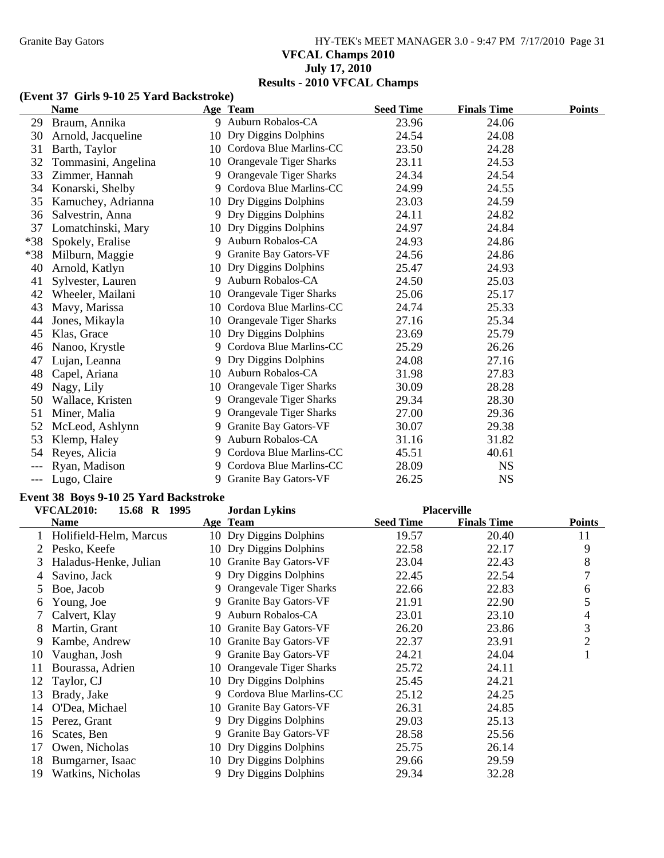# Granite Bay Gators **HY-TEK's MEET MANAGER 3.0 - 9:47 PM 7/17/2010** Page 31 **VFCAL Champs 2010 July 17, 2010 Results - 2010 VFCAL Champs**

#### **(Event 37 Girls 9-10 25 Yard Backstroke)**

|       | <b>Name</b>         |    | Age Team                   | <b>Seed Time</b> | <b>Finals Time</b> | <b>Points</b> |
|-------|---------------------|----|----------------------------|------------------|--------------------|---------------|
| 29    | Braum, Annika       |    | 9 Auburn Robalos-CA        | 23.96            | 24.06              |               |
| 30    | Arnold, Jacqueline  |    | 10 Dry Diggins Dolphins    | 24.54            | 24.08              |               |
| 31    | Barth, Taylor       |    | 10 Cordova Blue Marlins-CC | 23.50            | 24.28              |               |
| 32    | Tommasini, Angelina |    | 10 Orangevale Tiger Sharks | 23.11            | 24.53              |               |
| 33    | Zimmer, Hannah      |    | 9 Orangevale Tiger Sharks  | 24.34            | 24.54              |               |
| 34    | Konarski, Shelby    | 9  | Cordova Blue Marlins-CC    | 24.99            | 24.55              |               |
| 35    | Kamuchey, Adrianna  |    | 10 Dry Diggins Dolphins    | 23.03            | 24.59              |               |
| 36    | Salvestrin, Anna    | 9  | Dry Diggins Dolphins       | 24.11            | 24.82              |               |
| 37    | Lomatchinski, Mary  | 10 | Dry Diggins Dolphins       | 24.97            | 24.84              |               |
| $*38$ | Spokely, Eralise    | 9  | Auburn Robalos-CA          | 24.93            | 24.86              |               |
| $*38$ | Milburn, Maggie     | 9. | Granite Bay Gators-VF      | 24.56            | 24.86              |               |
| 40    | Arnold, Katlyn      | 10 | Dry Diggins Dolphins       | 25.47            | 24.93              |               |
| 41    | Sylvester, Lauren   | 9  | Auburn Robalos-CA          | 24.50            | 25.03              |               |
| 42    | Wheeler, Mailani    | 10 | Orangevale Tiger Sharks    | 25.06            | 25.17              |               |
| 43    | Mavy, Marissa       | 10 | Cordova Blue Marlins-CC    | 24.74            | 25.33              |               |
| 44    | Jones, Mikayla      | 10 | Orangevale Tiger Sharks    | 27.16            | 25.34              |               |
| 45    | Klas, Grace         | 10 | Dry Diggins Dolphins       | 23.69            | 25.79              |               |
| 46    | Nanoo, Krystle      | 9  | Cordova Blue Marlins-CC    | 25.29            | 26.26              |               |
| 47    | Lujan, Leanna       | 9  | Dry Diggins Dolphins       | 24.08            | 27.16              |               |
| 48    | Capel, Ariana       | 10 | Auburn Robalos-CA          | 31.98            | 27.83              |               |
| 49    | Nagy, Lily          | 10 | Orangevale Tiger Sharks    | 30.09            | 28.28              |               |
| 50    | Wallace, Kristen    | 9  | Orangevale Tiger Sharks    | 29.34            | 28.30              |               |
| 51    | Miner, Malia        | 9  | Orangevale Tiger Sharks    | 27.00            | 29.36              |               |
| 52    | McLeod, Ashlynn     | 9  | Granite Bay Gators-VF      | 30.07            | 29.38              |               |
| 53    | Klemp, Haley        | 9  | Auburn Robalos-CA          | 31.16            | 31.82              |               |
| 54    | Reyes, Alicia       | 9  | Cordova Blue Marlins-CC    | 45.51            | 40.61              |               |
|       | Ryan, Madison       |    | Cordova Blue Marlins-CC    | 28.09            | <b>NS</b>          |               |
|       | Lugo, Claire        | 9  | Granite Bay Gators-VF      | 26.25            | <b>NS</b>          |               |

## **Event 38 Boys 9-10 25 Yard Backstroke**

|    | <b>VFCAL2010:</b><br>15.68 R 1995 |   | <b>Jordan Lykins</b>         |                  | <b>Placerville</b> |                |
|----|-----------------------------------|---|------------------------------|------------------|--------------------|----------------|
|    | <b>Name</b>                       |   | Age Team                     | <b>Seed Time</b> | <b>Finals Time</b> | <b>Points</b>  |
|    | Holifield-Helm, Marcus            |   | 10 Dry Diggins Dolphins      | 19.57            | 20.40              | 11             |
|    | Pesko, Keefe                      |   | 10 Dry Diggins Dolphins      | 22.58            | 22.17              | 9              |
| 3  | Haladus-Henke, Julian             |   | 10 Granite Bay Gators-VF     | 23.04            | 22.43              | 8              |
| 4  | Savino, Jack                      | 9 | Dry Diggins Dolphins         | 22.45            | 22.54              | 7              |
| 5  | Boe, Jacob                        | 9 | Orangevale Tiger Sharks      | 22.66            | 22.83              | 6              |
| 6  | Young, Joe                        | 9 | Granite Bay Gators-VF        | 21.91            | 22.90              | 5              |
|    | Calvert, Klay                     | 9 | Auburn Robalos-CA            | 23.01            | 23.10              | 4              |
| 8  | Martin, Grant                     |   | 10 Granite Bay Gators-VF     | 26.20            | 23.86              | 3              |
| 9  | Kambe, Andrew                     |   | 10 Granite Bay Gators-VF     | 22.37            | 23.91              | $\overline{2}$ |
| 10 | Vaughan, Josh                     | 9 | <b>Granite Bay Gators-VF</b> | 24.21            | 24.04              |                |
| 11 | Bourassa, Adrien                  |   | 10 Orangevale Tiger Sharks   | 25.72            | 24.11              |                |
| 12 | Taylor, CJ                        |   | 10 Dry Diggins Dolphins      | 25.45            | 24.21              |                |
| 13 | Brady, Jake                       |   | 9 Cordova Blue Marlins-CC    | 25.12            | 24.25              |                |
| 14 | O'Dea, Michael                    |   | 10 Granite Bay Gators-VF     | 26.31            | 24.85              |                |
| 15 | Perez, Grant                      | 9 | Dry Diggins Dolphins         | 29.03            | 25.13              |                |
| 16 | Scates, Ben                       | 9 | Granite Bay Gators-VF        | 28.58            | 25.56              |                |
| 17 | Owen, Nicholas                    |   | 10 Dry Diggins Dolphins      | 25.75            | 26.14              |                |
| 18 | Bumgarner, Isaac                  |   | 10 Dry Diggins Dolphins      | 29.66            | 29.59              |                |
| 19 | Watkins, Nicholas                 |   | 9 Dry Diggins Dolphins       | 29.34            | 32.28              |                |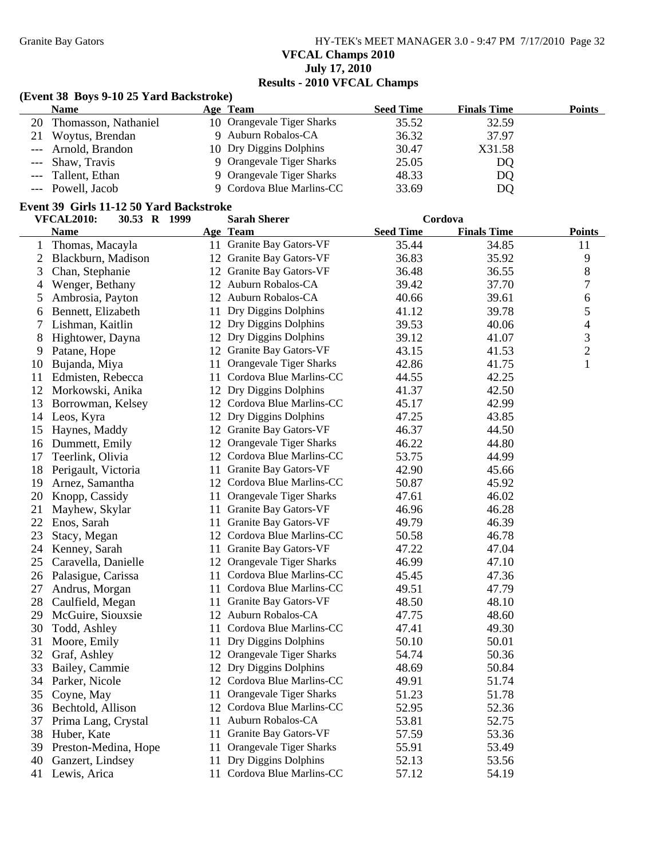Granite Bay Gators **HY-TEK's MEET MANAGER 3.0 - 9:47 PM 7/17/2010** Page 32 **VFCAL Champs 2010 July 17, 2010 Results - 2010 VFCAL Champs**

## **(Event 38 Boys 9-10 25 Yard Backstroke)**

| <b>Name</b>             | Age Team                   | <b>Seed Time</b> | <b>Finals Time</b> | Points |
|-------------------------|----------------------------|------------------|--------------------|--------|
| 20 Thomasson, Nathaniel | 10 Orangevale Tiger Sharks | 35.52            | 32.59              |        |
| 21 Woytus, Brendan      | 9 Auburn Robalos-CA        | 36.32            | 37.97              |        |
| --- Arnold, Brandon     | 10 Dry Diggins Dolphins    | 30.47            | X31.58             |        |
| --- Shaw, Travis        | 9 Orangevale Tiger Sharks  | 25.05            | DQ                 |        |
| --- Tallent, Ethan      | 9 Orangevale Tiger Sharks  | 48.33            | DQ                 |        |
| --- Powell, Jacob       | 9 Cordova Blue Marlins-CC  | 33.69            | DQ                 |        |

### **Event 39 Girls 11-12 50 Yard Backstroke**

|                | <b>VFCAL2010:</b><br>30.53 R 1999 | <b>Sarah Sherer</b>        | Cordova          |                    |                |
|----------------|-----------------------------------|----------------------------|------------------|--------------------|----------------|
|                | <b>Name</b>                       | Age Team                   | <b>Seed Time</b> | <b>Finals Time</b> | <b>Points</b>  |
| 1              | Thomas, Macayla                   | 11 Granite Bay Gators-VF   | 35.44            | 34.85              | 11             |
| $\overline{c}$ | Blackburn, Madison                | 12 Granite Bay Gators-VF   | 36.83            | 35.92              | $\overline{9}$ |
| 3              | Chan, Stephanie                   | 12 Granite Bay Gators-VF   | 36.48            | 36.55              | 8              |
| 4              | Wenger, Bethany                   | 12 Auburn Robalos-CA       | 39.42            | 37.70              | 7              |
| 5              | Ambrosia, Payton                  | 12 Auburn Robalos-CA       | 40.66            | 39.61              | 6              |
| 6              | Bennett, Elizabeth                | 11 Dry Diggins Dolphins    | 41.12            | 39.78              | 5              |
| 7              | Lishman, Kaitlin                  | 12 Dry Diggins Dolphins    | 39.53            | 40.06              | 4              |
| 8              | Hightower, Dayna                  | 12 Dry Diggins Dolphins    | 39.12            | 41.07              | 3              |
| 9              | Patane, Hope                      | 12 Granite Bay Gators-VF   | 43.15            | 41.53              | $\sqrt{2}$     |
| 10             | Bujanda, Miya                     | 11 Orangevale Tiger Sharks | 42.86            | 41.75              | $\mathbf{1}$   |
| 11             | Edmisten, Rebecca                 | 11 Cordova Blue Marlins-CC | 44.55            | 42.25              |                |
| 12             | Morkowski, Anika                  | 12 Dry Diggins Dolphins    | 41.37            | 42.50              |                |
| 13             | Borrowman, Kelsey                 | 12 Cordova Blue Marlins-CC | 45.17            | 42.99              |                |
|                | 14 Leos, Kyra                     | 12 Dry Diggins Dolphins    | 47.25            | 43.85              |                |
| 15             | Haynes, Maddy                     | 12 Granite Bay Gators-VF   | 46.37            | 44.50              |                |
|                | 16 Dummett, Emily                 | 12 Orangevale Tiger Sharks | 46.22            | 44.80              |                |
| 17             | Teerlink, Olivia                  | 12 Cordova Blue Marlins-CC | 53.75            | 44.99              |                |
| 18             | Perigault, Victoria               | 11 Granite Bay Gators-VF   | 42.90            | 45.66              |                |
| 19             | Arnez, Samantha                   | 12 Cordova Blue Marlins-CC | 50.87            | 45.92              |                |
| 20             | Knopp, Cassidy                    | 11 Orangevale Tiger Sharks | 47.61            | 46.02              |                |
| 21             | Mayhew, Skylar                    | 11 Granite Bay Gators-VF   | 46.96            | 46.28              |                |
| 22             | Enos, Sarah                       | 11 Granite Bay Gators-VF   | 49.79            | 46.39              |                |
| 23             | Stacy, Megan                      | 12 Cordova Blue Marlins-CC | 50.58            | 46.78              |                |
| 24             | Kenney, Sarah                     | 11 Granite Bay Gators-VF   | 47.22            | 47.04              |                |
| 25             | Caravella, Danielle               | 12 Orangevale Tiger Sharks | 46.99            | 47.10              |                |
|                | 26 Palasigue, Carissa             | 11 Cordova Blue Marlins-CC | 45.45            | 47.36              |                |
| 27             | Andrus, Morgan                    | 11 Cordova Blue Marlins-CC | 49.51            | 47.79              |                |
| 28             | Caulfield, Megan                  | 11 Granite Bay Gators-VF   | 48.50            | 48.10              |                |
| 29             | McGuire, Siouxsie                 | 12 Auburn Robalos-CA       | 47.75            | 48.60              |                |
| 30             | Todd, Ashley                      | 11 Cordova Blue Marlins-CC | 47.41            | 49.30              |                |
| 31             | Moore, Emily                      | 11 Dry Diggins Dolphins    | 50.10            | 50.01              |                |
| 32             | Graf, Ashley                      | 12 Orangevale Tiger Sharks | 54.74            | 50.36              |                |
| 33             | Bailey, Cammie                    | 12 Dry Diggins Dolphins    | 48.69            | 50.84              |                |
| 34             | Parker, Nicole                    | 12 Cordova Blue Marlins-CC | 49.91            | 51.74              |                |
| 35             | Coyne, May                        | 11 Orangevale Tiger Sharks | 51.23            | 51.78              |                |
|                | 36 Bechtold, Allison              | 12 Cordova Blue Marlins-CC | 52.95            | 52.36              |                |
| 37             | Prima Lang, Crystal               | 11 Auburn Robalos-CA       | 53.81            | 52.75              |                |
| 38             | Huber, Kate                       | 11 Granite Bay Gators-VF   | 57.59            | 53.36              |                |
| 39             | Preston-Medina, Hope              | 11 Orangevale Tiger Sharks | 55.91            | 53.49              |                |
| 40             | Ganzert, Lindsey                  | 11 Dry Diggins Dolphins    | 52.13            | 53.56              |                |
| 41             | Lewis, Arica                      | 11 Cordova Blue Marlins-CC | 57.12            | 54.19              |                |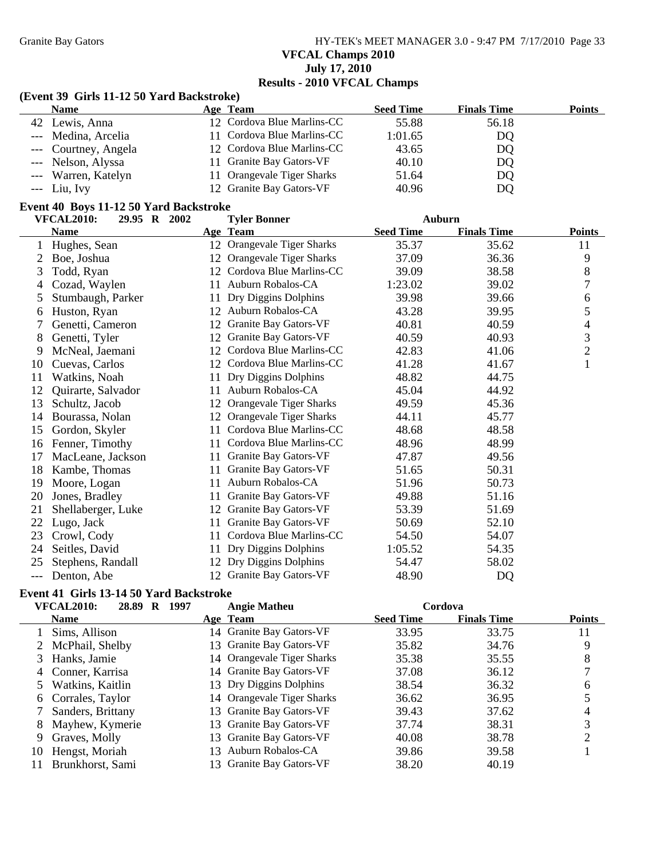Granite Bay Gators **HY-TEK's MEET MANAGER 3.0 - 9:47 PM 7/17/2010** Page 33 **VFCAL Champs 2010 July 17, 2010 Results - 2010 VFCAL Champs**

### **(Event 39 Girls 11-12 50 Yard Backstroke)**

| <b>Name</b>          | Age Team                   | <b>Seed Time</b> | <b>Finals Time</b> | <b>Points</b> |
|----------------------|----------------------------|------------------|--------------------|---------------|
| 42 Lewis, Anna       | 12 Cordova Blue Marlins-CC | 55.88            | 56.18              |               |
| --- Medina, Arcelia  | 11 Cordova Blue Marlins-CC | 1:01.65          | DQ                 |               |
| --- Courtney, Angela | 12 Cordova Blue Marlins-CC | 43.65            | DQ                 |               |
| --- Nelson, Alyssa   | 11 Granite Bay Gators-VF   | 40.10            | DQ                 |               |
| --- Warren, Katelyn  | 11 Orangevale Tiger Sharks | 51.64            | DQ                 |               |
| $--$ Liu, Ivy        | 12 Granite Bay Gators-VF   | 40.96            | DQ                 |               |

## **Event 40 Boys 11-12 50 Yard Backstroke**

|     | <b>VFCAL2010:</b><br>29.95 R 2002 |    | <b>Tyler Bonner</b>          | Auburn           |                    |                |
|-----|-----------------------------------|----|------------------------------|------------------|--------------------|----------------|
|     | <b>Name</b>                       |    | Age Team                     | <b>Seed Time</b> | <b>Finals Time</b> | <b>Points</b>  |
| 1   | Hughes, Sean                      |    | 12 Orangevale Tiger Sharks   | 35.37            | 35.62              | 11             |
| 2   | Boe, Joshua                       | 12 | Orangevale Tiger Sharks      | 37.09            | 36.36              | 9              |
| 3   | Todd, Ryan                        | 12 | Cordova Blue Marlins-CC      | 39.09            | 38.58              | $\,8\,$        |
| 4   | Cozad, Waylen                     | 11 | Auburn Robalos-CA            | 1:23.02          | 39.02              | 7              |
| 5   | Stumbaugh, Parker                 | 11 | Dry Diggins Dolphins         | 39.98            | 39.66              | 6              |
| 6   | Huston, Ryan                      | 12 | Auburn Robalos-CA            | 43.28            | 39.95              | 5              |
| 7   | Genetti, Cameron                  | 12 | <b>Granite Bay Gators-VF</b> | 40.81            | 40.59              | 4              |
| 8   | Genetti, Tyler                    | 12 | Granite Bay Gators-VF        | 40.59            | 40.93              | 3              |
| 9   | McNeal, Jaemani                   | 12 | Cordova Blue Marlins-CC      | 42.83            | 41.06              | $\mathfrak{2}$ |
| 10  | Cuevas, Carlos                    | 12 | Cordova Blue Marlins-CC      | 41.28            | 41.67              | $\mathbf{1}$   |
| 11  | Watkins, Noah                     | 11 | Dry Diggins Dolphins         | 48.82            | 44.75              |                |
| 12  | Quirarte, Salvador                | 11 | Auburn Robalos-CA            | 45.04            | 44.92              |                |
| 13  | Schultz, Jacob                    | 12 | Orangevale Tiger Sharks      | 49.59            | 45.36              |                |
| 14  | Bourassa, Nolan                   | 12 | Orangevale Tiger Sharks      | 44.11            | 45.77              |                |
| 15  | Gordon, Skyler                    | 11 | Cordova Blue Marlins-CC      | 48.68            | 48.58              |                |
| 16  | Fenner, Timothy                   | 11 | Cordova Blue Marlins-CC      | 48.96            | 48.99              |                |
| 17  | MacLeane, Jackson                 | 11 | Granite Bay Gators-VF        | 47.87            | 49.56              |                |
| 18  | Kambe, Thomas                     | 11 | Granite Bay Gators-VF        | 51.65            | 50.31              |                |
| 19  | Moore, Logan                      | 11 | Auburn Robalos-CA            | 51.96            | 50.73              |                |
| 20  | Jones, Bradley                    | 11 | Granite Bay Gators-VF        | 49.88            | 51.16              |                |
| 21  | Shellaberger, Luke                | 12 | <b>Granite Bay Gators-VF</b> | 53.39            | 51.69              |                |
| 22  | Lugo, Jack                        | 11 | Granite Bay Gators-VF        | 50.69            | 52.10              |                |
| 23  | Crowl, Cody                       | 11 | Cordova Blue Marlins-CC      | 54.50            | 54.07              |                |
| 24  | Seitles, David                    | 11 | Dry Diggins Dolphins         | 1:05.52          | 54.35              |                |
| 25  | Stephens, Randall                 | 12 | Dry Diggins Dolphins         | 54.47            | 58.02              |                |
| --- | Denton, Abe                       |    | 12 Granite Bay Gators-VF     | 48.90            | <b>DQ</b>          |                |

### **Event 41 Girls 13-14 50 Yard Backstroke**

|    | <b>VFCAL2010:</b><br>28.89<br>R | 1997<br><b>Angie Matheu</b> | Cordova          |                                     |
|----|---------------------------------|-----------------------------|------------------|-------------------------------------|
|    | <b>Name</b>                     | Age Team                    | <b>Seed Time</b> | <b>Points</b><br><b>Finals Time</b> |
|    | Sims, Allison                   | 14 Granite Bay Gators-VF    | 33.95            | 33.75<br>11                         |
|    | 2 McPhail, Shelby               | 13 Granite Bay Gators-VF    | 35.82            | 34.76<br>9                          |
|    | 3 Hanks, Jamie                  | 14 Orangevale Tiger Sharks  | 35.38            | 35.55<br>8                          |
|    | 4 Conner, Karrisa               | 14 Granite Bay Gators-VF    | 37.08            | 36.12                               |
|    | Watkins, Kaitlin                | 13 Dry Diggins Dolphins     | 38.54            | 36.32<br>6                          |
|    | 6 Corrales, Taylor              | 14 Orangevale Tiger Sharks  | 36.62            | 36.95                               |
|    | Sanders, Brittany               | 13 Granite Bay Gators-VF    | 39.43            | 37.62                               |
| 8  | Mayhew, Kymerie                 | 13 Granite Bay Gators-VF    | 37.74            | 38.31<br>3                          |
| 9  | Graves, Molly                   | 13 Granite Bay Gators-VF    | 40.08            | 38.78                               |
| 10 | Hengst, Moriah                  | Auburn Robalos-CA<br>13.    | 39.86            | 39.58                               |
|    | Brunkhorst, Sami                | 13 Granite Bay Gators-VF    | 38.20            | 40.19                               |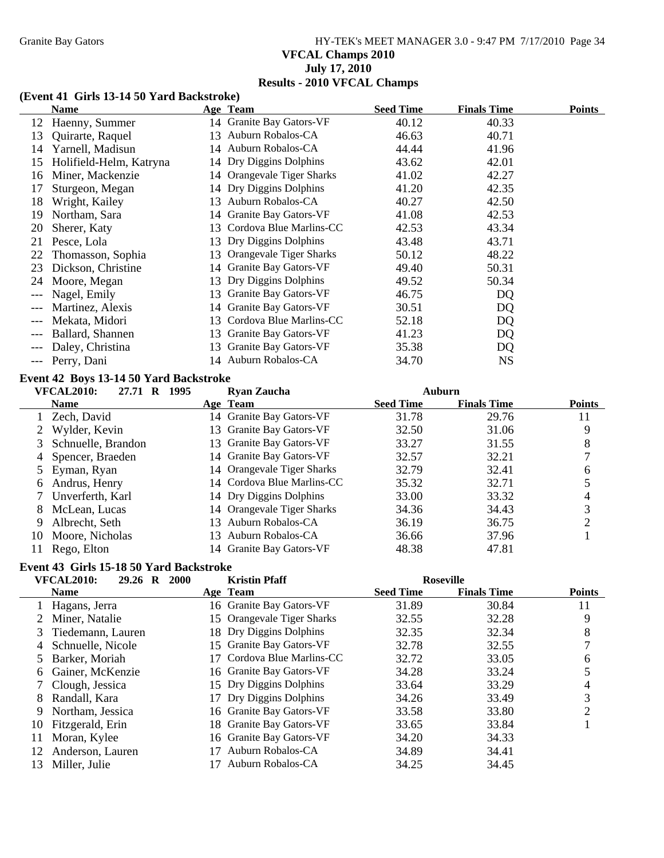# Granite Bay Gators **HY-TEK's MEET MANAGER 3.0 - 9:47 PM 7/17/2010** Page 34 **VFCAL Champs 2010 July 17, 2010 Results - 2010 VFCAL Champs**

#### **(Event 41 Girls 13-14 50 Yard Backstroke)**

|       | Name                    |     | Age Team                     | <b>Seed Time</b> | <b>Finals Time</b> | <b>Points</b> |
|-------|-------------------------|-----|------------------------------|------------------|--------------------|---------------|
| 12    | Haenny, Summer          |     | 14 Granite Bay Gators-VF     | 40.12            | 40.33              |               |
| 13    | Quirarte, Raquel        |     | 13 Auburn Robalos-CA         | 46.63            | 40.71              |               |
| 14    | Yarnell, Madisun        |     | 14 Auburn Robalos-CA         | 44.44            | 41.96              |               |
| 15    | Holifield-Helm, Katryna |     | 14 Dry Diggins Dolphins      | 43.62            | 42.01              |               |
| 16    | Miner, Mackenzie        |     | 14 Orangevale Tiger Sharks   | 41.02            | 42.27              |               |
| 17    | Sturgeon, Megan         | 14  | Dry Diggins Dolphins         | 41.20            | 42.35              |               |
| 18    | Wright, Kailey          | 13  | Auburn Robalos-CA            | 40.27            | 42.50              |               |
| 19    | Northam, Sara           |     | 14 Granite Bay Gators-VF     | 41.08            | 42.53              |               |
| 20    | Sherer, Katy            | 13. | Cordova Blue Marlins-CC      | 42.53            | 43.34              |               |
| 21    | Pesce, Lola             |     | 13 Dry Diggins Dolphins      | 43.48            | 43.71              |               |
| 22    | Thomasson, Sophia       |     | 13 Orangevale Tiger Sharks   | 50.12            | 48.22              |               |
| 23    | Dickson, Christine      |     | 14 Granite Bay Gators-VF     | 49.40            | 50.31              |               |
| 24    | Moore, Megan            |     | 13 Dry Diggins Dolphins      | 49.52            | 50.34              |               |
|       | Nagel, Emily            | 13  | Granite Bay Gators-VF        | 46.75            | DQ                 |               |
|       | Martinez, Alexis        | 14  | Granite Bay Gators-VF        | 30.51            | DQ                 |               |
|       | Mekata, Midori          |     | 13 Cordova Blue Marlins-CC   | 52.18            | DQ                 |               |
|       | Ballard, Shannen        | 13  | <b>Granite Bay Gators-VF</b> | 41.23            | DQ                 |               |
|       | Daley, Christina        |     | 13 Granite Bay Gators-VF     | 35.38            | DQ                 |               |
| $---$ | Perry, Dani             |     | 14 Auburn Robalos-CA         | 34.70            | <b>NS</b>          |               |

#### **Event 42 Boys 13-14 50 Yard Backstroke**

|    | <b>VFCAL2010:</b><br>27.71<br>R | 1995 | <b>Ryan Zaucha</b>         | Auburn           |                    |               |
|----|---------------------------------|------|----------------------------|------------------|--------------------|---------------|
|    | <b>Name</b>                     |      | Age Team                   | <b>Seed Time</b> | <b>Finals Time</b> | <b>Points</b> |
|    | Zech, David                     |      | 14 Granite Bay Gators-VF   | 31.78            | 29.76              | 11            |
|    | Wylder, Kevin                   |      | 13 Granite Bay Gators-VF   | 32.50            | 31.06              | 9             |
|    | 3 Schnuelle, Brandon            |      | 13 Granite Bay Gators-VF   | 33.27            | 31.55              | 8             |
|    | 4 Spencer, Braeden              |      | 14 Granite Bay Gators-VF   | 32.57            | 32.21              |               |
|    | 5 Eyman, Ryan                   |      | 14 Orangevale Tiger Sharks | 32.79            | 32.41              | 6             |
|    | 6 Andrus, Henry                 |      | 14 Cordova Blue Marlins-CC | 35.32            | 32.71              |               |
|    | 7 Unverferth, Karl              |      | 14 Dry Diggins Dolphins    | 33.00            | 33.32              | 4             |
| 8. | McLean, Lucas                   |      | 14 Orangevale Tiger Sharks | 34.36            | 34.43              | 3             |
| 9  | Albrecht, Seth                  | 13.  | Auburn Robalos-CA          | 36.19            | 36.75              |               |
| 10 | Moore, Nicholas                 |      | 13 Auburn Robalos-CA       | 36.66            | 37.96              |               |
| 11 | Rego, Elton                     |      | 14 Granite Bay Gators-VF   | 48.38            | 47.81              |               |

#### **Event 43 Girls 15-18 50 Yard Backstroke**

|     | <b>VFCAL2010:</b><br>29.26 R | <b>2000</b> | <b>Kristin Pfaff</b>       |                  | <b>Roseville</b>   |                |
|-----|------------------------------|-------------|----------------------------|------------------|--------------------|----------------|
|     | <b>Name</b>                  |             | Age Team                   | <b>Seed Time</b> | <b>Finals Time</b> | <b>Points</b>  |
|     | Hagans, Jerra                |             | 16 Granite Bay Gators-VF   | 31.89            | 30.84              | 11             |
|     | 2 Miner, Natalie             |             | 15 Orangevale Tiger Sharks | 32.55            | 32.28              | 9              |
|     | 3 Tiedemann, Lauren          |             | 18 Dry Diggins Dolphins    | 32.35            | 32.34              | 8              |
| 4   | Schnuelle, Nicole            |             | 15 Granite Bay Gators-VF   | 32.78            | 32.55              |                |
|     | Barker, Moriah               | 17.         | Cordova Blue Marlins-CC    | 32.72            | 33.05              | 6              |
| 6   | Gainer, McKenzie             |             | 16 Granite Bay Gators-VF   | 34.28            | 33.24              |                |
|     | Clough, Jessica              |             | 15 Dry Diggins Dolphins    | 33.64            | 33.29              | 4              |
| 8   | Randall, Kara                |             | 17 Dry Diggins Dolphins    | 34.26            | 33.49              | 3              |
| 9   | Northam, Jessica             |             | 16 Granite Bay Gators-VF   | 33.58            | 33.80              | $\overline{2}$ |
| 10- | Fitzgerald, Erin             |             | 18 Granite Bay Gators-VF   | 33.65            | 33.84              |                |
| 11  | Moran, Kylee                 |             | 16 Granite Bay Gators-VF   | 34.20            | 34.33              |                |
| 12  | Anderson, Lauren             | 17          | Auburn Robalos-CA          | 34.89            | 34.41              |                |
| 13  | Miller, Julie                |             | Auburn Robalos-CA          | 34.25            | 34.45              |                |
|     |                              |             |                            |                  |                    |                |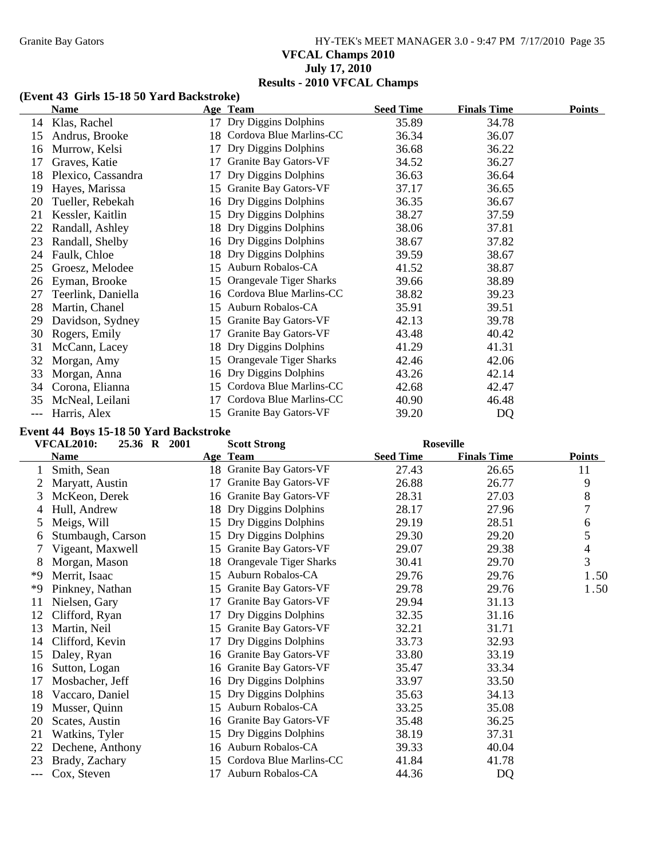# Granite Bay Gators **HY-TEK's MEET MANAGER 3.0 - 9:47 PM 7/17/2010** Page 35 **VFCAL Champs 2010 July 17, 2010 Results - 2010 VFCAL Champs**

#### **(Event 43 Girls 15-18 50 Yard Backstroke)**

|     | Name               |    | Age Team                       | <b>Seed Time</b> | <b>Finals Time</b> | <b>Points</b> |
|-----|--------------------|----|--------------------------------|------------------|--------------------|---------------|
| 14  | Klas, Rachel       | 17 | Dry Diggins Dolphins           | 35.89            | 34.78              |               |
| 15  | Andrus, Brooke     |    | 18 Cordova Blue Marlins-CC     | 36.34            | 36.07              |               |
| 16  | Murrow, Kelsi      | 17 | Dry Diggins Dolphins           | 36.68            | 36.22              |               |
| 17  | Graves, Katie      | 17 | Granite Bay Gators-VF          | 34.52            | 36.27              |               |
| 18  | Plexico, Cassandra | 17 | Dry Diggins Dolphins           | 36.63            | 36.64              |               |
| 19  | Hayes, Marissa     | 15 | <b>Granite Bay Gators-VF</b>   | 37.17            | 36.65              |               |
| 20  | Tueller, Rebekah   | 16 | Dry Diggins Dolphins           | 36.35            | 36.67              |               |
| 21  | Kessler, Kaitlin   | 15 | Dry Diggins Dolphins           | 38.27            | 37.59              |               |
| 22  | Randall, Ashley    |    | 18 Dry Diggins Dolphins        | 38.06            | 37.81              |               |
| 23  | Randall, Shelby    | 16 | Dry Diggins Dolphins           | 38.67            | 37.82              |               |
| 24  | Faulk, Chloe       |    | 18 Dry Diggins Dolphins        | 39.59            | 38.67              |               |
| 25  | Groesz, Melodee    | 15 | Auburn Robalos-CA              | 41.52            | 38.87              |               |
| 26  | Eyman, Brooke      | 15 | <b>Orangevale Tiger Sharks</b> | 39.66            | 38.89              |               |
| 27  | Teerlink, Daniella |    | 16 Cordova Blue Marlins-CC     | 38.82            | 39.23              |               |
| 28  | Martin, Chanel     | 15 | Auburn Robalos-CA              | 35.91            | 39.51              |               |
| 29  | Davidson, Sydney   | 15 | Granite Bay Gators-VF          | 42.13            | 39.78              |               |
| 30  | Rogers, Emily      | 17 | Granite Bay Gators-VF          | 43.48            | 40.42              |               |
| 31  | McCann, Lacey      | 18 | Dry Diggins Dolphins           | 41.29            | 41.31              |               |
| 32  | Morgan, Amy        | 15 | Orangevale Tiger Sharks        | 42.46            | 42.06              |               |
| 33  | Morgan, Anna       |    | 16 Dry Diggins Dolphins        | 43.26            | 42.14              |               |
| 34  | Corona, Elianna    | 15 | Cordova Blue Marlins-CC        | 42.68            | 42.47              |               |
| 35  | McNeal, Leilani    | 17 | Cordova Blue Marlins-CC        | 40.90            | 46.48              |               |
| --- | Harris, Alex       |    | 15 Granite Bay Gators-VF       | 39.20            | DQ                 |               |

#### **Event 44 Boys 15-18 50 Yard Backstroke**

|     | 25.36 R 2001<br><b>VFCAL2010:</b> |    | <b>Scott Strong</b>      |                  | <b>Roseville</b>   |                |
|-----|-----------------------------------|----|--------------------------|------------------|--------------------|----------------|
|     | <b>Name</b>                       |    | Age Team                 | <b>Seed Time</b> | <b>Finals Time</b> | <b>Points</b>  |
|     | Smith, Sean                       |    | 18 Granite Bay Gators-VF | 27.43            | 26.65              | 11             |
|     | Maryatt, Austin                   | 17 | Granite Bay Gators-VF    | 26.88            | 26.77              | 9              |
| 3   | McKeon, Derek                     | 16 | Granite Bay Gators-VF    | 28.31            | 27.03              | 8              |
| 4   | Hull, Andrew                      | 18 | Dry Diggins Dolphins     | 28.17            | 27.96              | 7              |
| 5   | Meigs, Will                       | 15 | Dry Diggins Dolphins     | 29.19            | 28.51              | 6              |
| 6   | Stumbaugh, Carson                 |    | 15 Dry Diggins Dolphins  | 29.30            | 29.20              | 5              |
|     | Vigeant, Maxwell                  | 15 | Granite Bay Gators-VF    | 29.07            | 29.38              | $\overline{4}$ |
| 8   | Morgan, Mason                     | 18 | Orangevale Tiger Sharks  | 30.41            | 29.70              | 3              |
| *9  | Merrit, Isaac                     | 15 | Auburn Robalos-CA        | 29.76            | 29.76              | 1.50           |
| *9  | Pinkney, Nathan                   | 15 | Granite Bay Gators-VF    | 29.78            | 29.76              | 1.50           |
| 11  | Nielsen, Gary                     | 17 | Granite Bay Gators-VF    | 29.94            | 31.13              |                |
| 12  | Clifford, Ryan                    | 17 | Dry Diggins Dolphins     | 32.35            | 31.16              |                |
| 13  | Martin, Neil                      | 15 | Granite Bay Gators-VF    | 32.21            | 31.71              |                |
| 14  | Clifford, Kevin                   | 17 | Dry Diggins Dolphins     | 33.73            | 32.93              |                |
| 15  | Daley, Ryan                       |    | 16 Granite Bay Gators-VF | 33.80            | 33.19              |                |
| 16  | Sutton, Logan                     | 16 | Granite Bay Gators-VF    | 35.47            | 33.34              |                |
| 17  | Mosbacher, Jeff                   |    | 16 Dry Diggins Dolphins  | 33.97            | 33.50              |                |
| 18  | Vaccaro, Daniel                   | 15 | Dry Diggins Dolphins     | 35.63            | 34.13              |                |
| 19  | Musser, Quinn                     | 15 | Auburn Robalos-CA        | 33.25            | 35.08              |                |
| 20  | Scates, Austin                    |    | 16 Granite Bay Gators-VF | 35.48            | 36.25              |                |
| 21  | Watkins, Tyler                    | 15 | Dry Diggins Dolphins     | 38.19            | 37.31              |                |
| 22  | Dechene, Anthony                  |    | 16 Auburn Robalos-CA     | 39.33            | 40.04              |                |
| 23  | Brady, Zachary                    | 15 | Cordova Blue Marlins-CC  | 41.84            | 41.78              |                |
| --- | Cox, Steven                       | 17 | Auburn Robalos-CA        | 44.36            | DQ                 |                |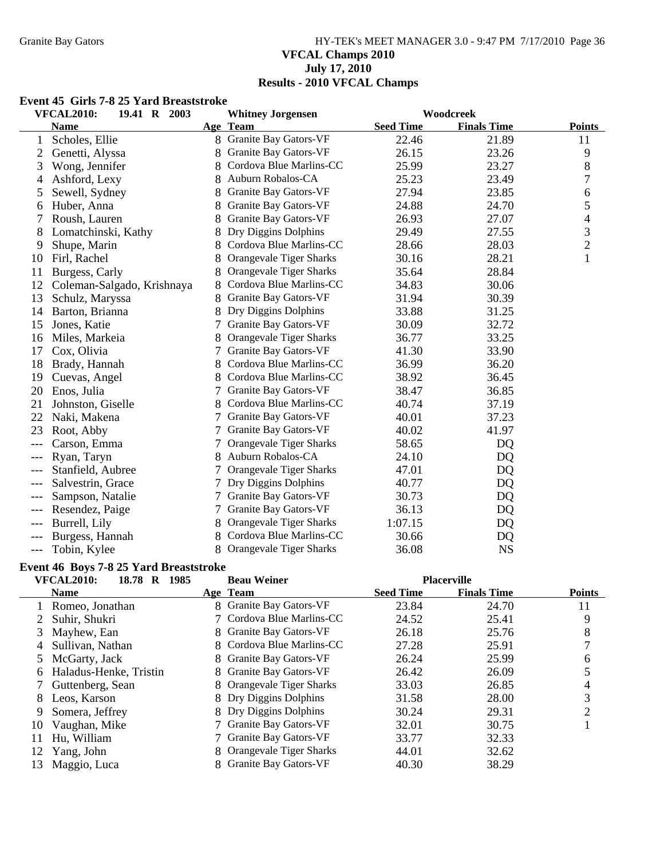### Granite Bay Gators **HY-TEK's MEET MANAGER 3.0 - 9:47 PM 7/17/2010** Page 36 **VFCAL Champs 2010 July 17, 2010 Results - 2010 VFCAL Champs**

#### **Event 45 Girls 7-8 25 Yard Breaststroke**

|       | <b>VFCAL2010:</b><br>19.41 R 2003 |   | <b>Whitney Jorgensen</b>       |                  | Woodcreek          |                |
|-------|-----------------------------------|---|--------------------------------|------------------|--------------------|----------------|
|       | <b>Name</b>                       |   | Age Team                       | <b>Seed Time</b> | <b>Finals Time</b> | <b>Points</b>  |
| 1     | Scholes, Ellie                    |   | 8 Granite Bay Gators-VF        | 22.46            | 21.89              | 11             |
|       | Genetti, Alyssa                   |   | Granite Bay Gators-VF          | 26.15            | 23.26              | 9              |
| 3     | Wong, Jennifer                    |   | Cordova Blue Marlins-CC        | 25.99            | 23.27              | 8              |
| 4     | Ashford, Lexy                     |   | Auburn Robalos-CA              | 25.23            | 23.49              | 7              |
| 5     | Sewell, Sydney                    |   | Granite Bay Gators-VF          | 27.94            | 23.85              | 6              |
| 6     | Huber, Anna                       | 8 | Granite Bay Gators-VF          | 24.88            | 24.70              | 5              |
| 7     | Roush, Lauren                     | 8 | Granite Bay Gators-VF          | 26.93            | 27.07              | 4              |
| 8     | Lomatchinski, Kathy               | 8 | Dry Diggins Dolphins           | 29.49            | 27.55              | 3              |
| 9     | Shupe, Marin                      |   | Cordova Blue Marlins-CC        | 28.66            | 28.03              | $\overline{c}$ |
| 10    | Firl, Rachel                      |   | Orangevale Tiger Sharks        | 30.16            | 28.21              | $\mathbf{1}$   |
| 11    | Burgess, Carly                    |   | Orangevale Tiger Sharks        | 35.64            | 28.84              |                |
| 12    | Coleman-Salgado, Krishnaya        |   | Cordova Blue Marlins-CC        | 34.83            | 30.06              |                |
| 13    | Schulz, Maryssa                   |   | Granite Bay Gators-VF          | 31.94            | 30.39              |                |
| 14    | Barton, Brianna                   |   | Dry Diggins Dolphins           | 33.88            | 31.25              |                |
| 15    | Jones, Katie                      | 7 | Granite Bay Gators-VF          | 30.09            | 32.72              |                |
| 16    | Miles, Markeia                    |   | <b>Orangevale Tiger Sharks</b> | 36.77            | 33.25              |                |
| 17    | Cox, Olivia                       | 7 | <b>Granite Bay Gators-VF</b>   | 41.30            | 33.90              |                |
| 18    | Brady, Hannah                     |   | Cordova Blue Marlins-CC        | 36.99            | 36.20              |                |
| 19    | Cuevas, Angel                     |   | Cordova Blue Marlins-CC        | 38.92            | 36.45              |                |
| 20    | Enos, Julia                       |   | Granite Bay Gators-VF          | 38.47            | 36.85              |                |
| 21    | Johnston, Giselle                 |   | Cordova Blue Marlins-CC        | 40.74            | 37.19              |                |
| 22    | Naki, Makena                      | 7 | Granite Bay Gators-VF          | 40.01            | 37.23              |                |
| 23    | Root, Abby                        |   | Granite Bay Gators-VF          | 40.02            | 41.97              |                |
|       | Carson, Emma                      | 7 | Orangevale Tiger Sharks        | 58.65            | DQ                 |                |
|       | Ryan, Taryn                       |   | Auburn Robalos-CA              | 24.10            | DQ                 |                |
| $---$ | Stanfield, Aubree                 |   | <b>Orangevale Tiger Sharks</b> | 47.01            | DQ                 |                |
|       | Salvestrin, Grace                 |   | Dry Diggins Dolphins           | 40.77            | DQ                 |                |
|       | Sampson, Natalie                  |   | Granite Bay Gators-VF          | 30.73            | DQ                 |                |
|       | Resendez, Paige                   | 7 | Granite Bay Gators-VF          | 36.13            | DQ                 |                |
| $---$ | Burrell, Lily                     |   | Orangevale Tiger Sharks        | 1:07.15          | DQ                 |                |
| $---$ | Burgess, Hannah                   |   | Cordova Blue Marlins-CC        | 30.66            | DQ                 |                |
| $---$ | Tobin, Kylee                      |   | 8 Orangevale Tiger Sharks      | 36.08            | <b>NS</b>          |                |

#### **Event 46 Boys 7-8 25 Yard Breaststroke**

|    | <b>VFCAL2010:</b><br>1985<br>18.78 R | <b>Beau Weiner</b>        |                  | <b>Placerville</b> |               |
|----|--------------------------------------|---------------------------|------------------|--------------------|---------------|
|    | <b>Name</b>                          | Age Team                  | <b>Seed Time</b> | <b>Finals Time</b> | <b>Points</b> |
|    | Romeo, Jonathan                      | 8 Granite Bay Gators-VF   | 23.84            | 24.70              | 11            |
|    | Suhir, Shukri                        | 7 Cordova Blue Marlins-CC | 24.52            | 25.41              | 9             |
| 3  | Mayhew, Ean                          | 8 Granite Bay Gators-VF   | 26.18            | 25.76              | 8             |
| 4  | Sullivan, Nathan                     | 8 Cordova Blue Marlins-CC | 27.28            | 25.91              |               |
| 5. | McGarty, Jack                        | 8 Granite Bay Gators-VF   | 26.24            | 25.99              | 6             |
| 6  | Haladus-Henke, Tristin               | 8 Granite Bay Gators-VF   | 26.42            | 26.09              |               |
|    | Guttenberg, Sean                     | 8 Orangevale Tiger Sharks | 33.03            | 26.85              |               |
| 8  | Leos, Karson                         | 8 Dry Diggins Dolphins    | 31.58            | 28.00              | 3             |
| 9  | Somera, Jeffrey                      | 8 Dry Diggins Dolphins    | 30.24            | 29.31              | ∍             |
| 10 | Vaughan, Mike                        | 7 Granite Bay Gators-VF   | 32.01            | 30.75              |               |
| 11 | Hu, William                          | 7 Granite Bay Gators-VF   | 33.77            | 32.33              |               |
| 12 | Yang, John                           | 8 Orangevale Tiger Sharks | 44.01            | 32.62              |               |
| 13 | Maggio, Luca                         | 8 Granite Bay Gators-VF   | 40.30            | 38.29              |               |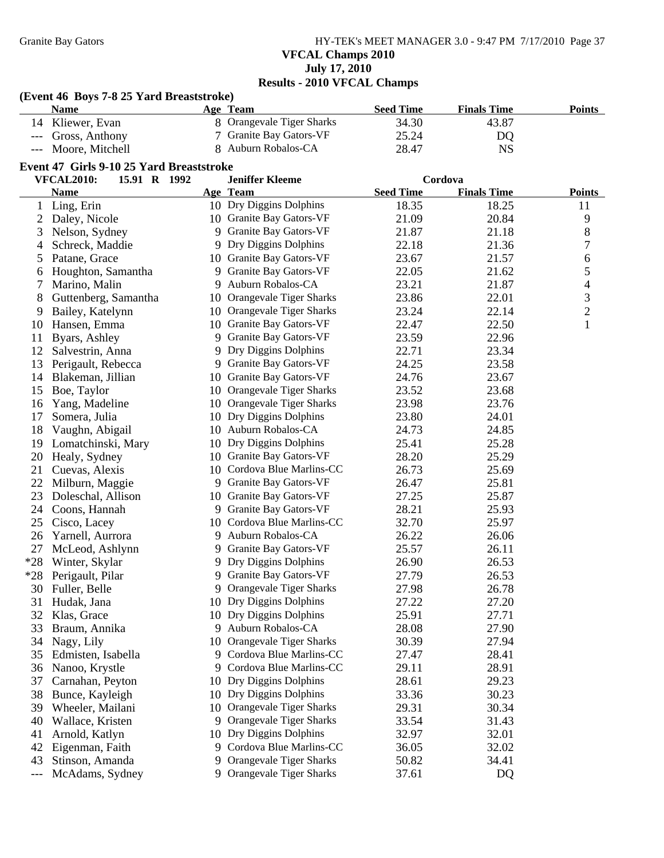**(Event 46 Boys 7-8 25 Yard Breaststroke)**

Granite Bay Gators **HY-TEK's MEET MANAGER 3.0 - 9:47 PM 7/17/2010** Page 37 **VFCAL Champs 2010 July 17, 2010**

# **Results - 2010 VFCAL Champs**

|       | <b>Name</b>                              |   | Age Team                     | <b>Seed Time</b> | <b>Finals Time</b> | <b>Points</b>            |
|-------|------------------------------------------|---|------------------------------|------------------|--------------------|--------------------------|
|       | 14 Kliewer, Evan                         |   | 8 Orangevale Tiger Sharks    | 34.30            | 43.87              |                          |
| ---   | Gross, Anthony                           |   | 7 Granite Bay Gators-VF      | 25.24            | DQ                 |                          |
|       | Moore, Mitchell                          |   | Auburn Robalos-CA            | 28.47            | <b>NS</b>          |                          |
|       | Event 47 Girls 9-10 25 Yard Breaststroke |   |                              |                  |                    |                          |
|       | 15.91 R 1992<br><b>VFCAL2010:</b>        |   | <b>Jeniffer Kleeme</b>       |                  | Cordova            |                          |
|       | <b>Name</b>                              |   | Age Team                     | <b>Seed Time</b> | <b>Finals Time</b> | <b>Points</b>            |
|       | 1 Ling, Erin                             |   | 10 Dry Diggins Dolphins      | 18.35            | 18.25              | 11                       |
|       | 2 Daley, Nicole                          |   | 10 Granite Bay Gators-VF     | 21.09            | 20.84              | 9                        |
|       | 3 Nelson, Sydney                         |   | 9 Granite Bay Gators-VF      | 21.87            | 21.18              | $8\,$                    |
| 4     | Schreck, Maddie                          |   | 9 Dry Diggins Dolphins       | 22.18            | 21.36              | 7                        |
| 5     | Patane, Grace                            |   | 10 Granite Bay Gators-VF     | 23.67            | 21.57              | $\sqrt{6}$               |
| 6     | Houghton, Samantha                       |   | 9 Granite Bay Gators-VF      | 22.05            | 21.62              | $\mathfrak s$            |
| 7     | Marino, Malin                            | 9 | Auburn Robalos-CA            | 23.21            | 21.87              | $\overline{\mathcal{L}}$ |
| 8     | Guttenberg, Samantha                     |   | 10 Orangevale Tiger Sharks   | 23.86            | 22.01              | $\mathfrak 3$            |
| 9     | Bailey, Katelynn                         |   | 10 Orangevale Tiger Sharks   | 23.24            | 22.14              | $\overline{2}$           |
| 10    | Hansen, Emma                             |   | 10 Granite Bay Gators-VF     | 22.47            | 22.50              | $\mathbf{1}$             |
| 11    | Byars, Ashley                            | 9 | <b>Granite Bay Gators-VF</b> | 23.59            | 22.96              |                          |
| 12    | Salvestrin, Anna                         | 9 | Dry Diggins Dolphins         | 22.71            | 23.34              |                          |
| 13    | Perigault, Rebecca                       |   | 9 Granite Bay Gators-VF      | 24.25            | 23.58              |                          |
| 14    | Blakeman, Jillian                        |   | 10 Granite Bay Gators-VF     | 24.76            | 23.67              |                          |
| 15    | Boe, Taylor                              |   | 10 Orangevale Tiger Sharks   | 23.52            | 23.68              |                          |
| 16    | Yang, Madeline                           |   | 10 Orangevale Tiger Sharks   | 23.98            | 23.76              |                          |
| 17    | Somera, Julia                            |   | 10 Dry Diggins Dolphins      | 23.80            | 24.01              |                          |
| 18    | Vaughn, Abigail                          |   | 10 Auburn Robalos-CA         | 24.73            | 24.85              |                          |
| 19    | Lomatchinski, Mary                       |   | 10 Dry Diggins Dolphins      | 25.41            | 25.28              |                          |
| 20    | Healy, Sydney                            |   | 10 Granite Bay Gators-VF     | 28.20            | 25.29              |                          |
| 21    | Cuevas, Alexis                           |   | 10 Cordova Blue Marlins-CC   | 26.73            | 25.69              |                          |
| 22    | Milburn, Maggie                          |   | 9 Granite Bay Gators-VF      | 26.47            | 25.81              |                          |
| 23    | Doleschal, Allison                       |   | 10 Granite Bay Gators-VF     | 27.25            | 25.87              |                          |
| 24    | Coons, Hannah                            |   | 9 Granite Bay Gators-VF      | 28.21            | 25.93              |                          |
| 25    | Cisco, Lacey                             |   | 10 Cordova Blue Marlins-CC   | 32.70            | 25.97              |                          |
| 26    | Yarnell, Aurrora                         |   | 9 Auburn Robalos-CA          | 26.22            | 26.06              |                          |
| 27    | McLeod, Ashlynn                          | 9 | <b>Granite Bay Gators-VF</b> | 25.57            | 26.11              |                          |
| $*28$ | Winter, Skylar                           | 9 | Dry Diggins Dolphins         | 26.90            | 26.53              |                          |
|       | *28 Perigault, Pilar                     |   | 9 Granite Bay Gators-VF      | 27.79            | 26.53              |                          |
|       | 30 Fuller, Belle                         |   | 9 Orangevale Tiger Sharks    | 27.98            | 26.78              |                          |
| 31    | Hudak, Jana                              |   | 10 Dry Diggins Dolphins      | 27.22            | 27.20              |                          |
| 32    | Klas, Grace                              |   | 10 Dry Diggins Dolphins      | 25.91            | 27.71              |                          |
| 33    | Braum, Annika                            |   | 9 Auburn Robalos-CA          | 28.08            | 27.90              |                          |
|       | 34 Nagy, Lily                            |   | 10 Orangevale Tiger Sharks   | 30.39            | 27.94              |                          |
| 35    | Edmisten, Isabella                       |   | 9 Cordova Blue Marlins-CC    | 27.47            | 28.41              |                          |
| 36    | Nanoo, Krystle                           | 9 | Cordova Blue Marlins-CC      | 29.11            | 28.91              |                          |
| 37    | Carnahan, Peyton                         |   | 10 Dry Diggins Dolphins      | 28.61            | 29.23              |                          |
| 38    | Bunce, Kayleigh                          |   | 10 Dry Diggins Dolphins      | 33.36            | 30.23              |                          |
| 39    | Wheeler, Mailani                         |   | 10 Orangevale Tiger Sharks   | 29.31            | 30.34              |                          |
| 40    | Wallace, Kristen                         |   | 9 Orangevale Tiger Sharks    | 33.54            | 31.43              |                          |
| 41    | Arnold, Katlyn                           |   | 10 Dry Diggins Dolphins      | 32.97            | 32.01              |                          |
| 42    | Eigenman, Faith                          |   | Cordova Blue Marlins-CC      | 36.05            | 32.02              |                          |
| 43    | Stinson, Amanda                          | 9 | Orangevale Tiger Sharks      | 50.82            | 34.41              |                          |
| ---   | McAdams, Sydney                          |   | 9 Orangevale Tiger Sharks    | 37.61            | <b>DQ</b>          |                          |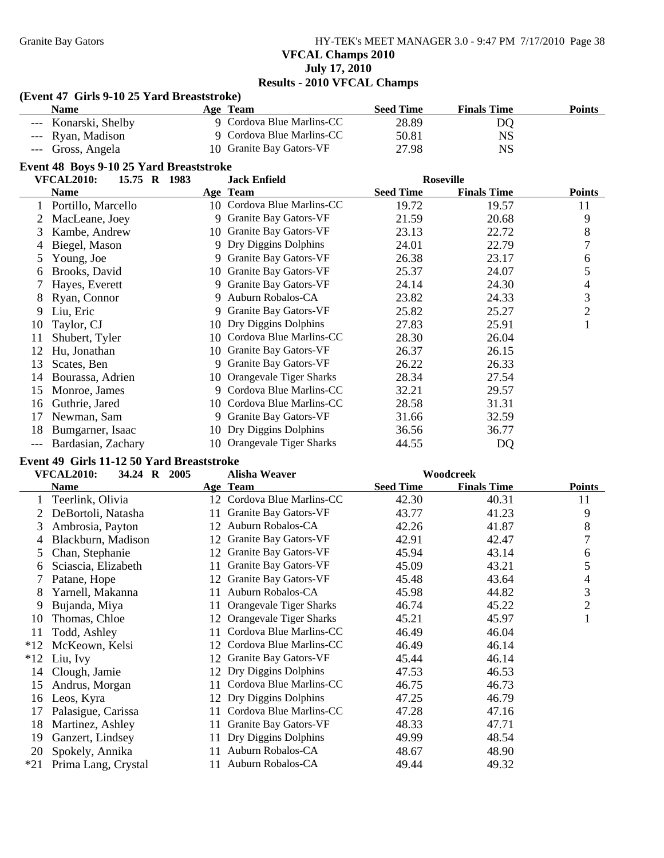Granite Bay Gators **HY-TEK's MEET MANAGER 3.0 - 9:47 PM 7/17/2010** Page 38 **VFCAL Champs 2010 July 17, 2010 Results - 2010 VFCAL Champs**

#### **(Event 47 Girls 9-10 25 Yard Breaststroke)**

| <b>Name</b>          | <b>Age Team</b>           | <b>Seed Time</b> | <b>Finals Time</b> | <b>Points</b> |
|----------------------|---------------------------|------------------|--------------------|---------------|
| --- Konarski, Shelby | 9 Cordova Blue Marlins-CC | 28.89            | DO                 |               |
| --- Ryan, Madison    | 9 Cordova Blue Marlins-CC | 50.81            | NS                 |               |
| --- Gross, Angela    | 10 Granite Bay Gators-VF  | 27.98            | NS                 |               |

### **Event 48 Boys 9-10 25 Yard Breaststroke**

|    | <b>VFCAL2010:</b><br>15.75 R 1983 |  |    | <b>Jack Enfield</b>          |                  | <b>Roseville</b>   |                |
|----|-----------------------------------|--|----|------------------------------|------------------|--------------------|----------------|
|    | Name                              |  |    | Age Team                     | <b>Seed Time</b> | <b>Finals Time</b> | <b>Points</b>  |
|    | Portillo, Marcello                |  |    | 10 Cordova Blue Marlins-CC   | 19.72            | 19.57              | 11             |
|    | MacLeane, Joey                    |  | 9  | Granite Bay Gators-VF        | 21.59            | 20.68              | 9              |
| 3  | Kambe, Andrew                     |  | 10 | Granite Bay Gators-VF        | 23.13            | 22.72              | 8              |
| 4  | Biegel, Mason                     |  |    | 9 Dry Diggins Dolphins       | 24.01            | 22.79              | 7              |
| 5. | Young, Joe                        |  | 9  | Granite Bay Gators-VF        | 26.38            | 23.17              | 6              |
| 6  | Brooks, David                     |  | 10 | Granite Bay Gators-VF        | 25.37            | 24.07              | 5              |
|    | Hayes, Everett                    |  | 9  | Granite Bay Gators-VF        | 24.14            | 24.30              | 4              |
| 8  | Ryan, Connor                      |  |    | 9 Auburn Robalos-CA          | 23.82            | 24.33              | 3              |
| 9  | Liu, Eric                         |  | 9  | <b>Granite Bay Gators-VF</b> | 25.82            | 25.27              | $\overline{2}$ |
| 10 | Taylor, CJ                        |  | 10 | Dry Diggins Dolphins         | 27.83            | 25.91              |                |
| 11 | Shubert, Tyler                    |  | 10 | Cordova Blue Marlins-CC      | 28.30            | 26.04              |                |
| 12 | Hu, Jonathan                      |  | 10 | Granite Bay Gators-VF        | 26.37            | 26.15              |                |
| 13 | Scates, Ben                       |  | 9  | Granite Bay Gators-VF        | 26.22            | 26.33              |                |
| 14 | Bourassa, Adrien                  |  | 10 | Orangevale Tiger Sharks      | 28.34            | 27.54              |                |
| 15 | Monroe, James                     |  | 9  | Cordova Blue Marlins-CC      | 32.21            | 29.57              |                |
| 16 | Guthrie, Jared                    |  | 10 | Cordova Blue Marlins-CC      | 28.58            | 31.31              |                |
| 17 | Newman, Sam                       |  | 9  | Granite Bay Gators-VF        | 31.66            | 32.59              |                |
| 18 | Bumgarner, Isaac                  |  | 10 | Dry Diggins Dolphins         | 36.56            | 36.77              |                |
|    | Bardasian, Zachary                |  | 10 | Orangevale Tiger Sharks      | 44.55            | DQ                 |                |

# **Event 49 Girls 11-12 50 Yard Breaststroke**

|       | <b>VFCAL2010:</b><br>34.24 R 2005 | <b>Alisha Weaver</b>                 |                  | Woodcreek          |                |
|-------|-----------------------------------|--------------------------------------|------------------|--------------------|----------------|
|       | <b>Name</b>                       | Age Team                             | <b>Seed Time</b> | <b>Finals Time</b> | <b>Points</b>  |
|       | Teerlink, Olivia                  | 12 Cordova Blue Marlins-CC           | 42.30            | 40.31              | 11             |
|       | DeBortoli, Natasha                | Granite Bay Gators-VF<br>11          | 43.77            | 41.23              | 9              |
| 3     | Ambrosia, Payton                  | Auburn Robalos-CA<br>12              | 42.26            | 41.87              | $8\,$          |
| 4     | Blackburn, Madison                | Granite Bay Gators-VF<br>12          | 42.91            | 42.47              | 7              |
| 5.    | Chan, Stephanie                   | Granite Bay Gators-VF<br>12          | 45.94            | 43.14              | 6              |
| 6     | Sciascia, Elizabeth               | Granite Bay Gators-VF<br>11          | 45.09            | 43.21              | 5              |
|       | Patane, Hope                      | Granite Bay Gators-VF<br>12          | 45.48            | 43.64              | 4              |
| 8     | Yarnell, Makanna                  | Auburn Robalos-CA<br>11              | 45.98            | 44.82              | 3              |
| 9     | Bujanda, Miya                     | <b>Orangevale Tiger Sharks</b><br>11 | 46.74            | 45.22              | $\mathfrak{2}$ |
| 10    | Thomas, Chloe                     | Orangevale Tiger Sharks<br>12        | 45.21            | 45.97              | 1              |
| 11    | Todd, Ashley                      | Cordova Blue Marlins-CC<br>11        | 46.49            | 46.04              |                |
| $*12$ | McKeown, Kelsi                    | Cordova Blue Marlins-CC<br>12        | 46.49            | 46.14              |                |
| $*12$ | Liu, Ivy                          | Granite Bay Gators-VF<br>12          | 45.44            | 46.14              |                |
| 14    | Clough, Jamie                     | Dry Diggins Dolphins<br>12           | 47.53            | 46.53              |                |
| 15    | Andrus, Morgan                    | Cordova Blue Marlins-CC<br>11        | 46.75            | 46.73              |                |
| 16    | Leos, Kyra                        | Dry Diggins Dolphins<br>12           | 47.25            | 46.79              |                |
| 17    | Palasigue, Carissa                | Cordova Blue Marlins-CC<br>11        | 47.28            | 47.16              |                |
| 18    | Martinez, Ashley                  | Granite Bay Gators-VF<br>11          | 48.33            | 47.71              |                |
| 19    | Ganzert, Lindsey                  | Dry Diggins Dolphins<br>11           | 49.99            | 48.54              |                |
| 20    | Spokely, Annika                   | Auburn Robalos-CA<br>11              | 48.67            | 48.90              |                |
| $*21$ | Prima Lang, Crystal               | Auburn Robalos-CA<br>11              | 49.44            | 49.32              |                |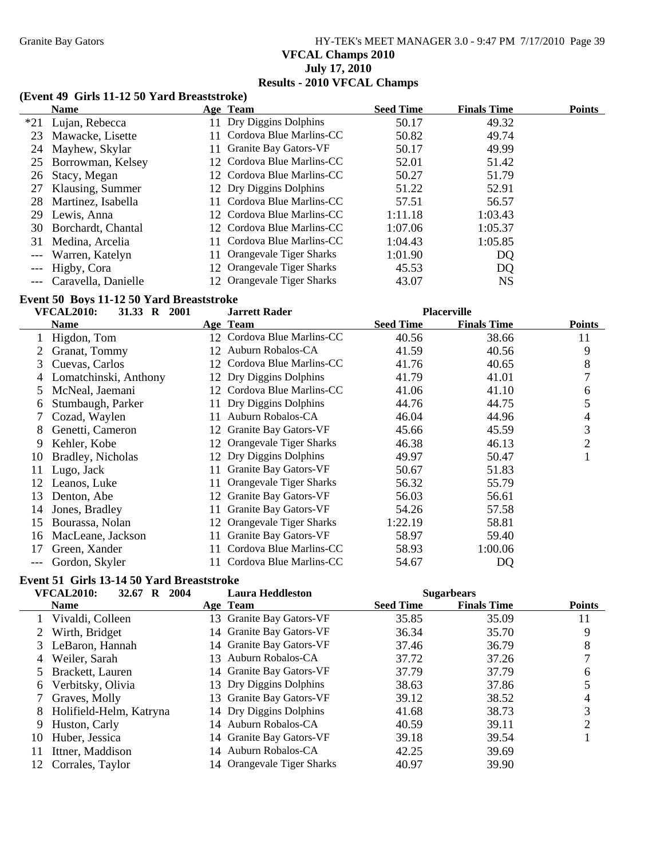# Granite Bay Gators **HY-TEK's MEET MANAGER 3.0 - 9:47 PM 7/17/2010** Page 39 **VFCAL Champs 2010 July 17, 2010 Results - 2010 VFCAL Champs**

### **(Event 49 Girls 11-12 50 Yard Breaststroke)**

|    | <b>Name</b>          | Age Team                     | <b>Seed Time</b> | <b>Finals Time</b> | <b>Points</b> |
|----|----------------------|------------------------------|------------------|--------------------|---------------|
|    | *21 Lujan, Rebecca   | 11 Dry Diggins Dolphins      | 50.17            | 49.32              |               |
| 23 | Mawacke, Lisette     | 11 Cordova Blue Marlins-CC   | 50.82            | 49.74              |               |
|    | 24 Mayhew, Skylar    | <b>Granite Bay Gators-VF</b> | 50.17            | 49.99              |               |
|    | 25 Borrowman, Kelsey | 12 Cordova Blue Marlins-CC   | 52.01            | 51.42              |               |
| 26 | Stacy, Megan         | 12 Cordova Blue Marlins-CC   | 50.27            | 51.79              |               |
| 27 | Klausing, Summer     | 12 Dry Diggins Dolphins      | 51.22            | 52.91              |               |
| 28 | Martinez, Isabella   | 11 Cordova Blue Marlins-CC   | 57.51            | 56.57              |               |
| 29 | Lewis, Anna          | 12 Cordova Blue Marlins-CC   | 1:11.18          | 1:03.43            |               |
| 30 | Borchardt, Chantal   | 12 Cordova Blue Marlins-CC   | 1:07.06          | 1:05.37            |               |
| 31 | Medina, Arcelia      | Cordova Blue Marlins-CC      | 1:04.43          | 1:05.85            |               |
|    | Warren, Katelyn      | 11 Orangevale Tiger Sharks   | 1:01.90          | DQ                 |               |
|    | Higby, Cora          | 12 Orangevale Tiger Sharks   | 45.53            | DQ                 |               |
|    | Caravella, Danielle  | 12 Orangevale Tiger Sharks   | 43.07            | <b>NS</b>          |               |

#### **Event 50 Boys 11-12 50 Yard Breaststroke**

|       | <b>VFCAL2010:</b><br>31.33 R 2001 |     | <b>Jarrett Rader</b>       |                  | <b>Placerville</b> |               |
|-------|-----------------------------------|-----|----------------------------|------------------|--------------------|---------------|
|       | <b>Name</b>                       |     | Age Team                   | <b>Seed Time</b> | <b>Finals Time</b> | <b>Points</b> |
|       | Higdon, Tom                       |     | 12 Cordova Blue Marlins-CC | 40.56            | 38.66              | 11            |
|       | Granat, Tommy                     |     | 12 Auburn Robalos-CA       | 41.59            | 40.56              | 9             |
| 3     | Cuevas, Carlos                    | 12  | Cordova Blue Marlins-CC    | 41.76            | 40.65              | 8             |
| 4     | Lomatchinski, Anthony             |     | 12 Dry Diggins Dolphins    | 41.79            | 41.01              | 7             |
| 5     | McNeal, Jaemani                   |     | 12 Cordova Blue Marlins-CC | 41.06            | 41.10              | 6             |
| 6     | Stumbaugh, Parker                 | 11- | Dry Diggins Dolphins       | 44.76            | 44.75              | 5             |
|       | Cozad, Waylen                     | 11. | Auburn Robalos-CA          | 46.04            | 44.96              | 4             |
| 8     | Genetti, Cameron                  | 12  | Granite Bay Gators-VF      | 45.66            | 45.59              | 3             |
| 9     | Kehler, Kobe                      | 12  | Orangevale Tiger Sharks    | 46.38            | 46.13              | 2             |
| 10    | Bradley, Nicholas                 |     | 12 Dry Diggins Dolphins    | 49.97            | 50.47              |               |
| 11    | Lugo, Jack                        | 11- | Granite Bay Gators-VF      | 50.67            | 51.83              |               |
| 12    | Leanos, Luke                      |     | Orangevale Tiger Sharks    | 56.32            | 55.79              |               |
| 13    | Denton, Abe                       | 12  | Granite Bay Gators-VF      | 56.03            | 56.61              |               |
| 14    | Jones, Bradley                    |     | Granite Bay Gators-VF      | 54.26            | 57.58              |               |
| 15    | Bourassa, Nolan                   | 12  | Orangevale Tiger Sharks    | 1:22.19          | 58.81              |               |
| 16    | MacLeane, Jackson                 | 11- | Granite Bay Gators-VF      | 58.97            | 59.40              |               |
| 17    | Green, Xander                     |     | Cordova Blue Marlins-CC    | 58.93            | 1:00.06            |               |
| $---$ | Gordon, Skyler                    |     | 11 Cordova Blue Marlins-CC | 54.67            | DQ                 |               |

# **Event 51 Girls 13-14 50 Yard Breaststroke**

|          | <b>VFCAL2010:</b><br>2004<br>32.67 R |     | <b>Laura Heddleston</b>    |                  | <b>Sugarbears</b>  |               |
|----------|--------------------------------------|-----|----------------------------|------------------|--------------------|---------------|
|          | <b>Name</b>                          |     | Age Team                   | <b>Seed Time</b> | <b>Finals Time</b> | <b>Points</b> |
|          | Vivaldi, Colleen                     |     | 13 Granite Bay Gators-VF   | 35.85            | 35.09              | 11            |
|          | Wirth, Bridget                       |     | 14 Granite Bay Gators-VF   | 36.34            | 35.70              | 9             |
|          | LeBaron, Hannah                      |     | 14 Granite Bay Gators-VF   | 37.46            | 36.79              | 8             |
| 4        | Weiler, Sarah                        | 13. | Auburn Robalos-CA          | 37.72            | 37.26              |               |
|          | 5 Brackett, Lauren                   |     | 14 Granite Bay Gators-VF   | 37.79            | 37.79              | 6             |
| $\sigma$ | Verbitsky, Olivia                    |     | 13 Dry Diggins Dolphins    | 38.63            | 37.86              |               |
|          | Graves, Molly                        |     | 13 Granite Bay Gators-VF   | 39.12            | 38.52              |               |
| 8        | Holifield-Helm, Katryna              |     | 14 Dry Diggins Dolphins    | 41.68            | 38.73              | 3             |
| 9        | Huston, Carly                        | 14  | Auburn Robalos-CA          | 40.59            | 39.11              | ∍             |
| 10       | Huber, Jessica                       |     | 14 Granite Bay Gators-VF   | 39.18            | 39.54              |               |
| 11       | Ittner, Maddison                     |     | 14 Auburn Robalos-CA       | 42.25            | 39.69              |               |
| 12.      | Corrales, Taylor                     |     | 14 Orangevale Tiger Sharks | 40.97            | 39.90              |               |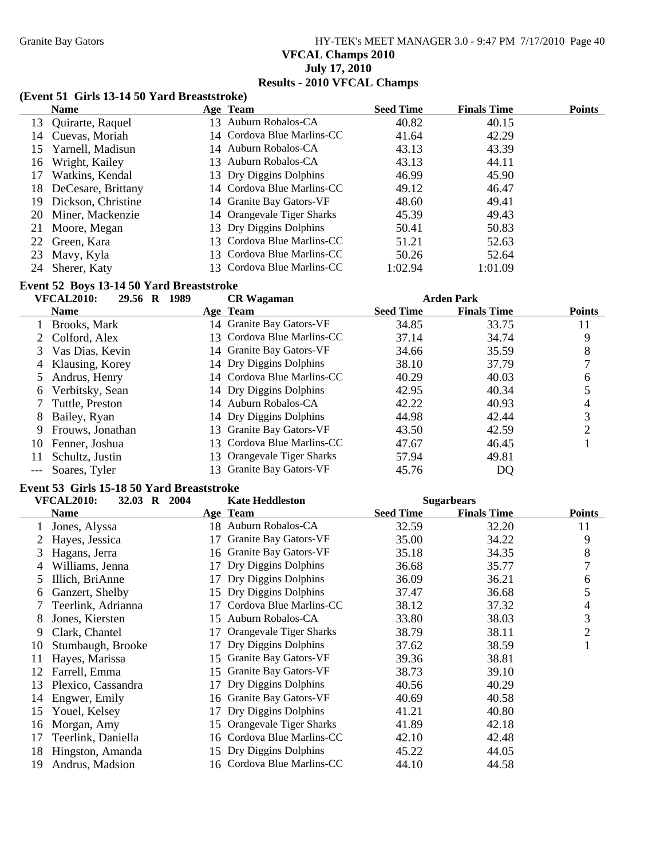# Granite Bay Gators **HY-TEK's MEET MANAGER 3.0 - 9:47 PM 7/17/2010** Page 40 **VFCAL Champs 2010 July 17, 2010 Results - 2010 VFCAL Champs**

#### **(Event 51 Girls 13-14 50 Yard Breaststroke)**

|    | <b>Name</b>           | Age Team                   | <b>Seed Time</b> | <b>Finals Time</b> | <b>Points</b> |
|----|-----------------------|----------------------------|------------------|--------------------|---------------|
|    | 13 Quirarte, Raquel   | 13 Auburn Robalos-CA       | 40.82            | 40.15              |               |
|    | 14 Cuevas, Moriah     | 14 Cordova Blue Marlins-CC | 41.64            | 42.29              |               |
|    | 15 Yarnell, Madisun   | 14 Auburn Robalos-CA       | 43.13            | 43.39              |               |
|    | 16 Wright, Kailey     | 13 Auburn Robalos-CA       | 43.13            | 44.11              |               |
| 17 | Watkins, Kendal       | 13 Dry Diggins Dolphins    | 46.99            | 45.90              |               |
|    | 18 DeCesare, Brittany | 14 Cordova Blue Marlins-CC | 49.12            | 46.47              |               |
|    | 19 Dickson, Christine | 14 Granite Bay Gators-VF   | 48.60            | 49.41              |               |
|    | 20 Miner, Mackenzie   | 14 Orangevale Tiger Sharks | 45.39            | 49.43              |               |
|    | 21 Moore, Megan       | 13 Dry Diggins Dolphins    | 50.41            | 50.83              |               |
|    | 22 Green, Kara        | 13 Cordova Blue Marlins-CC | 51.21            | 52.63              |               |
|    | 23 Mavy, Kyla         | 13 Cordova Blue Marlins-CC | 50.26            | 52.64              |               |
|    | 24 Sherer, Katy       | 13 Cordova Blue Marlins-CC | 1:02.94          | 1:01.09            |               |

#### **Event 52 Boys 13-14 50 Yard Breaststroke**

### **VFCAL2010: 29.56 R 1989 Arden Park CR Wagaman**

|    | , , , , , , , , , , , , , , ,<br><i>EL</i> 2012 IV 1997 |    | Ск 11 агашап               |                  | лічыі і аі в       |               |
|----|---------------------------------------------------------|----|----------------------------|------------------|--------------------|---------------|
|    | <b>Name</b>                                             |    | Age Team                   | <b>Seed Time</b> | <b>Finals Time</b> | <b>Points</b> |
|    | Brooks, Mark                                            |    | 14 Granite Bay Gators-VF   | 34.85            | 33.75              | 11            |
|    | 2 Colford, Alex                                         |    | 13 Cordova Blue Marlins-CC | 37.14            | 34.74              | 9             |
|    | Vas Dias, Kevin                                         |    | 14 Granite Bay Gators-VF   | 34.66            | 35.59              | 8             |
| 4  | Klausing, Korey                                         |    | 14 Dry Diggins Dolphins    | 38.10            | 37.79              |               |
|    | Andrus, Henry                                           |    | 14 Cordova Blue Marlins-CC | 40.29            | 40.03              | 6             |
| 6  | Verbitsky, Sean                                         |    | 14 Dry Diggins Dolphins    | 42.95            | 40.34              |               |
|    | Tuttle, Preston                                         |    | 14 Auburn Robalos-CA       | 42.22            | 40.93              |               |
| 8  | Bailey, Ryan                                            |    | 14 Dry Diggins Dolphins    | 44.98            | 42.44              | 3             |
|    | Frouws, Jonathan                                        |    | 13 Granite Bay Gators-VF   | 43.50            | 42.59              |               |
| 10 | Fenner, Joshua                                          | 13 | Cordova Blue Marlins-CC    | 47.67            | 46.45              |               |
|    | Schultz, Justin                                         |    | 13 Orangevale Tiger Sharks | 57.94            | 49.81              |               |
|    | Soares, Tyler                                           |    | 13 Granite Bay Gators-VF   | 45.76            | DQ                 |               |

#### **Event 53 Girls 15-18 50 Yard Breaststroke**

|    | <b>VFCAL2010:</b><br>32.03 R 2004 |    | <b>Kate Heddleston</b>     | <b>Sugarbears</b> |                    |                |
|----|-----------------------------------|----|----------------------------|-------------------|--------------------|----------------|
|    | <b>Name</b>                       |    | Age Team                   | <b>Seed Time</b>  | <b>Finals Time</b> | Points         |
|    | Jones, Alyssa                     |    | 18 Auburn Robalos-CA       | 32.59             | 32.20              | 11             |
|    | Hayes, Jessica                    |    | Granite Bay Gators-VF      | 35.00             | 34.22              | 9              |
| 3  | Hagans, Jerra                     |    | 16 Granite Bay Gators-VF   | 35.18             | 34.35              | 8              |
| 4  | Williams, Jenna                   | 17 | Dry Diggins Dolphins       | 36.68             | 35.77              |                |
| 5  | Illich, BriAnne                   | 17 | Dry Diggins Dolphins       | 36.09             | 36.21              | 6              |
| 6  | Ganzert, Shelby                   | 15 | Dry Diggins Dolphins       | 37.47             | 36.68              | 5              |
|    | Teerlink, Adrianna                |    | Cordova Blue Marlins-CC    | 38.12             | 37.32              | 4              |
| 8  | Jones, Kiersten                   | 15 | Auburn Robalos-CA          | 33.80             | 38.03              | 3              |
| 9  | Clark, Chantel                    | 17 | Orangevale Tiger Sharks    | 38.79             | 38.11              | $\overline{2}$ |
| 10 | Stumbaugh, Brooke                 | 17 | Dry Diggins Dolphins       | 37.62             | 38.59              | 1              |
| 11 | Hayes, Marissa                    | 15 | Granite Bay Gators-VF      | 39.36             | 38.81              |                |
| 12 | Farrell, Emma                     | 15 | Granite Bay Gators-VF      | 38.73             | 39.10              |                |
| 13 | Plexico, Cassandra                |    | Dry Diggins Dolphins       | 40.56             | 40.29              |                |
| 14 | Engwer, Emily                     |    | 16 Granite Bay Gators-VF   | 40.69             | 40.58              |                |
| 15 | Youel, Kelsey                     | 17 | Dry Diggins Dolphins       | 41.21             | 40.80              |                |
| 16 | Morgan, Amy                       | 15 | Orangevale Tiger Sharks    | 41.89             | 42.18              |                |
| 17 | Teerlink, Daniella                |    | 16 Cordova Blue Marlins-CC | 42.10             | 42.48              |                |
| 18 | Hingston, Amanda                  |    | 15 Dry Diggins Dolphins    | 45.22             | 44.05              |                |
| 19 | Andrus, Madsion                   |    | 16 Cordova Blue Marlins-CC | 44.10             | 44.58              |                |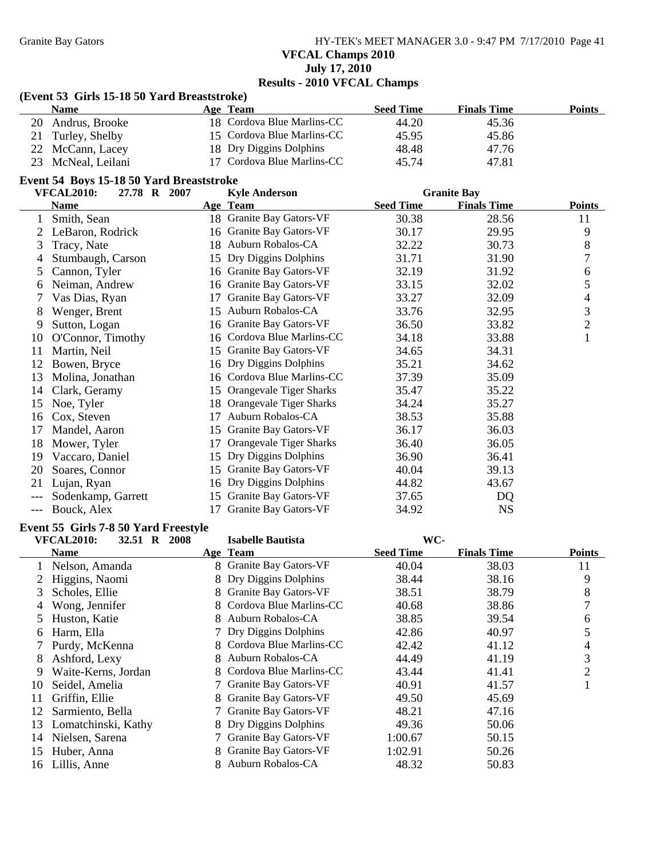Granite Bay Gators **HY-TEK's MEET MANAGER 3.0 - 9:47 PM 7/17/2010** Page 41 **VFCAL Champs 2010**

# **July 17, 2010 Results - 2010 VFCAL Champs**

#### **(Event 53 Girls 15-18 50 Yard Breaststroke)**

| <b>Name</b>        | Age Team                   | <b>Seed Time</b> | <b>Finals Time</b> | <b>Points</b> |
|--------------------|----------------------------|------------------|--------------------|---------------|
| 20 Andrus, Brooke  | 18 Cordova Blue Marlins-CC | 44.20            | 45.36              |               |
| 21 Turley, Shelby  | 15 Cordova Blue Marlins-CC | 45.95            | 45.86              |               |
| 22 McCann, Lacey   | 18 Dry Diggins Dolphins    | 48.48            | 47.76              |               |
| 23 McNeal, Leilani | 17 Cordova Blue Marlins-CC | 45.74            | 47.81              |               |

#### **Event 54 Boys 15-18 50 Yard Breaststroke**

|     | <b>VFCAL2010:</b><br>27.78 R 2007 |    | <b>Kyle Anderson</b>           |                  | <b>Granite Bay</b> |                |  |
|-----|-----------------------------------|----|--------------------------------|------------------|--------------------|----------------|--|
|     | <b>Name</b>                       |    | Age Team                       | <b>Seed Time</b> | <b>Finals Time</b> | <b>Points</b>  |  |
| 1   | Smith, Sean                       |    | 18 Granite Bay Gators-VF       | 30.38            | 28.56              | 11             |  |
| 2   | LeBaron, Rodrick                  |    | 16 Granite Bay Gators-VF       | 30.17            | 29.95              | 9              |  |
| 3   | Tracy, Nate                       | 18 | Auburn Robalos-CA              | 32.22            | 30.73              | 8              |  |
| 4   | Stumbaugh, Carson                 | 15 | Dry Diggins Dolphins           | 31.71            | 31.90              | 7              |  |
| 5   | Cannon, Tyler                     |    | 16 Granite Bay Gators-VF       | 32.19            | 31.92              | 6              |  |
| 6   | Neiman, Andrew                    |    | 16 Granite Bay Gators-VF       | 33.15            | 32.02              | 5              |  |
|     | Vas Dias, Ryan                    | 17 | Granite Bay Gators-VF          | 33.27            | 32.09              | 4              |  |
| 8   | Wenger, Brent                     | 15 | Auburn Robalos-CA              | 33.76            | 32.95              | 3              |  |
| 9   | Sutton, Logan                     |    | 16 Granite Bay Gators-VF       | 36.50            | 33.82              | $\overline{2}$ |  |
| 10  | O'Connor, Timothy                 |    | 16 Cordova Blue Marlins-CC     | 34.18            | 33.88              | $\mathbf{1}$   |  |
| 11  | Martin, Neil                      |    | 15 Granite Bay Gators-VF       | 34.65            | 34.31              |                |  |
| 12  | Bowen, Bryce                      |    | 16 Dry Diggins Dolphins        | 35.21            | 34.62              |                |  |
| 13  | Molina, Jonathan                  |    | 16 Cordova Blue Marlins-CC     | 37.39            | 35.09              |                |  |
| 14  | Clark, Geramy                     | 15 | <b>Orangevale Tiger Sharks</b> | 35.47            | 35.22              |                |  |
| 15  | Noe, Tyler                        | 18 | <b>Orangevale Tiger Sharks</b> | 34.24            | 35.27              |                |  |
| 16  | Cox, Steven                       | 17 | Auburn Robalos-CA              | 38.53            | 35.88              |                |  |
| 17  | Mandel, Aaron                     | 15 | Granite Bay Gators-VF          | 36.17            | 36.03              |                |  |
| 18  | Mower, Tyler                      | 17 | Orangevale Tiger Sharks        | 36.40            | 36.05              |                |  |
| 19  | Vaccaro, Daniel                   | 15 | Dry Diggins Dolphins           | 36.90            | 36.41              |                |  |
| 20  | Soares, Connor                    | 15 | Granite Bay Gators-VF          | 40.04            | 39.13              |                |  |
| 21  | Lujan, Ryan                       | 16 | Dry Diggins Dolphins           | 44.82            | 43.67              |                |  |
|     | Sodenkamp, Garrett                | 15 | Granite Bay Gators-VF          | 37.65            | DQ                 |                |  |
| --- | Bouck, Alex                       | 17 | Granite Bay Gators-VF          | 34.92            | <b>NS</b>          |                |  |

#### **Event 55 Girls 7-8 50 Yard Freestyle**

|    | <b>VFCAL2010:</b><br>2008<br>32.51<br>$\mathbf{R}$ | <b>Isabelle Bautista</b>          | WC-              |                    |               |
|----|----------------------------------------------------|-----------------------------------|------------------|--------------------|---------------|
|    | <b>Name</b>                                        | Age Team                          | <b>Seed Time</b> | <b>Finals Time</b> | <b>Points</b> |
|    | Nelson, Amanda                                     | <b>Granite Bay Gators-VF</b><br>8 | 40.04            | 38.03              | 11            |
|    | Higgins, Naomi                                     | Dry Diggins Dolphins<br>8         | 38.44            | 38.16              | 9             |
| 3. | Scholes, Ellie                                     | Granite Bay Gators-VF<br>8        | 38.51            | 38.79              | 8             |
| 4  | Wong, Jennifer                                     | Cordova Blue Marlins-CC<br>8      | 40.68            | 38.86              | 7             |
| 5. | Huston, Katie                                      | Auburn Robalos-CA<br>8            | 38.85            | 39.54              | 6             |
| 6  | Harm, Ella                                         | 7 Dry Diggins Dolphins            | 42.86            | 40.97              | 5             |
|    | Purdy, McKenna                                     | Cordova Blue Marlins-CC<br>8      | 42.42            | 41.12              | 4             |
| 8  | Ashford, Lexy                                      | Auburn Robalos-CA<br>8            | 44.49            | 41.19              | 3             |
| 9  | Waite-Kerns, Jordan                                | Cordova Blue Marlins-CC<br>8      | 43.44            | 41.41              | 2             |
| 10 | Seidel, Amelia                                     | Granite Bay Gators-VF             | 40.91            | 41.57              |               |
| 11 | Griffin, Ellie                                     | Granite Bay Gators-VF<br>8        | 49.50            | 45.69              |               |
| 12 | Sarmiento, Bella                                   | <b>Granite Bay Gators-VF</b>      | 48.21            | 47.16              |               |
| 13 | Lomatchinski, Kathy                                | Dry Diggins Dolphins<br>8         | 49.36            | 50.06              |               |
| 14 | Nielsen, Sarena                                    | Granite Bay Gators-VF             | 1:00.67          | 50.15              |               |
| 15 | Huber, Anna                                        | Granite Bay Gators-VF<br>8        | 1:02.91          | 50.26              |               |
| 16 | Lillis, Anne                                       | Auburn Robalos-CA                 | 48.32            | 50.83              |               |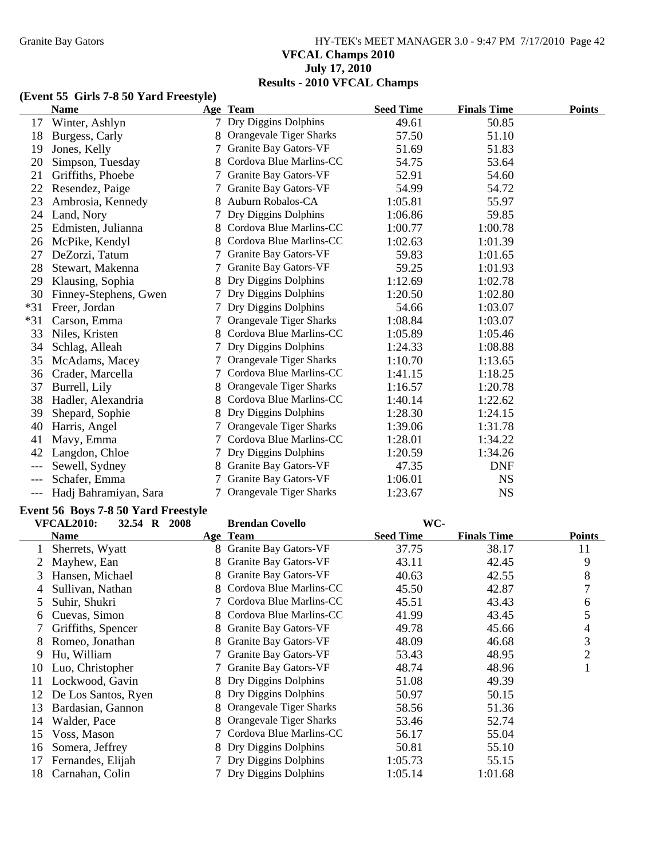# Granite Bay Gators **HY-TEK's MEET MANAGER 3.0 - 9:47 PM 7/17/2010** Page 42 **VFCAL Champs 2010 July 17, 2010 Results - 2010 VFCAL Champs**

# **(Event 55 Girls 7-8 50 Yard Freestyle)**

|       | <b>Name</b>           |    | Age Team                       | <b>Seed Time</b> | <b>Finals Time</b> | <b>Points</b> |
|-------|-----------------------|----|--------------------------------|------------------|--------------------|---------------|
| 17    | Winter, Ashlyn        |    | Dry Diggins Dolphins           | 49.61            | 50.85              |               |
| 18    | Burgess, Carly        |    | Orangevale Tiger Sharks        | 57.50            | 51.10              |               |
| 19    | Jones, Kelly          |    | Granite Bay Gators-VF          | 51.69            | 51.83              |               |
| 20    | Simpson, Tuesday      |    | Cordova Blue Marlins-CC        | 54.75            | 53.64              |               |
| 21    | Griffiths, Phoebe     |    | Granite Bay Gators-VF          | 52.91            | 54.60              |               |
| 22    | Resendez, Paige       |    | <b>Granite Bay Gators-VF</b>   | 54.99            | 54.72              |               |
| 23    | Ambrosia, Kennedy     |    | Auburn Robalos-CA              | 1:05.81          | 55.97              |               |
| 24    | Land, Nory            |    | Dry Diggins Dolphins           | 1:06.86          | 59.85              |               |
| 25    | Edmisten, Julianna    |    | Cordova Blue Marlins-CC        | 1:00.77          | 1:00.78            |               |
| 26    | McPike, Kendyl        |    | Cordova Blue Marlins-CC        | 1:02.63          | 1:01.39            |               |
| 27    | DeZorzi, Tatum        |    | Granite Bay Gators-VF          | 59.83            | 1:01.65            |               |
| 28    | Stewart, Makenna      |    | <b>Granite Bay Gators-VF</b>   | 59.25            | 1:01.93            |               |
| 29    | Klausing, Sophia      | 8  | Dry Diggins Dolphins           | 1:12.69          | 1:02.78            |               |
| 30    | Finney-Stephens, Gwen |    | Dry Diggins Dolphins           | 1:20.50          | 1:02.80            |               |
| $*31$ | Freer, Jordan         |    | Dry Diggins Dolphins           | 54.66            | 1:03.07            |               |
| $*31$ | Carson, Emma          |    | <b>Orangevale Tiger Sharks</b> | 1:08.84          | 1:03.07            |               |
| 33    | Niles, Kristen        | 8. | Cordova Blue Marlins-CC        | 1:05.89          | 1:05.46            |               |
| 34    | Schlag, Alleah        |    | Dry Diggins Dolphins           | 1:24.33          | 1:08.88            |               |
| 35    | McAdams, Macey        |    | Orangevale Tiger Sharks        | 1:10.70          | 1:13.65            |               |
| 36    | Crader, Marcella      |    | Cordova Blue Marlins-CC        | 1:41.15          | 1:18.25            |               |
| 37    | Burrell, Lily         |    | Orangevale Tiger Sharks        | 1:16.57          | 1:20.78            |               |
| 38    | Hadler, Alexandria    |    | Cordova Blue Marlins-CC        | 1:40.14          | 1:22.62            |               |
| 39    | Shepard, Sophie       |    | Dry Diggins Dolphins           | 1:28.30          | 1:24.15            |               |
| 40    | Harris, Angel         |    | Orangevale Tiger Sharks        | 1:39.06          | 1:31.78            |               |
| 41    | Mavy, Emma            | 7  | Cordova Blue Marlins-CC        | 1:28.01          | 1:34.22            |               |
| 42    | Langdon, Chloe        |    | Dry Diggins Dolphins           | 1:20.59          | 1:34.26            |               |
|       | Sewell, Sydney        |    | Granite Bay Gators-VF          | 47.35            | <b>DNF</b>         |               |
|       | Schafer, Emma         |    | <b>Granite Bay Gators-VF</b>   | 1:06.01          | <b>NS</b>          |               |
|       | Hadi Bahramiyan, Sara | 7  | Orangevale Tiger Sharks        | 1:23.67          | <b>NS</b>          |               |

## **Event 56 Boys 7-8 50 Yard Freestyle**

|    | <b>VFCAL2010:</b><br>32.54 R 2008 |    | <b>Brendan Covello</b>       | WC-              |                    |                |
|----|-----------------------------------|----|------------------------------|------------------|--------------------|----------------|
|    | Name                              |    | Age Team                     | <b>Seed Time</b> | <b>Finals Time</b> | Points         |
|    | Sherrets, Wyatt                   | 8. | <b>Granite Bay Gators-VF</b> | 37.75            | 38.17              | 11             |
|    | Mayhew, Ean                       | 8  | Granite Bay Gators-VF        | 43.11            | 42.45              | 9              |
| 3. | Hansen, Michael                   |    | Granite Bay Gators-VF        | 40.63            | 42.55              | 8              |
| 4  | Sullivan, Nathan                  |    | Cordova Blue Marlins-CC      | 45.50            | 42.87              | 7              |
| 5. | Suhir, Shukri                     |    | Cordova Blue Marlins-CC      | 45.51            | 43.43              | 6              |
| 6. | Cuevas, Simon                     | 8  | Cordova Blue Marlins-CC      | 41.99            | 43.45              | 5              |
|    | Griffiths, Spencer                | 8  | Granite Bay Gators-VF        | 49.78            | 45.66              | 4              |
| 8  | Romeo, Jonathan                   | 8  | Granite Bay Gators-VF        | 48.09            | 46.68              | 3              |
| 9  | Hu, William                       |    | Granite Bay Gators-VF        | 53.43            | 48.95              | $\overline{2}$ |
| 10 | Luo, Christopher                  |    | Granite Bay Gators-VF        | 48.74            | 48.96              |                |
| 11 | Lockwood, Gavin                   |    | 8 Dry Diggins Dolphins       | 51.08            | 49.39              |                |
| 12 | De Los Santos, Ryen               |    | Dry Diggins Dolphins         | 50.97            | 50.15              |                |
| 13 | Bardasian, Gannon                 |    | Orangevale Tiger Sharks      | 58.56            | 51.36              |                |
| 14 | Walder, Pace                      |    | Orangevale Tiger Sharks      | 53.46            | 52.74              |                |
| 15 | Voss, Mason                       |    | Cordova Blue Marlins-CC      | 56.17            | 55.04              |                |
| 16 | Somera, Jeffrey                   | 8  | Dry Diggins Dolphins         | 50.81            | 55.10              |                |
| 17 | Fernandes, Elijah                 |    | Dry Diggins Dolphins         | 1:05.73          | 55.15              |                |
| 18 | Carnahan, Colin                   |    | 7 Dry Diggins Dolphins       | 1:05.14          | 1:01.68            |                |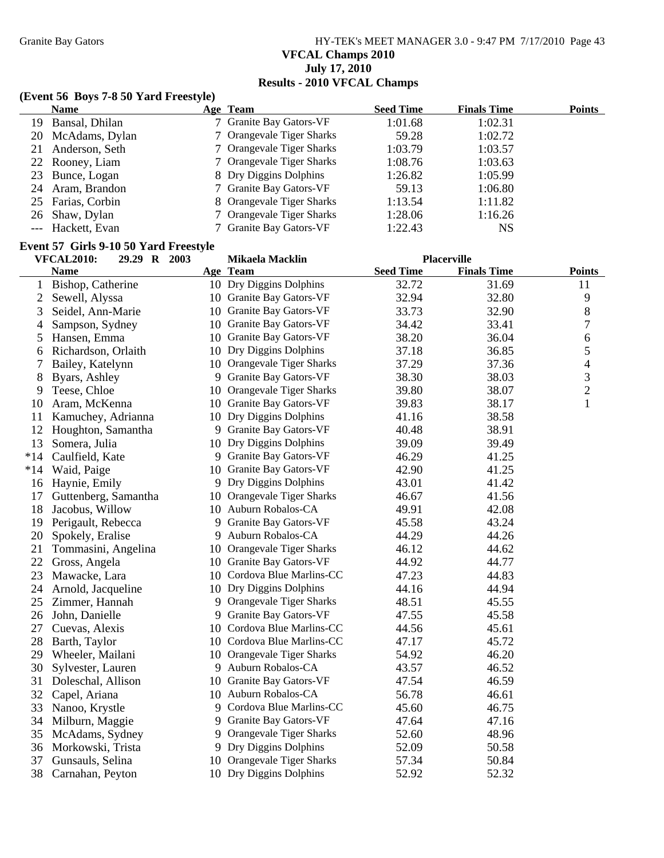Granite Bay Gators **HY-TEK's MEET MANAGER 3.0 - 9:47 PM 7/17/2010** Page 43 **VFCAL Champs 2010 July 17, 2010 Results - 2010 VFCAL Champs**

## **(Event 56 Boys 7-8 50 Yard Freestyle)**

| <b>Name</b>       | Age Team                  | <b>Seed Time</b> | <b>Finals Time</b> | <b>Points</b> |
|-------------------|---------------------------|------------------|--------------------|---------------|
| 19 Bansal, Dhilan | 7 Granite Bay Gators-VF   | 1:01.68          | 1:02.31            |               |
| 20 McAdams, Dylan | 7 Orangevale Tiger Sharks | 59.28            | 1:02.72            |               |
| 21 Anderson, Seth | 7 Orangevale Tiger Sharks | 1:03.79          | 1:03.57            |               |
| 22 Rooney, Liam   | 7 Orangevale Tiger Sharks | 1:08.76          | 1:03.63            |               |
| 23 Bunce, Logan   | 8 Dry Diggins Dolphins    | 1:26.82          | 1:05.99            |               |
| 24 Aram, Brandon  | 7 Granite Bay Gators-VF   | 59.13            | 1:06.80            |               |
| 25 Farias, Corbin | 8 Orangevale Tiger Sharks | 1:13.54          | 1:11.82            |               |
| 26 Shaw, Dylan    | 7 Orangevale Tiger Sharks | 1:28.06          | 1:16.26            |               |
| --- Hackett, Evan | 7 Granite Bay Gators-VF   | 1:22.43          | NS                 |               |

# **Event 57 Girls 9-10 50 Yard Freestyle**

|       | <b>VFCAL2010:</b><br>29.29 R 2003 |    | Mikaela Macklin            |                  | <b>Placerville</b> |                |
|-------|-----------------------------------|----|----------------------------|------------------|--------------------|----------------|
|       | Name                              |    | Age Team                   | <b>Seed Time</b> | <b>Finals Time</b> | <b>Points</b>  |
| 1     | Bishop, Catherine                 |    | 10 Dry Diggins Dolphins    | 32.72            | 31.69              | 11             |
| 2     | Sewell, Alyssa                    |    | 10 Granite Bay Gators-VF   | 32.94            | 32.80              | 9              |
| 3     | Seidel, Ann-Marie                 |    | 10 Granite Bay Gators-VF   | 33.73            | 32.90              | 8              |
| 4     | Sampson, Sydney                   |    | 10 Granite Bay Gators-VF   | 34.42            | 33.41              | 7              |
| 5     | Hansen, Emma                      |    | 10 Granite Bay Gators-VF   | 38.20            | 36.04              | $\sqrt{6}$     |
| 6     | Richardson, Orlaith               |    | 10 Dry Diggins Dolphins    | 37.18            | 36.85              | 5              |
| 7     | Bailey, Katelynn                  |    | 10 Orangevale Tiger Sharks | 37.29            | 37.36              | 4              |
| 8     | Byars, Ashley                     |    | 9 Granite Bay Gators-VF    | 38.30            | 38.03              | 3              |
| 9     | Teese, Chloe                      | 10 | Orangevale Tiger Sharks    | 39.80            | 38.07              | $\overline{2}$ |
| 10    | Aram, McKenna                     |    | 10 Granite Bay Gators-VF   | 39.83            | 38.17              | $\mathbf{1}$   |
| 11    | Kamuchey, Adrianna                |    | 10 Dry Diggins Dolphins    | 41.16            | 38.58              |                |
| 12    | Houghton, Samantha                |    | 9 Granite Bay Gators-VF    | 40.48            | 38.91              |                |
| 13    | Somera, Julia                     |    | 10 Dry Diggins Dolphins    | 39.09            | 39.49              |                |
| $*14$ | Caulfield, Kate                   |    | 9 Granite Bay Gators-VF    | 46.29            | 41.25              |                |
| $*14$ | Waid, Paige                       |    | 10 Granite Bay Gators-VF   | 42.90            | 41.25              |                |
| 16    | Haynie, Emily                     |    | 9 Dry Diggins Dolphins     | 43.01            | 41.42              |                |
| 17    | Guttenberg, Samantha              |    | 10 Orangevale Tiger Sharks | 46.67            | 41.56              |                |
| 18    | Jacobus, Willow                   |    | 10 Auburn Robalos-CA       | 49.91            | 42.08              |                |
| 19    | Perigault, Rebecca                |    | 9 Granite Bay Gators-VF    | 45.58            | 43.24              |                |
| 20    | Spokely, Eralise                  |    | 9 Auburn Robalos-CA        | 44.29            | 44.26              |                |
| 21    | Tommasini, Angelina               |    | 10 Orangevale Tiger Sharks | 46.12            | 44.62              |                |
| 22    | Gross, Angela                     |    | 10 Granite Bay Gators-VF   | 44.92            | 44.77              |                |
| 23    | Mawacke, Lara                     |    | 10 Cordova Blue Marlins-CC | 47.23            | 44.83              |                |
| 24    | Arnold, Jacqueline                |    | 10 Dry Diggins Dolphins    | 44.16            | 44.94              |                |
| 25    | Zimmer, Hannah                    |    | 9 Orangevale Tiger Sharks  | 48.51            | 45.55              |                |
| 26    | John, Danielle                    |    | 9 Granite Bay Gators-VF    | 47.55            | 45.58              |                |
| 27    | Cuevas, Alexis                    |    | 10 Cordova Blue Marlins-CC | 44.56            | 45.61              |                |
| 28    | Barth, Taylor                     |    | 10 Cordova Blue Marlins-CC | 47.17            | 45.72              |                |
| 29    | Wheeler, Mailani                  | 10 | Orangevale Tiger Sharks    | 54.92            | 46.20              |                |
| 30    | Sylvester, Lauren                 |    | 9 Auburn Robalos-CA        | 43.57            | 46.52              |                |
| 31    | Doleschal, Allison                |    | 10 Granite Bay Gators-VF   | 47.54            | 46.59              |                |
| 32    | Capel, Ariana                     |    | 10 Auburn Robalos-CA       | 56.78            | 46.61              |                |
| 33    | Nanoo, Krystle                    |    | 9 Cordova Blue Marlins-CC  | 45.60            | 46.75              |                |
| 34    | Milburn, Maggie                   |    | 9 Granite Bay Gators-VF    | 47.64            | 47.16              |                |
| 35    | McAdams, Sydney                   |    | 9 Orangevale Tiger Sharks  | 52.60            | 48.96              |                |
| 36    | Morkowski, Trista                 |    | 9 Dry Diggins Dolphins     | 52.09            | 50.58              |                |
| 37    | Gunsauls, Selina                  |    | 10 Orangevale Tiger Sharks | 57.34            | 50.84              |                |
| 38    | Carnahan, Peyton                  |    | 10 Dry Diggins Dolphins    | 52.92            | 52.32              |                |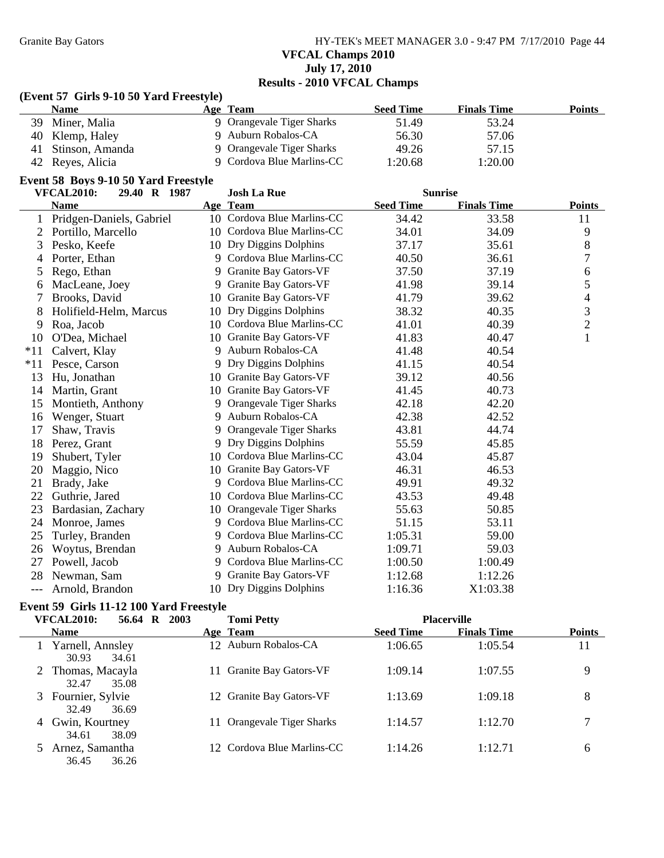Granite Bay Gators **HY-TEK's MEET MANAGER 3.0 - 9:47 PM 7/17/2010** Page 44 **VFCAL Champs 2010 July 17, 2010 Results - 2010 VFCAL Champs**

#### **(Event 57 Girls 9-10 50 Yard Freestyle)**

| <b>Name</b>        | Age Team                  | <b>Seed Time</b> | <b>Finals Time</b> | <b>Points</b> |
|--------------------|---------------------------|------------------|--------------------|---------------|
| 39 Miner, Malia    | 9 Orangevale Tiger Sharks | 51.49            | 53.24              |               |
| 40 Klemp, Haley    | 9 Auburn Robalos-CA       | 56.30            | 57.06              |               |
| 41 Stinson, Amanda | 9 Orangevale Tiger Sharks | 49.26            | 57.15              |               |
| 42 Reyes, Alicia   | 9 Cordova Blue Marlins-CC | 1:20.68          | 1:20.00            |               |

#### **Event 58 Boys 9-10 50 Yard Freestyle**

|       | <b>VFCAL2010:</b><br>29.40 R 1987 |    | <b>Josh La Rue</b>         | <b>Sunrise</b>   |                    |                |
|-------|-----------------------------------|----|----------------------------|------------------|--------------------|----------------|
|       | <b>Name</b>                       |    | Age Team                   | <b>Seed Time</b> | <b>Finals Time</b> | <b>Points</b>  |
|       | Pridgen-Daniels, Gabriel          |    | 10 Cordova Blue Marlins-CC | 34.42            | 33.58              | 11             |
| 2     | Portillo, Marcello                |    | 10 Cordova Blue Marlins-CC | 34.01            | 34.09              | 9              |
| 3     | Pesko, Keefe                      |    | 10 Dry Diggins Dolphins    | 37.17            | 35.61              | 8              |
| 4     | Porter, Ethan                     | 9  | Cordova Blue Marlins-CC    | 40.50            | 36.61              | 7              |
| 5     | Rego, Ethan                       | 9  | Granite Bay Gators-VF      | 37.50            | 37.19              | 6              |
| 6     | MacLeane, Joey                    | 9  | Granite Bay Gators-VF      | 41.98            | 39.14              | 5              |
| 7     | Brooks, David                     | 10 | Granite Bay Gators-VF      | 41.79            | 39.62              | $\overline{4}$ |
| 8     | Holifield-Helm, Marcus            | 10 | Dry Diggins Dolphins       | 38.32            | 40.35              | 3              |
| 9     | Roa, Jacob                        | 10 | Cordova Blue Marlins-CC    | 41.01            | 40.39              | $\overline{c}$ |
| 10    | O'Dea, Michael                    | 10 | Granite Bay Gators-VF      | 41.83            | 40.47              | $\mathbf{1}$   |
| $*11$ | Calvert, Klay                     | 9  | Auburn Robalos-CA          | 41.48            | 40.54              |                |
| $*11$ | Pesce, Carson                     | 9  | Dry Diggins Dolphins       | 41.15            | 40.54              |                |
| 13    | Hu, Jonathan                      | 10 | Granite Bay Gators-VF      | 39.12            | 40.56              |                |
| 14    | Martin, Grant                     | 10 | Granite Bay Gators-VF      | 41.45            | 40.73              |                |
| 15    | Montieth, Anthony                 | 9  | Orangevale Tiger Sharks    | 42.18            | 42.20              |                |
| 16    | Wenger, Stuart                    | 9  | Auburn Robalos-CA          | 42.38            | 42.52              |                |
| 17    | Shaw, Travis                      | 9  | Orangevale Tiger Sharks    | 43.81            | 44.74              |                |
| 18    | Perez, Grant                      | 9  | Dry Diggins Dolphins       | 55.59            | 45.85              |                |
| 19    | Shubert, Tyler                    | 10 | Cordova Blue Marlins-CC    | 43.04            | 45.87              |                |
| 20    | Maggio, Nico                      | 10 | Granite Bay Gators-VF      | 46.31            | 46.53              |                |
| 21    | Brady, Jake                       | 9  | Cordova Blue Marlins-CC    | 49.91            | 49.32              |                |
| 22    | Guthrie, Jared                    | 10 | Cordova Blue Marlins-CC    | 43.53            | 49.48              |                |
| 23    | Bardasian, Zachary                | 10 | Orangevale Tiger Sharks    | 55.63            | 50.85              |                |
| 24    | Monroe, James                     | 9  | Cordova Blue Marlins-CC    | 51.15            | 53.11              |                |
| 25    | Turley, Branden                   | 9  | Cordova Blue Marlins-CC    | 1:05.31          | 59.00              |                |
| 26    | Woytus, Brendan                   |    | 9 Auburn Robalos-CA        | 1:09.71          | 59.03              |                |
| 27    | Powell, Jacob                     | 9  | Cordova Blue Marlins-CC    | 1:00.50          | 1:00.49            |                |
| 28    | Newman, Sam                       | 9  | Granite Bay Gators-VF      | 1:12.68          | 1:12.26            |                |
| ---   | Arnold, Brandon                   |    | 10 Dry Diggins Dolphins    | 1:16.36          | X1:03.38           |                |

#### **Event 59 Girls 11-12 100 Yard Freestyle**

|   | <b>VFCAL2010:</b><br>56.64           | 2003<br>$\mathbf R$ | <b>Tomi Petty</b>          |                  | <b>Placerville</b> |               |
|---|--------------------------------------|---------------------|----------------------------|------------------|--------------------|---------------|
|   | <b>Name</b>                          |                     | Age Team                   | <b>Seed Time</b> | <b>Finals Time</b> | <b>Points</b> |
|   | Yarnell, Annsley<br>30.93<br>34.61   |                     | 12 Auburn Robalos-CA       | 1:06.65          | 1:05.54            | 11            |
|   | 2 Thomas, Macayla<br>35.08<br>32.47  |                     | 11 Granite Bay Gators-VF   | 1:09.14          | 1:07.55            | 9             |
|   | 3 Fournier, Sylvie<br>36.69<br>32.49 |                     | 12 Granite Bay Gators-VF   | 1:13.69          | 1:09.18            | 8             |
| 4 | Gwin, Kourtney<br>34.61<br>38.09     |                     | 11 Orangevale Tiger Sharks | 1:14.57          | 1:12.70            | 7             |
|   | Arnez, Samantha<br>36.45<br>36.26    |                     | 12 Cordova Blue Marlins-CC | 1:14.26          | 1:12.71            | 6             |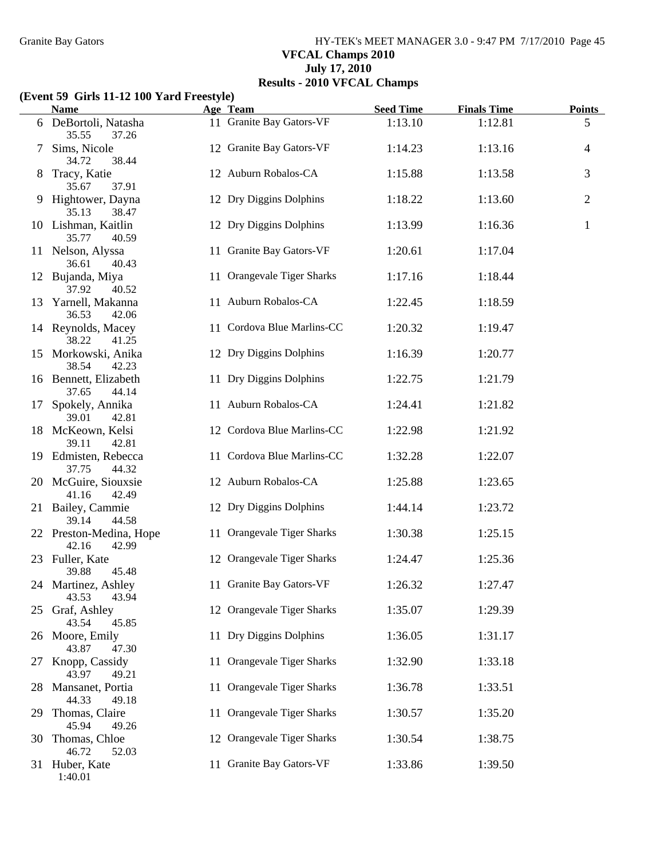Granite Bay Gators **HY-TEK's MEET MANAGER 3.0 - 9:47 PM 7/17/2010** Page 45 **VFCAL Champs 2010 July 17, 2010 Results - 2010 VFCAL Champs**

### **(Event 59 Girls 11-12 100 Yard Freestyle)**

|    | <b>Name</b>                               | Age Team                   | <b>Seed Time</b> | <b>Finals Time</b> | <b>Points</b>  |
|----|-------------------------------------------|----------------------------|------------------|--------------------|----------------|
|    | 6 DeBortoli, Natasha<br>35.55<br>37.26    | 11 Granite Bay Gators-VF   | 1:13.10          | 1:12.81            | 5              |
| 7  | Sims, Nicole<br>34.72<br>38.44            | 12 Granite Bay Gators-VF   | 1:14.23          | 1:13.16            | $\overline{4}$ |
| 8  | Tracy, Katie<br>35.67<br>37.91            | 12 Auburn Robalos-CA       | 1:15.88          | 1:13.58            | $\mathfrak{Z}$ |
| 9. | Hightower, Dayna<br>38.47<br>35.13        | 12 Dry Diggins Dolphins    | 1:18.22          | 1:13.60            | $\mathfrak{2}$ |
|    | 10 Lishman, Kaitlin<br>35.77<br>40.59     | 12 Dry Diggins Dolphins    | 1:13.99          | 1:16.36            | $\mathbf{1}$   |
|    | 11 Nelson, Alyssa<br>36.61<br>40.43       | 11 Granite Bay Gators-VF   | 1:20.61          | 1:17.04            |                |
|    | 12 Bujanda, Miya<br>37.92<br>40.52        | 11 Orangevale Tiger Sharks | 1:17.16          | 1:18.44            |                |
|    | 13 Yarnell, Makanna<br>36.53<br>42.06     | 11 Auburn Robalos-CA       | 1:22.45          | 1:18.59            |                |
|    | 14 Reynolds, Macey<br>38.22<br>41.25      | 11 Cordova Blue Marlins-CC | 1:20.32          | 1:19.47            |                |
|    | 15 Morkowski, Anika<br>38.54<br>42.23     | 12 Dry Diggins Dolphins    | 1:16.39          | 1:20.77            |                |
|    | 16 Bennett, Elizabeth<br>44.14<br>37.65   | 11 Dry Diggins Dolphins    | 1:22.75          | 1:21.79            |                |
| 17 | Spokely, Annika<br>39.01<br>42.81         | 11 Auburn Robalos-CA       | 1:24.41          | 1:21.82            |                |
|    | 18 McKeown, Kelsi<br>39.11<br>42.81       | 12 Cordova Blue Marlins-CC | 1:22.98          | 1:21.92            |                |
|    | 19 Edmisten, Rebecca<br>37.75<br>44.32    | 11 Cordova Blue Marlins-CC | 1:32.28          | 1:22.07            |                |
|    | 20 McGuire, Siouxsie<br>41.16<br>42.49    | 12 Auburn Robalos-CA       | 1:25.88          | 1:23.65            |                |
|    | 21 Bailey, Cammie<br>39.14<br>44.58       | 12 Dry Diggins Dolphins    | 1:44.14          | 1:23.72            |                |
|    | 22 Preston-Medina, Hope<br>42.16<br>42.99 | 11 Orangevale Tiger Sharks | 1:30.38          | 1:25.15            |                |
|    | 23 Fuller, Kate<br>39.88<br>45.48         | 12 Orangevale Tiger Sharks | 1:24.47          | 1:25.36            |                |
|    | 24 Martinez, Ashley<br>43.53<br>43.94     | 11 Granite Bay Gators-VF   | 1:26.32          | 1:27.47            |                |
| 25 | Graf, Ashley<br>43.54<br>45.85            | 12 Orangevale Tiger Sharks | 1:35.07          | 1:29.39            |                |
|    | 26 Moore, Emily<br>43.87<br>47.30         | 11 Dry Diggins Dolphins    | 1:36.05          | 1:31.17            |                |
| 27 | Knopp, Cassidy<br>43.97<br>49.21          | 11 Orangevale Tiger Sharks | 1:32.90          | 1:33.18            |                |
| 28 | Mansanet, Portia<br>44.33<br>49.18        | 11 Orangevale Tiger Sharks | 1:36.78          | 1:33.51            |                |
| 29 | Thomas, Claire<br>45.94<br>49.26          | 11 Orangevale Tiger Sharks | 1:30.57          | 1:35.20            |                |
| 30 | Thomas, Chloe<br>46.72<br>52.03           | 12 Orangevale Tiger Sharks | 1:30.54          | 1:38.75            |                |
|    | 31 Huber, Kate<br>1:40.01                 | 11 Granite Bay Gators-VF   | 1:33.86          | 1:39.50            |                |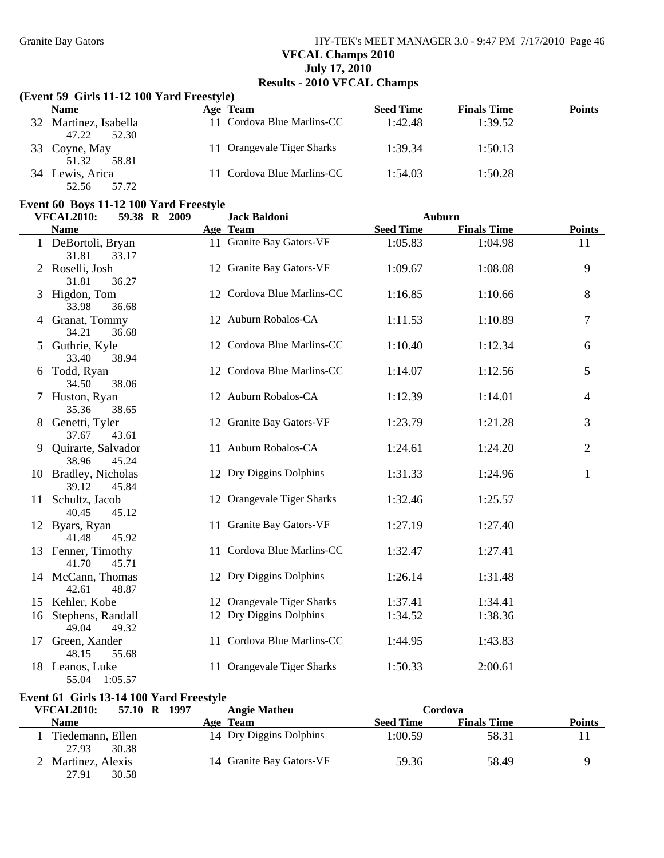# Granite Bay Gators **HY-TEK's MEET MANAGER 3.0 - 9:47 PM 7/17/2010** Page 46 **VFCAL Champs 2010 July 17, 2010 Results - 2010 VFCAL Champs**

### **(Event 59 Girls 11-12 100 Yard Freestyle)**

|    | <b>Name</b>                          | Age Team                   | <b>Seed Time</b> | <b>Finals Time</b> | Points |
|----|--------------------------------------|----------------------------|------------------|--------------------|--------|
| 32 | Martinez, Isabella<br>52.30<br>47.22 | 11 Cordova Blue Marlins-CC | 1:42.48          | 1:39.52            |        |
| 33 | Coyne, May<br>51.32<br>58.81         | 11 Orangevale Tiger Sharks | 1:39.34          | 1:50.13            |        |
| 34 | Lewis, Arica<br>57.72<br>52.56       | 11 Cordova Blue Marlins-CC | 1:54.03          | 1:50.28            |        |

#### **Event 60 Boys 11-12 100 Yard Freestyle**

|    | <b>VFCAL2010:</b><br>59.38 R 2009      | <b>Jack Baldoni</b>        | <b>Auburn</b>    |                    |                |
|----|----------------------------------------|----------------------------|------------------|--------------------|----------------|
|    | <b>Name</b>                            | Age Team                   | <b>Seed Time</b> | <b>Finals Time</b> | <b>Points</b>  |
|    | 1 DeBortoli, Bryan<br>31.81<br>33.17   | 11 Granite Bay Gators-VF   | 1:05.83          | 1:04.98            | 11             |
|    | Roselli, Josh<br>31.81<br>36.27        | 12 Granite Bay Gators-VF   | 1:09.67          | 1:08.08            | 9              |
|    | Higdon, Tom<br>33.98<br>36.68          | 12 Cordova Blue Marlins-CC | 1:16.85          | 1:10.66            | 8              |
|    | 4 Granat, Tommy<br>34.21<br>36.68      | 12 Auburn Robalos-CA       | 1:11.53          | 1:10.89            | $\overline{7}$ |
| 5  | Guthrie, Kyle<br>33.40<br>38.94        | 12 Cordova Blue Marlins-CC | 1:10.40          | 1:12.34            | 6              |
| 6  | Todd, Ryan<br>34.50<br>38.06           | 12 Cordova Blue Marlins-CC | 1:14.07          | 1:12.56            | 5              |
|    | Huston, Ryan<br>35.36<br>38.65         | 12 Auburn Robalos-CA       | 1:12.39          | 1:14.01            | $\overline{4}$ |
| 8  | Genetti, Tyler<br>37.67<br>43.61       | 12 Granite Bay Gators-VF   | 1:23.79          | 1:21.28            | 3              |
| 9  | Quirarte, Salvador<br>38.96<br>45.24   | 11 Auburn Robalos-CA       | 1:24.61          | 1:24.20            | $\overline{2}$ |
|    | 10 Bradley, Nicholas<br>39.12<br>45.84 | 12 Dry Diggins Dolphins    | 1:31.33          | 1:24.96            | $\mathbf{1}$   |
| 11 | Schultz, Jacob<br>40.45<br>45.12       | 12 Orangevale Tiger Sharks | 1:32.46          | 1:25.57            |                |
|    | 12 Byars, Ryan<br>41.48<br>45.92       | 11 Granite Bay Gators-VF   | 1:27.19          | 1:27.40            |                |
|    | 13 Fenner, Timothy<br>41.70<br>45.71   | 11 Cordova Blue Marlins-CC | 1:32.47          | 1:27.41            |                |
|    | 14 McCann, Thomas<br>48.87<br>42.61    | 12 Dry Diggins Dolphins    | 1:26.14          | 1:31.48            |                |
|    | 15 Kehler, Kobe                        | 12 Orangevale Tiger Sharks | 1:37.41          | 1:34.41            |                |
| 16 | Stephens, Randall<br>49.04<br>49.32    | 12 Dry Diggins Dolphins    | 1:34.52          | 1:38.36            |                |
| 17 | Green, Xander<br>55.68<br>48.15        | 11 Cordova Blue Marlins-CC | 1:44.95          | 1:43.83            |                |
|    | 18 Leanos, Luke<br>55.04<br>1:05.57    | 11 Orangevale Tiger Sharks | 1:50.33          | 2:00.61            |                |

### **Event 61 Girls 13-14 100 Yard Freestyle**

| <b>VFCAL2010:</b>                  | 57.10 R 1997 | <b>Angie Matheu</b>      |                  | Cordova            |        |
|------------------------------------|--------------|--------------------------|------------------|--------------------|--------|
| Name                               |              | Age Team                 | <b>Seed Time</b> | <b>Finals Time</b> | Points |
| Tiedemann, Ellen<br>30.38<br>27.93 |              | 14 Dry Diggins Dolphins  | 1:00.59          | 58.31              |        |
| Martinez, Alexis<br>30.58<br>27.91 |              | 14 Granite Bay Gators-VF | 59.36            | 58.49              |        |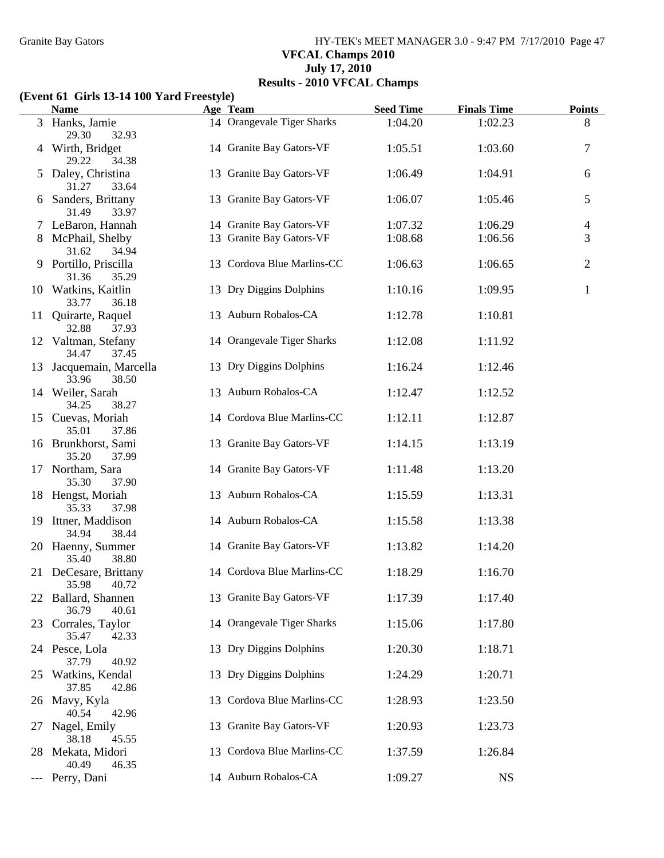Granite Bay Gators **HY-TEK's MEET MANAGER 3.0 - 9:47 PM 7/17/2010** Page 47 **VFCAL Champs 2010 July 17, 2010 Results - 2010 VFCAL Champs**

### **(Event 61 Girls 13-14 100 Yard Freestyle)**

|    | <b>Name</b>                               | Age Team                   | <b>Seed Time</b> | <b>Finals Time</b> | <b>Points</b>  |
|----|-------------------------------------------|----------------------------|------------------|--------------------|----------------|
|    | 3 Hanks, Jamie<br>29.30<br>32.93          | 14 Orangevale Tiger Sharks | 1:04.20          | 1:02.23            | 8              |
|    | Wirth, Bridget<br>29.22<br>34.38          | 14 Granite Bay Gators-VF   | 1:05.51          | 1:03.60            | 7              |
| 5  | Daley, Christina<br>31.27<br>33.64        | 13 Granite Bay Gators-VF   | 1:06.49          | 1:04.91            | 6              |
| 6  | Sanders, Brittany<br>31.49<br>33.97       | 13 Granite Bay Gators-VF   | 1:06.07          | 1:05.46            | 5              |
|    | 7 LeBaron, Hannah                         | 14 Granite Bay Gators-VF   | 1:07.32          | 1:06.29            | 4              |
|    | McPhail, Shelby<br>31.62<br>34.94         | 13 Granite Bay Gators-VF   | 1:08.68          | 1:06.56            | 3              |
|    | 9 Portillo, Priscilla<br>35.29<br>31.36   | 13 Cordova Blue Marlins-CC | 1:06.63          | 1:06.65            | $\overline{2}$ |
|    | 10 Watkins, Kaitlin<br>33.77<br>36.18     | 13 Dry Diggins Dolphins    | 1:10.16          | 1:09.95            | $\mathbf{1}$   |
| 11 | Quirarte, Raquel<br>32.88<br>37.93        | 13 Auburn Robalos-CA       | 1:12.78          | 1:10.81            |                |
|    | 12 Valtman, Stefany<br>34.47<br>37.45     | 14 Orangevale Tiger Sharks | 1:12.08          | 1:11.92            |                |
|    | 13 Jacquemain, Marcella<br>33.96<br>38.50 | 13 Dry Diggins Dolphins    | 1:16.24          | 1:12.46            |                |
|    | 14 Weiler, Sarah<br>34.25<br>38.27        | 13 Auburn Robalos-CA       | 1:12.47          | 1:12.52            |                |
|    | 15 Cuevas, Moriah<br>35.01<br>37.86       | 14 Cordova Blue Marlins-CC | 1:12.11          | 1:12.87            |                |
|    | 16 Brunkhorst, Sami<br>35.20<br>37.99     | 13 Granite Bay Gators-VF   | 1:14.15          | 1:13.19            |                |
|    | 17 Northam, Sara<br>35.30<br>37.90        | 14 Granite Bay Gators-VF   | 1:11.48          | 1:13.20            |                |
|    | 18 Hengst, Moriah<br>35.33<br>37.98       | 13 Auburn Robalos-CA       | 1:15.59          | 1:13.31            |                |
|    | 19 Ittner, Maddison<br>38.44<br>34.94     | 14 Auburn Robalos-CA       | 1:15.58          | 1:13.38            |                |
|    | 20 Haenny, Summer<br>35.40<br>38.80       | 14 Granite Bay Gators-VF   | 1:13.82          | 1:14.20            |                |
|    | 21 DeCesare, Brittany<br>35.98<br>40.72   | 14 Cordova Blue Marlins-CC | 1:18.29          | 1:16.70            |                |
| 22 | Ballard, Shannen<br>36.79<br>40.61        | 13 Granite Bay Gators-VF   | 1:17.39          | 1:17.40            |                |
| 23 | Corrales, Taylor<br>35.47<br>42.33        | 14 Orangevale Tiger Sharks | 1:15.06          | 1:17.80            |                |
|    | 24 Pesce, Lola<br>37.79<br>40.92          | 13 Dry Diggins Dolphins    | 1:20.30          | 1:18.71            |                |
| 25 | Watkins, Kendal<br>37.85<br>42.86         | 13 Dry Diggins Dolphins    | 1:24.29          | 1:20.71            |                |
| 26 | Mavy, Kyla<br>40.54<br>42.96              | 13 Cordova Blue Marlins-CC | 1:28.93          | 1:23.50            |                |
| 27 | Nagel, Emily<br>38.18<br>45.55            | 13 Granite Bay Gators-VF   | 1:20.93          | 1:23.73            |                |
| 28 | Mekata, Midori<br>40.49<br>46.35          | 13 Cordova Blue Marlins-CC | 1:37.59          | 1:26.84            |                |
|    | Perry, Dani                               | 14 Auburn Robalos-CA       | 1:09.27          | <b>NS</b>          |                |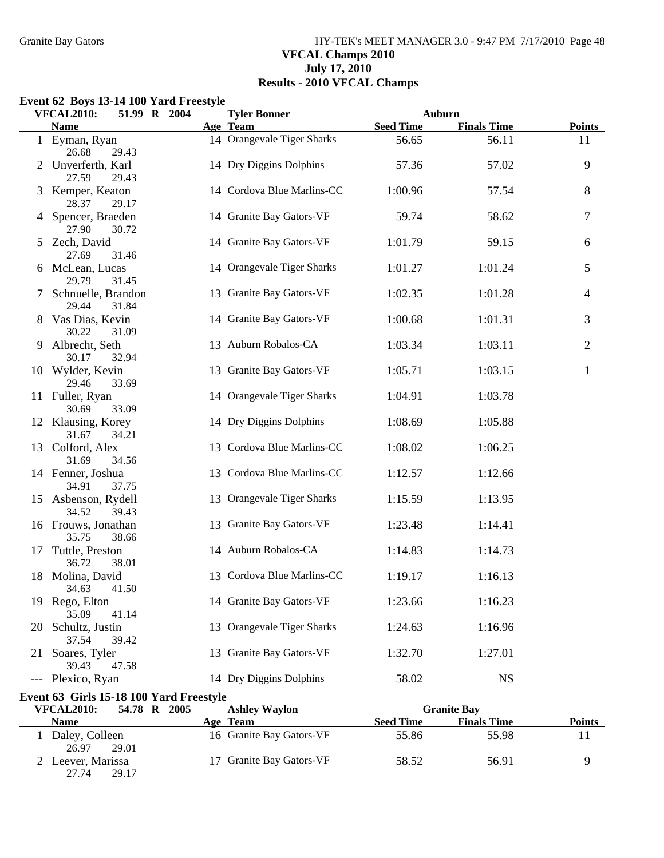### Granite Bay Gators **HY-TEK's MEET MANAGER 3.0 - 9:47 PM 7/17/2010** Page 48 **VFCAL Champs 2010 July 17, 2010 Results - 2010 VFCAL Champs**

### **Event 62 Boys 13-14 100 Yard Freestyle**

27.74 29.17

|    | <b>VFCAL2010:</b>                       | 51.99 R 2004 | <b>Tyler Bonner</b>        |                  | Auburn             |                |
|----|-----------------------------------------|--------------|----------------------------|------------------|--------------------|----------------|
|    | <b>Name</b>                             |              | Age Team                   | <b>Seed Time</b> | <b>Finals Time</b> | <b>Points</b>  |
|    | 1 Eyman, Ryan<br>26.68<br>29.43         |              | 14 Orangevale Tiger Sharks | 56.65            | 56.11              | 11             |
|    | 2 Unverferth, Karl<br>27.59<br>29.43    |              | 14 Dry Diggins Dolphins    | 57.36            | 57.02              | 9              |
|    | 3 Kemper, Keaton<br>28.37<br>29.17      |              | 14 Cordova Blue Marlins-CC | 1:00.96          | 57.54              | 8              |
|    | 4 Spencer, Braeden<br>27.90<br>30.72    |              | 14 Granite Bay Gators-VF   | 59.74            | 58.62              | 7              |
|    | 5 Zech, David<br>27.69<br>31.46         |              | 14 Granite Bay Gators-VF   | 1:01.79          | 59.15              | 6              |
|    | 6 McLean, Lucas<br>29.79<br>31.45       |              | 14 Orangevale Tiger Sharks | 1:01.27          | 1:01.24            | 5              |
|    | 7 Schnuelle, Brandon<br>29.44<br>31.84  |              | 13 Granite Bay Gators-VF   | 1:02.35          | 1:01.28            | 4              |
|    | 8 Vas Dias, Kevin<br>30.22<br>31.09     |              | 14 Granite Bay Gators-VF   | 1:00.68          | 1:01.31            | 3              |
| 9  | Albrecht, Seth<br>30.17<br>32.94        |              | 13 Auburn Robalos-CA       | 1:03.34          | 1:03.11            | $\overline{c}$ |
|    | 10 Wylder, Kevin<br>29.46<br>33.69      |              | 13 Granite Bay Gators-VF   | 1:05.71          | 1:03.15            | $\mathbf{1}$   |
|    | 11 Fuller, Ryan<br>30.69<br>33.09       |              | 14 Orangevale Tiger Sharks | 1:04.91          | 1:03.78            |                |
|    | 12 Klausing, Korey<br>31.67<br>34.21    |              | 14 Dry Diggins Dolphins    | 1:08.69          | 1:05.88            |                |
|    | 13 Colford, Alex<br>31.69<br>34.56      |              | 13 Cordova Blue Marlins-CC | 1:08.02          | 1:06.25            |                |
|    | 14 Fenner, Joshua<br>34.91<br>37.75     |              | 13 Cordova Blue Marlins-CC | 1:12.57          | 1:12.66            |                |
|    | 15 Asbenson, Rydell<br>34.52<br>39.43   |              | 13 Orangevale Tiger Sharks | 1:15.59          | 1:13.95            |                |
|    | 16 Frouws, Jonathan<br>35.75<br>38.66   |              | 13 Granite Bay Gators-VF   | 1:23.48          | 1:14.41            |                |
| 17 | Tuttle, Preston<br>36.72<br>38.01       |              | 14 Auburn Robalos-CA       | 1:14.83          | 1:14.73            |                |
| 18 | Molina, David<br>34.63<br>41.50         |              | 13 Cordova Blue Marlins-CC | 1:19.17          | 1:16.13            |                |
|    | 19 Rego, Elton<br>35.09<br>41.14        |              | 14 Granite Bay Gators-VF   | 1:23.66          | 1:16.23            |                |
| 20 | Schultz, Justin<br>37.54<br>39.42       |              | 13 Orangevale Tiger Sharks | 1:24.63          | 1:16.96            |                |
| 21 | Soares, Tyler<br>39.43<br>47.58         |              | 13 Granite Bay Gators-VF   | 1:32.70          | 1:27.01            |                |
|    | --- Plexico, Ryan                       |              | 14 Dry Diggins Dolphins    | 58.02            | <b>NS</b>          |                |
|    | Event 63 Girls 15-18 100 Yard Freestyle |              |                            |                  |                    |                |
|    | <b>VFCAL2010:</b>                       | 54.78 R 2005 | <b>Ashley Waylon</b>       |                  | <b>Granite Bay</b> |                |
|    | <b>Name</b>                             |              | Age Team                   | <b>Seed Time</b> | <b>Finals Time</b> | <b>Points</b>  |
|    | Daley, Colleen<br>26.97<br>29.01        |              | 16 Granite Bay Gators-VF   | 55.86            | 55.98              | 11             |
|    | 2 Leever, Marissa                       |              | 17 Granite Bay Gators-VF   | 58.52            | 56.91              | 9              |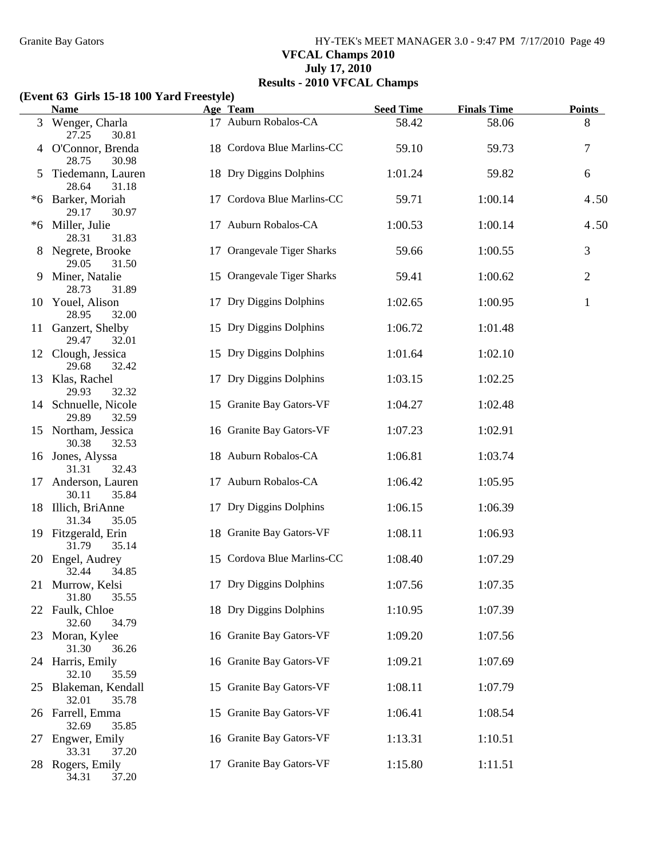Granite Bay Gators **HY-TEK's MEET MANAGER 3.0 - 9:47 PM 7/17/2010** Page 49 **VFCAL Champs 2010 July 17, 2010 Results - 2010 VFCAL Champs**

#### **(Event 63 Girls 15-18 100 Yard Freestyle)**

|                | <b>Name</b>                            | Age Team                   | <b>Seed Time</b> | <b>Finals Time</b> | <b>Points</b> |
|----------------|----------------------------------------|----------------------------|------------------|--------------------|---------------|
| 3 <sup>1</sup> | Wenger, Charla<br>27.25<br>30.81       | 17 Auburn Robalos-CA       | 58.42            | 58.06              | 8             |
|                | 4 O'Connor, Brenda<br>28.75<br>30.98   | 18 Cordova Blue Marlins-CC | 59.10            | 59.73              | 7             |
|                | Tiedemann, Lauren<br>28.64<br>31.18    | 18 Dry Diggins Dolphins    | 1:01.24          | 59.82              | 6             |
|                | *6 Barker, Moriah<br>29.17<br>30.97    | 17 Cordova Blue Marlins-CC | 59.71            | 1:00.14            | 4.50          |
|                | *6 Miller, Julie<br>28.31<br>31.83     | 17 Auburn Robalos-CA       | 1:00.53          | 1:00.14            | 4.50          |
|                | Negrete, Brooke<br>29.05<br>31.50      | 17 Orangevale Tiger Sharks | 59.66            | 1:00.55            | 3             |
| 9              | Miner, Natalie<br>28.73<br>31.89       | 15 Orangevale Tiger Sharks | 59.41            | 1:00.62            | 2             |
|                | 10 Youel, Alison<br>28.95<br>32.00     | 17 Dry Diggins Dolphins    | 1:02.65          | 1:00.95            | $\mathbf{1}$  |
|                | 11 Ganzert, Shelby<br>29.47<br>32.01   | 15 Dry Diggins Dolphins    | 1:06.72          | 1:01.48            |               |
|                | 12 Clough, Jessica<br>29.68<br>32.42   | 15 Dry Diggins Dolphins    | 1:01.64          | 1:02.10            |               |
|                | 13 Klas, Rachel<br>29.93<br>32.32      | 17 Dry Diggins Dolphins    | 1:03.15          | 1:02.25            |               |
|                | 14 Schnuelle, Nicole<br>29.89<br>32.59 | 15 Granite Bay Gators-VF   | 1:04.27          | 1:02.48            |               |
|                | 15 Northam, Jessica<br>30.38<br>32.53  | 16 Granite Bay Gators-VF   | 1:07.23          | 1:02.91            |               |
|                | 16 Jones, Alyssa<br>31.31<br>32.43     | 18 Auburn Robalos-CA       | 1:06.81          | 1:03.74            |               |
| 17             | Anderson, Lauren<br>30.11<br>35.84     | 17 Auburn Robalos-CA       | 1:06.42          | 1:05.95            |               |
|                | 18 Illich, BriAnne<br>31.34<br>35.05   | 17 Dry Diggins Dolphins    | 1:06.15          | 1:06.39            |               |
|                | 19 Fitzgerald, Erin<br>31.79<br>35.14  | 18 Granite Bay Gators-VF   | 1:08.11          | 1:06.93            |               |
|                | 20 Engel, Audrey<br>32.44<br>34.85     | 15 Cordova Blue Marlins-CC | 1:08.40          | 1:07.29            |               |
|                | 21 Murrow, Kelsi<br>31.80<br>35.55     | 17 Dry Diggins Dolphins    | 1:07.56          | 1:07.35            |               |
| 22             | Faulk, Chloe<br>32.60<br>34.79         | 18 Dry Diggins Dolphins    | 1:10.95          | 1:07.39            |               |
| 23             | Moran, Kylee<br>31.30<br>36.26         | 16 Granite Bay Gators-VF   | 1:09.20          | 1:07.56            |               |
|                | 24 Harris, Emily<br>32.10<br>35.59     | 16 Granite Bay Gators-VF   | 1:09.21          | 1:07.69            |               |
|                | 25 Blakeman, Kendall<br>32.01<br>35.78 | 15 Granite Bay Gators-VF   | 1:08.11          | 1:07.79            |               |
|                | 26 Farrell, Emma<br>32.69<br>35.85     | 15 Granite Bay Gators-VF   | 1:06.41          | 1:08.54            |               |
| 27             | Engwer, Emily<br>33.31<br>37.20        | 16 Granite Bay Gators-VF   | 1:13.31          | 1:10.51            |               |
| 28.            | Rogers, Emily<br>34.31<br>37.20        | 17 Granite Bay Gators-VF   | 1:15.80          | 1:11.51            |               |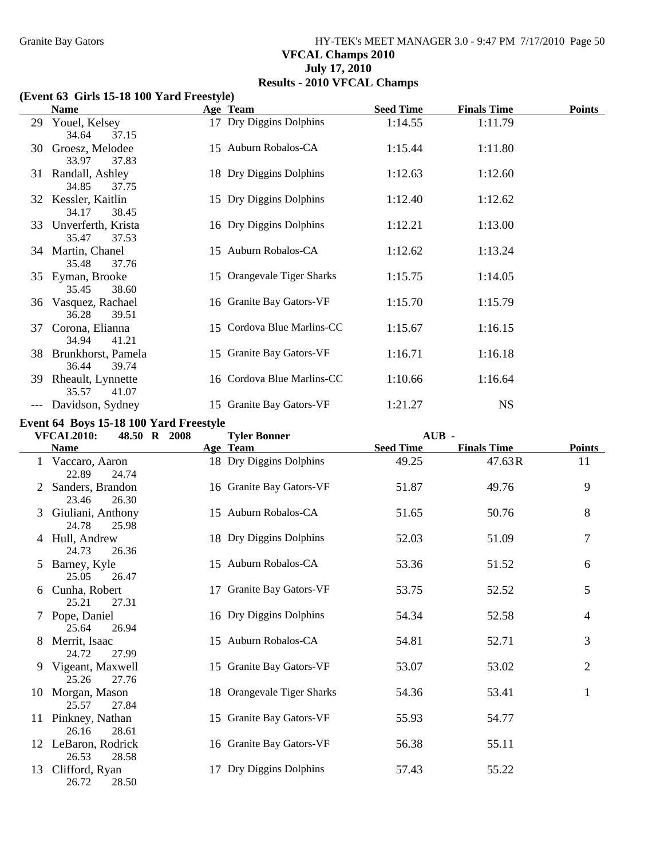Granite Bay Gators **HY-TEK's MEET MANAGER 3.0 - 9:47 PM 7/17/2010** Page 50 **VFCAL Champs 2010 July 17, 2010 Results - 2010 VFCAL Champs**

#### **(Event 63 Girls 15-18 100 Yard Freestyle)**

|       | <b>Name</b>                                         | Age Team                   | <b>Seed Time</b> | <b>Finals Time</b> | <b>Points</b> |
|-------|-----------------------------------------------------|----------------------------|------------------|--------------------|---------------|
| 29    | Youel, Kelsey                                       | 17 Dry Diggins Dolphins    | 1:14.55          | 1:11.79            |               |
| 30    | 34.64<br>37.15<br>Groesz, Melodee<br>33.97<br>37.83 | 15 Auburn Robalos-CA       | 1:15.44          | 1:11.80            |               |
|       | 31 Randall, Ashley<br>34.85<br>37.75                | 18 Dry Diggins Dolphins    | 1:12.63          | 1:12.60            |               |
| 32    | Kessler, Kaitlin<br>34.17<br>38.45                  | 15 Dry Diggins Dolphins    | 1:12.40          | 1:12.62            |               |
| 33    | Unverferth, Krista<br>35.47<br>37.53                | 16 Dry Diggins Dolphins    | 1:12.21          | 1:13.00            |               |
|       | 34 Martin, Chanel<br>35.48<br>37.76                 | 15 Auburn Robalos-CA       | 1:12.62          | 1:13.24            |               |
|       | 35 Eyman, Brooke<br>35.45<br>38.60                  | 15 Orangevale Tiger Sharks | 1:15.75          | 1:14.05            |               |
| 36    | Vasquez, Rachael<br>36.28<br>39.51                  | 16 Granite Bay Gators-VF   | 1:15.70          | 1:15.79            |               |
| 37    | Corona, Elianna<br>34.94<br>41.21                   | 15 Cordova Blue Marlins-CC | 1:15.67          | 1:16.15            |               |
| 38    | Brunkhorst, Pamela<br>36.44<br>39.74                | 15 Granite Bay Gators-VF   | 1:16.71          | 1:16.18            |               |
| 39    | Rheault, Lynnette<br>35.57<br>41.07                 | 16 Cordova Blue Marlins-CC | 1:10.66          | 1:16.64            |               |
| $---$ | Davidson, Sydney                                    | 15 Granite Bay Gators-VF   | 1:21.27          | <b>NS</b>          |               |

### **Event 64 Boys 15-18 100 Yard Freestyle**

|    | <b>VFCAL2010:</b><br>48.50 R 2008     |          | <b>Tyler Bonner</b>        | $AUB$ -          |                    |                |
|----|---------------------------------------|----------|----------------------------|------------------|--------------------|----------------|
|    | <b>Name</b>                           | Age Team |                            | <b>Seed Time</b> | <b>Finals Time</b> | <b>Points</b>  |
|    | 1 Vaccaro, Aaron<br>22.89<br>24.74    |          | 18 Dry Diggins Dolphins    | 49.25            | 47.63R             | 11             |
|    | Sanders, Brandon<br>23.46<br>26.30    |          | 16 Granite Bay Gators-VF   | 51.87            | 49.76              | 9              |
| 3  | Giuliani, Anthony<br>24.78<br>25.98   |          | 15 Auburn Robalos-CA       | 51.65            | 50.76              | 8              |
|    | 4 Hull, Andrew<br>24.73<br>26.36      |          | 18 Dry Diggins Dolphins    | 52.03            | 51.09              | $\tau$         |
| 5  | Barney, Kyle<br>25.05<br>26.47        |          | 15 Auburn Robalos-CA       | 53.36            | 51.52              | 6              |
| 6  | Cunha, Robert<br>25.21<br>27.31       |          | 17 Granite Bay Gators-VF   | 53.75            | 52.52              | 5              |
|    | 7 Pope, Daniel<br>25.64<br>26.94      |          | 16 Dry Diggins Dolphins    | 54.34            | 52.58              | $\overline{4}$ |
| 8  | Merrit, Isaac<br>24.72<br>27.99       |          | 15 Auburn Robalos-CA       | 54.81            | 52.71              | 3              |
| 9  | Vigeant, Maxwell<br>25.26<br>27.76    |          | 15 Granite Bay Gators-VF   | 53.07            | 53.02              | $\overline{2}$ |
| 10 | Morgan, Mason<br>25.57<br>27.84       |          | 18 Orangevale Tiger Sharks | 54.36            | 53.41              | $\mathbf{1}$   |
| 11 | Pinkney, Nathan<br>26.16<br>28.61     |          | 15 Granite Bay Gators-VF   | 55.93            | 54.77              |                |
|    | 12 LeBaron, Rodrick<br>26.53<br>28.58 |          | 16 Granite Bay Gators-VF   | 56.38            | 55.11              |                |
| 13 | Clifford, Ryan<br>26.72<br>28.50      | 17       | Dry Diggins Dolphins       | 57.43            | 55.22              |                |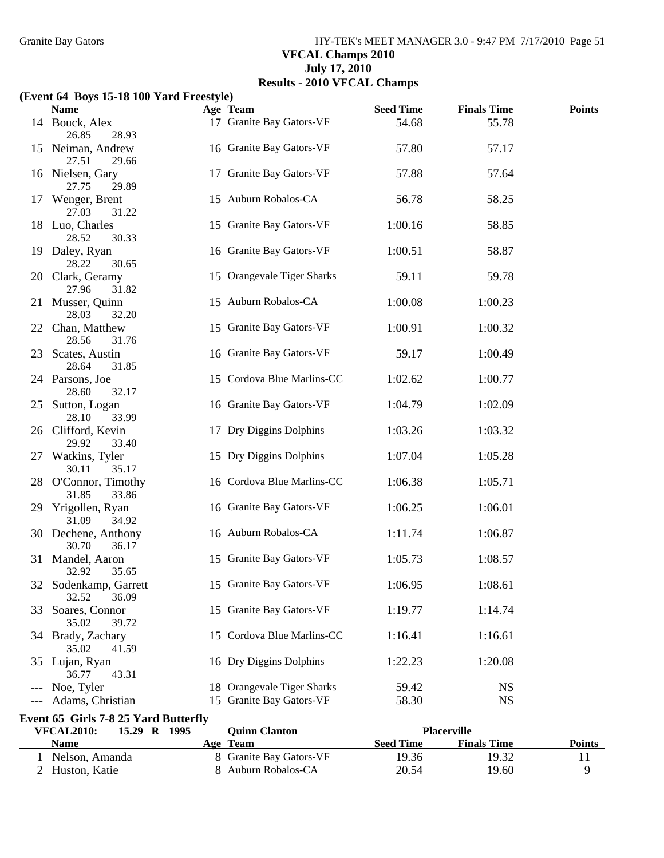Granite Bay Gators **HY-TEK's MEET MANAGER 3.0 - 9:47 PM 7/17/2010** Page 51 **VFCAL Champs 2010 July 17, 2010 Results - 2010 VFCAL Champs**

#### **(Event 64 Boys 15-18 100 Yard Freestyle)**

|    | <b>Name</b>                                 | Age Team                   | <b>Seed Time</b> | <b>Finals Time</b> | <b>Points</b> |
|----|---------------------------------------------|----------------------------|------------------|--------------------|---------------|
|    | 14 Bouck, Alex<br>26.85<br>28.93            | 17 Granite Bay Gators-VF   | 54.68            | 55.78              |               |
|    | 15 Neiman, Andrew<br>27.51<br>29.66         | 16 Granite Bay Gators-VF   | 57.80            | 57.17              |               |
|    | 16 Nielsen, Gary<br>27.75<br>29.89          | 17 Granite Bay Gators-VF   | 57.88            | 57.64              |               |
| 17 | Wenger, Brent<br>27.03<br>31.22             | 15 Auburn Robalos-CA       | 56.78            | 58.25              |               |
|    | 18 Luo, Charles<br>28.52<br>30.33           | 15 Granite Bay Gators-VF   | 1:00.16          | 58.85              |               |
|    | 19 Daley, Ryan<br>28.22<br>30.65            | 16 Granite Bay Gators-VF   | 1:00.51          | 58.87              |               |
|    | 20 Clark, Geramy<br>27.96<br>31.82          | 15 Orangevale Tiger Sharks | 59.11            | 59.78              |               |
|    | 21 Musser, Quinn<br>28.03<br>32.20          | 15 Auburn Robalos-CA       | 1:00.08          | 1:00.23            |               |
|    | 22 Chan, Matthew<br>28.56<br>31.76          | 15 Granite Bay Gators-VF   | 1:00.91          | 1:00.32            |               |
|    | 23 Scates, Austin<br>28.64<br>31.85         | 16 Granite Bay Gators-VF   | 59.17            | 1:00.49            |               |
|    | 24 Parsons, Joe<br>28.60<br>32.17           | 15 Cordova Blue Marlins-CC | 1:02.62          | 1:00.77            |               |
|    | 25 Sutton, Logan<br>28.10<br>33.99          | 16 Granite Bay Gators-VF   | 1:04.79          | 1:02.09            |               |
|    | 26 Clifford, Kevin<br>29.92<br>33.40        | 17 Dry Diggins Dolphins    | 1:03.26          | 1:03.32            |               |
|    | 27 Watkins, Tyler<br>30.11<br>35.17         | 15 Dry Diggins Dolphins    | 1:07.04          | 1:05.28            |               |
|    | 28 O'Connor, Timothy<br>31.85<br>33.86      | 16 Cordova Blue Marlins-CC | 1:06.38          | 1:05.71            |               |
|    | 29 Yrigollen, Ryan<br>31.09<br>34.92        | 16 Granite Bay Gators-VF   | 1:06.25          | 1:06.01            |               |
|    | 30 Dechene, Anthony<br>30.70<br>36.17       | 16 Auburn Robalos-CA       | 1:11.74          | 1:06.87            |               |
|    | 31 Mandel, Aaron<br>32.92<br>35.65          | 15 Granite Bay Gators-VF   | 1:05.73          | 1:08.57            |               |
|    | 32 Sodenkamp, Garrett<br>32.52<br>36.09     | 15 Granite Bay Gators-VF   | 1:06.95          | 1:08.61            |               |
| 33 | Soares, Connor<br>35.02<br>39.72            | 15 Granite Bay Gators-VF   | 1:19.77          | 1:14.74            |               |
|    | 34 Brady, Zachary<br>35.02<br>41.59         | 15 Cordova Blue Marlins-CC | 1:16.41          | 1:16.61            |               |
| 35 | Lujan, Ryan<br>36.77<br>43.31               | 16 Dry Diggins Dolphins    | 1:22.23          | 1:20.08            |               |
|    | Noe, Tyler                                  | 18 Orangevale Tiger Sharks | 59.42            | <b>NS</b>          |               |
|    | Adams, Christian                            | 15 Granite Bay Gators-VF   | 58.30            | <b>NS</b>          |               |
|    | <b>Event 65 Girls 7-8 25 Yard Butterfly</b> |                            |                  |                    |               |
|    | 15.29 R 1995<br><b>VFCAL2010:</b>           | <b>Quinn Clanton</b>       |                  | <b>Placerville</b> |               |
|    | <b>Name</b>                                 | Age Team                   | <b>Seed Time</b> | <b>Finals Time</b> | <b>Points</b> |
|    | 1 Nelson, Amanda                            | 8 Granite Bay Gators-VF    | 19.36            | 19.32              | 11            |
|    | 2 Huston, Katie                             | 8 Auburn Robalos-CA        | 20.54            | 19.60              | 9             |

2 Huston, Katie 8 Auburn Robalos-CA 20.54 19.60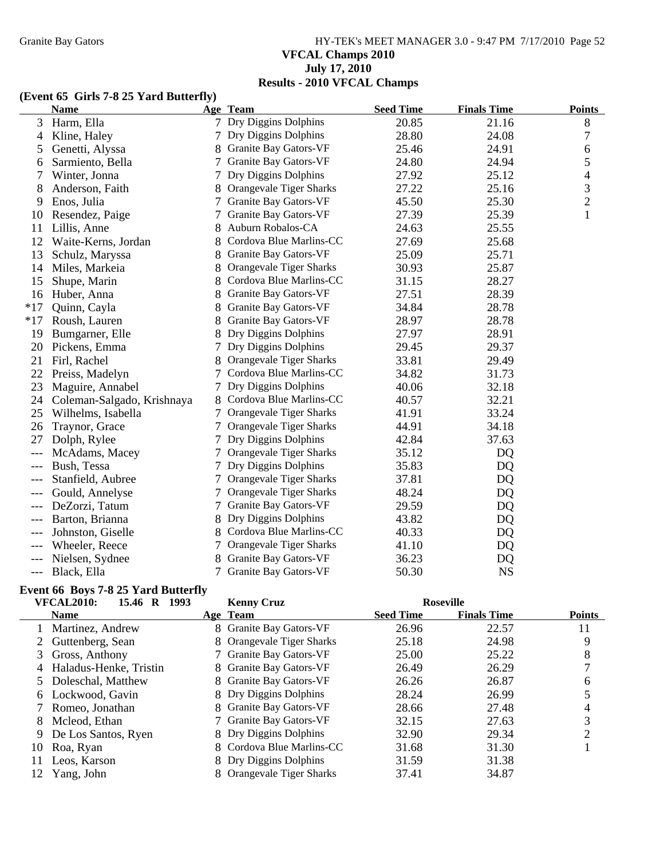# Granite Bay Gators **HY-TEK's MEET MANAGER 3.0 - 9:47 PM 7/17/2010** Page 52 **VFCAL Champs 2010 July 17, 2010 Results - 2010 VFCAL Champs**

## **(Event 65 Girls 7-8 25 Yard Butterfly)**

|       | <b>Name</b>                |   | Age Team                       | <b>Seed Time</b> | <b>Finals Time</b> | <b>Points</b>  |
|-------|----------------------------|---|--------------------------------|------------------|--------------------|----------------|
| 3     | Harm, Ella                 |   | 7 Dry Diggins Dolphins         | 20.85            | 21.16              | 8              |
| 4     | Kline, Haley               | 7 | Dry Diggins Dolphins           | 28.80            | 24.08              | 7              |
| 5     | Genetti, Alyssa            |   | Granite Bay Gators-VF          | 25.46            | 24.91              | 6              |
| 6     | Sarmiento, Bella           |   | Granite Bay Gators-VF          | 24.80            | 24.94              | 5              |
| 7     | Winter, Jonna              |   | Dry Diggins Dolphins           | 27.92            | 25.12              | $\overline{4}$ |
| 8     | Anderson, Faith            |   | Orangevale Tiger Sharks        | 27.22            | 25.16              | $\mathfrak{Z}$ |
| 9     | Enos, Julia                |   | Granite Bay Gators-VF          | 45.50            | 25.30              | $\overline{2}$ |
| 10    | Resendez, Paige            | 7 | <b>Granite Bay Gators-VF</b>   | 27.39            | 25.39              | $\mathbf{1}$   |
| 11    | Lillis, Anne               |   | Auburn Robalos-CA              | 24.63            | 25.55              |                |
| 12    | Waite-Kerns, Jordan        |   | Cordova Blue Marlins-CC        | 27.69            | 25.68              |                |
| 13    | Schulz, Maryssa            | 8 | Granite Bay Gators-VF          | 25.09            | 25.71              |                |
| 14    | Miles, Markeia             |   | Orangevale Tiger Sharks        | 30.93            | 25.87              |                |
| 15    | Shupe, Marin               |   | Cordova Blue Marlins-CC        | 31.15            | 28.27              |                |
| 16    | Huber, Anna                |   | Granite Bay Gators-VF          | 27.51            | 28.39              |                |
| $*17$ | Quinn, Cayla               |   | Granite Bay Gators-VF          | 34.84            | 28.78              |                |
| $*17$ | Roush, Lauren              |   | Granite Bay Gators-VF          | 28.97            | 28.78              |                |
| 19    | Bumgarner, Elle            | 8 | Dry Diggins Dolphins           | 27.97            | 28.91              |                |
| 20    | Pickens, Emma              |   | Dry Diggins Dolphins           | 29.45            | 29.37              |                |
| 21    | Firl, Rachel               |   | Orangevale Tiger Sharks        | 33.81            | 29.49              |                |
| 22    | Preiss, Madelyn            | 7 | Cordova Blue Marlins-CC        | 34.82            | 31.73              |                |
| 23    | Maguire, Annabel           |   | Dry Diggins Dolphins           | 40.06            | 32.18              |                |
| 24    | Coleman-Salgado, Krishnaya |   | Cordova Blue Marlins-CC        | 40.57            | 32.21              |                |
| 25    | Wilhelms, Isabella         |   | Orangevale Tiger Sharks        | 41.91            | 33.24              |                |
| 26    | Traynor, Grace             |   | Orangevale Tiger Sharks        | 44.91            | 34.18              |                |
| 27    | Dolph, Rylee               | 7 | Dry Diggins Dolphins           | 42.84            | 37.63              |                |
|       | McAdams, Macey             |   | Orangevale Tiger Sharks        | 35.12            | DQ                 |                |
|       | Bush, Tessa                |   | Dry Diggins Dolphins           | 35.83            | DQ                 |                |
| $---$ | Stanfield, Aubree          |   | <b>Orangevale Tiger Sharks</b> | 37.81            | DQ                 |                |
| $---$ | Gould, Annelyse            |   | Orangevale Tiger Sharks        | 48.24            | DQ                 |                |
|       | DeZorzi, Tatum             | 7 | Granite Bay Gators-VF          | 29.59            | DQ                 |                |
| $---$ | Barton, Brianna            | 8 | Dry Diggins Dolphins           | 43.82            | DQ                 |                |
|       | Johnston, Giselle          | 8 | Cordova Blue Marlins-CC        | 40.33            | DQ                 |                |
|       | Wheeler, Reece             |   | Orangevale Tiger Sharks        | 41.10            | DQ                 |                |
|       | Nielsen, Sydnee            |   | Granite Bay Gators-VF          | 36.23            | DQ                 |                |
| $---$ | Black, Ella                |   | Granite Bay Gators-VF          | 50.30            | <b>NS</b>          |                |

### **Event 66 Boys 7-8 25 Yard Butterfly**

|    | <b>VFCAL2010:</b><br>15.46 R<br>1993 | <b>Kenny Cruz</b>         | <b>Roseville</b> |                    |               |
|----|--------------------------------------|---------------------------|------------------|--------------------|---------------|
|    | <b>Name</b>                          | Age Team                  | <b>Seed Time</b> | <b>Finals Time</b> | <b>Points</b> |
|    | Martinez, Andrew                     | 8 Granite Bay Gators-VF   | 26.96            | 22.57              | 11            |
|    | 2 Guttenberg, Sean                   | 8 Orangevale Tiger Sharks | 25.18            | 24.98              | 9             |
| 3  | Gross, Anthony                       | 7 Granite Bay Gators-VF   | 25.00            | 25.22              | 8             |
| 4  | Haladus-Henke, Tristin               | 8 Granite Bay Gators-VF   | 26.49            | 26.29              |               |
|    | 5 Doleschal, Matthew                 | 8 Granite Bay Gators-VF   | 26.26            | 26.87              | 6             |
| 6  | Lockwood, Gavin                      | 8 Dry Diggins Dolphins    | 28.24            | 26.99              |               |
|    | Romeo, Jonathan                      | 8 Granite Bay Gators-VF   | 28.66            | 27.48              |               |
| 8. | Mcleod, Ethan                        | 7 Granite Bay Gators-VF   | 32.15            | 27.63              | 3             |
| 9  | De Los Santos, Ryen                  | 8 Dry Diggins Dolphins    | 32.90            | 29.34              |               |
| 10 | Roa, Ryan                            | 8 Cordova Blue Marlins-CC | 31.68            | 31.30              |               |
| 11 | Leos, Karson                         | 8 Dry Diggins Dolphins    | 31.59            | 31.38              |               |
| 12 | Yang, John                           | 8 Orangevale Tiger Sharks | 37.41            | 34.87              |               |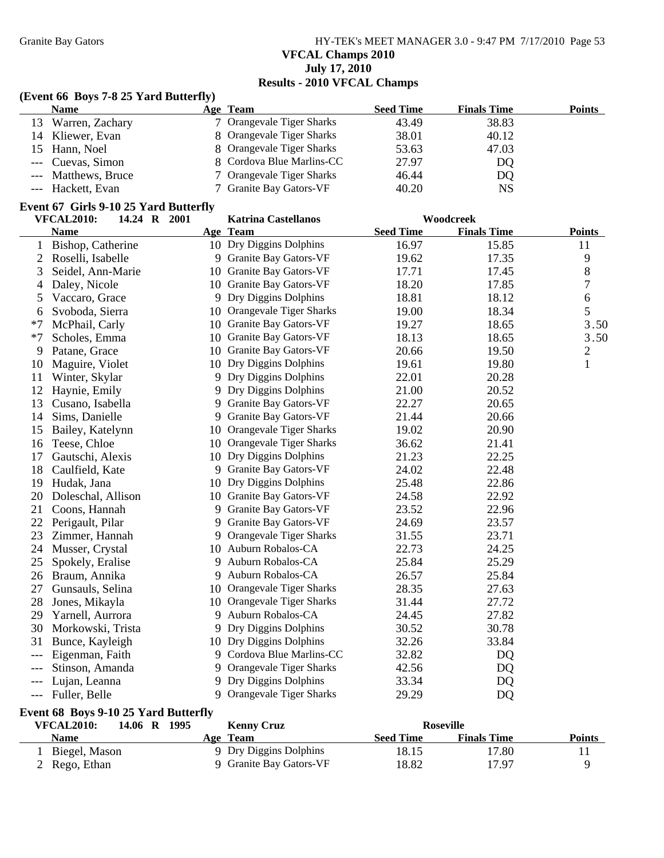Granite Bay Gators **HY-TEK's MEET MANAGER 3.0 - 9:47 PM 7/17/2010** Page 53 **VFCAL Champs 2010 July 17, 2010 Results - 2010 VFCAL Champs**

## **(Event 66 Boys 7-8 25 Yard Butterfly)**

| <b>Name</b>         | Age Team                  | <b>Seed Time</b> | <b>Finals Time</b> | Points |
|---------------------|---------------------------|------------------|--------------------|--------|
| 13 Warren, Zachary  | 7 Orangevale Tiger Sharks | 43.49            | 38.83              |        |
| 14 Kliewer, Evan    | 8 Orangevale Tiger Sharks | 38.01            | 40.12              |        |
| 15 Hann, Noel       | 8 Orangevale Tiger Sharks | 53.63            | 47.03              |        |
| --- Cuevas, Simon   | 8 Cordova Blue Marlins-CC | 27.97            | DQ                 |        |
| --- Matthews, Bruce | 7 Orangevale Tiger Sharks | 46.44            | DQ                 |        |
| --- Hackett, Evan   | 7 Granite Bay Gators-VF   | 40.20            | NS                 |        |

#### **Event 67 Girls 9-10 25 Yard Butterfly**

|      | <b>VFCAL2010:</b>  | 14.24 R 2001 |    | <b>Katrina Castellanos</b>   |                  | Woodcreek          |                |
|------|--------------------|--------------|----|------------------------------|------------------|--------------------|----------------|
|      | <b>Name</b>        |              |    | Age Team                     | <b>Seed Time</b> | <b>Finals Time</b> | <b>Points</b>  |
| 1    | Bishop, Catherine  |              |    | 10 Dry Diggins Dolphins      | 16.97            | 15.85              | 11             |
| 2    | Roselli, Isabelle  |              | 9  | Granite Bay Gators-VF        | 19.62            | 17.35              | 9              |
| 3    | Seidel, Ann-Marie  |              |    | 10 Granite Bay Gators-VF     | 17.71            | 17.45              | 8              |
| 4    | Daley, Nicole      |              |    | 10 Granite Bay Gators-VF     | 18.20            | 17.85              | $\tau$         |
| 5    | Vaccaro, Grace     |              |    | 9 Dry Diggins Dolphins       | 18.81            | 18.12              | 6              |
| 6    | Svoboda, Sierra    |              |    | 10 Orangevale Tiger Sharks   | 19.00            | 18.34              | 5              |
| $*7$ | McPhail, Carly     |              |    | 10 Granite Bay Gators-VF     | 19.27            | 18.65              | 3.50           |
| $*7$ | Scholes, Emma      |              |    | 10 Granite Bay Gators-VF     | 18.13            | 18.65              | 3.50           |
| 9    | Patane, Grace      |              |    | 10 Granite Bay Gators-VF     | 20.66            | 19.50              | $\overline{c}$ |
| 10   | Maguire, Violet    |              | 10 | Dry Diggins Dolphins         | 19.61            | 19.80              | $\mathbf{1}$   |
| 11   | Winter, Skylar     |              | 9  | Dry Diggins Dolphins         | 22.01            | 20.28              |                |
| 12   | Haynie, Emily      |              | 9  | Dry Diggins Dolphins         | 21.00            | 20.52              |                |
| 13   | Cusano, Isabella   |              | 9  | Granite Bay Gators-VF        | 22.27            | 20.65              |                |
| 14   | Sims, Danielle     |              | 9  | Granite Bay Gators-VF        | 21.44            | 20.66              |                |
| 15   | Bailey, Katelynn   |              | 10 | Orangevale Tiger Sharks      | 19.02            | 20.90              |                |
| 16   | Teese, Chloe       |              |    | 10 Orangevale Tiger Sharks   | 36.62            | 21.41              |                |
| 17   | Gautschi, Alexis   |              | 10 | Dry Diggins Dolphins         | 21.23            | 22.25              |                |
| 18   | Caulfield, Kate    |              | 9  | <b>Granite Bay Gators-VF</b> | 24.02            | 22.48              |                |
| 19   | Hudak, Jana        |              | 10 | Dry Diggins Dolphins         | 25.48            | 22.86              |                |
| 20   | Doleschal, Allison |              |    | 10 Granite Bay Gators-VF     | 24.58            | 22.92              |                |
| 21   | Coons, Hannah      |              |    | 9 Granite Bay Gators-VF      | 23.52            | 22.96              |                |
| 22   | Perigault, Pilar   |              | 9  | Granite Bay Gators-VF        | 24.69            | 23.57              |                |
| 23   | Zimmer, Hannah     |              | 9  | Orangevale Tiger Sharks      | 31.55            | 23.71              |                |
| 24   | Musser, Crystal    |              | 10 | Auburn Robalos-CA            | 22.73            | 24.25              |                |
| 25   | Spokely, Eralise   |              | 9  | Auburn Robalos-CA            | 25.84            | 25.29              |                |
| 26   | Braum, Annika      |              | 9  | Auburn Robalos-CA            | 26.57            | 25.84              |                |
| 27   | Gunsauls, Selina   |              |    | 10 Orangevale Tiger Sharks   | 28.35            | 27.63              |                |
| 28   | Jones, Mikayla     |              |    | 10 Orangevale Tiger Sharks   | 31.44            | 27.72              |                |
| 29   | Yarnell, Aurrora   |              | 9  | Auburn Robalos-CA            | 24.45            | 27.82              |                |
| 30   | Morkowski, Trista  |              | 9  | Dry Diggins Dolphins         | 30.52            | 30.78              |                |
| 31   | Bunce, Kayleigh    |              |    | 10 Dry Diggins Dolphins      | 32.26            | 33.84              |                |
|      | Eigenman, Faith    |              | 9  | Cordova Blue Marlins-CC      | 32.82            | DQ                 |                |
|      | Stinson, Amanda    |              |    | 9 Orangevale Tiger Sharks    | 42.56            | DQ                 |                |
|      | Lujan, Leanna      |              |    | 9 Dry Diggins Dolphins       | 33.34            | DQ                 |                |
|      | Fuller, Belle      |              |    | 9 Orangevale Tiger Sharks    | 29.29            | DQ                 |                |

#### **Event 68 Boys 9-10 25 Yard Butterfly**

| <b>VFCAL2010:</b> | 14.06 R 1995 | <b>Kenny Cruz</b>       |                  | <b>Roseville</b>   |        |
|-------------------|--------------|-------------------------|------------------|--------------------|--------|
| <b>Name</b>       |              | Age Team                | <b>Seed Time</b> | <b>Finals Time</b> | Points |
| Biegel, Mason     |              | 9 Dry Diggins Dolphins  | 18.15            | 17.80              |        |
| 2 Rego, Ethan     |              | 9 Granite Bay Gators-VF | 18.82            | 17.97              |        |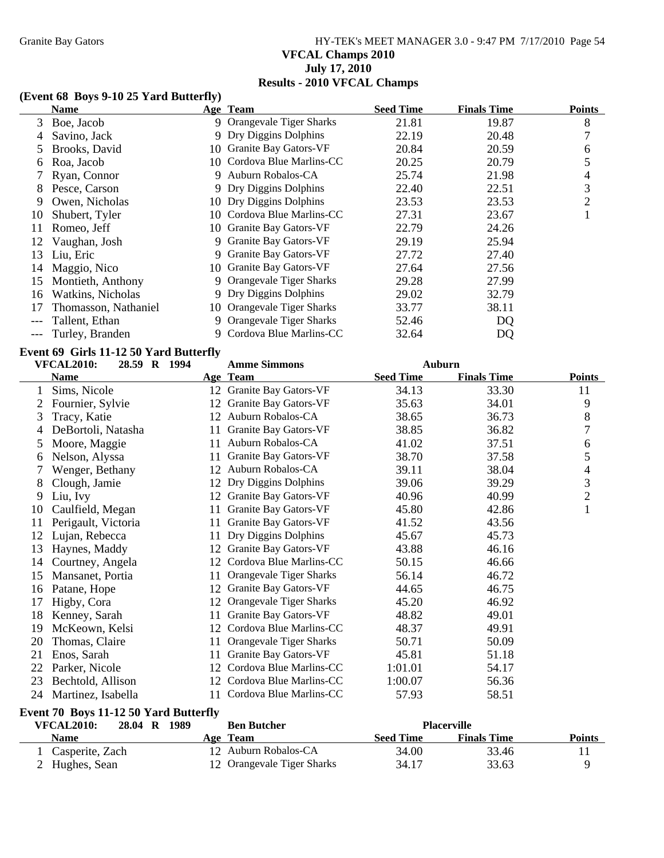# Granite Bay Gators **HY-TEK's MEET MANAGER 3.0 - 9:47 PM 7/17/2010** Page 54 **VFCAL Champs 2010 July 17, 2010 Results - 2010 VFCAL Champs**

## **(Event 68 Boys 9-10 25 Yard Butterfly)**

|    | <b>Name</b>          |    | Age Team                     | <b>Seed Time</b> | <b>Finals Time</b> | <b>Points</b> |
|----|----------------------|----|------------------------------|------------------|--------------------|---------------|
| 3  | Boe, Jacob           |    | 9 Orangevale Tiger Sharks    | 21.81            | 19.87              | 8             |
| 4  | Savino, Jack         |    | 9 Dry Diggins Dolphins       | 22.19            | 20.48              | 7             |
|    | Brooks, David        |    | 10 Granite Bay Gators-VF     | 20.84            | 20.59              | 6             |
|    | Roa, Jacob           |    | 10 Cordova Blue Marlins-CC   | 20.25            | 20.79              | 5             |
|    | Ryan, Connor         | 9. | Auburn Robalos-CA            | 25.74            | 21.98              | 4             |
| 8  | Pesce, Carson        |    | 9 Dry Diggins Dolphins       | 22.40            | 22.51              | 3             |
| 9  | Owen, Nicholas       |    | 10 Dry Diggins Dolphins      | 23.53            | 23.53              | 2             |
| 10 | Shubert, Tyler       |    | 10 Cordova Blue Marlins-CC   | 27.31            | 23.67              |               |
| 11 | Romeo, Jeff          |    | 10 Granite Bay Gators-VF     | 22.79            | 24.26              |               |
| 12 | Vaughan, Josh        | 9. | <b>Granite Bay Gators-VF</b> | 29.19            | 25.94              |               |
| 13 | Liu, Eric            | 9. | Granite Bay Gators-VF        | 27.72            | 27.40              |               |
| 14 | Maggio, Nico         |    | 10 Granite Bay Gators-VF     | 27.64            | 27.56              |               |
| 15 | Montieth, Anthony    |    | Orangevale Tiger Sharks      | 29.28            | 27.99              |               |
| 16 | Watkins, Nicholas    | 9. | Dry Diggins Dolphins         | 29.02            | 32.79              |               |
|    | Thomasson, Nathaniel |    | 10 Orangevale Tiger Sharks   | 33.77            | 38.11              |               |
|    | Tallent, Ethan       | 9. | Orangevale Tiger Sharks      | 52.46            | DQ                 |               |
|    | Turley, Branden      |    | 9 Cordova Blue Marlins-CC    | 32.64            | DQ                 |               |

### **Event 69 Girls 11-12 50 Yard Butterfly**

| <b>VFCAL2010:</b><br>28.59 R 1994 |                     | <b>Amme Simmons</b> | <b>Auburn</b>                  |                  |                    |                |
|-----------------------------------|---------------------|---------------------|--------------------------------|------------------|--------------------|----------------|
|                                   | <b>Name</b>         |                     | Age Team                       | <b>Seed Time</b> | <b>Finals Time</b> | <b>Points</b>  |
| 1                                 | Sims, Nicole        | 12                  | Granite Bay Gators-VF          | 34.13            | 33.30              | 11             |
| 2                                 | Fournier, Sylvie    | 12                  | Granite Bay Gators-VF          | 35.63            | 34.01              | 9              |
| 3                                 | Tracy, Katie        | 12                  | Auburn Robalos-CA              | 38.65            | 36.73              | 8              |
| 4                                 | DeBortoli, Natasha  | 11                  | <b>Granite Bay Gators-VF</b>   | 38.85            | 36.82              | 7              |
| 5                                 | Moore, Maggie       | 11                  | Auburn Robalos-CA              | 41.02            | 37.51              | 6              |
| 6                                 | Nelson, Alyssa      | 11                  | Granite Bay Gators-VF          | 38.70            | 37.58              | 5              |
| 7                                 | Wenger, Bethany     | 12                  | Auburn Robalos-CA              | 39.11            | 38.04              | 4              |
| 8                                 | Clough, Jamie       | 12                  | Dry Diggins Dolphins           | 39.06            | 39.29              | 3              |
| 9                                 | Liu, Ivy            | 12                  | Granite Bay Gators-VF          | 40.96            | 40.99              | $\overline{2}$ |
| 10                                | Caulfield, Megan    | 11                  | Granite Bay Gators-VF          | 45.80            | 42.86              | $\mathbf{1}$   |
| 11                                | Perigault, Victoria | 11                  | Granite Bay Gators-VF          | 41.52            | 43.56              |                |
| 12                                | Lujan, Rebecca      | 11                  | Dry Diggins Dolphins           | 45.67            | 45.73              |                |
| 13                                | Haynes, Maddy       | 12                  | Granite Bay Gators-VF          | 43.88            | 46.16              |                |
| 14                                | Courtney, Angela    | 12                  | Cordova Blue Marlins-CC        | 50.15            | 46.66              |                |
| 15                                | Mansanet, Portia    | 11                  | <b>Orangevale Tiger Sharks</b> | 56.14            | 46.72              |                |
| 16                                | Patane, Hope        | 12                  | Granite Bay Gators-VF          | 44.65            | 46.75              |                |
| 17                                | Higby, Cora         | 12                  | Orangevale Tiger Sharks        | 45.20            | 46.92              |                |
| 18                                | Kenney, Sarah       | 11                  | Granite Bay Gators-VF          | 48.82            | 49.01              |                |
| 19                                | McKeown, Kelsi      | 12                  | Cordova Blue Marlins-CC        | 48.37            | 49.91              |                |
| 20                                | Thomas, Claire      | 11                  | Orangevale Tiger Sharks        | 50.71            | 50.09              |                |
| 21                                | Enos, Sarah         | 11                  | <b>Granite Bay Gators-VF</b>   | 45.81            | 51.18              |                |
| 22                                | Parker, Nicole      | 12                  | Cordova Blue Marlins-CC        | 1:01.01          | 54.17              |                |
| 23                                | Bechtold, Allison   | 12                  | Cordova Blue Marlins-CC        | 1:00.07          | 56.36              |                |
| 24                                | Martinez, Isabella  | 11                  | Cordova Blue Marlins-CC        | 57.93            | 58.51              |                |

# **Event 70 Boys 11-12 50 Yard Butterfly**

| VFCAL2010:      | 28.04 R 1989 | <b>Ben Butcher</b>         |                  | <b>Placerville</b> |               |
|-----------------|--------------|----------------------------|------------------|--------------------|---------------|
| <b>Name</b>     |              | Age Team                   | <b>Seed Time</b> | <b>Finals Time</b> | <b>Points</b> |
| Casperite, Zach |              | 12 Auburn Robalos-CA       | 34.00            | 33.46              |               |
| 2 Hughes, Sean  |              | 12 Orangevale Tiger Sharks | 34.17            | 33.63              |               |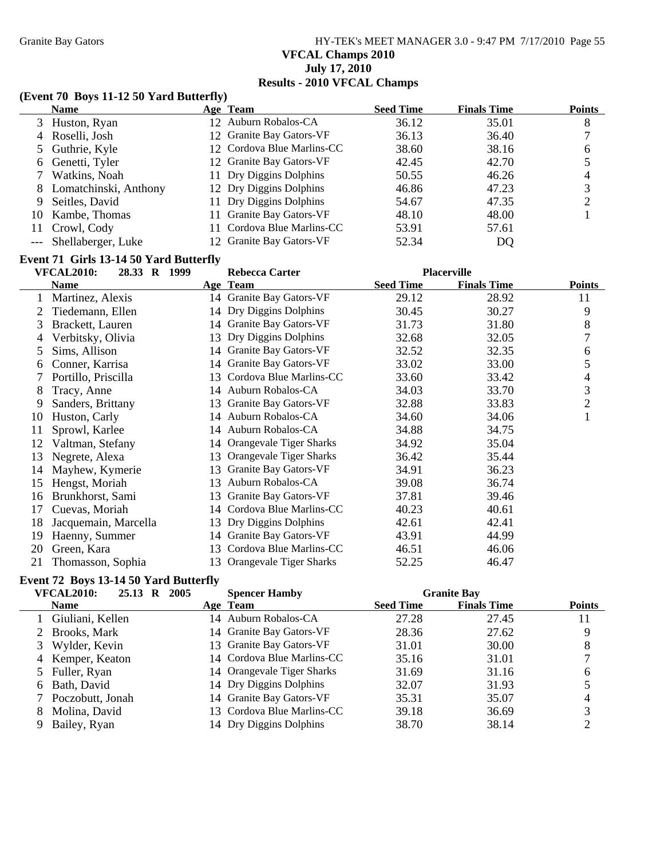Granite Bay Gators **HY-TEK's MEET MANAGER 3.0 - 9:47 PM 7/17/2010** Page 55 **VFCAL Champs 2010 July 17, 2010 Results - 2010 VFCAL Champs**

### **(Event 70 Boys 11-12 50 Yard Butterfly)**

|   | <b>Name</b>            | Age Team                   | <b>Seed Time</b> | <b>Finals Time</b> | <b>Points</b> |
|---|------------------------|----------------------------|------------------|--------------------|---------------|
|   | 3 Huston, Ryan         | 12 Auburn Robalos-CA       | 36.12            | 35.01              | 8             |
|   | 4 Roselli, Josh        | 12 Granite Bay Gators-VF   | 36.13            | 36.40              |               |
|   | 5 Guthrie, Kyle        | 12 Cordova Blue Marlins-CC | 38.60            | 38.16              | h             |
|   | 6 Genetti, Tyler       | 12 Granite Bay Gators-VF   | 42.45            | 42.70              |               |
|   | Watkins, Noah          | 11 Dry Diggins Dolphins    | 50.55            | 46.26              | 4             |
| 8 | Lomatchinski, Anthony  | 12 Dry Diggins Dolphins    | 46.86            | 47.23              |               |
| 9 | Seitles, David         | 11 Dry Diggins Dolphins    | 54.67            | 47.35              |               |
|   | 10 Kambe, Thomas       | 11 Granite Bay Gators-VF   | 48.10            | 48.00              |               |
|   | 11 Crowl, Cody         | 11 Cordova Blue Marlins-CC | 53.91            | 57.61              |               |
|   | --- Shellaberger, Luke | 12 Granite Bay Gators-VF   | 52.34            | DQ                 |               |

## **Event 71 Girls 13-14 50 Yard Butterfly**

| <b>VFCAL2010:</b><br>28.33 R 1999<br><b>Rebecca Carter</b> |                      |    | <b>Placerville</b>         |                  |                    |               |
|------------------------------------------------------------|----------------------|----|----------------------------|------------------|--------------------|---------------|
|                                                            | <b>Name</b>          |    | Age Team                   | <b>Seed Time</b> | <b>Finals Time</b> | <b>Points</b> |
|                                                            | Martinez, Alexis     |    | 14 Granite Bay Gators-VF   | 29.12            | 28.92              | 11            |
|                                                            | Tiedemann, Ellen     |    | 14 Dry Diggins Dolphins    | 30.45            | 30.27              | 9             |
| 3                                                          | Brackett, Lauren     |    | 14 Granite Bay Gators-VF   | 31.73            | 31.80              | 8             |
| 4                                                          | Verbitsky, Olivia    | 13 | Dry Diggins Dolphins       | 32.68            | 32.05              | 7             |
| 5                                                          | Sims, Allison        |    | 14 Granite Bay Gators-VF   | 32.52            | 32.35              | 6             |
| 6                                                          | Conner, Karrisa      |    | 14 Granite Bay Gators-VF   | 33.02            | 33.00              | 5             |
|                                                            | Portillo, Priscilla  | 13 | Cordova Blue Marlins-CC    | 33.60            | 33.42              | 4             |
| 8                                                          | Tracy, Anne          | 14 | Auburn Robalos-CA          | 34.03            | 33.70              | 3             |
| 9                                                          | Sanders, Brittany    | 13 | Granite Bay Gators-VF      | 32.88            | 33.83              | $\mathbf{2}$  |
| 10                                                         | Huston, Carly        | 14 | Auburn Robalos-CA          | 34.60            | 34.06              | 1             |
| 11                                                         | Sprowl, Karlee       |    | 14 Auburn Robalos-CA       | 34.88            | 34.75              |               |
| 12                                                         | Valtman, Stefany     |    | 14 Orangevale Tiger Sharks | 34.92            | 35.04              |               |
| 13                                                         | Negrete, Alexa       | 13 | Orangevale Tiger Sharks    | 36.42            | 35.44              |               |
| 14                                                         | Mayhew, Kymerie      | 13 | Granite Bay Gators-VF      | 34.91            | 36.23              |               |
| 15                                                         | Hengst, Moriah       | 13 | Auburn Robalos-CA          | 39.08            | 36.74              |               |
| 16                                                         | Brunkhorst, Sami     | 13 | Granite Bay Gators-VF      | 37.81            | 39.46              |               |
| 17                                                         | Cuevas, Moriah       |    | 14 Cordova Blue Marlins-CC | 40.23            | 40.61              |               |
| 18                                                         | Jacquemain, Marcella |    | 13 Dry Diggins Dolphins    | 42.61            | 42.41              |               |
| 19                                                         | Haenny, Summer       | 14 | Granite Bay Gators-VF      | 43.91            | 44.99              |               |
| 20                                                         | Green, Kara          | 13 | Cordova Blue Marlins-CC    | 46.51            | 46.06              |               |
| 21                                                         | Thomasson, Sophia    |    | 13 Orangevale Tiger Sharks | 52.25            | 46.47              |               |

### **Event 72 Boys 13-14 50 Yard Butterfly**

|    | <b>VFCAL2010:</b><br>25.13 R 2005 | <b>Spencer Hamby</b>       |                  | <b>Granite Bay</b> |               |
|----|-----------------------------------|----------------------------|------------------|--------------------|---------------|
|    | <b>Name</b>                       | Age Team                   | <b>Seed Time</b> | <b>Finals Time</b> | <b>Points</b> |
|    | 1 Giuliani, Kellen                | 14 Auburn Robalos-CA       | 27.28            | 27.45              | 11            |
|    | 2 Brooks, Mark                    | 14 Granite Bay Gators-VF   | 28.36            | 27.62              |               |
|    | Wylder, Kevin                     | 13 Granite Bay Gators-VF   | 31.01            | 30.00              | 8             |
|    | 4 Kemper, Keaton                  | 14 Cordova Blue Marlins-CC | 35.16            | 31.01              |               |
|    | 5 Fuller, Ryan                    | 14 Orangevale Tiger Sharks | 31.69            | 31.16              | 6             |
|    | 6 Bath, David                     | 14 Dry Diggins Dolphins    | 32.07            | 31.93              |               |
|    | Poczobutt, Jonah                  | 14 Granite Bay Gators-VF   | 35.31            | 35.07              | 4             |
| 8. | Molina, David                     | 13 Cordova Blue Marlins-CC | 39.18            | 36.69              |               |
| 9  | Bailey, Ryan                      | 14 Dry Diggins Dolphins    | 38.70            | 38.14              |               |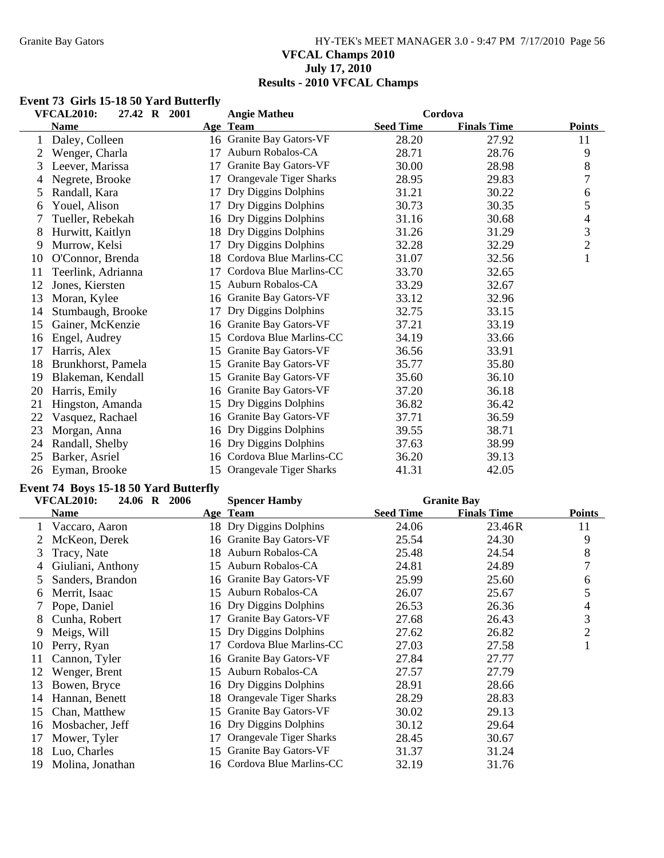### Granite Bay Gators **HY-TEK's MEET MANAGER 3.0 - 9:47 PM 7/17/2010** Page 56 **VFCAL Champs 2010 July 17, 2010 Results - 2010 VFCAL Champs**

### **Event 73 Girls 15-18 50 Yard Butterfly**

| <b>VFCAL2010:</b><br>27.42 R 2001 |                    |    | <b>Angie Matheu</b>        | Cordova          |                    |                |
|-----------------------------------|--------------------|----|----------------------------|------------------|--------------------|----------------|
|                                   | <b>Name</b>        |    | Age Team                   | <b>Seed Time</b> | <b>Finals Time</b> | <b>Points</b>  |
|                                   | Daley, Colleen     |    | 16 Granite Bay Gators-VF   | 28.20            | 27.92              | 11             |
|                                   | Wenger, Charla     | 17 | Auburn Robalos-CA          | 28.71            | 28.76              | 9              |
| 3                                 | Leever, Marissa    | 17 | Granite Bay Gators-VF      | 30.00            | 28.98              | 8              |
| 4                                 | Negrete, Brooke    | 17 | Orangevale Tiger Sharks    | 28.95            | 29.83              | $\overline{7}$ |
| 5                                 | Randall, Kara      | 17 | Dry Diggins Dolphins       | 31.21            | 30.22              | 6              |
| 6                                 | Youel, Alison      | 17 | Dry Diggins Dolphins       | 30.73            | 30.35              | 5              |
|                                   | Tueller, Rebekah   |    | 16 Dry Diggins Dolphins    | 31.16            | 30.68              | 4              |
| 8                                 | Hurwitt, Kaitlyn   |    | 18 Dry Diggins Dolphins    | 31.26            | 31.29              | 3              |
| 9                                 | Murrow, Kelsi      | 17 | Dry Diggins Dolphins       | 32.28            | 32.29              | $\sqrt{2}$     |
| 10                                | O'Connor, Brenda   | 18 | Cordova Blue Marlins-CC    | 31.07            | 32.56              | $\mathbf{1}$   |
| 11                                | Teerlink, Adrianna |    | Cordova Blue Marlins-CC    | 33.70            | 32.65              |                |
| 12                                | Jones, Kiersten    | 15 | Auburn Robalos-CA          | 33.29            | 32.67              |                |
| 13                                | Moran, Kylee       | 16 | Granite Bay Gators-VF      | 33.12            | 32.96              |                |
| 14                                | Stumbaugh, Brooke  | 17 | Dry Diggins Dolphins       | 32.75            | 33.15              |                |
| 15                                | Gainer, McKenzie   | 16 | Granite Bay Gators-VF      | 37.21            | 33.19              |                |
| 16                                | Engel, Audrey      | 15 | Cordova Blue Marlins-CC    | 34.19            | 33.66              |                |
| 17                                | Harris, Alex       | 15 | Granite Bay Gators-VF      | 36.56            | 33.91              |                |
| 18                                | Brunkhorst, Pamela | 15 | Granite Bay Gators-VF      | 35.77            | 35.80              |                |
| 19                                | Blakeman, Kendall  | 15 | Granite Bay Gators-VF      | 35.60            | 36.10              |                |
| 20                                | Harris, Emily      | 16 | Granite Bay Gators-VF      | 37.20            | 36.18              |                |
| 21                                | Hingston, Amanda   | 15 | Dry Diggins Dolphins       | 36.82            | 36.42              |                |
| 22                                | Vasquez, Rachael   | 16 | Granite Bay Gators-VF      | 37.71            | 36.59              |                |
| 23                                | Morgan, Anna       | 16 | Dry Diggins Dolphins       | 39.55            | 38.71              |                |
| 24                                | Randall, Shelby    |    | 16 Dry Diggins Dolphins    | 37.63            | 38.99              |                |
| 25                                | Barker, Asriel     | 16 | Cordova Blue Marlins-CC    | 36.20            | 39.13              |                |
| 26                                | Eyman, Brooke      |    | 15 Orangevale Tiger Sharks | 41.31            | 42.05              |                |

## **Event 74 Boys 15-18 50 Yard Butterfly**

| <b>VFCAL2010:</b><br>24.06 R 2006<br><b>Spencer Hamby</b> |                   |    |                            | <b>Granite Bay</b> |                    |                |
|-----------------------------------------------------------|-------------------|----|----------------------------|--------------------|--------------------|----------------|
|                                                           | <b>Name</b>       |    | Age Team                   | <b>Seed Time</b>   | <b>Finals Time</b> | <b>Points</b>  |
|                                                           | Vaccaro, Aaron    |    | 18 Dry Diggins Dolphins    | 24.06              | 23.46R             | 11             |
|                                                           | McKeon, Derek     | 16 | Granite Bay Gators-VF      | 25.54              | 24.30              | 9              |
| 3                                                         | Tracy, Nate       | 18 | Auburn Robalos-CA          | 25.48              | 24.54              | 8              |
| 4                                                         | Giuliani, Anthony | 15 | Auburn Robalos-CA          | 24.81              | 24.89              | 7              |
| 5                                                         | Sanders, Brandon  | 16 | Granite Bay Gators-VF      | 25.99              | 25.60              | 6              |
| 6                                                         | Merrit, Isaac     | 15 | Auburn Robalos-CA          | 26.07              | 25.67              | 5              |
|                                                           | Pope, Daniel      |    | 16 Dry Diggins Dolphins    | 26.53              | 26.36              | 4              |
| 8                                                         | Cunha, Robert     | 17 | Granite Bay Gators-VF      | 27.68              | 26.43              | 3              |
| 9                                                         | Meigs, Will       | 15 | Dry Diggins Dolphins       | 27.62              | 26.82              | $\overline{2}$ |
| 10                                                        | Perry, Ryan       | 17 | Cordova Blue Marlins-CC    | 27.03              | 27.58              | ı              |
| 11                                                        | Cannon, Tyler     | 16 | Granite Bay Gators-VF      | 27.84              | 27.77              |                |
| 12                                                        | Wenger, Brent     | 15 | Auburn Robalos-CA          | 27.57              | 27.79              |                |
| 13                                                        | Bowen, Bryce      |    | 16 Dry Diggins Dolphins    | 28.91              | 28.66              |                |
| 14                                                        | Hannan, Benett    | 18 | Orangevale Tiger Sharks    | 28.29              | 28.83              |                |
| 15                                                        | Chan, Matthew     | 15 | Granite Bay Gators-VF      | 30.02              | 29.13              |                |
| 16                                                        | Mosbacher, Jeff   |    | 16 Dry Diggins Dolphins    | 30.12              | 29.64              |                |
| 17                                                        | Mower, Tyler      |    | Orangevale Tiger Sharks    | 28.45              | 30.67              |                |
| 18                                                        | Luo, Charles      | 15 | Granite Bay Gators-VF      | 31.37              | 31.24              |                |
| 19                                                        | Molina, Jonathan  |    | 16 Cordova Blue Marlins-CC | 32.19              | 31.76              |                |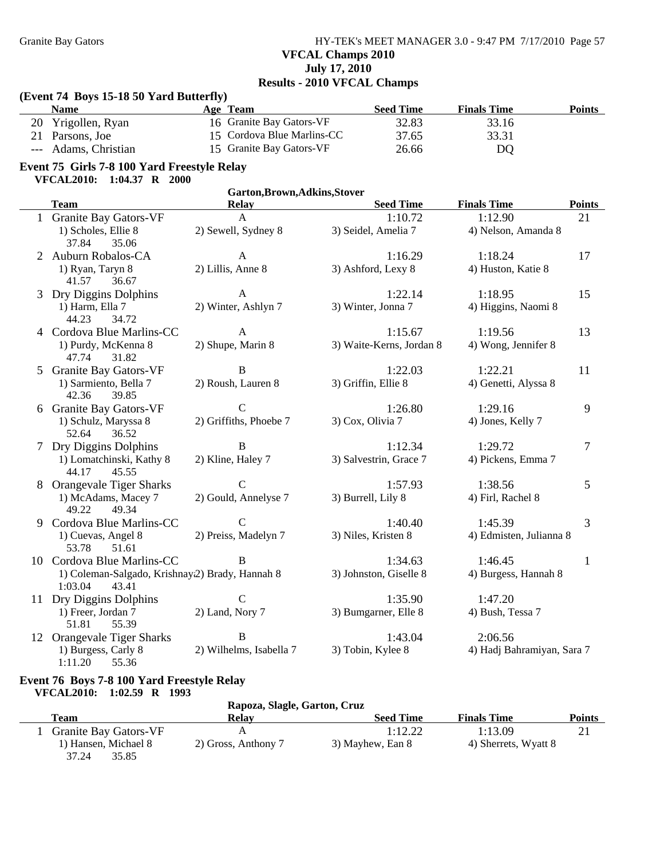## Granite Bay Gators **HY-TEK's MEET MANAGER 3.0 - 9:47 PM 7/17/2010** Page 57 **VFCAL Champs 2010 July 17, 2010 Results - 2010 VFCAL Champs**

## **(Event 74 Boys 15-18 50 Yard Butterfly)**

| <b>Name</b>               | Age Team                   | Seed Time | <b>Finals Time</b> | <b>Points</b> |
|---------------------------|----------------------------|-----------|--------------------|---------------|
| 20 Yrigollen, Ryan        | 16 Granite Bay Gators-VF   | 32.83     | 33.16              |               |
| 21 Parsons, Joe           | 15 Cordova Blue Marlins-CC | 37.65     | 33.31              |               |
| Adams, Christian<br>$---$ | 15 Granite Bay Gators-VF   | 26.66     | DO                 |               |

# **Event 75 Girls 7-8 100 Yard Freestyle Relay**

|  | <b>VFCAL2010:</b> | $1:04.37$ R $2000$ |  |  |
|--|-------------------|--------------------|--|--|
|--|-------------------|--------------------|--|--|

|    | Garton, Brown, Adkins, Stover                                       |                         |                          |                            |               |  |  |  |
|----|---------------------------------------------------------------------|-------------------------|--------------------------|----------------------------|---------------|--|--|--|
|    | <b>Team</b>                                                         | <b>Relay</b>            | <b>Seed Time</b>         | <b>Finals Time</b>         | <b>Points</b> |  |  |  |
|    | 1 Granite Bay Gators-VF                                             | $\mathbf{A}$            | 1:10.72                  | 1:12.90                    | 21            |  |  |  |
|    | 1) Scholes, Ellie 8                                                 | 2) Sewell, Sydney 8     | 3) Seidel, Amelia 7      | 4) Nelson, Amanda 8        |               |  |  |  |
|    | 37.84<br>35.06                                                      |                         |                          |                            |               |  |  |  |
|    | 2 Auburn Robalos-CA                                                 | $\mathbf{A}$            | 1:16.29                  | 1:18.24                    | 17            |  |  |  |
|    | 1) Ryan, Taryn 8<br>41.57<br>36.67                                  | 2) Lillis, Anne 8       | 3) Ashford, Lexy 8       | 4) Huston, Katie 8         |               |  |  |  |
|    | 3 Dry Diggins Dolphins                                              | $\mathbf{A}$            | 1:22.14                  | 1:18.95                    | 15            |  |  |  |
|    | 1) Harm, Ella 7<br>44.23<br>34.72                                   | 2) Winter, Ashlyn 7     | 3) Winter, Jonna 7       | 4) Higgins, Naomi 8        |               |  |  |  |
|    | 4 Cordova Blue Marlins-CC                                           | $\mathbf{A}$            | 1:15.67                  | 1:19.56                    | 13            |  |  |  |
|    | 1) Purdy, McKenna 8<br>47.74<br>31.82                               | 2) Shupe, Marin 8       | 3) Waite-Kerns, Jordan 8 | 4) Wong, Jennifer 8        |               |  |  |  |
|    | 5 Granite Bay Gators-VF                                             | $\, {\bf B}$            | 1:22.03                  | 1:22.21                    | 11            |  |  |  |
|    | 1) Sarmiento, Bella 7<br>39.85<br>42.36                             | 2) Roush, Lauren 8      | 3) Griffin, Ellie 8      | 4) Genetti, Alyssa 8       |               |  |  |  |
|    | 6 Granite Bay Gators-VF                                             | $\mathbf C$             | 1:26.80                  | 1:29.16                    | 9             |  |  |  |
|    | 1) Schulz, Maryssa 8<br>52.64<br>36.52                              | 2) Griffiths, Phoebe 7  | 3) Cox, Olivia 7         | 4) Jones, Kelly 7          |               |  |  |  |
|    | 7 Dry Diggins Dolphins                                              | $\, {\bf B}$            | 1:12.34                  | 1:29.72                    | 7             |  |  |  |
|    | 1) Lomatchinski, Kathy 8<br>44.17<br>45.55                          | 2) Kline, Haley 7       | 3) Salvestrin, Grace 7   | 4) Pickens, Emma 7         |               |  |  |  |
|    | 8 Orangevale Tiger Sharks                                           | $\mathsf{C}$            | 1:57.93                  | 1:38.56                    | 5             |  |  |  |
|    | 1) McAdams, Macey 7<br>49.22<br>49.34                               | 2) Gould, Annelyse 7    | 3) Burrell, Lily 8       | 4) Firl, Rachel 8          |               |  |  |  |
| 9. | Cordova Blue Marlins-CC                                             | $\mathsf{C}$            | 1:40.40                  | 1:45.39                    | 3             |  |  |  |
|    | 1) Cuevas, Angel 8<br>53.78<br>51.61                                | 2) Preiss, Madelyn 7    | 3) Niles, Kristen 8      | 4) Edmisten, Julianna 8    |               |  |  |  |
|    | 10 Cordova Blue Marlins-CC                                          | B                       | 1:34.63                  | 1:46.45                    | $\mathbf{1}$  |  |  |  |
|    | 1) Coleman-Salgado, Krishnay(2) Brady, Hannah 8<br>1:03.04<br>43.41 |                         | 3) Johnston, Giselle 8   | 4) Burgess, Hannah 8       |               |  |  |  |
|    | 11 Dry Diggins Dolphins                                             | $\mathbf C$             | 1:35.90                  | 1:47.20                    |               |  |  |  |
|    | 1) Freer, Jordan 7<br>51.81<br>55.39                                | 2) Land, Nory 7         | 3) Bumgarner, Elle 8     | 4) Bush, Tessa 7           |               |  |  |  |
|    | 12 Orangevale Tiger Sharks                                          | $\, {\bf B}$            | 1:43.04                  | 2:06.56                    |               |  |  |  |
|    | 1) Burgess, Carly 8<br>1:11.20<br>55.36                             | 2) Wilhelms, Isabella 7 | 3) Tobin, Kylee 8        | 4) Hadj Bahramiyan, Sara 7 |               |  |  |  |

#### **Event 76 Boys 7-8 100 Yard Freestyle Relay VFCAL2010: 1:02.59 R 1993**

| , , , , , , , , , , , ,<br>1.92.0 |                              |                  |                      |               |
|-----------------------------------|------------------------------|------------------|----------------------|---------------|
|                                   | Rapoza, Slagle, Garton, Cruz |                  |                      |               |
| Team                              | <b>Relav</b>                 | <b>Seed Time</b> | <b>Finals Time</b>   | <b>Points</b> |
| <b>Granite Bay Gators-VF</b>      |                              | 1:12.22          | 1:13.09              |               |
| 1) Hansen, Michael 8              | 2) Gross, Anthony 7          | 3) Mayhew, Ean 8 | 4) Sherrets, Wyatt 8 |               |
| 37.24<br>35.85                    |                              |                  |                      |               |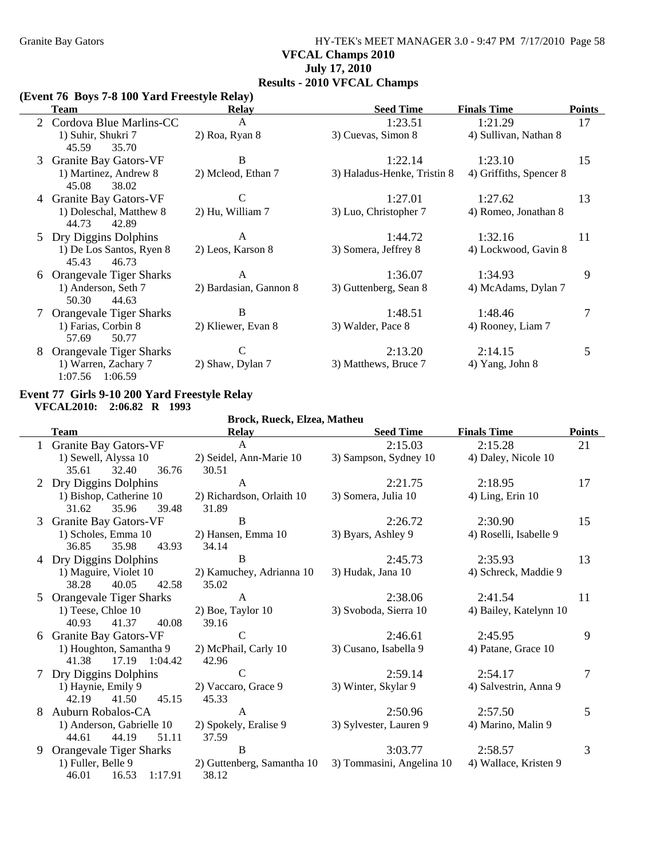### Granite Bay Gators **HY-TEK's MEET MANAGER 3.0 - 9:47 PM 7/17/2010** Page 58 **VFCAL Champs 2010 July 17, 2010 Results - 2010 VFCAL Champs**

#### **(Event 76 Boys 7-8 100 Yard Freestyle Relay)**

|    | <b>Team</b>                                | <b>Relay</b>           | <b>Seed Time</b>            | <b>Finals Time</b>      | <b>Points</b> |
|----|--------------------------------------------|------------------------|-----------------------------|-------------------------|---------------|
|    | 2 Cordova Blue Marlins-CC                  | A                      | 1:23.51                     | 1:21.29                 | 17            |
|    | 1) Suhir, Shukri 7<br>45.59<br>35.70       | 2) Roa, Ryan 8         | 3) Cuevas, Simon 8          | 4) Sullivan, Nathan 8   |               |
| 3  | Granite Bay Gators-VF                      | B                      | 1:22.14                     | 1:23.10                 | 15            |
|    | 1) Martinez, Andrew 8<br>45.08<br>38.02    | 2) Mcleod, Ethan 7     | 3) Haladus-Henke, Tristin 8 | 4) Griffiths, Spencer 8 |               |
|    | <b>Granite Bay Gators-VF</b>               | C                      | 1:27.01                     | 1:27.62                 | 13            |
|    | 1) Doleschal, Matthew 8<br>44.73<br>42.89  | 2) Hu, William 7       | 3) Luo, Christopher 7       | 4) Romeo, Jonathan 8    |               |
| 5. | Dry Diggins Dolphins                       | A                      | 1:44.72                     | 1:32.16                 | 11            |
|    | 1) De Los Santos, Ryen 8<br>45.43<br>46.73 | 2) Leos, Karson 8      | 3) Somera, Jeffrey 8        | 4) Lockwood, Gavin 8    |               |
| 6  | Orangevale Tiger Sharks                    | A                      | 1:36.07                     | 1:34.93                 | 9             |
|    | 1) Anderson, Seth 7<br>44.63<br>50.30      | 2) Bardasian, Gannon 8 | 3) Guttenberg, Sean 8       | 4) McAdams, Dylan 7     |               |
|    | <b>Orangevale Tiger Sharks</b>             | B                      | 1:48.51                     | 1:48.46                 |               |
|    | 1) Farias, Corbin 8<br>57.69<br>50.77      | 2) Kliewer, Evan 8     | 3) Walder, Pace 8           | 4) Rooney, Liam 7       |               |
| 8  | <b>Orangevale Tiger Sharks</b>             | C                      | 2:13.20                     | 2:14.15                 | 5             |
|    | 1) Warren, Zachary 7<br>1:07.56 1:06.59    | 2) Shaw, Dylan 7       | 3) Matthews, Bruce 7        | $4)$ Yang, John 8       |               |

#### **Event 77 Girls 9-10 200 Yard Freestyle Relay VFCAL2010: 2:06.82 R 1993**

**Brock, Rueck, Elzea, Matheu**

|   | <b>Team</b>                  | <b>Relay</b>               | <b>Seed Time</b>          | <b>Finals Time</b>     | <b>Points</b> |
|---|------------------------------|----------------------------|---------------------------|------------------------|---------------|
|   | Granite Bay Gators-VF        | $\mathsf{A}$               | 2:15.03                   | 2:15.28                | 21            |
|   | 1) Sewell, Alyssa 10         | 2) Seidel, Ann-Marie 10    | 3) Sampson, Sydney 10     | 4) Daley, Nicole 10    |               |
|   | 32.40<br>35.61<br>36.76      | 30.51                      |                           |                        |               |
|   | 2 Dry Diggins Dolphins       | A                          | 2:21.75                   | 2:18.95                | 17            |
|   | 1) Bishop, Catherine 10      | 2) Richardson, Orlaith 10  | 3) Somera, Julia 10       | $4)$ Ling, Erin $10$   |               |
|   | 31.62<br>35.96<br>39.48      | 31.89                      |                           |                        |               |
| 3 | <b>Granite Bay Gators-VF</b> | B                          | 2:26.72                   | 2:30.90                | 15            |
|   | 1) Scholes, Emma 10          | 2) Hansen, Emma 10         | 3) Byars, Ashley 9        | 4) Roselli, Isabelle 9 |               |
|   | 36.85<br>35.98<br>43.93      | 34.14                      |                           |                        |               |
|   | 4 Dry Diggins Dolphins       | B                          | 2:45.73                   | 2:35.93                | 13            |
|   | 1) Maguire, Violet 10        | 2) Kamuchey, Adrianna 10   | 3) Hudak, Jana 10         | 4) Schreck, Maddie 9   |               |
|   | 38.28<br>40.05<br>42.58      | 35.02                      |                           |                        |               |
| 5 | Orangevale Tiger Sharks      | A                          | 2:38.06                   | 2:41.54                | 11            |
|   | 1) Teese, Chloe 10           | $2)$ Boe, Taylor 10        | 3) Svoboda, Sierra 10     | 4) Bailey, Katelynn 10 |               |
|   | 41.37<br>40.93<br>40.08      | 39.16                      |                           |                        |               |
| 6 | <b>Granite Bay Gators-VF</b> | $\mathcal{C}$              | 2:46.61                   | 2:45.95                | 9             |
|   | 1) Houghton, Samantha 9      | 2) McPhail, Carly 10       | 3) Cusano, Isabella 9     | 4) Patane, Grace 10    |               |
|   | 17.19 1:04.42<br>41.38       | 42.96                      |                           |                        |               |
|   | Dry Diggins Dolphins         | $\mathcal{C}$              | 2:59.14                   | 2:54.17                | 7             |
|   | 1) Haynie, Emily 9           | 2) Vaccaro, Grace 9        | 3) Winter, Skylar 9       | 4) Salvestrin, Anna 9  |               |
|   | 42.19<br>41.50<br>45.15      | 45.33                      |                           |                        |               |
| 8 | Auburn Robalos-CA            | A                          | 2:50.96                   | 2:57.50                | 5             |
|   | 1) Anderson, Gabrielle 10    | 2) Spokely, Eralise 9      | 3) Sylvester, Lauren 9    | 4) Marino, Malin 9     |               |
|   | 44.61<br>44.19<br>51.11      | 37.59                      |                           |                        |               |
| 9 | Orangevale Tiger Sharks      | $\, {\bf B}$               | 3:03.77                   | 2:58.57                | 3             |
|   | 1) Fuller, Belle 9           | 2) Guttenberg, Samantha 10 | 3) Tommasini, Angelina 10 | 4) Wallace, Kristen 9  |               |
|   | 46.01<br>1:17.91<br>16.53    | 38.12                      |                           |                        |               |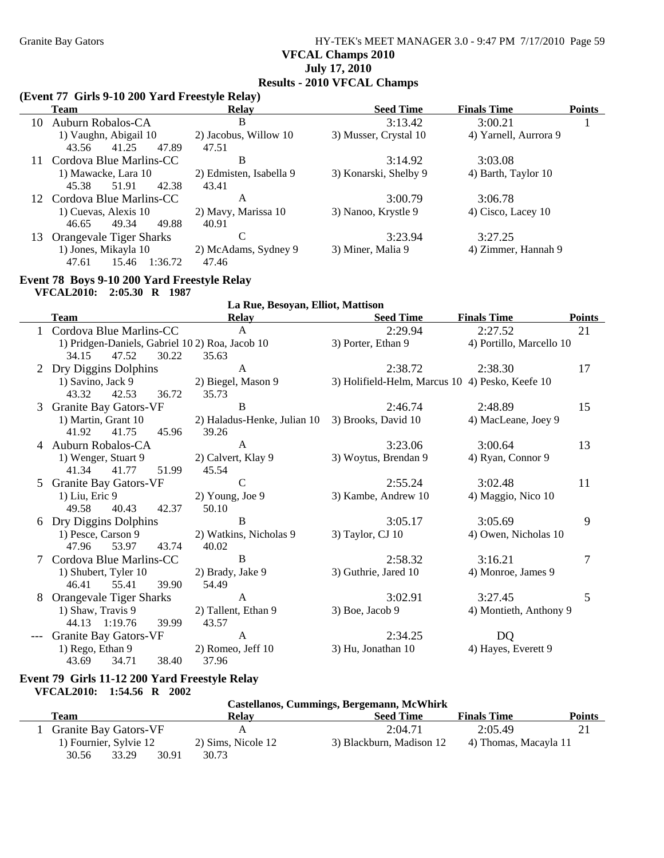### Granite Bay Gators **HY-TEK's MEET MANAGER 3.0 - 9:47 PM 7/17/2010** Page 59 **VFCAL Champs 2010 July 17, 2010 Results - 2010 VFCAL Champs**

### **(Event 77 Girls 9-10 200 Yard Freestyle Relay)**

|    | <b>Team</b>                    | <b>Relay</b>            | <b>Seed Time</b>      | <b>Finals Time</b>    | <b>Points</b> |
|----|--------------------------------|-------------------------|-----------------------|-----------------------|---------------|
| 10 | Auburn Robalos-CA              | B                       | 3:13.42               | 3:00.21               |               |
|    | 1) Vaughn, Abigail 10          | 2) Jacobus, Willow 10   | 3) Musser, Crystal 10 | 4) Yarnell, Aurrora 9 |               |
|    | 41.25<br>43.56<br>47.89        | 47.51                   |                       |                       |               |
|    | Cordova Blue Marlins-CC        | B                       | 3:14.92               | 3:03.08               |               |
|    | 1) Mawacke, Lara 10            | 2) Edmisten, Isabella 9 | 3) Konarski, Shelby 9 | 4) Barth, Taylor 10   |               |
|    | 42.38<br>45.38<br>51.91        | 43.41                   |                       |                       |               |
|    | 12 Cordova Blue Marlins-CC     | A                       | 3:00.79               | 3:06.78               |               |
|    | 1) Cuevas, Alexis 10           | 2) Mavy, Marissa 10     | 3) Nanoo, Krystle 9   | 4) Cisco, Lacey 10    |               |
|    | 49.88<br>49.34<br>46.65        | 40.91                   |                       |                       |               |
| 13 | <b>Orangevale Tiger Sharks</b> | C                       | 3:23.94               | 3:27.25               |               |
|    | 1) Jones, Mikayla 10           | 2) McAdams, Sydney 9    | 3) Miner, Malia 9     | 4) Zimmer, Hannah 9   |               |
|    | 47.61<br>1:36.72<br>15.46      | 47.46                   |                       |                       |               |

#### **Event 78 Boys 9-10 200 Yard Freestyle Relay**

**VFCAL2010: 2:05.30 R 1987**

|   | VFCALZUIV. 2.03.30 IV 1207                     |                                   |                                                 |                          |               |
|---|------------------------------------------------|-----------------------------------|-------------------------------------------------|--------------------------|---------------|
|   |                                                | La Rue, Besoyan, Elliot, Mattison |                                                 |                          |               |
|   | <b>Team</b>                                    | <b>Relay</b>                      | <b>Seed Time</b>                                | <b>Finals Time</b>       | <b>Points</b> |
|   | Cordova Blue Marlins-CC                        | $\mathsf{A}$                      | 2:29.94                                         | 2:27.52                  | 21            |
|   | 1) Pridgen-Daniels, Gabriel 102) Roa, Jacob 10 |                                   | 3) Porter, Ethan 9                              | 4) Portillo, Marcello 10 |               |
|   | 34.15<br>47.52<br>30.22                        | 35.63                             |                                                 |                          |               |
|   | 2 Dry Diggins Dolphins                         | A                                 | 2:38.72                                         | 2:38.30                  | 17            |
|   | 1) Savino, Jack 9                              | 2) Biegel, Mason 9                | 3) Holifield-Helm, Marcus 10 4) Pesko, Keefe 10 |                          |               |
|   | 43.32<br>42.53<br>36.72                        | 35.73                             |                                                 |                          |               |
|   | 3 Granite Bay Gators-VF                        | B                                 | 2:46.74                                         | 2:48.89                  | 15            |
|   | 1) Martin, Grant 10                            | 2) Haladus-Henke, Julian 10       | 3) Brooks, David 10                             | 4) MacLeane, Joey 9      |               |
|   | 41.92<br>41.75<br>45.96                        | 39.26                             |                                                 |                          |               |
|   | 4 Auburn Robalos-CA                            | A                                 | 3:23.06                                         | 3:00.64                  | 13            |
|   | 1) Wenger, Stuart 9                            | 2) Calvert, Klay 9                | 3) Woytus, Brendan 9                            | 4) Ryan, Connor 9        |               |
|   | 41.77<br>41.34<br>51.99                        | 45.54                             |                                                 |                          |               |
| 5 | Granite Bay Gators-VF                          | $\mathcal{C}$                     | 2:55.24                                         | 3:02.48                  | 11            |
|   | $1)$ Liu, Eric 9                               | 2) Young, Joe 9                   | 3) Kambe, Andrew 10                             | 4) Maggio, Nico 10       |               |
|   | 49.58<br>40.43<br>42.37                        | 50.10                             |                                                 |                          |               |
|   | 6 Dry Diggins Dolphins                         | B                                 | 3:05.17                                         | 3:05.69                  | 9             |
|   | 1) Pesce, Carson 9                             | 2) Watkins, Nicholas 9            | 3) Taylor, CJ 10                                | 4) Owen, Nicholas 10     |               |
|   | 53.97<br>43.74<br>47.96                        | 40.02                             |                                                 |                          |               |
|   | Cordova Blue Marlins-CC                        | B                                 | 2:58.32                                         | 3:16.21                  | 7             |
|   | 1) Shubert, Tyler 10                           | 2) Brady, Jake 9                  | 3) Guthrie, Jared 10                            | 4) Monroe, James 9       |               |
|   | 55.41<br>39.90<br>46.41                        | 54.49                             |                                                 |                          |               |
| 8 | Orangevale Tiger Sharks                        | $\mathsf{A}$                      | 3:02.91                                         | 3:27.45                  | 5             |
|   | 1) Shaw, Travis 9                              | 2) Tallent, Ethan 9               | $3)$ Boe, Jacob 9                               | 4) Montieth, Anthony 9   |               |
|   | 44.13 1:19.76<br>39.99                         | 43.57                             |                                                 |                          |               |
|   | Granite Bay Gators-VF                          | $\mathsf{A}$                      | 2:34.25                                         | DQ                       |               |
|   | 1) Rego, Ethan 9                               | $2)$ Romeo, Jeff 10               | 3) Hu, Jonathan 10                              | 4) Hayes, Everett 9      |               |
|   | 43.69<br>34.71<br>38.40                        | 37.96                             |                                                 |                          |               |

#### **Event 79 Girls 11-12 200 Yard Freestyle Relay VFCAL2010: 1:54.56 R 2002**

|                              |                    | Castellanos, Cummings, Bergemann, McWhirk |                       |               |
|------------------------------|--------------------|-------------------------------------------|-----------------------|---------------|
| Team                         | <b>Relav</b>       | <b>Seed Time</b>                          | <b>Finals Time</b>    | <b>Points</b> |
| <b>Granite Bay Gators-VF</b> |                    | 2:04.71                                   | 2:05.49               |               |
| 1) Fournier, Sylvie 12       | 2) Sims, Nicole 12 | 3) Blackburn, Madison 12                  | 4) Thomas, Macayla 11 |               |
| 30.56<br>33.29<br>30.91      | 30.73              |                                           |                       |               |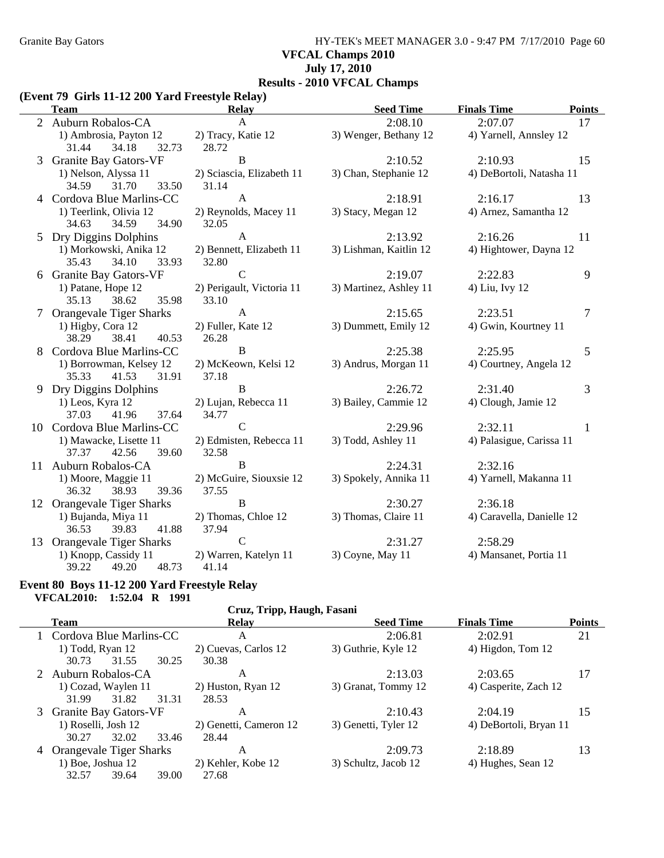Granite Bay Gators **HY-TEK's MEET MANAGER 3.0 - 9:47 PM 7/17/2010** Page 60 **VFCAL Champs 2010 July 17, 2010 Results - 2010 VFCAL Champs**

#### **(Event 79 Girls 11-12 200 Yard Freestyle Relay)**

|   | <b>Team</b>                  | <b>Relay</b>              | <b>Seed Time</b>       | <b>Finals Time</b><br><b>Points</b> |
|---|------------------------------|---------------------------|------------------------|-------------------------------------|
|   | 2 Auburn Robalos-CA          | A                         | 2:08.10                | 2:07.07<br>17                       |
|   | 1) Ambrosia, Payton 12       | 2) Tracy, Katie 12        | 3) Wenger, Bethany 12  | 4) Yarnell, Annsley 12              |
|   | 31.44<br>34.18<br>32.73      | 28.72                     |                        |                                     |
| 3 | Granite Bay Gators-VF        | B                         | 2:10.52                | 2:10.93<br>15                       |
|   | 1) Nelson, Alyssa 11         | 2) Sciascia, Elizabeth 11 | 3) Chan, Stephanie 12  | 4) DeBortoli, Natasha 11            |
|   | 34.59<br>31.70<br>33.50      | 31.14                     |                        |                                     |
|   | 4 Cordova Blue Marlins-CC    | A                         | 2:18.91                | 2:16.17<br>13                       |
|   | 1) Teerlink, Olivia 12       | 2) Reynolds, Macey 11     | 3) Stacy, Megan 12     | 4) Arnez, Samantha 12               |
|   | 34.63<br>34.59<br>34.90      | 32.05                     |                        |                                     |
| 5 | Dry Diggins Dolphins         | A                         | 2:13.92                | 2:16.26<br>11                       |
|   | 1) Morkowski, Anika 12       | 2) Bennett, Elizabeth 11  | 3) Lishman, Kaitlin 12 | 4) Hightower, Dayna 12              |
|   | 35.43<br>34.10<br>33.93      | 32.80                     |                        |                                     |
| 6 | <b>Granite Bay Gators-VF</b> | $\mathsf{C}$              | 2:19.07                | 9<br>2:22.83                        |
|   | 1) Patane, Hope 12           | 2) Perigault, Victoria 11 | 3) Martinez, Ashley 11 | 4) Liu, Ivy 12                      |
|   | 35.13<br>38.62<br>35.98      | 33.10                     |                        |                                     |
|   | Orangevale Tiger Sharks      | $\mathbf{A}$              | 2:15.65                | 2:23.51<br>7                        |
|   | 1) Higby, Cora 12            | 2) Fuller, Kate 12        | 3) Dummett, Emily 12   | 4) Gwin, Kourtney 11                |
|   | 38.29<br>38.41<br>40.53      | 26.28                     |                        |                                     |
|   | Cordova Blue Marlins-CC      | B                         | 2:25.38                | 2:25.95<br>5                        |
|   | 1) Borrowman, Kelsey 12      | 2) McKeown, Kelsi 12      | 3) Andrus, Morgan 11   | 4) Courtney, Angela 12              |
|   | 35.33<br>41.53<br>31.91      | 37.18                     |                        |                                     |
|   | 9 Dry Diggins Dolphins       | $\, {\bf B}$              | 2:26.72                | 3<br>2:31.40                        |
|   | $1)$ Leos, Kyra $12$         | 2) Lujan, Rebecca 11      | 3) Bailey, Cammie 12   | 4) Clough, Jamie 12                 |
|   | 41.96<br>37.03<br>37.64      | 34.77                     |                        |                                     |
|   | 10 Cordova Blue Marlins-CC   | $\mathsf{C}$              | 2:29.96                | 2:32.11<br>1                        |
|   | 1) Mawacke, Lisette 11       | 2) Edmisten, Rebecca 11   | 3) Todd, Ashley 11     | 4) Palasigue, Carissa 11            |
|   | 37.37<br>42.56<br>39.60      | 32.58                     |                        |                                     |
|   | 11 Auburn Robalos-CA         | B                         | 2:24.31                | 2:32.16                             |
|   | 1) Moore, Maggie 11          | 2) McGuire, Siouxsie 12   | 3) Spokely, Annika 11  | 4) Yarnell, Makanna 11              |
|   | 36.32<br>38.93<br>39.36      | 37.55                     |                        |                                     |
|   | 12 Orangevale Tiger Sharks   | B                         | 2:30.27                | 2:36.18                             |
|   | 1) Bujanda, Miya 11          | 2) Thomas, Chloe 12       | 3) Thomas, Claire 11   | 4) Caravella, Danielle 12           |
|   | 36.53<br>39.83<br>41.88      | 37.94                     |                        |                                     |
|   | 13 Orangevale Tiger Sharks   | $\mathbf C$               | 2:31.27                | 2:58.29                             |
|   | 1) Knopp, Cassidy 11         | 2) Warren, Katelyn 11     | 3) Coyne, May 11       | 4) Mansanet, Portia 11              |
|   | 39.22<br>49.20<br>48.73      | 41.14                     |                        |                                     |

#### **Event 80 Boys 11-12 200 Yard Freestyle Relay VFCAL2010: 1:52.04 R 1991**

#### **Cruz, Tripp, Haugh, Fasani**

| Team                      | <b>Relay</b>           | <b>Seed Time</b>     | <b>Finals Time</b>     | <b>Points</b> |
|---------------------------|------------------------|----------------------|------------------------|---------------|
| Cordova Blue Marlins-CC   | A                      | 2:06.81              | 2:02.91                | 21            |
| 1) Todd, Ryan 12          | 2) Cuevas, Carlos 12   | 3) Guthrie, Kyle 12  | 4) Higdon, Tom 12      |               |
| 31.55<br>30.25<br>30.73   | 30.38                  |                      |                        |               |
| 2 Auburn Robalos-CA       | А                      | 2:13.03              | 2:03.65                | 17            |
| 1) Cozad, Waylen 11       | 2) Huston, Ryan 12     | 3) Granat, Tommy 12  | 4) Casperite, Zach 12  |               |
| 31.82<br>31.31<br>31.99   | 28.53                  |                      |                        |               |
| 3 Granite Bay Gators-VF   | Α                      | 2:10.43              | 2:04.19                | 15            |
| 1) Roselli, Josh 12       | 2) Genetti, Cameron 12 | 3) Genetti, Tyler 12 | 4) DeBortoli, Bryan 11 |               |
| 32.02<br>33.46<br>30.27   | 28.44                  |                      |                        |               |
| 4 Orangevale Tiger Sharks | A                      | 2:09.73              | 2:18.89                | 13            |
| $1)$ Boe, Joshua $12$     | 2) Kehler, Kobe 12     | 3) Schultz, Jacob 12 | 4) Hughes, Sean 12     |               |
| 32.57<br>39.64<br>39.00   | 27.68                  |                      |                        |               |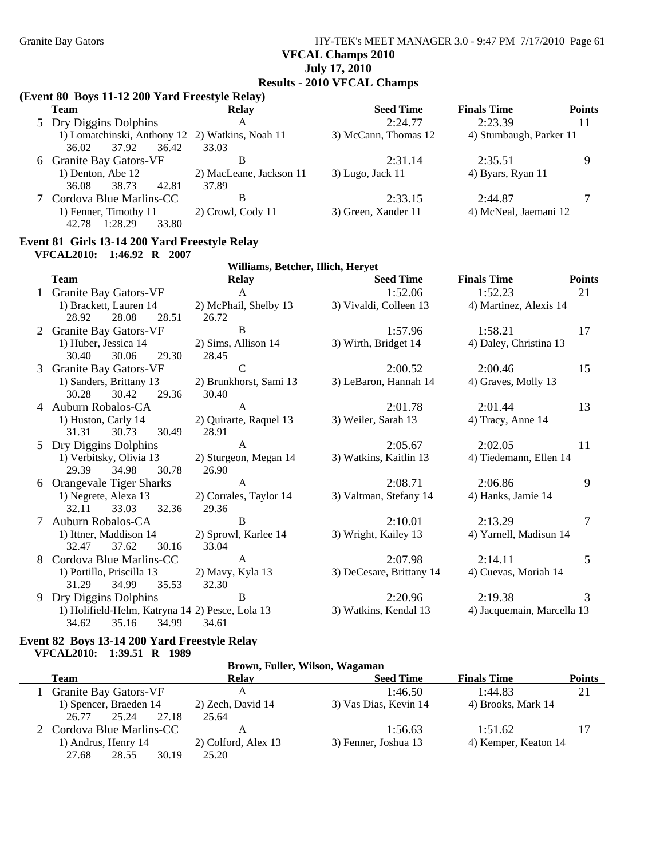### Granite Bay Gators **HY-TEK's MEET MANAGER 3.0 - 9:47 PM 7/17/2010** Page 61 **VFCAL Champs 2010 July 17, 2010 Results - 2010 VFCAL Champs**

### **(Event 80 Boys 11-12 200 Yard Freestyle Relay)**

| <b>Team</b>                                     | Relay                   | <b>Seed Time</b>     | <b>Finals Time</b>      | <b>Points</b> |
|-------------------------------------------------|-------------------------|----------------------|-------------------------|---------------|
| 5 Dry Diggins Dolphins                          | А                       | 2:24.77              | 2:23.39                 | 11            |
| 1) Lomatchinski, Anthony 12 2) Watkins, Noah 11 |                         | 3) McCann, Thomas 12 | 4) Stumbaugh, Parker 11 |               |
| 36.42<br>37.92<br>36.02                         | 33.03                   |                      |                         |               |
| 6 Granite Bay Gators-VF                         | В                       | 2:31.14              | 2:35.51                 | Q             |
| 1) Denton, Abe 12                               | 2) MacLeane, Jackson 11 | $3)$ Lugo, Jack 11   | 4) Byars, Ryan 11       |               |
| 38.73<br>42.81<br>36.08                         | 37.89                   |                      |                         |               |
| Cordova Blue Marlins-CC                         | В                       | 2:33.15              | 2:44.87                 |               |
| 1) Fenner, Timothy 11                           | 2) Crowl, Cody 11       | 3) Green, Xander 11  | 4) McNeal, Jaemani 12   |               |
| 1:28.29<br>42.78<br>33.80                       |                         |                      |                         |               |

#### **Event 81 Girls 13-14 200 Yard Freestyle Relay**

**VFCAL2010: 1:46.92 R 2007**

|   | Williams, Betcher, Illich, Heryet               |                        |                          |                            |               |
|---|-------------------------------------------------|------------------------|--------------------------|----------------------------|---------------|
|   | <b>Team</b>                                     | Relay                  | <b>Seed Time</b>         | <b>Finals Time</b>         | <b>Points</b> |
|   | <b>Granite Bay Gators-VF</b>                    | $\mathsf{A}$           | 1:52.06                  | 1:52.23                    | 21            |
|   | 1) Brackett, Lauren 14                          | 2) McPhail, Shelby 13  | 3) Vivaldi, Colleen 13   | 4) Martinez, Alexis 14     |               |
|   | 28.08<br>28.51<br>28.92                         | 26.72                  |                          |                            |               |
|   | <b>Granite Bay Gators-VF</b>                    | $\mathbf B$            | 1:57.96                  | 1:58.21                    | 17            |
|   | 1) Huber, Jessica 14                            | $2)$ Sims, Allison 14  | 3) Wirth, Bridget 14     | 4) Daley, Christina 13     |               |
|   | 30.40<br>30.06<br>29.30                         | 28.45                  |                          |                            |               |
| 3 | <b>Granite Bay Gators-VF</b>                    | $\mathcal{C}$          | 2:00.52                  | 2:00.46                    | 15            |
|   | 1) Sanders, Brittany 13                         | 2) Brunkhorst, Sami 13 | 3) LeBaron, Hannah 14    | 4) Graves, Molly 13        |               |
|   | 30.28<br>30.42<br>29.36                         | 30.40                  |                          |                            |               |
|   | 4 Auburn Robalos-CA                             | A                      | 2:01.78                  | 2:01.44                    | 13            |
|   | 1) Huston, Carly 14                             | 2) Quirarte, Raquel 13 | 3) Weiler, Sarah 13      | 4) Tracy, Anne 14          |               |
|   | 31.31<br>30.49<br>30.73                         | 28.91                  |                          |                            |               |
|   | 5 Dry Diggins Dolphins                          | $\mathbf{A}$           | 2:05.67                  | 2:02.05                    | 11            |
|   | 1) Verbitsky, Olivia 13                         | 2) Sturgeon, Megan 14  | 3) Watkins, Kaitlin 13   | 4) Tiedemann, Ellen 14     |               |
|   | 29.39<br>34.98<br>30.78                         | 26.90                  |                          |                            |               |
|   | <b>Orangevale Tiger Sharks</b>                  | A                      | 2:08.71                  | 2:06.86                    | 9             |
|   | 1) Negrete, Alexa 13                            | 2) Corrales, Taylor 14 | 3) Valtman, Stefany 14   | 4) Hanks, Jamie 14         |               |
|   | 33.03<br>32.36<br>32.11                         | 29.36                  |                          |                            |               |
|   | Auburn Robalos-CA                               | B                      | 2:10.01                  | 2:13.29                    | 7             |
|   | 1) Ittner, Maddison 14                          | 2) Sprowl, Karlee 14   | 3) Wright, Kailey 13     | 4) Yarnell, Madisun 14     |               |
|   | 37.62<br>32.47<br>30.16                         | 33.04                  |                          |                            |               |
|   | Cordova Blue Marlins-CC                         | A                      | 2:07.98                  | 2:14.11                    | 5             |
|   | 1) Portillo, Priscilla 13                       | 2) Mavy, Kyla 13       | 3) DeCesare, Brittany 14 | 4) Cuevas, Moriah 14       |               |
|   | 31.29<br>34.99<br>35.53                         | 32.30                  |                          |                            |               |
|   | 9 Dry Diggins Dolphins                          | B                      | 2:20.96                  | 2:19.38                    | 3             |
|   | 1) Holifield-Helm, Katryna 14 2) Pesce, Lola 13 |                        | 3) Watkins, Kendal 13    | 4) Jacquemain, Marcella 13 |               |
|   | 34.62<br>35.16<br>34.99                         | 34.61                  |                          |                            |               |

#### **Event 82 Boys 13-14 200 Yard Freestyle Relay VFCAL2010: 1:39.51 R 1989**

#### **Brown, Fuller, Wilson, Wagaman**

| Team                                              | <b>Relay</b>               | <b>Seed Time</b>                | <b>Finals Time</b>              | <b>Points</b> |
|---------------------------------------------------|----------------------------|---------------------------------|---------------------------------|---------------|
| <b>Granite Bay Gators-VF</b>                      | А                          | 1:46.50                         | 1:44.83                         | 21            |
| 1) Spencer, Braeden 14<br>26.77<br>25.24<br>27.18 | 2) Zech, David 14<br>25.64 | 3) Vas Dias, Kevin 14           | 4) Brooks, Mark 14              |               |
| 2 Cordova Blue Marlins-CC<br>1) Andrus, Henry 14  | 2) Colford, Alex 13        | 1:56.63<br>3) Fenner, Joshua 13 | 1:51.62<br>4) Kemper, Keaton 14 |               |
| 28.55<br>27.68<br>30.19                           | 25.20                      |                                 |                                 |               |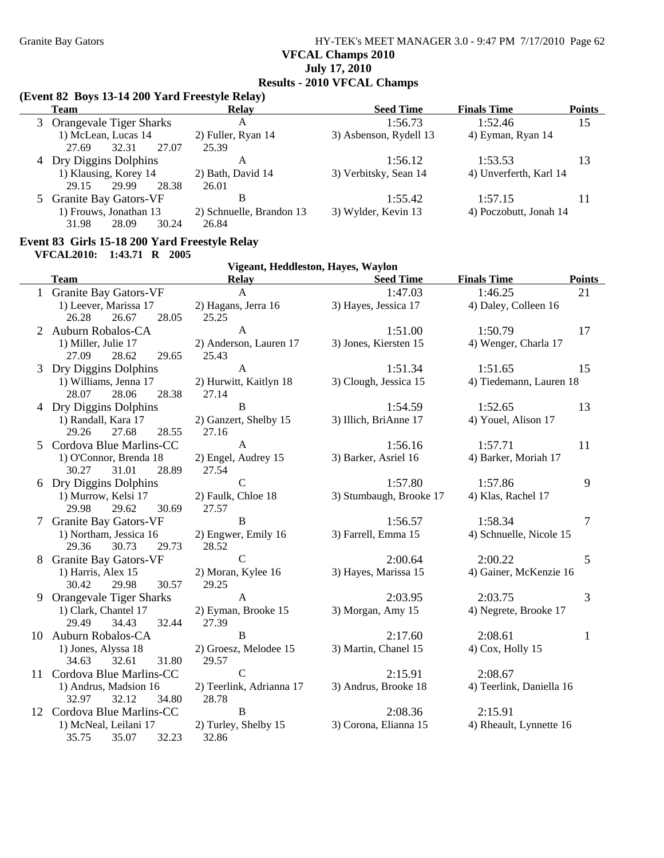### Granite Bay Gators **HY-TEK's MEET MANAGER 3.0 - 9:47 PM 7/17/2010** Page 62 **VFCAL Champs 2010 July 17, 2010 Results - 2010 VFCAL Champs**

### **(Event 82 Boys 13-14 200 Yard Freestyle Relay)**

|   | Team                           | Relay                    | <b>Seed Time</b>       | <b>Finals Time</b>     | <b>Points</b> |
|---|--------------------------------|--------------------------|------------------------|------------------------|---------------|
| 3 | <b>Orangevale Tiger Sharks</b> | A                        | 1:56.73                | 1:52.46                | 15            |
|   | 1) McLean, Lucas 14            | 2) Fuller, Ryan 14       | 3) Asbenson, Rydell 13 | 4) Eyman, Ryan 14      |               |
|   | 32.31<br>27.07<br>27.69        | 25.39                    |                        |                        |               |
|   | 4 Dry Diggins Dolphins         | Α                        | 1:56.12                | 1:53.53                | 13            |
|   | 1) Klausing, Korey 14          | 2) Bath, David 14        | 3) Verbitsky, Sean 14  | 4) Unverferth, Karl 14 |               |
|   | 29.99<br>28.38<br>29.15        | 26.01                    |                        |                        |               |
|   | 5 Granite Bay Gators-VF        | B                        | 1:55.42                | 1:57.15                | 11            |
|   | 1) Frouws, Jonathan 13         | 2) Schnuelle, Brandon 13 | 3) Wylder, Kevin 13    | 4) Poczobutt, Jonah 14 |               |
|   | 31.98<br>28.09<br>30.24        | 26.84                    |                        |                        |               |

#### **Event 83 Girls 15-18 200 Yard Freestyle Relay**

**VFCAL2010: 1:43.71 R 2005**

|                | Vigeant, Heddleston, Hayes, Waylon |                                                 |                         |                          |               |  |  |
|----------------|------------------------------------|-------------------------------------------------|-------------------------|--------------------------|---------------|--|--|
|                | <b>Team</b>                        | <b>Relay</b>                                    | <b>Seed Time</b>        | <b>Finals Time</b>       | <b>Points</b> |  |  |
|                | 1 Granite Bay Gators-VF            | $\mathbf{A}$                                    | 1:47.03                 | 1:46.25                  | 21            |  |  |
|                | 1) Leever, Marissa 17              | 2) Hagans, Jerra 16                             | 3) Hayes, Jessica 17    | 4) Daley, Colleen 16     |               |  |  |
|                | 28.05<br>26.28<br>26.67            | 25.25                                           |                         |                          |               |  |  |
| $\overline{2}$ | Auburn Robalos-CA                  | $\mathbf{A}$                                    | 1:51.00                 | 1:50.79                  | 17            |  |  |
|                | 1) Miller, Julie 17                | 2) Anderson, Lauren 17                          | 3) Jones, Kiersten 15   | 4) Wenger, Charla 17     |               |  |  |
|                | 28.62<br>27.09<br>29.65            | 25.43                                           |                         |                          |               |  |  |
| 3              | Dry Diggins Dolphins               | $\mathbf{A}$                                    | 1:51.34                 | 1:51.65                  | 15            |  |  |
|                | 1) Williams, Jenna 17              | 2) Hurwitt, Kaitlyn 18<br>3) Clough, Jessica 15 |                         | 4) Tiedemann, Lauren 18  |               |  |  |
|                | 28.07<br>28.06<br>28.38            | 27.14                                           |                         |                          |               |  |  |
|                | 4 Dry Diggins Dolphins             | $\, {\bf B}$                                    | 1:54.59                 | 1:52.65                  | 13            |  |  |
|                | 1) Randall, Kara 17                | 2) Ganzert, Shelby 15                           | 3) Illich, BriAnne 17   | 4) Youel, Alison 17      |               |  |  |
|                | 27.68<br>29.26<br>28.55            | 27.16                                           |                         |                          |               |  |  |
| 5.             | Cordova Blue Marlins-CC            | A                                               | 1:56.16                 | 1:57.71                  | 11            |  |  |
|                | 1) O'Connor, Brenda 18             | 2) Engel, Audrey 15                             | 3) Barker, Asriel 16    | 4) Barker, Moriah 17     |               |  |  |
|                | 31.01<br>28.89<br>30.27            | 27.54                                           |                         |                          |               |  |  |
| 6              | Dry Diggins Dolphins               | $\mathcal{C}$                                   | 1:57.80                 | 1:57.86                  | 9             |  |  |
|                | 1) Murrow, Kelsi 17                | 2) Faulk, Chloe 18                              | 3) Stumbaugh, Brooke 17 | 4) Klas, Rachel 17       |               |  |  |
|                | 29.62<br>30.69<br>29.98            | 27.57                                           |                         |                          |               |  |  |
|                | <b>Granite Bay Gators-VF</b>       | $\, {\bf B}$                                    | 1:56.57                 | 1:58.34                  | 7             |  |  |
|                | 1) Northam, Jessica 16             | 2) Engwer, Emily 16                             | 3) Farrell, Emma 15     | 4) Schnuelle, Nicole 15  |               |  |  |
|                | 29.36<br>29.73<br>30.73            | 28.52                                           |                         |                          |               |  |  |
| 8              | <b>Granite Bay Gators-VF</b>       | $\mathcal{C}$                                   | 2:00.64                 | 2:00.22                  | 5             |  |  |
|                | 1) Harris, Alex 15                 | 2) Moran, Kylee 16                              | 3) Hayes, Marissa 15    | 4) Gainer, McKenzie 16   |               |  |  |
|                | 30.42<br>29.98<br>30.57            | 29.25                                           |                         |                          |               |  |  |
| 9              | Orangevale Tiger Sharks            | $\mathbf{A}$                                    | 2:03.95                 | 2:03.75                  | 3             |  |  |
|                | 1) Clark, Chantel 17               | 2) Eyman, Brooke 15                             | 3) Morgan, Amy 15       | 4) Negrete, Brooke 17    |               |  |  |
|                | 29.49<br>34.43<br>32.44            | 27.39                                           |                         |                          |               |  |  |
| 10             | Auburn Robalos-CA                  | $\, {\bf B}$                                    | 2:17.60                 | 2:08.61                  | $\mathbf{1}$  |  |  |
|                | 1) Jones, Alyssa 18                | 2) Groesz, Melodee 15                           | 3) Martin, Chanel 15    | 4) Cox, Holly 15         |               |  |  |
|                | 34.63<br>32.61<br>31.80            | 29.57                                           |                         |                          |               |  |  |
| 11             | Cordova Blue Marlins-CC            | $\mathcal{C}$                                   | 2:15.91                 | 2:08.67                  |               |  |  |
|                | 1) Andrus, Madsion 16              | 2) Teerlink, Adrianna 17                        | 3) Andrus, Brooke 18    | 4) Teerlink, Daniella 16 |               |  |  |
|                | 32.97<br>32.12<br>34.80            | 28.78                                           |                         |                          |               |  |  |
|                | 12 Cordova Blue Marlins-CC         | $\, {\bf B}$                                    | 2:08.36                 | 2:15.91                  |               |  |  |
|                | 1) McNeal, Leilani 17              | 2) Turley, Shelby 15                            | 3) Corona, Elianna 15   | 4) Rheault, Lynnette 16  |               |  |  |
|                | 35.75<br>32.23<br>35.07            | 32.86                                           |                         |                          |               |  |  |